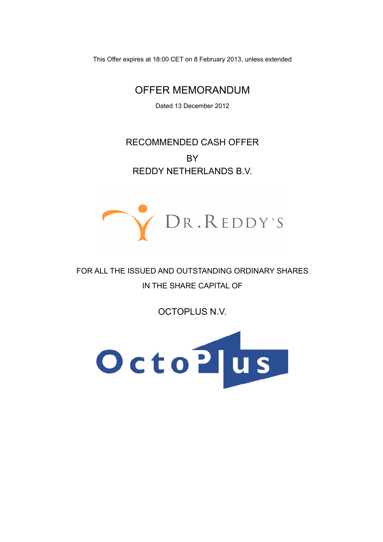This Offer expires at 18:00 CET on 8 February 2013, unless extended

# OFFER MEMORANDUM

Dated 13 December 2012

RECOMMENDED CASH OFFER BY REDDY NETHERLANDS B.V.



FOR ALL THE ISSUED AND OUTSTANDING ORDINARY SHARES IN THE SHARE CAPITAL OF

OCTOPLUS N.V.

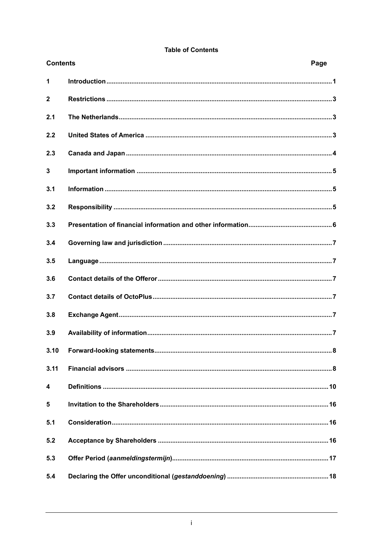|              | <b>Contents</b> |  |
|--------------|-----------------|--|
| 1            |                 |  |
| $\mathbf{2}$ |                 |  |
| 2.1          |                 |  |
| 2.2          |                 |  |
| 2.3          |                 |  |
| $\mathbf{3}$ |                 |  |
| 3.1          |                 |  |
| 3.2          |                 |  |
| 3.3          |                 |  |
| 3.4          |                 |  |
| 3.5          |                 |  |
| 3.6          |                 |  |
| 3.7          |                 |  |
| 3.8          |                 |  |
| 3.9          |                 |  |
| 3.10         |                 |  |
| 3.11         |                 |  |
| 4            |                 |  |
| 5            |                 |  |
| 5.1          |                 |  |
| 5.2          |                 |  |
| 5.3          |                 |  |
| 5.4          |                 |  |

# **Table of Contents**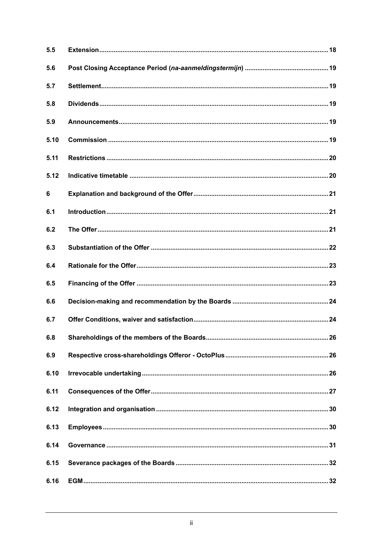| 5.5  |  |
|------|--|
| 5.6  |  |
| 5.7  |  |
| 5.8  |  |
| 5.9  |  |
| 5.10 |  |
| 5.11 |  |
| 5.12 |  |
| 6    |  |
| 6.1  |  |
| 6.2  |  |
| 6.3  |  |
| 6.4  |  |
| 6.5  |  |
| 6.6  |  |
| 6.7  |  |
| 6.8  |  |
| 6.9  |  |
| 6.10 |  |
| 6.11 |  |
| 6.12 |  |
| 6.13 |  |
| 6.14 |  |
| 6.15 |  |
| 6.16 |  |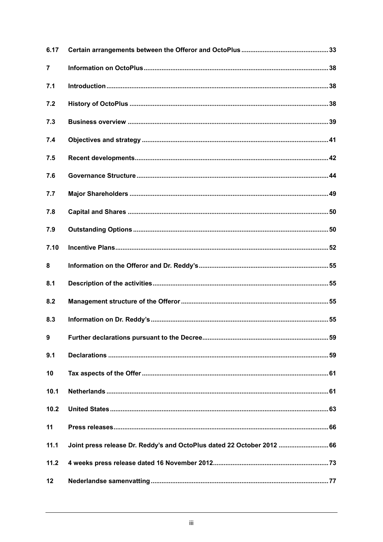| 6.17             |                                                                        |
|------------------|------------------------------------------------------------------------|
| $\overline{7}$   |                                                                        |
| 7.1              |                                                                        |
| 7.2              |                                                                        |
| 7.3              |                                                                        |
| 7.4              |                                                                        |
| 7.5              |                                                                        |
| 7.6              |                                                                        |
| 7.7              |                                                                        |
| 7.8              |                                                                        |
| 7.9              |                                                                        |
| 7.10             |                                                                        |
| 8                |                                                                        |
| 8.1              |                                                                        |
| 8.2              |                                                                        |
| 8.3              |                                                                        |
| $\boldsymbol{9}$ |                                                                        |
| 9.1              |                                                                        |
| 10               |                                                                        |
| 10.1             |                                                                        |
| 10.2             |                                                                        |
| 11               |                                                                        |
| 11.1             | Joint press release Dr. Reddy's and OctoPlus dated 22 October 2012  66 |
| 11.2             |                                                                        |
| 12               |                                                                        |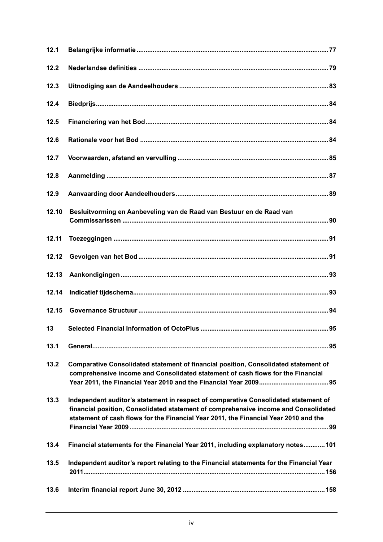| 12.1  |                                                                                                                                                                                                                                                                    |
|-------|--------------------------------------------------------------------------------------------------------------------------------------------------------------------------------------------------------------------------------------------------------------------|
| 12.2  |                                                                                                                                                                                                                                                                    |
| 12.3  |                                                                                                                                                                                                                                                                    |
| 12.4  |                                                                                                                                                                                                                                                                    |
| 12.5  |                                                                                                                                                                                                                                                                    |
| 12.6  |                                                                                                                                                                                                                                                                    |
| 12.7  |                                                                                                                                                                                                                                                                    |
| 12.8  |                                                                                                                                                                                                                                                                    |
| 12.9  |                                                                                                                                                                                                                                                                    |
| 12.10 | Besluitvorming en Aanbeveling van de Raad van Bestuur en de Raad van                                                                                                                                                                                               |
| 12.11 |                                                                                                                                                                                                                                                                    |
| 12.12 |                                                                                                                                                                                                                                                                    |
| 12.13 |                                                                                                                                                                                                                                                                    |
| 12.14 |                                                                                                                                                                                                                                                                    |
| 12.15 |                                                                                                                                                                                                                                                                    |
| 13    |                                                                                                                                                                                                                                                                    |
| 13.1  |                                                                                                                                                                                                                                                                    |
| 13.2  | <b>Comparative Consolidated statement of financial position, Consolidated statement of</b><br>comprehensive income and Consolidated statement of cash flows for the Financial                                                                                      |
| 13.3  | Independent auditor's statement in respect of comparative Consolidated statement of<br>financial position, Consolidated statement of comprehensive income and Consolidated<br>statement of cash flows for the Financial Year 2011, the Financial Year 2010 and the |
| 13.4  | Financial statements for the Financial Year 2011, including explanatory notes 101                                                                                                                                                                                  |
| 13.5  | Independent auditor's report relating to the Financial statements for the Financial Year                                                                                                                                                                           |
| 13.6  |                                                                                                                                                                                                                                                                    |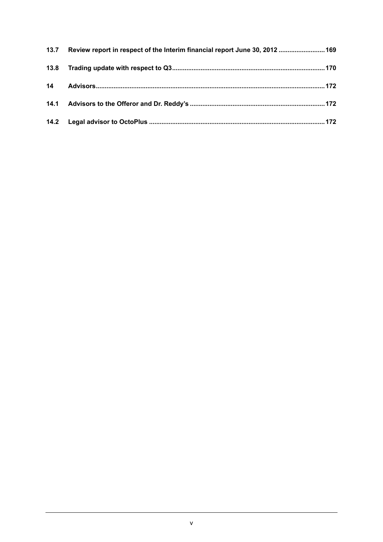| 13.7 Review report in respect of the Interim financial report June 30, 2012  169 |  |
|----------------------------------------------------------------------------------|--|
|                                                                                  |  |
|                                                                                  |  |
|                                                                                  |  |
|                                                                                  |  |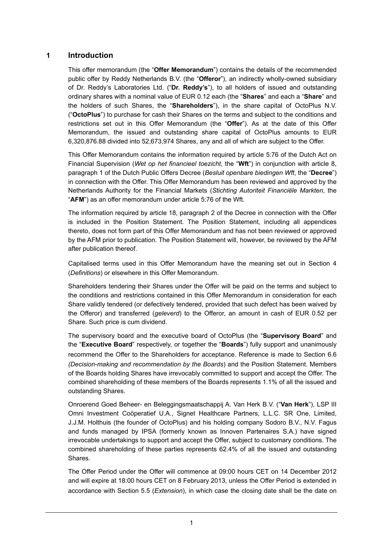# **1 Introduction**

This offer memorandum (the "**Offer Memorandum**") contains the details of the recommended public offer by Reddy Netherlands B.V. (the "**Offeror**"), an indirectly wholly-owned subsidiary of Dr. Reddy's Laboratories Ltd. ("**Dr. Reddy's**"), to all holders of issued and outstanding ordinary shares with a nominal value of EUR 0.12 each (the "**Shares**" and each a "**Share**" and the holders of such Shares, the "**Shareholders**"), in the share capital of OctoPlus N.V. ("**OctoPlus**") to purchase for cash their Shares on the terms and subject to the conditions and restrictions set out in this Offer Memorandum (the "**Offer**"). As at the date of this Offer Memorandum, the issued and outstanding share capital of OctoPlus amounts to EUR 6,320,876.88 divided into 52,673,974 Shares, any and all of which are subject to the Offer.

This Offer Memorandum contains the information required by article 5:76 of the Dutch Act on Financial Supervision (*Wet op het financieel toezicht*, the "**Wft**") in conjunction with article 8, paragraph 1 of the Dutch Public Offers Decree (*Besluit openbare biedingen Wft*, the "**Decree**") in connection with the Offer. This Offer Memorandum has been reviewed and approved by the Netherlands Authority for the Financial Markets (*Stichting Autoriteit Financiële Markten*, the "**AFM**") as an offer memorandum under article 5:76 of the Wft.

The information required by article 18, paragraph 2 of the Decree in connection with the Offer is included in the Position Statement. The Position Statement, including all appendices thereto, does not form part of this Offer Memorandum and has not been reviewed or approved by the AFM prior to publication. The Position Statement will, however, be reviewed by the AFM after publication thereof.

Capitalised terms used in this Offer Memorandum have the meaning set out in Section 4 (*Definitions*) or elsewhere in this Offer Memorandum.

Shareholders tendering their Shares under the Offer will be paid on the terms and subject to the conditions and restrictions contained in this Offer Memorandum in consideration for each Share validly tendered (or defectively tendered, provided that such defect has been waived by the Offeror) and transferred (*geleverd*) to the Offeror, an amount in cash of EUR 0.52 per Share. Such price is cum dividend.

The supervisory board and the executive board of OctoPlus (the "**Supervisory Board**" and the "**Executive Board**" respectively, or together the "**Boards**") fully support and unanimously recommend the Offer to the Shareholders for acceptance. Reference is made to Section 6.6 *(Decision-making and recommendation by the Boards*) and the Position Statement. Members of the Boards holding Shares have irrevocably committed to support and accept the Offer. The combined shareholding of these members of the Boards represents 1.1% of all the issued and outstanding Shares.

Onroerend Goed Beheer- en Beleggingsmaatschappij A. Van Herk B.V. ("**Van Herk**"), LSP III Omni Investment Coöperatief U.A., Signet Healthcare Partners, L.L.C. SR One, Limited, J.J.M. Holthuis (the founder of OctoPlus) and his holding company Sodoro B.V., N.V. Fagus and funds managed by IPSA (formerly known as Innoven Partenaires S.A.) have signed irrevocable undertakings to support and accept the Offer, subject to customary conditions. The combined shareholding of these parties represents 62.4% of all the issued and outstanding Shares.

The Offer Period under the Offer will commence at 09:00 hours CET on 14 December 2012 and will expire at 18:00 hours CET on 8 February 2013, unless the Offer Period is extended in accordance with Section 5.5 (*Extension*), in which case the closing date shall be the date on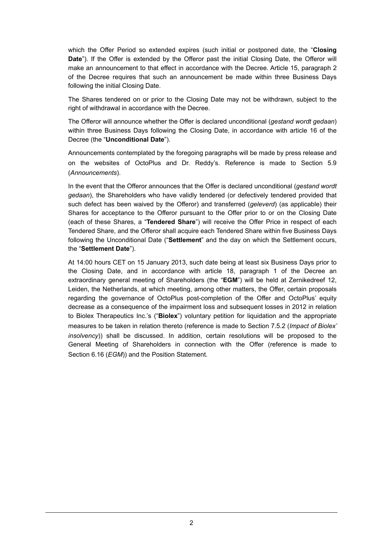which the Offer Period so extended expires (such initial or postponed date, the "**Closing Date**"). If the Offer is extended by the Offeror past the initial Closing Date, the Offeror will make an announcement to that effect in accordance with the Decree. Article 15, paragraph 2 of the Decree requires that such an announcement be made within three Business Days following the initial Closing Date.

The Shares tendered on or prior to the Closing Date may not be withdrawn, subject to the right of withdrawal in accordance with the Decree.

The Offeror will announce whether the Offer is declared unconditional (*gestand wordt gedaan*) within three Business Days following the Closing Date, in accordance with article 16 of the Decree (the "**Unconditional Date**").

Announcements contemplated by the foregoing paragraphs will be made by press release and on the websites of OctoPlus and Dr. Reddy's. Reference is made to Section 5.9 (*Announcements*).

In the event that the Offeror announces that the Offer is declared unconditional (*gestand wordt gedaan*), the Shareholders who have validly tendered (or defectively tendered provided that such defect has been waived by the Offeror) and transferred (*geleverd*) (as applicable) their Shares for acceptance to the Offeror pursuant to the Offer prior to or on the Closing Date (each of these Shares, a "**Tendered Share**") will receive the Offer Price in respect of each Tendered Share, and the Offeror shall acquire each Tendered Share within five Business Days following the Unconditional Date ("**Settlement**" and the day on which the Settlement occurs, the "**Settlement Date**").

At 14:00 hours CET on 15 January 2013, such date being at least six Business Days prior to the Closing Date, and in accordance with article 18, paragraph 1 of the Decree an extraordinary general meeting of Shareholders (the "**EGM**") will be held at Zernikedreef 12, Leiden, the Netherlands, at which meeting, among other matters, the Offer, certain proposals regarding the governance of OctoPlus post-completion of the Offer and OctoPlus' equity decrease as a consequence of the impairment loss and subsequent losses in 2012 in relation to Biolex Therapeutics Inc.'s ("**Biolex**") voluntary petition for liquidation and the appropriate measures to be taken in relation thereto (reference is made to Section 7.5.2 (*Impact of Biolex' insolvency*)) shall be discussed. In addition, certain resolutions will be proposed to the General Meeting of Shareholders in connection with the Offer (reference is made to Section 6.16 (*EGM*)) and the Position Statement.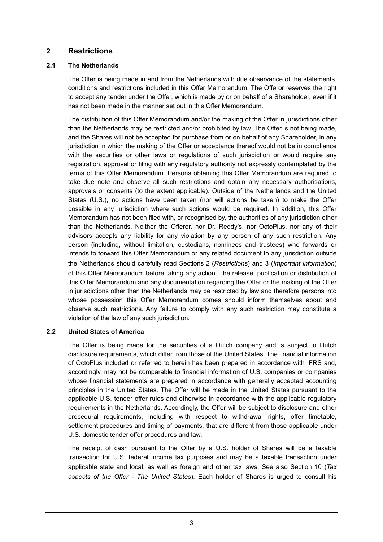# **2 Restrictions**

# **2.1 The Netherlands**

The Offer is being made in and from the Netherlands with due observance of the statements, conditions and restrictions included in this Offer Memorandum. The Offeror reserves the right to accept any tender under the Offer, which is made by or on behalf of a Shareholder, even if it has not been made in the manner set out in this Offer Memorandum.

The distribution of this Offer Memorandum and/or the making of the Offer in jurisdictions other than the Netherlands may be restricted and/or prohibited by law. The Offer is not being made, and the Shares will not be accepted for purchase from or on behalf of any Shareholder, in any jurisdiction in which the making of the Offer or acceptance thereof would not be in compliance with the securities or other laws or regulations of such jurisdiction or would require any registration, approval or filing with any regulatory authority not expressly contemplated by the terms of this Offer Memorandum. Persons obtaining this Offer Memorandum are required to take due note and observe all such restrictions and obtain any necessary authorisations, approvals or consents (to the extent applicable). Outside of the Netherlands and the United States (U.S.), no actions have been taken (nor will actions be taken) to make the Offer possible in any jurisdiction where such actions would be required. In addition, this Offer Memorandum has not been filed with, or recognised by, the authorities of any jurisdiction other than the Netherlands. Neither the Offeror, nor Dr. Reddy's, nor OctoPlus, nor any of their advisors accepts any liability for any violation by any person of any such restriction. Any person (including, without limitation, custodians, nominees and trustees) who forwards or intends to forward this Offer Memorandum or any related document to any jurisdiction outside the Netherlands should carefully read Sections 2 (*Restrictions*) and 3 (*Important information*) of this Offer Memorandum before taking any action. The release, publication or distribution of this Offer Memorandum and any documentation regarding the Offer or the making of the Offer in jurisdictions other than the Netherlands may be restricted by law and therefore persons into whose possession this Offer Memorandum comes should inform themselves about and observe such restrictions. Any failure to comply with any such restriction may constitute a violation of the law of any such jurisdiction.

#### **2.2 United States of America**

The Offer is being made for the securities of a Dutch company and is subject to Dutch disclosure requirements, which differ from those of the United States. The financial information of OctoPlus included or referred to herein has been prepared in accordance with IFRS and, accordingly, may not be comparable to financial information of U.S. companies or companies whose financial statements are prepared in accordance with generally accepted accounting principles in the United States. The Offer will be made in the United States pursuant to the applicable U.S. tender offer rules and otherwise in accordance with the applicable regulatory requirements in the Netherlands. Accordingly, the Offer will be subject to disclosure and other procedural requirements, including with respect to withdrawal rights, offer timetable, settlement procedures and timing of payments, that are different from those applicable under U.S. domestic tender offer procedures and law.

The receipt of cash pursuant to the Offer by a U.S. holder of Shares will be a taxable transaction for U.S. federal income tax purposes and may be a taxable transaction under applicable state and local, as well as foreign and other tax laws. See also Section 10 (*Tax aspects of the Offer - The United States*). Each holder of Shares is urged to consult his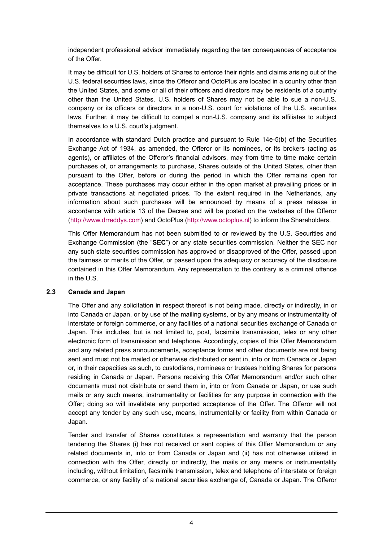independent professional advisor immediately regarding the tax consequences of acceptance of the Offer.

It may be difficult for U.S. holders of Shares to enforce their rights and claims arising out of the U.S. federal securities laws, since the Offeror and OctoPlus are located in a country other than the United States, and some or all of their officers and directors may be residents of a country other than the United States. U.S. holders of Shares may not be able to sue a non-U.S. company or its officers or directors in a non-U.S. court for violations of the U.S. securities laws. Further, it may be difficult to compel a non-U.S. company and its affiliates to subject themselves to a U.S. court's judgment.

In accordance with standard Dutch practice and pursuant to Rule 14e-5(b) of the Securities Exchange Act of 1934, as amended, the Offeror or its nominees, or its brokers (acting as agents), or affiliates of the Offeror's financial advisors, may from time to time make certain purchases of, or arrangements to purchase, Shares outside of the United States, other than pursuant to the Offer, before or during the period in which the Offer remains open for acceptance. These purchases may occur either in the open market at prevailing prices or in private transactions at negotiated prices. To the extent required in the Netherlands, any information about such purchases will be announced by means of a press release in accordance with article 13 of the Decree and will be posted on the websites of the Offeror (http://www.drreddys.com) and OctoPlus (http://www.octoplus.nl) to inform the Shareholders.

This Offer Memorandum has not been submitted to or reviewed by the U.S. Securities and Exchange Commission (the "**SEC**") or any state securities commission. Neither the SEC nor any such state securities commission has approved or disapproved of the Offer, passed upon the fairness or merits of the Offer, or passed upon the adequacy or accuracy of the disclosure contained in this Offer Memorandum. Any representation to the contrary is a criminal offence in the U.S.

#### **2.3 Canada and Japan**

The Offer and any solicitation in respect thereof is not being made, directly or indirectly, in or into Canada or Japan, or by use of the mailing systems, or by any means or instrumentality of interstate or foreign commerce, or any facilities of a national securities exchange of Canada or Japan. This includes, but is not limited to, post, facsimile transmission, telex or any other electronic form of transmission and telephone. Accordingly, copies of this Offer Memorandum and any related press announcements, acceptance forms and other documents are not being sent and must not be mailed or otherwise distributed or sent in, into or from Canada or Japan or, in their capacities as such, to custodians, nominees or trustees holding Shares for persons residing in Canada or Japan. Persons receiving this Offer Memorandum and/or such other documents must not distribute or send them in, into or from Canada or Japan, or use such mails or any such means, instrumentality or facilities for any purpose in connection with the Offer; doing so will invalidate any purported acceptance of the Offer. The Offeror will not accept any tender by any such use, means, instrumentality or facility from within Canada or Japan.

Tender and transfer of Shares constitutes a representation and warranty that the person tendering the Shares (i) has not received or sent copies of this Offer Memorandum or any related documents in, into or from Canada or Japan and (ii) has not otherwise utilised in connection with the Offer, directly or indirectly, the mails or any means or instrumentality including, without limitation, facsimile transmission, telex and telephone of interstate or foreign commerce, or any facility of a national securities exchange of, Canada or Japan. The Offeror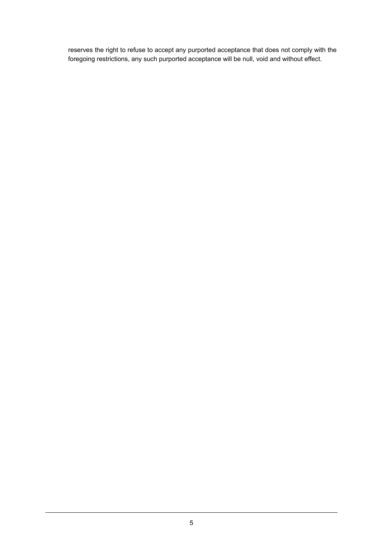reserves the right to refuse to accept any purported acceptance that does not comply with the foregoing restrictions, any such purported acceptance will be null, void and without effect.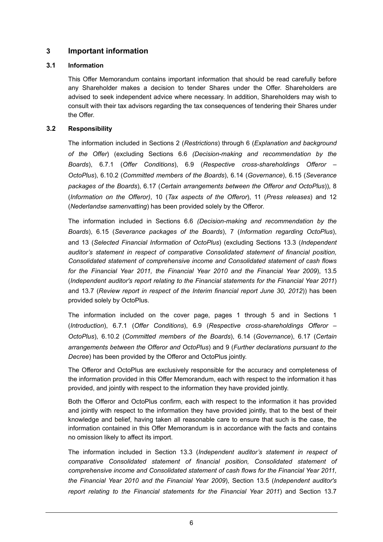# **3 Important information**

# **3.1 Information**

This Offer Memorandum contains important information that should be read carefully before any Shareholder makes a decision to tender Shares under the Offer. Shareholders are advised to seek independent advice where necessary. In addition, Shareholders may wish to consult with their tax advisors regarding the tax consequences of tendering their Shares under the Offer.

# **3.2 Responsibility**

The information included in Sections 2 (*Restrictions*) through 6 (*Explanation and background of the Offer*) (excluding Sections 6.6 *(Decision-making and recommendation by the Boards*), 6.7.1 (*Offer Conditions*), 6.9 (*Respective cross-shareholdings Offeror – OctoPlus*), 6.10.2 (*Committed members of the Boards*), 6.14 (*Governance*), 6.15 (*Severance packages of the Boards*), 6.17 (*Certain arrangements between the Offeror and OctoPlus*)), 8 (*Information on the Offeror)*, 10 (*Tax aspects of the Offeror*), 11 (*Press releases*) and 12 (*Nederlandse samenvatting*) has been provided solely by the Offeror.

The information included in Sections 6.6 *(Decision-making and recommendation by the Boards*), 6.15 (*Severance packages of the Boards*), 7 (*Information regarding OctoPlus*), and 13 (*Selected Financial Information of OctoPlus*) (excluding Sections 13.3 (*Independent auditor's statement in respect of comparative Consolidated statement of financial position, Consolidated statement of comprehensive income and Consolidated statement of cash flows for the Financial Year 2011, the Financial Year 2010 and the Financial Year 2009*), 13.5 (*Independent auditor's report relating to the Financial statements for the Financial Year 2011*) and 13.7 (*Review report in respect of the Interim financial report June 30, 2012*)) has been provided solely by OctoPlus.

The information included on the cover page, pages 1 through 5 and in Sections 1 (*Introduction*), 6.7.1 (*Offer Conditions*), 6.9 (*Respective cross-shareholdings Offeror – OctoPlus*), 6.10.2 (*Committed members of the Boards*), 6.14 (*Governance*), 6.17 (*Certain arrangements between the Offeror and OctoPlus*) and 9 (*Further declarations pursuant to the Decree*) has been provided by the Offeror and OctoPlus jointly.

The Offeror and OctoPlus are exclusively responsible for the accuracy and completeness of the information provided in this Offer Memorandum, each with respect to the information it has provided, and jointly with respect to the information they have provided jointly.

Both the Offeror and OctoPlus confirm, each with respect to the information it has provided and jointly with respect to the information they have provided jointly, that to the best of their knowledge and belief, having taken all reasonable care to ensure that such is the case, the information contained in this Offer Memorandum is in accordance with the facts and contains no omission likely to affect its import.

The information included in Section 13.3 (*Independent auditor's statement in respect of comparative Consolidated statement of financial position, Consolidated statement of comprehensive income and Consolidated statement of cash flows for the Financial Year 2011, the Financial Year 2010 and the Financial Year 2009*), Section 13.5 (*Independent auditor's report relating to the Financial statements for the Financial Year 2011*) and Section 13.7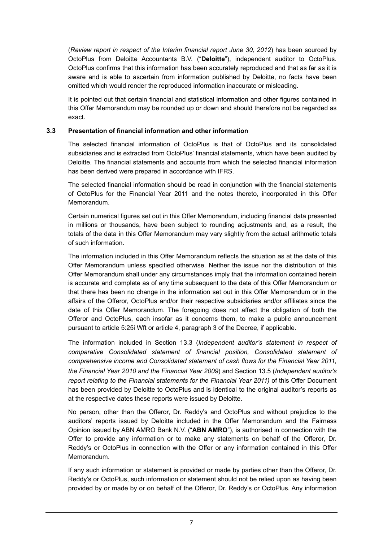(*Review report in respect of the Interim financial report June 30, 2012*) has been sourced by OctoPlus from Deloitte Accountants B.V. ("**Deloitte**"), independent auditor to OctoPlus. OctoPlus confirms that this information has been accurately reproduced and that as far as it is aware and is able to ascertain from information published by Deloitte, no facts have been omitted which would render the reproduced information inaccurate or misleading.

It is pointed out that certain financial and statistical information and other figures contained in this Offer Memorandum may be rounded up or down and should therefore not be regarded as exact.

# **3.3 Presentation of financial information and other information**

The selected financial information of OctoPlus is that of OctoPlus and its consolidated subsidiaries and is extracted from OctoPlus' financial statements, which have been audited by Deloitte. The financial statements and accounts from which the selected financial information has been derived were prepared in accordance with IFRS.

The selected financial information should be read in conjunction with the financial statements of OctoPlus for the Financial Year 2011 and the notes thereto, incorporated in this Offer Memorandum.

Certain numerical figures set out in this Offer Memorandum, including financial data presented in millions or thousands, have been subject to rounding adjustments and, as a result, the totals of the data in this Offer Memorandum may vary slightly from the actual arithmetic totals of such information.

The information included in this Offer Memorandum reflects the situation as at the date of this Offer Memorandum unless specified otherwise. Neither the issue nor the distribution of this Offer Memorandum shall under any circumstances imply that the information contained herein is accurate and complete as of any time subsequent to the date of this Offer Memorandum or that there has been no change in the information set out in this Offer Memorandum or in the affairs of the Offeror, OctoPlus and/or their respective subsidiaries and/or affiliates since the date of this Offer Memorandum. The foregoing does not affect the obligation of both the Offeror and OctoPlus, each insofar as it concerns them, to make a public announcement pursuant to article 5:25i Wft or article 4, paragraph 3 of the Decree, if applicable.

The information included in Section 13.3 (*Independent auditor's statement in respect of comparative Consolidated statement of financial position, Consolidated statement of comprehensive income and Consolidated statement of cash flows for the Financial Year 2011, the Financial Year 2010 and the Financial Year 2009*) and Section 13.5 (*Independent auditor's report relating to the Financial statements for the Financial Year 2011)* of this Offer Document has been provided by Deloitte to OctoPlus and is identical to the original auditor's reports as at the respective dates these reports were issued by Deloitte.

No person, other than the Offeror, Dr. Reddy's and OctoPlus and without prejudice to the auditors' reports issued by Deloitte included in the Offer Memorandum and the Fairness Opinion issued by ABN AMRO Bank N.V. ("**ABN AMRO**"), is authorised in connection with the Offer to provide any information or to make any statements on behalf of the Offeror, Dr. Reddy's or OctoPlus in connection with the Offer or any information contained in this Offer Memorandum.

If any such information or statement is provided or made by parties other than the Offeror, Dr. Reddy's or OctoPlus, such information or statement should not be relied upon as having been provided by or made by or on behalf of the Offeror, Dr. Reddy's or OctoPlus. Any information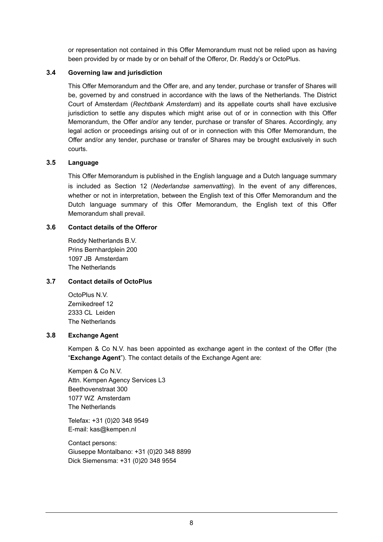or representation not contained in this Offer Memorandum must not be relied upon as having been provided by or made by or on behalf of the Offeror, Dr. Reddy's or OctoPlus.

# **3.4 Governing law and jurisdiction**

This Offer Memorandum and the Offer are, and any tender, purchase or transfer of Shares will be, governed by and construed in accordance with the laws of the Netherlands. The District Court of Amsterdam (*Rechtbank Amsterdam*) and its appellate courts shall have exclusive jurisdiction to settle any disputes which might arise out of or in connection with this Offer Memorandum, the Offer and/or any tender, purchase or transfer of Shares. Accordingly, any legal action or proceedings arising out of or in connection with this Offer Memorandum, the Offer and/or any tender, purchase or transfer of Shares may be brought exclusively in such courts.

# **3.5 Language**

This Offer Memorandum is published in the English language and a Dutch language summary is included as Section 12 (*Nederlandse samenvatting*). In the event of any differences, whether or not in interpretation, between the English text of this Offer Memorandum and the Dutch language summary of this Offer Memorandum, the English text of this Offer Memorandum shall prevail.

# **3.6 Contact details of the Offeror**

Reddy Netherlands B.V. Prins Bernhardplein 200 1097 JB Amsterdam The Netherlands

#### **3.7 Contact details of OctoPlus**

OctoPlus N.V. Zernikedreef 12 2333 CL Leiden The Netherlands

# **3.8 Exchange Agent**

Kempen & Co N.V. has been appointed as exchange agent in the context of the Offer (the "**Exchange Agent**"). The contact details of the Exchange Agent are:

Kempen & Co N.V. Attn. Kempen Agency Services L3 Beethovenstraat 300 1077 WZ Amsterdam The Netherlands

Telefax: +31 (0)20 348 9549 E-mail: kas@kempen.nl

Contact persons: Giuseppe Montalbano: +31 (0)20 348 8899 Dick Siemensma: +31 (0)20 348 9554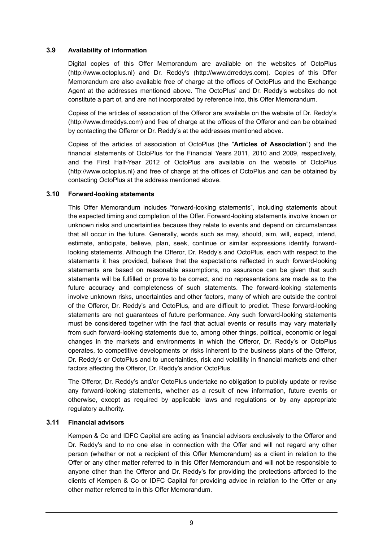# **3.9 Availability of information**

Digital copies of this Offer Memorandum are available on the websites of OctoPlus (http://www.octoplus.nl) and Dr. Reddy's (http://www.drreddys.com). Copies of this Offer Memorandum are also available free of charge at the offices of OctoPlus and the Exchange Agent at the addresses mentioned above. The OctoPlus' and Dr. Reddy's websites do not constitute a part of, and are not incorporated by reference into, this Offer Memorandum.

Copies of the articles of association of the Offeror are available on the website of Dr. Reddy's (http://www.drreddys.com) and free of charge at the offices of the Offeror and can be obtained by contacting the Offeror or Dr. Reddy's at the addresses mentioned above.

Copies of the articles of association of OctoPlus (the "**Articles of Association**") and the financial statements of OctoPlus for the Financial Years 2011, 2010 and 2009, respectively, and the First Half-Year 2012 of OctoPlus are available on the website of OctoPlus (http://www.octoplus.nl) and free of charge at the offices of OctoPlus and can be obtained by contacting OctoPlus at the address mentioned above.

# **3.10 Forward-looking statements**

This Offer Memorandum includes "forward-looking statements", including statements about the expected timing and completion of the Offer. Forward-looking statements involve known or unknown risks and uncertainties because they relate to events and depend on circumstances that all occur in the future. Generally, words such as may, should, aim, will, expect, intend, estimate, anticipate, believe, plan, seek, continue or similar expressions identify forwardlooking statements. Although the Offeror, Dr. Reddy's and OctoPlus, each with respect to the statements it has provided, believe that the expectations reflected in such forward-looking statements are based on reasonable assumptions, no assurance can be given that such statements will be fulfilled or prove to be correct, and no representations are made as to the future accuracy and completeness of such statements. The forward-looking statements involve unknown risks, uncertainties and other factors, many of which are outside the control of the Offeror, Dr. Reddy's and OctoPlus, and are difficult to predict. These forward-looking statements are not guarantees of future performance. Any such forward-looking statements must be considered together with the fact that actual events or results may vary materially from such forward-looking statements due to, among other things, political, economic or legal changes in the markets and environments in which the Offeror, Dr. Reddy's or OctoPlus operates, to competitive developments or risks inherent to the business plans of the Offeror, Dr. Reddy's or OctoPlus and to uncertainties, risk and volatility in financial markets and other factors affecting the Offeror, Dr. Reddy's and/or OctoPlus.

The Offeror, Dr. Reddy's and/or OctoPlus undertake no obligation to publicly update or revise any forward-looking statements, whether as a result of new information, future events or otherwise, except as required by applicable laws and regulations or by any appropriate regulatory authority.

# **3.11 Financial advisors**

Kempen & Co and IDFC Capital are acting as financial advisors exclusively to the Offeror and Dr. Reddy's and to no one else in connection with the Offer and will not regard any other person (whether or not a recipient of this Offer Memorandum) as a client in relation to the Offer or any other matter referred to in this Offer Memorandum and will not be responsible to anyone other than the Offeror and Dr. Reddy's for providing the protections afforded to the clients of Kempen & Co or IDFC Capital for providing advice in relation to the Offer or any other matter referred to in this Offer Memorandum.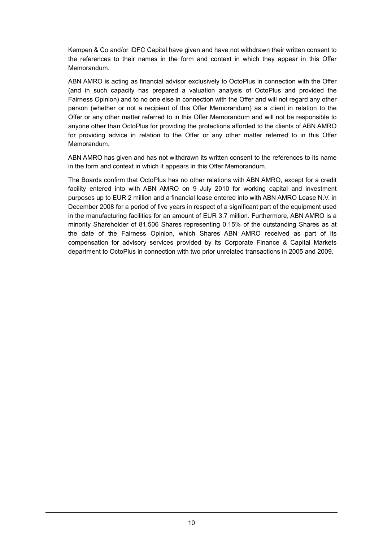Kempen & Co and/or IDFC Capital have given and have not withdrawn their written consent to the references to their names in the form and context in which they appear in this Offer Memorandum.

ABN AMRO is acting as financial advisor exclusively to OctoPlus in connection with the Offer (and in such capacity has prepared a valuation analysis of OctoPlus and provided the Fairness Opinion) and to no one else in connection with the Offer and will not regard any other person (whether or not a recipient of this Offer Memorandum) as a client in relation to the Offer or any other matter referred to in this Offer Memorandum and will not be responsible to anyone other than OctoPlus for providing the protections afforded to the clients of ABN AMRO for providing advice in relation to the Offer or any other matter referred to in this Offer Memorandum.

ABN AMRO has given and has not withdrawn its written consent to the references to its name in the form and context in which it appears in this Offer Memorandum.

The Boards confirm that OctoPlus has no other relations with ABN AMRO, except for a credit facility entered into with ABN AMRO on 9 July 2010 for working capital and investment purposes up to EUR 2 million and a financial lease entered into with ABN AMRO Lease N.V. in December 2008 for a period of five years in respect of a significant part of the equipment used in the manufacturing facilities for an amount of EUR 3.7 million. Furthermore, ABN AMRO is a minority Shareholder of 81,506 Shares representing 0.15% of the outstanding Shares as at the date of the Fairness Opinion, which Shares ABN AMRO received as part of its compensation for advisory services provided by its Corporate Finance & Capital Markets department to OctoPlus in connection with two prior unrelated transactions in 2005 and 2009.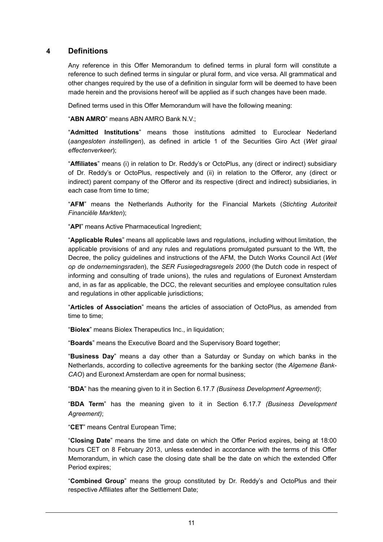# **4 Definitions**

Any reference in this Offer Memorandum to defined terms in plural form will constitute a reference to such defined terms in singular or plural form, and vice versa. All grammatical and other changes required by the use of a definition in singular form will be deemed to have been made herein and the provisions hereof will be applied as if such changes have been made.

Defined terms used in this Offer Memorandum will have the following meaning:

"**ABN AMRO**" means ABN AMRO Bank N.V.;

"**Admitted Institutions**" means those institutions admitted to Euroclear Nederland (*aangesloten instellingen*), as defined in article 1 of the Securities Giro Act (*Wet giraal effectenverkeer*);

"**Affiliates**" means (i) in relation to Dr. Reddy's or OctoPlus, any (direct or indirect) subsidiary of Dr. Reddy's or OctoPlus, respectively and (ii) in relation to the Offeror, any (direct or indirect) parent company of the Offeror and its respective (direct and indirect) subsidiaries, in each case from time to time;

"**AFM**" means the Netherlands Authority for the Financial Markets (*Stichting Autoriteit Financiële Markten*);

"**API**" means Active Pharmaceutical Ingredient;

"**Applicable Rules**" means all applicable laws and regulations, including without limitation, the applicable provisions of and any rules and regulations promulgated pursuant to the Wft, the Decree, the policy guidelines and instructions of the AFM, the Dutch Works Council Act (*Wet op de ondernemingsraden*), the *SER Fusiegedragsregels 2000* (the Dutch code in respect of informing and consulting of trade unions), the rules and regulations of Euronext Amsterdam and, in as far as applicable, the DCC, the relevant securities and employee consultation rules and regulations in other applicable jurisdictions;

"**Articles of Association**" means the articles of association of OctoPlus, as amended from time to time;

"**Biolex**" means Biolex Therapeutics Inc., in liquidation;

"**Boards**" means the Executive Board and the Supervisory Board together;

"**Business Day**" means a day other than a Saturday or Sunday on which banks in the Netherlands, according to collective agreements for the banking sector (the *Algemene Bank-CAO*) and Euronext Amsterdam are open for normal business;

"**BDA**" has the meaning given to it in Section 6.17.7 *(Business Development Agreement)*;

"**BDA Term**" has the meaning given to it in Section 6.17.7 *(Business Development Agreement)*;

"**CET**" means Central European Time;

"**Closing Date**" means the time and date on which the Offer Period expires, being at 18:00 hours CET on 8 February 2013, unless extended in accordance with the terms of this Offer Memorandum, in which case the closing date shall be the date on which the extended Offer Period expires;

"**Combined Group**" means the group constituted by Dr. Reddy's and OctoPlus and their respective Affiliates after the Settlement Date;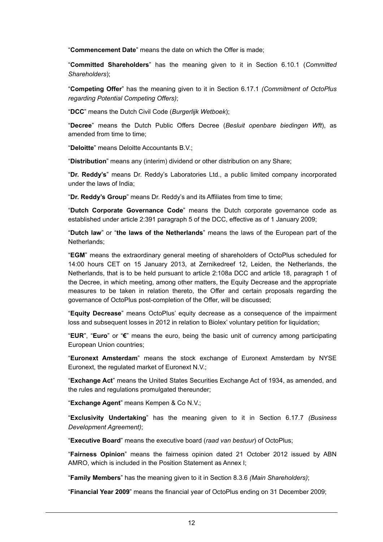"**Commencement Date**" means the date on which the Offer is made;

"**Committed Shareholders**" has the meaning given to it in Section 6.10.1 (*Committed Shareholders*);

"**Competing Offer**" has the meaning given to it in Section 6.17.1 *(Commitment of OctoPlus regarding Potential Competing Offers)*;

"**DCC**" means the Dutch Civil Code (*Burgerlijk Wetboek*);

"**Decree**" means the Dutch Public Offers Decree (*Besluit openbare biedingen Wft*), as amended from time to time:

"**Deloitte**" means Deloitte Accountants B.V.;

"**Distribution**" means any (interim) dividend or other distribution on any Share;

"**Dr. Reddy's**" means Dr. Reddy's Laboratories Ltd., a public limited company incorporated under the laws of India;

"**Dr. Reddy's Group**" means Dr. Reddy's and its Affiliates from time to time;

"**Dutch Corporate Governance Code**" means the Dutch corporate governance code as established under article 2:391 paragraph 5 of the DCC, effective as of 1 January 2009;

"**Dutch law**" or "**the laws of the Netherlands**" means the laws of the European part of the Netherlands;

"**EGM**" means the extraordinary general meeting of shareholders of OctoPlus scheduled for 14:00 hours CET on 15 January 2013, at Zernikedreef 12, Leiden, the Netherlands, the Netherlands, that is to be held pursuant to article 2:108a DCC and article 18, paragraph 1 of the Decree, in which meeting, among other matters, the Equity Decrease and the appropriate measures to be taken in relation thereto, the Offer and certain proposals regarding the governance of OctoPlus post-completion of the Offer, will be discussed;

"**Equity Decrease**" means OctoPlus' equity decrease as a consequence of the impairment loss and subsequent losses in 2012 in relation to Biolex' voluntary petition for liquidation;

"**EUR**", "**Euro**" or "**€**" means the euro, being the basic unit of currency among participating European Union countries;

"**Euronext Amsterdam**" means the stock exchange of Euronext Amsterdam by NYSE Euronext, the regulated market of Euronext N.V.;

"**Exchange Act**" means the United States Securities Exchange Act of 1934, as amended, and the rules and regulations promulgated thereunder;

"**Exchange Agent**" means Kempen & Co N.V.;

"**Exclusivity Undertaking**" has the meaning given to it in Section 6.17.7 *(Business Development Agreement)*;

"**Executive Board**" means the executive board (*raad van bestuur*) of OctoPlus;

"**Fairness Opinion**" means the fairness opinion dated 21 October 2012 issued by ABN AMRO, which is included in the Position Statement as Annex I;

"**Family Members**" has the meaning given to it in Section 8.3.6 *(Main Shareholders)*;

"**Financial Year 2009**" means the financial year of OctoPlus ending on 31 December 2009;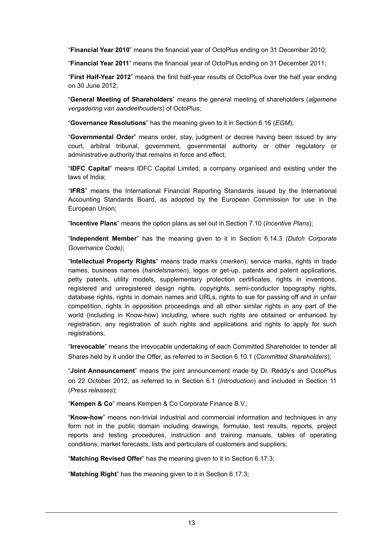"**Financial Year 2010**" means the financial year of OctoPlus ending on 31 December 2010;

"**Financial Year 2011**" means the financial year of OctoPlus ending on 31 December 2011;

"**First Half-Year 2012**" means the first half-year results of OctoPlus over the half year ending on 30 June 2012;

"**General Meeting of Shareholders**" means the general meeting of shareholders (*algemene vergadering van aandeelhouders*) of OctoPlus;

"**Governance Resolutions**" has the meaning given to it in Section 6.16 (*EGM*);

"**Governmental Order**" means order, stay, judgment or decree having been issued by any court, arbitral tribunal, government, governmental authority or other regulatory or administrative authority that remains in force and effect;

"**IDFC Capital**" means IDFC Capital Limited, a company organised and existing under the laws of India;

"**IFRS**" means the International Financial Reporting Standards issued by the International Accounting Standards Board, as adopted by the European Commission for use in the European Union;

"**Incentive Plans**" means the option plans as set out in Section 7.10 (*Incentive Plans*);

"**Independent Member**" has the meaning given to it in Section 6.14.3 *(Dutch Corporate Governance Code)*;

"**Intellectual Property Rights**" means trade marks (*merken*), service marks, rights in trade names, business names (*handelsnamen*), logos or get-up, patents and patent applications, petty patents, utility models, supplementary protection certificates, rights in inventions, registered and unregistered design rights, copyrights, semi-conductor topography rights, database rights, rights in domain names and URLs, rights to sue for passing off and in unfair competition, rights in opposition proceedings and all other similar rights in any part of the world (including in Know-how) including, where such rights are obtained or enhanced by registration, any registration of such rights and applications and rights to apply for such registrations;

"**Irrevocable**" means the irrevocable undertaking of each Committed Shareholder to tender all Shares held by it under the Offer, as referred to in Section 6.10.1 (*Committed Shareholders*);

"**Joint Announcement**" means the joint announcement made by Dr. Reddy's and OctoPlus on 22 October 2012, as referred to in Section 6.1 (*Introduction*) and included in Section 11 (*Press releases*);

"**Kempen & Co**" means Kempen & Co Corporate Finance B.V.;

"**Know-how**" means non-trivial industrial and commercial information and techniques in any form not in the public domain including drawings, formulae, test results, reports, project reports and testing procedures, instruction and training manuals, tables of operating conditions, market forecasts, lists and particulars of customers and suppliers;

"**Matching Revised Offer**" has the meaning given to it in Section 6.17.3;

"**Matching Right**" has the meaning given to it in Section 6.17.3;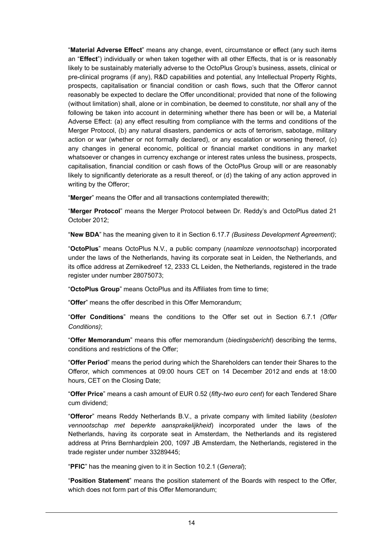"**Material Adverse Effect**" means any change, event, circumstance or effect (any such items an "**Effect**") individually or when taken together with all other Effects, that is or is reasonably likely to be sustainably materially adverse to the OctoPlus Group's business, assets, clinical or pre-clinical programs (if any), R&D capabilities and potential, any Intellectual Property Rights, prospects, capitalisation or financial condition or cash flows, such that the Offeror cannot reasonably be expected to declare the Offer unconditional; provided that none of the following (without limitation) shall, alone or in combination, be deemed to constitute, nor shall any of the following be taken into account in determining whether there has been or will be, a Material Adverse Effect: (a) any effect resulting from compliance with the terms and conditions of the Merger Protocol, (b) any natural disasters, pandemics or acts of terrorism, sabotage, military action or war (whether or not formally declared), or any escalation or worsening thereof, (c) any changes in general economic, political or financial market conditions in any market whatsoever or changes in currency exchange or interest rates unless the business, prospects, capitalisation, financial condition or cash flows of the OctoPlus Group will or are reasonably likely to significantly deteriorate as a result thereof, or (d) the taking of any action approved in writing by the Offeror;

"**Merger**" means the Offer and all transactions contemplated therewith;

"**Merger Protocol**" means the Merger Protocol between Dr. Reddy's and OctoPlus dated 21 October 2012;

"**New BDA**" has the meaning given to it in Section 6.17.7 *(Business Development Agreement)*;

"**OctoPlus**" means OctoPlus N.V., a public company (*naamloze vennootschap*) incorporated under the laws of the Netherlands, having its corporate seat in Leiden, the Netherlands, and its office address at Zernikedreef 12, 2333 CL Leiden, the Netherlands, registered in the trade register under number 28075073;

"**OctoPlus Group**" means OctoPlus and its Affiliates from time to time;

"**Offer**" means the offer described in this Offer Memorandum;

"**Offer Conditions**" means the conditions to the Offer set out in Section 6.7.1 *(Offer Conditions)*;

"**Offer Memorandum**" means this offer memorandum (*biedingsbericht*) describing the terms, conditions and restrictions of the Offer;

"**Offer Period**" means the period during which the Shareholders can tender their Shares to the Offeror, which commences at 09:00 hours CET on 14 December 2012 and ends at 18:00 hours, CET on the Closing Date;

"**Offer Price**" means a cash amount of EUR 0.52 (*fifty-two euro cent*) for each Tendered Share cum dividend;

"**Offeror**" means Reddy Netherlands B.V., a private company with limited liability (*besloten vennootschap met beperkte aansprakelijkheid*) incorporated under the laws of the Netherlands, having its corporate seat in Amsterdam, the Netherlands and its registered address at Prins Bernhardplein 200, 1097 JB Amsterdam, the Netherlands, registered in the trade register under number 33289445;

"**PFIC**" has the meaning given to it in Section 10.2.1 (*General*);

"**Position Statement**" means the position statement of the Boards with respect to the Offer, which does not form part of this Offer Memorandum;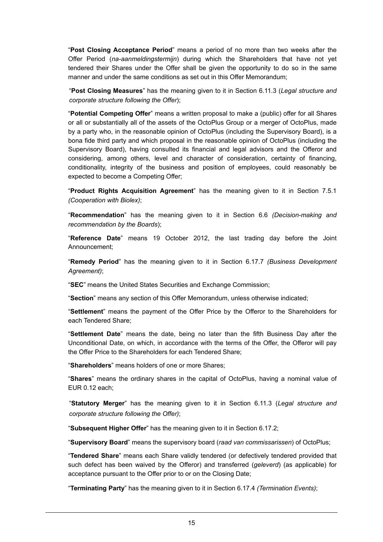"**Post Closing Acceptance Period**" means a period of no more than two weeks after the Offer Period (*na-aanmeldingstermijn*) during which the Shareholders that have not yet tendered their Shares under the Offer shall be given the opportunity to do so in the same manner and under the same conditions as set out in this Offer Memorandum;

"**Post Closing Measures**" has the meaning given to it in Section 6.11.3 (*Legal structure and corporate structure following the Offer*);

"**Potential Competing Offer**" means a written proposal to make a (public) offer for all Shares or all or substantially all of the assets of the OctoPlus Group or a merger of OctoPlus, made by a party who, in the reasonable opinion of OctoPlus (including the Supervisory Board), is a bona fide third party and which proposal in the reasonable opinion of OctoPlus (including the Supervisory Board), having consulted its financial and legal advisors and the Offeror and considering, among others, level and character of consideration, certainty of financing, conditionality, integrity of the business and position of employees, could reasonably be expected to become a Competing Offer;

"**Product Rights Acquisition Agreement**" has the meaning given to it in Section 7.5.1 *(Cooperation with Biolex)*;

"**Recommendation**" has the meaning given to it in Section 6.6 *(Decision-making and recommendation by the Boards*);

"**Reference Date**" means 19 October 2012, the last trading day before the Joint Announcement;

"**Remedy Period**" has the meaning given to it in Section 6.17.7 *(Business Development Agreement)*;

"**SEC**" means the United States Securities and Exchange Commission;

"**Section**" means any section of this Offer Memorandum, unless otherwise indicated;

"**Settlement**" means the payment of the Offer Price by the Offeror to the Shareholders for each Tendered Share;

"**Settlement Date**" means the date, being no later than the fifth Business Day after the Unconditional Date, on which, in accordance with the terms of the Offer, the Offeror will pay the Offer Price to the Shareholders for each Tendered Share;

"**Shareholders**" means holders of one or more Shares;

"**Shares**" means the ordinary shares in the capital of OctoPlus, having a nominal value of EUR 0.12 each;

"**Statutory Merger**" has the meaning given to it in Section 6.11.3 (*Legal structure and corporate structure following the Offer)*;

"**Subsequent Higher Offer**" has the meaning given to it in Section 6.17.2;

"**Supervisory Board**" means the supervisory board (*raad van commissarissen*) of OctoPlus;

"**Tendered Share**" means each Share validly tendered (or defectively tendered provided that such defect has been waived by the Offeror) and transferred (*geleverd*) (as applicable) for acceptance pursuant to the Offer prior to or on the Closing Date;

"**Terminating Party**" has the meaning given to it in Section 6.17.4 *(Termination Events)*;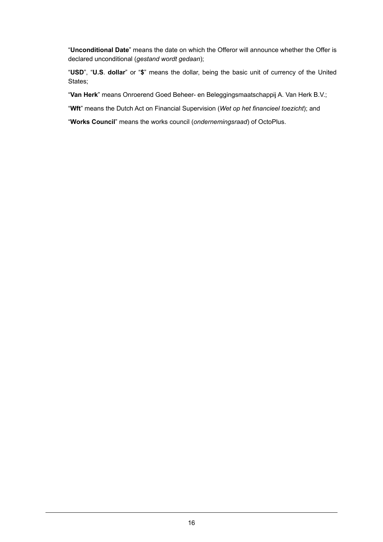"**Unconditional Date**" means the date on which the Offeror will announce whether the Offer is declared unconditional (*gestand wordt gedaan*);

"**USD**", "**U.S**. **dollar**" or "**\$**" means the dollar, being the basic unit of currency of the United States;

"**Van Herk**" means Onroerend Goed Beheer- en Beleggingsmaatschappij A. Van Herk B.V.;

"**Wft**" means the Dutch Act on Financial Supervision (*Wet op het financieel toezicht*); and

"**Works Council**" means the works council (*ondernemingsraad*) of OctoPlus.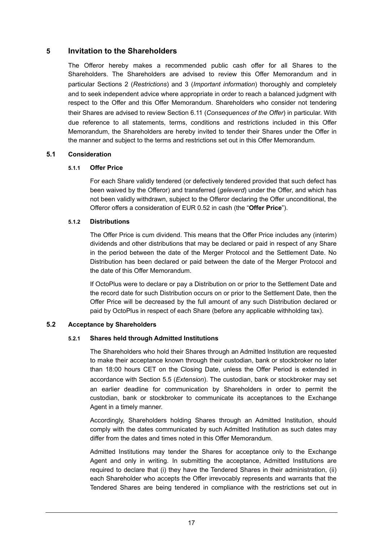# **5 Invitation to the Shareholders**

The Offeror hereby makes a recommended public cash offer for all Shares to the Shareholders. The Shareholders are advised to review this Offer Memorandum and in particular Sections 2 (*Restrictions*) and 3 (*Important information*) thoroughly and completely and to seek independent advice where appropriate in order to reach a balanced judgment with respect to the Offer and this Offer Memorandum. Shareholders who consider not tendering their Shares are advised to review Section 6.11 (*Consequences of the Offer*) in particular. With due reference to all statements, terms, conditions and restrictions included in this Offer Memorandum, the Shareholders are hereby invited to tender their Shares under the Offer in the manner and subject to the terms and restrictions set out in this Offer Memorandum.

# **5.1 Consideration**

# **5.1.1 Offer Price**

For each Share validly tendered (or defectively tendered provided that such defect has been waived by the Offeror) and transferred (*geleverd*) under the Offer, and which has not been validly withdrawn, subject to the Offeror declaring the Offer unconditional, the Offeror offers a consideration of EUR 0.52 in cash (the "**Offer Price**").

# **5.1.2 Distributions**

The Offer Price is cum dividend. This means that the Offer Price includes any (interim) dividends and other distributions that may be declared or paid in respect of any Share in the period between the date of the Merger Protocol and the Settlement Date. No Distribution has been declared or paid between the date of the Merger Protocol and the date of this Offer Memorandum.

If OctoPlus were to declare or pay a Distribution on or prior to the Settlement Date and the record date for such Distribution occurs on or prior to the Settlement Date, then the Offer Price will be decreased by the full amount of any such Distribution declared or paid by OctoPlus in respect of each Share (before any applicable withholding tax).

# **5.2 Acceptance by Shareholders**

#### **5.2.1 Shares held through Admitted Institutions**

The Shareholders who hold their Shares through an Admitted Institution are requested to make their acceptance known through their custodian, bank or stockbroker no later than 18:00 hours CET on the Closing Date, unless the Offer Period is extended in accordance with Section 5.5 (*Extension*). The custodian, bank or stockbroker may set an earlier deadline for communication by Shareholders in order to permit the custodian, bank or stockbroker to communicate its acceptances to the Exchange Agent in a timely manner.

Accordingly, Shareholders holding Shares through an Admitted Institution, should comply with the dates communicated by such Admitted Institution as such dates may differ from the dates and times noted in this Offer Memorandum.

Admitted Institutions may tender the Shares for acceptance only to the Exchange Agent and only in writing. In submitting the acceptance, Admitted Institutions are required to declare that (i) they have the Tendered Shares in their administration, (ii) each Shareholder who accepts the Offer irrevocably represents and warrants that the Tendered Shares are being tendered in compliance with the restrictions set out in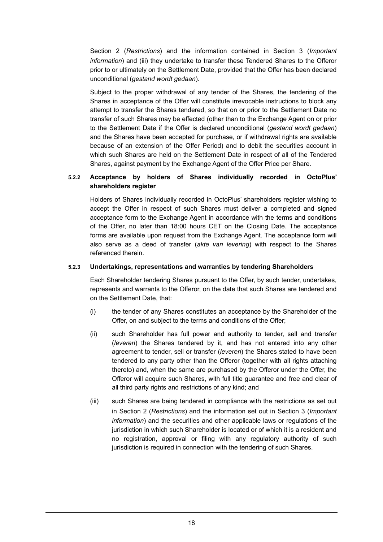Section 2 (*Restrictions*) and the information contained in Section 3 (*Important information*) and (iii) they undertake to transfer these Tendered Shares to the Offeror prior to or ultimately on the Settlement Date, provided that the Offer has been declared unconditional (*gestand wordt gedaan*).

Subject to the proper withdrawal of any tender of the Shares, the tendering of the Shares in acceptance of the Offer will constitute irrevocable instructions to block any attempt to transfer the Shares tendered, so that on or prior to the Settlement Date no transfer of such Shares may be effected (other than to the Exchange Agent on or prior to the Settlement Date if the Offer is declared unconditional (*gestand wordt gedaan*) and the Shares have been accepted for purchase, or if withdrawal rights are available because of an extension of the Offer Period) and to debit the securities account in which such Shares are held on the Settlement Date in respect of all of the Tendered Shares, against payment by the Exchange Agent of the Offer Price per Share.

# **5.2.2 Acceptance by holders of Shares individually recorded in OctoPlus' shareholders register**

Holders of Shares individually recorded in OctoPlus' shareholders register wishing to accept the Offer in respect of such Shares must deliver a completed and signed acceptance form to the Exchange Agent in accordance with the terms and conditions of the Offer, no later than 18:00 hours CET on the Closing Date. The acceptance forms are available upon request from the Exchange Agent. The acceptance form will also serve as a deed of transfer (*akte van levering*) with respect to the Shares referenced therein.

#### **5.2.3 Undertakings, representations and warranties by tendering Shareholders**

Each Shareholder tendering Shares pursuant to the Offer, by such tender, undertakes, represents and warrants to the Offeror, on the date that such Shares are tendered and on the Settlement Date, that:

- (i) the tender of any Shares constitutes an acceptance by the Shareholder of the Offer, on and subject to the terms and conditions of the Offer;
- (ii) such Shareholder has full power and authority to tender, sell and transfer (*leveren*) the Shares tendered by it, and has not entered into any other agreement to tender, sell or transfer (*leveren*) the Shares stated to have been tendered to any party other than the Offeror (together with all rights attaching thereto) and, when the same are purchased by the Offeror under the Offer, the Offeror will acquire such Shares, with full title guarantee and free and clear of all third party rights and restrictions of any kind; and
- (iii) such Shares are being tendered in compliance with the restrictions as set out in Section 2 (*Restrictions*) and the information set out in Section 3 (*Important information*) and the securities and other applicable laws or regulations of the jurisdiction in which such Shareholder is located or of which it is a resident and no registration, approval or filing with any regulatory authority of such jurisdiction is required in connection with the tendering of such Shares.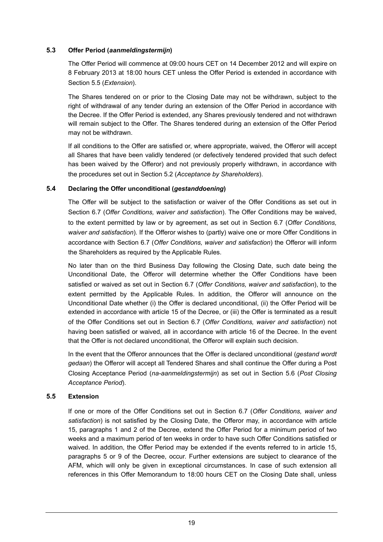# **5.3 Offer Period (***aanmeldingstermijn***)**

The Offer Period will commence at 09:00 hours CET on 14 December 2012 and will expire on 8 February 2013 at 18:00 hours CET unless the Offer Period is extended in accordance with Section 5.5 (*Extension*).

The Shares tendered on or prior to the Closing Date may not be withdrawn, subject to the right of withdrawal of any tender during an extension of the Offer Period in accordance with the Decree. If the Offer Period is extended, any Shares previously tendered and not withdrawn will remain subject to the Offer. The Shares tendered during an extension of the Offer Period may not be withdrawn.

If all conditions to the Offer are satisfied or, where appropriate, waived, the Offeror will accept all Shares that have been validly tendered (or defectively tendered provided that such defect has been waived by the Offeror) and not previously properly withdrawn, in accordance with the procedures set out in Section 5.2 (*Acceptance by Shareholders*).

# **5.4 Declaring the Offer unconditional (***gestanddoening***)**

The Offer will be subject to the satisfaction or waiver of the Offer Conditions as set out in Section 6.7 (*Offer Conditions, waiver and satisfaction*). The Offer Conditions may be waived, to the extent permitted by law or by agreement, as set out in Section 6.7 (*Offer Conditions, waiver and satisfaction*). If the Offeror wishes to (partly) waive one or more Offer Conditions in accordance with Section 6.7 (*Offer Conditions, waiver and satisfaction*) the Offeror will inform the Shareholders as required by the Applicable Rules.

No later than on the third Business Day following the Closing Date, such date being the Unconditional Date, the Offeror will determine whether the Offer Conditions have been satisfied or waived as set out in Section 6.7 (*Offer Conditions, waiver and satisfaction*), to the extent permitted by the Applicable Rules. In addition, the Offeror will announce on the Unconditional Date whether (i) the Offer is declared unconditional, (ii) the Offer Period will be extended in accordance with article 15 of the Decree, or (iii) the Offer is terminated as a result of the Offer Conditions set out in Section 6.7 (*Offer Conditions, waiver and satisfaction*) not having been satisfied or waived, all in accordance with article 16 of the Decree. In the event that the Offer is not declared unconditional, the Offeror will explain such decision.

In the event that the Offeror announces that the Offer is declared unconditional (*gestand wordt gedaan*) the Offeror will accept all Tendered Shares and shall continue the Offer during a Post Closing Acceptance Period (*na-aanmeldingstermijn*) as set out in Section 5.6 (*Post Closing Acceptance Period*).

# **5.5 Extension**

If one or more of the Offer Conditions set out in Section 6.7 (*Offer Conditions, waiver and satisfaction*) is not satisfied by the Closing Date, the Offeror may, in accordance with article 15, paragraphs 1 and 2 of the Decree, extend the Offer Period for a minimum period of two weeks and a maximum period of ten weeks in order to have such Offer Conditions satisfied or waived. In addition, the Offer Period may be extended if the events referred to in article 15, paragraphs 5 or 9 of the Decree, occur. Further extensions are subject to clearance of the AFM, which will only be given in exceptional circumstances. In case of such extension all references in this Offer Memorandum to 18:00 hours CET on the Closing Date shall, unless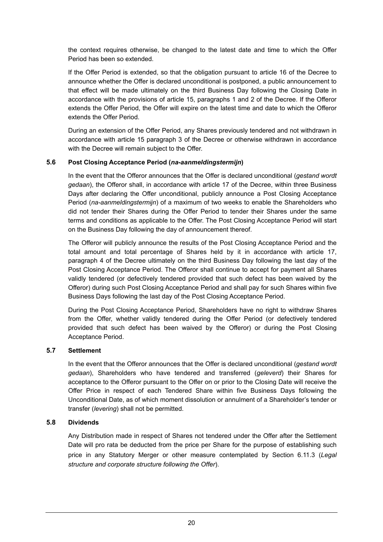the context requires otherwise, be changed to the latest date and time to which the Offer Period has been so extended.

If the Offer Period is extended, so that the obligation pursuant to article 16 of the Decree to announce whether the Offer is declared unconditional is postponed, a public announcement to that effect will be made ultimately on the third Business Day following the Closing Date in accordance with the provisions of article 15, paragraphs 1 and 2 of the Decree. If the Offeror extends the Offer Period, the Offer will expire on the latest time and date to which the Offeror extends the Offer Period.

During an extension of the Offer Period, any Shares previously tendered and not withdrawn in accordance with article 15 paragraph 3 of the Decree or otherwise withdrawn in accordance with the Decree will remain subject to the Offer.

# **5.6 Post Closing Acceptance Period (***na-aanmeldingstermijn***)**

In the event that the Offeror announces that the Offer is declared unconditional (*gestand wordt gedaan*), the Offeror shall, in accordance with article 17 of the Decree, within three Business Days after declaring the Offer unconditional, publicly announce a Post Closing Acceptance Period (*na-aanmeldingstermijn*) of a maximum of two weeks to enable the Shareholders who did not tender their Shares during the Offer Period to tender their Shares under the same terms and conditions as applicable to the Offer. The Post Closing Acceptance Period will start on the Business Day following the day of announcement thereof.

The Offeror will publicly announce the results of the Post Closing Acceptance Period and the total amount and total percentage of Shares held by it in accordance with article 17, paragraph 4 of the Decree ultimately on the third Business Day following the last day of the Post Closing Acceptance Period. The Offeror shall continue to accept for payment all Shares validly tendered (or defectively tendered provided that such defect has been waived by the Offeror) during such Post Closing Acceptance Period and shall pay for such Shares within five Business Days following the last day of the Post Closing Acceptance Period.

During the Post Closing Acceptance Period, Shareholders have no right to withdraw Shares from the Offer, whether validly tendered during the Offer Period (or defectively tendered provided that such defect has been waived by the Offeror) or during the Post Closing Acceptance Period.

#### **5.7 Settlement**

In the event that the Offeror announces that the Offer is declared unconditional (*gestand wordt gedaan*), Shareholders who have tendered and transferred (*geleverd*) their Shares for acceptance to the Offeror pursuant to the Offer on or prior to the Closing Date will receive the Offer Price in respect of each Tendered Share within five Business Days following the Unconditional Date, as of which moment dissolution or annulment of a Shareholder's tender or transfer (*levering*) shall not be permitted.

# **5.8 Dividends**

Any Distribution made in respect of Shares not tendered under the Offer after the Settlement Date will pro rata be deducted from the price per Share for the purpose of establishing such price in any Statutory Merger or other measure contemplated by Section 6.11.3 (*Legal structure and corporate structure following the Offer*).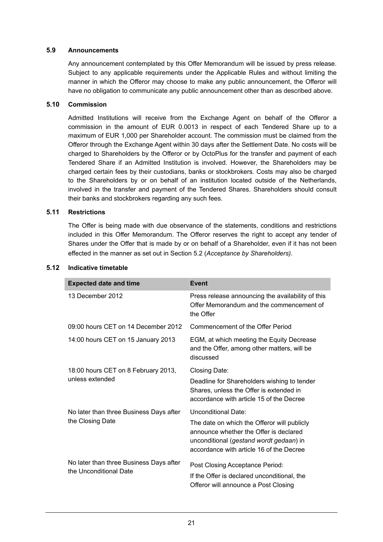### **5.9 Announcements**

Any announcement contemplated by this Offer Memorandum will be issued by press release. Subject to any applicable requirements under the Applicable Rules and without limiting the manner in which the Offeror may choose to make any public announcement, the Offeror will have no obligation to communicate any public announcement other than as described above.

# **5.10 Commission**

Admitted Institutions will receive from the Exchange Agent on behalf of the Offeror a commission in the amount of EUR 0.0013 in respect of each Tendered Share up to a maximum of EUR 1,000 per Shareholder account. The commission must be claimed from the Offeror through the Exchange Agent within 30 days after the Settlement Date. No costs will be charged to Shareholders by the Offeror or by OctoPlus for the transfer and payment of each Tendered Share if an Admitted Institution is involved. However, the Shareholders may be charged certain fees by their custodians, banks or stockbrokers. Costs may also be charged to the Shareholders by or on behalf of an institution located outside of the Netherlands, involved in the transfer and payment of the Tendered Shares. Shareholders should consult their banks and stockbrokers regarding any such fees.

# **5.11 Restrictions**

The Offer is being made with due observance of the statements, conditions and restrictions included in this Offer Memorandum. The Offeror reserves the right to accept any tender of Shares under the Offer that is made by or on behalf of a Shareholder, even if it has not been effected in the manner as set out in Section 5.2 (*Acceptance by Shareholders)*.

|                  | <b>Expected date and time</b>                          | <b>Event</b>                                                                                                                                                                 |  |
|------------------|--------------------------------------------------------|------------------------------------------------------------------------------------------------------------------------------------------------------------------------------|--|
|                  | 13 December 2012                                       | Press release announcing the availability of this<br>Offer Memorandum and the commencement of<br>the Offer                                                                   |  |
|                  | 09:00 hours CET on 14 December 2012                    | Commencement of the Offer Period                                                                                                                                             |  |
|                  | 14:00 hours CET on 15 January 2013                     | EGM, at which meeting the Equity Decrease<br>and the Offer, among other matters, will be<br>discussed                                                                        |  |
|                  | 18:00 hours CET on 8 February 2013,<br>unless extended | Closing Date:                                                                                                                                                                |  |
|                  |                                                        | Deadline for Shareholders wishing to tender<br>Shares, unless the Offer is extended in<br>accordance with article 15 of the Decree                                           |  |
|                  | No later than three Business Days after                | Unconditional Date:                                                                                                                                                          |  |
| the Closing Date |                                                        | The date on which the Offeror will publicly<br>announce whether the Offer is declared<br>unconditional (gestand wordt gedaan) in<br>accordance with article 16 of the Decree |  |
|                  | No later than three Business Days after                | Post Closing Acceptance Period:                                                                                                                                              |  |
|                  | the Unconditional Date                                 | If the Offer is declared unconditional, the<br>Offeror will announce a Post Closing                                                                                          |  |
|                  |                                                        |                                                                                                                                                                              |  |

# **5.12 Indicative timetable**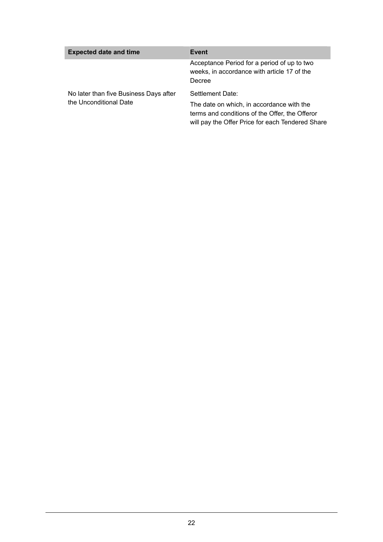| <b>Expected date and time</b>          | Event                                                                                                                                           |  |
|----------------------------------------|-------------------------------------------------------------------------------------------------------------------------------------------------|--|
|                                        | Acceptance Period for a period of up to two<br>weeks, in accordance with article 17 of the<br>Decree                                            |  |
| No later than five Business Days after | Settlement Date:                                                                                                                                |  |
| the Unconditional Date                 | The date on which, in accordance with the<br>terms and conditions of the Offer, the Offeror<br>will pay the Offer Price for each Tendered Share |  |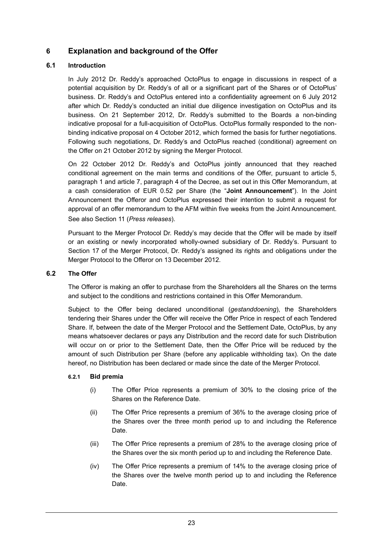# **6 Explanation and background of the Offer**

# **6.1 Introduction**

In July 2012 Dr. Reddy's approached OctoPlus to engage in discussions in respect of a potential acquisition by Dr. Reddy's of all or a significant part of the Shares or of OctoPlus' business. Dr. Reddy's and OctoPlus entered into a confidentiality agreement on 6 July 2012 after which Dr. Reddy's conducted an initial due diligence investigation on OctoPlus and its business. On 21 September 2012, Dr. Reddy's submitted to the Boards a non-binding indicative proposal for a full-acquisition of OctoPlus. OctoPlus formally responded to the nonbinding indicative proposal on 4 October 2012, which formed the basis for further negotiations. Following such negotiations, Dr. Reddy's and OctoPlus reached (conditional) agreement on the Offer on 21 October 2012 by signing the Merger Protocol.

On 22 October 2012 Dr. Reddy's and OctoPlus jointly announced that they reached conditional agreement on the main terms and conditions of the Offer, pursuant to article 5, paragraph 1 and article 7, paragraph 4 of the Decree, as set out in this Offer Memorandum, at a cash consideration of EUR 0.52 per Share (the "**Joint Announcement**"). In the Joint Announcement the Offeror and OctoPlus expressed their intention to submit a request for approval of an offer memorandum to the AFM within five weeks from the Joint Announcement. See also Section 11 (*Press releases*).

Pursuant to the Merger Protocol Dr. Reddy's may decide that the Offer will be made by itself or an existing or newly incorporated wholly-owned subsidiary of Dr. Reddy's. Pursuant to Section 17 of the Merger Protocol, Dr. Reddy's assigned its rights and obligations under the Merger Protocol to the Offeror on 13 December 2012.

#### **6.2 The Offer**

The Offeror is making an offer to purchase from the Shareholders all the Shares on the terms and subject to the conditions and restrictions contained in this Offer Memorandum.

Subject to the Offer being declared unconditional (*gestanddoening*), the Shareholders tendering their Shares under the Offer will receive the Offer Price in respect of each Tendered Share. If, between the date of the Merger Protocol and the Settlement Date, OctoPlus, by any means whatsoever declares or pays any Distribution and the record date for such Distribution will occur on or prior to the Settlement Date, then the Offer Price will be reduced by the amount of such Distribution per Share (before any applicable withholding tax). On the date hereof, no Distribution has been declared or made since the date of the Merger Protocol.

# **6.2.1 Bid premia**

- (i) The Offer Price represents a premium of 30% to the closing price of the Shares on the Reference Date.
- (ii) The Offer Price represents a premium of 36% to the average closing price of the Shares over the three month period up to and including the Reference Date.
- (iii) The Offer Price represents a premium of 28% to the average closing price of the Shares over the six month period up to and including the Reference Date.
- (iv) The Offer Price represents a premium of 14% to the average closing price of the Shares over the twelve month period up to and including the Reference Date.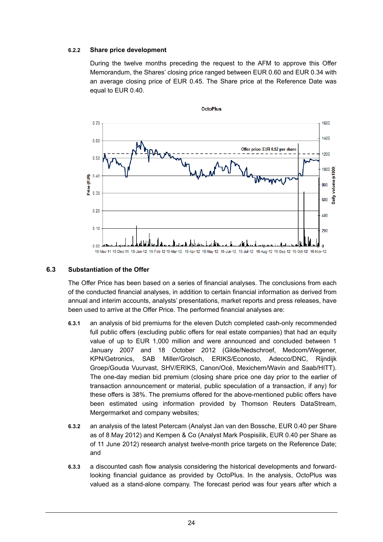### **6.2.2 Share price development**

During the twelve months preceding the request to the AFM to approve this Offer Memorandum, the Shares' closing price ranged between EUR 0.60 and EUR 0.34 with an average closing price of EUR 0.45. The Share price at the Reference Date was equal to EUR 0.40.



#### **6.3 Substantiation of the Offer**

The Offer Price has been based on a series of financial analyses. The conclusions from each of the conducted financial analyses, in addition to certain financial information as derived from annual and interim accounts, analysts' presentations, market reports and press releases, have been used to arrive at the Offer Price. The performed financial analyses are:

- **6.3.1** an analysis of bid premiums for the eleven Dutch completed cash-only recommended full public offers (excluding public offers for real estate companies) that had an equity value of up to EUR 1,000 million and were announced and concluded between 1 January 2007 and 18 October 2012 (Gilde/Nedschroef, Medcom/Wegener, KPN/Getronics, SAB Miller/Grolsch, ERIKS/Econosto, Adecco/DNC, Rijndijk Groep/Gouda Vuurvast, SHV/ERIKS, Canon/Océ, Mexichem/Wavin and Saab/HITT). The one-day median bid premium (closing share price one day prior to the earlier of transaction announcement or material, public speculation of a transaction, if any) for these offers is 38%. The premiums offered for the above-mentioned public offers have been estimated using information provided by Thomson Reuters DataStream, Mergermarket and company websites;
- **6.3.2** an analysis of the latest Petercam (Analyst Jan van den Bossche, EUR 0.40 per Share as of 8 May 2012) and Kempen & Co (Analyst Mark Pospisilik, EUR 0.40 per Share as of 11 June 2012) research analyst twelve-month price targets on the Reference Date; and
- **6.3.3** a discounted cash flow analysis considering the historical developments and forwardlooking financial guidance as provided by OctoPlus. In the analysis, OctoPlus was valued as a stand-alone company. The forecast period was four years after which a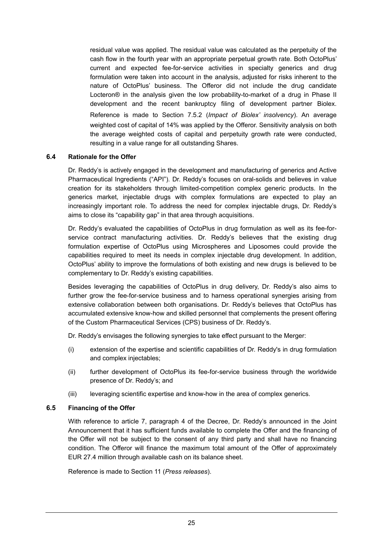residual value was applied. The residual value was calculated as the perpetuity of the cash flow in the fourth year with an appropriate perpetual growth rate. Both OctoPlus' current and expected fee-for-service activities in specialty generics and drug formulation were taken into account in the analysis, adjusted for risks inherent to the nature of OctoPlus' business. The Offeror did not include the drug candidate Locteron<sup>®</sup> in the analysis given the low probability-to-market of a drug in Phase II development and the recent bankruptcy filing of development partner Biolex. Reference is made to Section 7.5.2 (*Impact of Biolex' insolvency*). An average weighted cost of capital of 14% was applied by the Offeror. Sensitivity analysis on both the average weighted costs of capital and perpetuity growth rate were conducted, resulting in a value range for all outstanding Shares.

#### **6.4 Rationale for the Offer**

Dr. Reddy's is actively engaged in the development and manufacturing of generics and Active Pharmaceutical Ingredients ("API"). Dr. Reddy's focuses on oral-solids and believes in value creation for its stakeholders through limited-competition complex generic products. In the generics market, injectable drugs with complex formulations are expected to play an increasingly important role. To address the need for complex injectable drugs, Dr. Reddy's aims to close its "capability gap" in that area through acquisitions.

Dr. Reddy's evaluated the capabilities of OctoPlus in drug formulation as well as its fee-forservice contract manufacturing activities. Dr. Reddy's believes that the existing drug formulation expertise of OctoPlus using Microspheres and Liposomes could provide the capabilities required to meet its needs in complex injectable drug development. In addition, OctoPlus' ability to improve the formulations of both existing and new drugs is believed to be complementary to Dr. Reddy's existing capabilities.

Besides leveraging the capabilities of OctoPlus in drug delivery, Dr. Reddy's also aims to further grow the fee-for-service business and to harness operational synergies arising from extensive collaboration between both organisations. Dr. Reddy's believes that OctoPlus has accumulated extensive know-how and skilled personnel that complements the present offering of the Custom Pharmaceutical Services (CPS) business of Dr. Reddy's.

Dr. Reddy's envisages the following synergies to take effect pursuant to the Merger:

- (i) extension of the expertise and scientific capabilities of Dr. Reddy's in drug formulation and complex injectables;
- (ii) further development of OctoPlus its fee-for-service business through the worldwide presence of Dr. Reddy's; and
- (iii) leveraging scientific expertise and know-how in the area of complex generics.

#### **6.5 Financing of the Offer**

With reference to article 7, paragraph 4 of the Decree, Dr. Reddy's announced in the Joint Announcement that it has sufficient funds available to complete the Offer and the financing of the Offer will not be subject to the consent of any third party and shall have no financing condition. The Offeror will finance the maximum total amount of the Offer of approximately EUR 27.4 million through available cash on its balance sheet.

Reference is made to Section 11 (*Press releases*).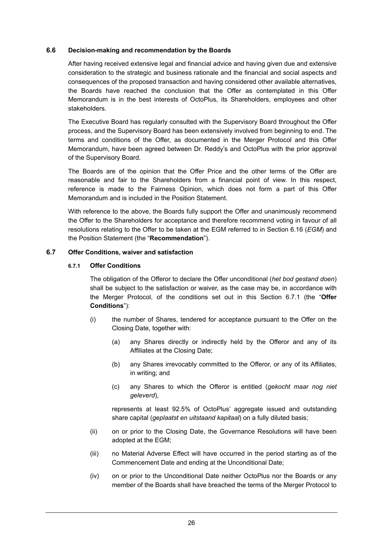#### **6.6 Decision-making and recommendation by the Boards**

After having received extensive legal and financial advice and having given due and extensive consideration to the strategic and business rationale and the financial and social aspects and consequences of the proposed transaction and having considered other available alternatives, the Boards have reached the conclusion that the Offer as contemplated in this Offer Memorandum is in the best interests of OctoPlus, its Shareholders, employees and other stakeholders.

The Executive Board has regularly consulted with the Supervisory Board throughout the Offer process, and the Supervisory Board has been extensively involved from beginning to end. The terms and conditions of the Offer, as documented in the Merger Protocol and this Offer Memorandum, have been agreed between Dr. Reddy's and OctoPlus with the prior approval of the Supervisory Board.

The Boards are of the opinion that the Offer Price and the other terms of the Offer are reasonable and fair to the Shareholders from a financial point of view. In this respect, reference is made to the Fairness Opinion, which does not form a part of this Offer Memorandum and is included in the Position Statement.

With reference to the above, the Boards fully support the Offer and unanimously recommend the Offer to the Shareholders for acceptance and therefore recommend voting in favour of all resolutions relating to the Offer to be taken at the EGM referred to in Section 6.16 (*EGM*) and the Position Statement (the "**Recommendation**").

#### **6.7 Offer Conditions, waiver and satisfaction**

#### **6.7.1 Offer Conditions**

The obligation of the Offeror to declare the Offer unconditional (*het bod gestand doen*) shall be subject to the satisfaction or waiver, as the case may be, in accordance with the Merger Protocol, of the conditions set out in this Section 6.7.1 (the "**Offer Conditions**"):

- (i) the number of Shares, tendered for acceptance pursuant to the Offer on the Closing Date, together with:
	- (a) any Shares directly or indirectly held by the Offeror and any of its Affiliates at the Closing Date;
	- (b) any Shares irrevocably committed to the Offeror, or any of its Affiliates, in writing; and
	- (c) any Shares to which the Offeror is entitled (*gekocht maar nog niet geleverd*),

represents at least 92.5% of OctoPlus' aggregate issued and outstanding share capital (*geplaatst en uitstaand kapitaal*) on a fully diluted basis;

- (ii) on or prior to the Closing Date, the Governance Resolutions will have been adopted at the EGM;
- (iii) no Material Adverse Effect will have occurred in the period starting as of the Commencement Date and ending at the Unconditional Date;
- (iv) on or prior to the Unconditional Date neither OctoPlus nor the Boards or any member of the Boards shall have breached the terms of the Merger Protocol to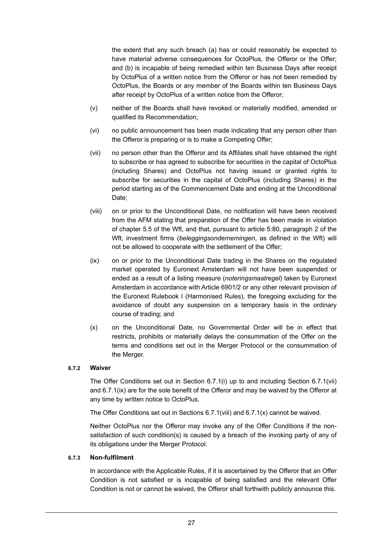the extent that any such breach (a) has or could reasonably be expected to have material adverse consequences for OctoPlus, the Offeror or the Offer; and (b) is incapable of being remedied within ten Business Days after receipt by OctoPlus of a written notice from the Offeror or has not been remedied by OctoPlus, the Boards or any member of the Boards within ten Business Days after receipt by OctoPlus of a written notice from the Offeror;

- (v) neither of the Boards shall have revoked or materially modified, amended or qualified its Recommendation;
- (vi) no public announcement has been made indicating that any person other than the Offeror is preparing or is to make a Competing Offer;
- (vii) no person other than the Offeror and its Affiliates shall have obtained the right to subscribe or has agreed to subscribe for securities in the capital of OctoPlus (including Shares) and OctoPlus not having issued or granted rights to subscribe for securities in the capital of OctoPlus (including Shares) in the period starting as of the Commencement Date and ending at the Unconditional Date;
- (viii) on or prior to the Unconditional Date, no notification will have been received from the AFM stating that preparation of the Offer has been made in violation of chapter 5.5 of the Wft, and that, pursuant to article 5:80, paragraph 2 of the Wft, investment firms (*beleggingsondernemingen*, as defined in the Wft) will not be allowed to cooperate with the settlement of the Offer;
- (ix) on or prior to the Unconditional Date trading in the Shares on the regulated market operated by Euronext Amsterdam will not have been suspended or ended as a result of a listing measure (*noteringsmaatregel*) taken by Euronext Amsterdam in accordance with Article 6901/2 or any other relevant provision of the Euronext Rulebook I (Harmonised Rules), the foregoing excluding for the avoidance of doubt any suspension on a temporary basis in the ordinary course of trading; and
- (x) on the Unconditional Date, no Governmental Order will be in effect that restricts, prohibits or materially delays the consummation of the Offer on the terms and conditions set out in the Merger Protocol or the consummation of the Merger.

#### **6.7.2 Waiver**

The Offer Conditions set out in Section 6.7.1(i) up to and including Section 6.7.1(vii) and 6.7.1(ix) are for the sole benefit of the Offeror and may be waived by the Offeror at any time by written notice to OctoPlus.

The Offer Conditions set out in Sections 6.7.1(viii) and 6.7.1(x) cannot be waived.

Neither OctoPlus nor the Offeror may invoke any of the Offer Conditions if the nonsatisfaction of such condition(s) is caused by a breach of the invoking party of any of its obligations under the Merger Protocol.

#### **6.7.3 Non-fulfilment**

In accordance with the Applicable Rules, if it is ascertained by the Offeror that an Offer Condition is not satisfied or is incapable of being satisfied and the relevant Offer Condition is not or cannot be waived, the Offeror shall forthwith publicly announce this.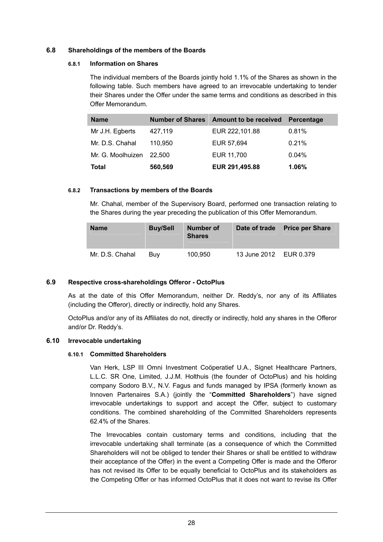### **6.8 Shareholdings of the members of the Boards**

#### **6.8.1 Information on Shares**

The individual members of the Boards jointly hold 1.1% of the Shares as shown in the following table. Such members have agreed to an irrevocable undertaking to tender their Shares under the Offer under the same terms and conditions as described in this Offer Memorandum.

| <b>Name</b>       |         | Number of Shares Amount to be received | Percentage |
|-------------------|---------|----------------------------------------|------------|
| Mr J.H. Egberts   | 427,119 | EUR 222,101.88                         | 0.81%      |
| Mr. D.S. Chahal   | 110.950 | EUR 57,694                             | 0.21%      |
| Mr. G. Moolhuizen | 22,500  | EUR 11,700                             | $0.04\%$   |
| <b>Total</b>      | 560,569 | EUR 291,495.88                         | $1.06\%$   |

#### **6.8.2 Transactions by members of the Boards**

Mr. Chahal, member of the Supervisory Board, performed one transaction relating to the Shares during the year preceding the publication of this Offer Memorandum.

| <b>Name</b>     | <b>Buy/Sell</b> | Number of<br><b>Shares</b> |                          | Date of trade Price per Share |
|-----------------|-----------------|----------------------------|--------------------------|-------------------------------|
| Mr. D.S. Chahal | Buv             | 100.950                    | 13 June 2012   EUR 0.379 |                               |

#### **6.9 Respective cross-shareholdings Offeror - OctoPlus**

As at the date of this Offer Memorandum, neither Dr. Reddy's, nor any of its Affiliates (including the Offeror), directly or indirectly, hold any Shares.

OctoPlus and/or any of its Affiliates do not, directly or indirectly, hold any shares in the Offeror and/or Dr. Reddy's.

#### **6.10 Irrevocable undertaking**

#### **6.10.1 Committed Shareholders**

Van Herk, LSP III Omni Investment Coöperatief U.A., Signet Healthcare Partners, L.L.C. SR One, Limited, J.J.M. Holthuis (the founder of OctoPlus) and his holding company Sodoro B.V., N.V. Fagus and funds managed by IPSA (formerly known as Innoven Partenaires S.A.) (jointly the "**Committed Shareholders**") have signed irrevocable undertakings to support and accept the Offer, subject to customary conditions. The combined shareholding of the Committed Shareholders represents 62.4% of the Shares.

The Irrevocables contain customary terms and conditions, including that the irrevocable undertaking shall terminate (as a consequence of which the Committed Shareholders will not be obliged to tender their Shares or shall be entitled to withdraw their acceptance of the Offer) in the event a Competing Offer is made and the Offeror has not revised its Offer to be equally beneficial to OctoPlus and its stakeholders as the Competing Offer or has informed OctoPlus that it does not want to revise its Offer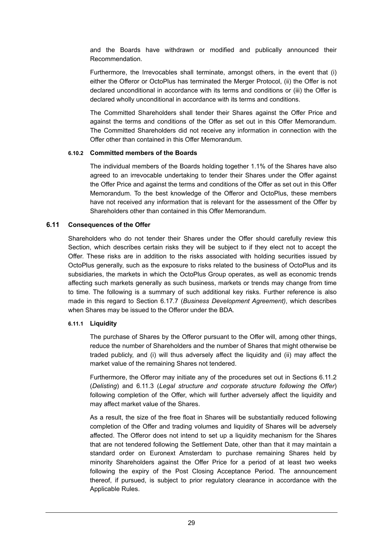and the Boards have withdrawn or modified and publically announced their Recommendation.

Furthermore, the Irrevocables shall terminate, amongst others, in the event that (i) either the Offeror or OctoPlus has terminated the Merger Protocol, (ii) the Offer is not declared unconditional in accordance with its terms and conditions or (iii) the Offer is declared wholly unconditional in accordance with its terms and conditions.

The Committed Shareholders shall tender their Shares against the Offer Price and against the terms and conditions of the Offer as set out in this Offer Memorandum. The Committed Shareholders did not receive any information in connection with the Offer other than contained in this Offer Memorandum.

#### **6.10.2 Committed members of the Boards**

The individual members of the Boards holding together 1.1% of the Shares have also agreed to an irrevocable undertaking to tender their Shares under the Offer against the Offer Price and against the terms and conditions of the Offer as set out in this Offer Memorandum. To the best knowledge of the Offeror and OctoPlus, these members have not received any information that is relevant for the assessment of the Offer by Shareholders other than contained in this Offer Memorandum.

#### **6.11 Consequences of the Offer**

Shareholders who do not tender their Shares under the Offer should carefully review this Section, which describes certain risks they will be subject to if they elect not to accept the Offer. These risks are in addition to the risks associated with holding securities issued by OctoPlus generally, such as the exposure to risks related to the business of OctoPlus and its subsidiaries, the markets in which the OctoPlus Group operates, as well as economic trends affecting such markets generally as such business, markets or trends may change from time to time. The following is a summary of such additional key risks. Further reference is also made in this regard to Section 6.17.7 (*Business Development Agreement)*, which describes when Shares may be issued to the Offeror under the BDA.

#### **6.11.1 Liquidity**

The purchase of Shares by the Offeror pursuant to the Offer will, among other things, reduce the number of Shareholders and the number of Shares that might otherwise be traded publicly, and (i) will thus adversely affect the liquidity and (ii) may affect the market value of the remaining Shares not tendered.

Furthermore, the Offeror may initiate any of the procedures set out in Sections 6.11.2 (*Delisting*) and 6.11.3 (*Legal structure and corporate structure following the Offer*) following completion of the Offer, which will further adversely affect the liquidity and may affect market value of the Shares.

As a result, the size of the free float in Shares will be substantially reduced following completion of the Offer and trading volumes and liquidity of Shares will be adversely affected. The Offeror does not intend to set up a liquidity mechanism for the Shares that are not tendered following the Settlement Date, other than that it may maintain a standard order on Euronext Amsterdam to purchase remaining Shares held by minority Shareholders against the Offer Price for a period of at least two weeks following the expiry of the Post Closing Acceptance Period. The announcement thereof, if pursued, is subject to prior regulatory clearance in accordance with the Applicable Rules.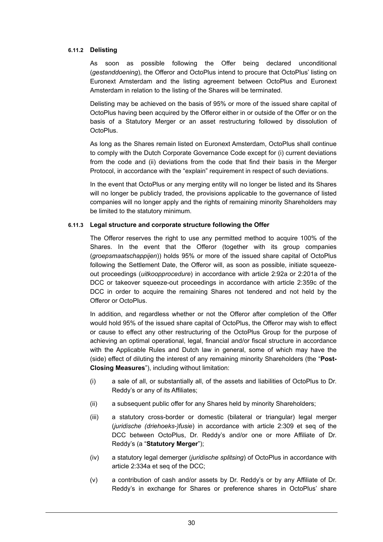#### **6.11.2 Delisting**

As soon as possible following the Offer being declared unconditional (*gestanddoening*), the Offeror and OctoPlus intend to procure that OctoPlus' listing on Euronext Amsterdam and the listing agreement between OctoPlus and Euronext Amsterdam in relation to the listing of the Shares will be terminated.

Delisting may be achieved on the basis of 95% or more of the issued share capital of OctoPlus having been acquired by the Offeror either in or outside of the Offer or on the basis of a Statutory Merger or an asset restructuring followed by dissolution of OctoPlus.

As long as the Shares remain listed on Euronext Amsterdam, OctoPlus shall continue to comply with the Dutch Corporate Governance Code except for (i) current deviations from the code and (ii) deviations from the code that find their basis in the Merger Protocol, in accordance with the "explain" requirement in respect of such deviations.

In the event that OctoPlus or any merging entity will no longer be listed and its Shares will no longer be publicly traded, the provisions applicable to the governance of listed companies will no longer apply and the rights of remaining minority Shareholders may be limited to the statutory minimum.

#### **6.11.3 Legal structure and corporate structure following the Offer**

The Offeror reserves the right to use any permitted method to acquire 100% of the Shares. In the event that the Offeror (together with its group companies (*groepsmaatschappijen*)) holds 95% or more of the issued share capital of OctoPlus following the Settlement Date, the Offeror will, as soon as possible, initiate squeezeout proceedings (*uitkoopprocedure*) in accordance with article 2:92a or 2:201a of the DCC or takeover squeeze-out proceedings in accordance with article 2:359c of the DCC in order to acquire the remaining Shares not tendered and not held by the Offeror or OctoPlus.

In addition, and regardless whether or not the Offeror after completion of the Offer would hold 95% of the issued share capital of OctoPlus, the Offeror may wish to effect or cause to effect any other restructuring of the OctoPlus Group for the purpose of achieving an optimal operational, legal, financial and/or fiscal structure in accordance with the Applicable Rules and Dutch law in general, some of which may have the (side) effect of diluting the interest of any remaining minority Shareholders (the "**Post-Closing Measures**"), including without limitation:

- (i) a sale of all, or substantially all, of the assets and liabilities of OctoPlus to Dr. Reddy's or any of its Affiliates;
- (ii) a subsequent public offer for any Shares held by minority Shareholders;
- (iii) a statutory cross-border or domestic (bilateral or triangular) legal merger (*juridische (driehoeks-)fusie*) in accordance with article 2:309 et seq of the DCC between OctoPlus, Dr. Reddy's and/or one or more Affiliate of Dr. Reddy's (a "**Statutory Merger**");
- (iv) a statutory legal demerger (*juridische splitsing*) of OctoPlus in accordance with article 2:334a et seq of the DCC;
- (v) a contribution of cash and/or assets by Dr. Reddy's or by any Affiliate of Dr. Reddy's in exchange for Shares or preference shares in OctoPlus' share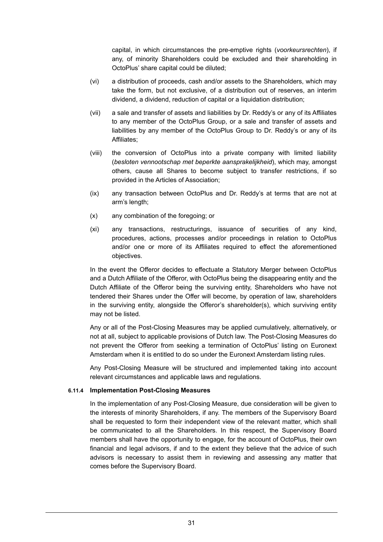capital, in which circumstances the pre-emptive rights (*voorkeursrechten*), if any, of minority Shareholders could be excluded and their shareholding in OctoPlus' share capital could be diluted;

- (vi) a distribution of proceeds, cash and/or assets to the Shareholders, which may take the form, but not exclusive, of a distribution out of reserves, an interim dividend, a dividend, reduction of capital or a liquidation distribution;
- (vii) a sale and transfer of assets and liabilities by Dr. Reddy's or any of its Affiliates to any member of the OctoPlus Group, or a sale and transfer of assets and liabilities by any member of the OctoPlus Group to Dr. Reddy's or any of its Affiliates;
- (viii) the conversion of OctoPlus into a private company with limited liability (*besloten vennootschap met beperkte aansprakelijkheid*), which may, amongst others, cause all Shares to become subject to transfer restrictions, if so provided in the Articles of Association;
- (ix) any transaction between OctoPlus and Dr. Reddy's at terms that are not at arm's length;
- (x) any combination of the foregoing; or
- (xi) any transactions, restructurings, issuance of securities of any kind, procedures, actions, processes and/or proceedings in relation to OctoPlus and/or one or more of its Affiliates required to effect the aforementioned objectives.

In the event the Offeror decides to effectuate a Statutory Merger between OctoPlus and a Dutch Affiliate of the Offeror, with OctoPlus being the disappearing entity and the Dutch Affiliate of the Offeror being the surviving entity, Shareholders who have not tendered their Shares under the Offer will become, by operation of law, shareholders in the surviving entity, alongside the Offeror's shareholder(s), which surviving entity may not be listed.

Any or all of the Post-Closing Measures may be applied cumulatively, alternatively, or not at all, subject to applicable provisions of Dutch law. The Post-Closing Measures do not prevent the Offeror from seeking a termination of OctoPlus' listing on Euronext Amsterdam when it is entitled to do so under the Euronext Amsterdam listing rules.

Any Post-Closing Measure will be structured and implemented taking into account relevant circumstances and applicable laws and regulations.

## **6.11.4 Implementation Post-Closing Measures**

In the implementation of any Post-Closing Measure, due consideration will be given to the interests of minority Shareholders, if any. The members of the Supervisory Board shall be requested to form their independent view of the relevant matter, which shall be communicated to all the Shareholders. In this respect, the Supervisory Board members shall have the opportunity to engage, for the account of OctoPlus, their own financial and legal advisors, if and to the extent they believe that the advice of such advisors is necessary to assist them in reviewing and assessing any matter that comes before the Supervisory Board.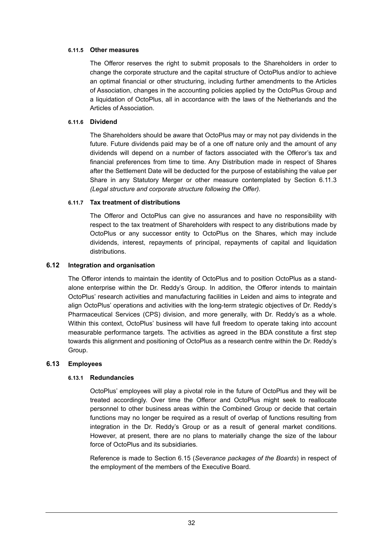## **6.11.5 Other measures**

The Offeror reserves the right to submit proposals to the Shareholders in order to change the corporate structure and the capital structure of OctoPlus and/or to achieve an optimal financial or other structuring, including further amendments to the Articles of Association, changes in the accounting policies applied by the OctoPlus Group and a liquidation of OctoPlus, all in accordance with the laws of the Netherlands and the Articles of Association.

### **6.11.6 Dividend**

The Shareholders should be aware that OctoPlus may or may not pay dividends in the future. Future dividends paid may be of a one off nature only and the amount of any dividends will depend on a number of factors associated with the Offeror's tax and financial preferences from time to time. Any Distribution made in respect of Shares after the Settlement Date will be deducted for the purpose of establishing the value per Share in any Statutory Merger or other measure contemplated by Section 6.11.3 *(Legal structure and corporate structure following the Offer).*

#### **6.11.7 Tax treatment of distributions**

The Offeror and OctoPlus can give no assurances and have no responsibility with respect to the tax treatment of Shareholders with respect to any distributions made by OctoPlus or any successor entity to OctoPlus on the Shares, which may include dividends, interest, repayments of principal, repayments of capital and liquidation distributions.

## **6.12 Integration and organisation**

The Offeror intends to maintain the identity of OctoPlus and to position OctoPlus as a standalone enterprise within the Dr. Reddy's Group. In addition, the Offeror intends to maintain OctoPlus' research activities and manufacturing facilities in Leiden and aims to integrate and align OctoPlus' operations and activities with the long-term strategic objectives of Dr. Reddy's Pharmaceutical Services (CPS) division, and more generally, with Dr. Reddy's as a whole. Within this context, OctoPlus' business will have full freedom to operate taking into account measurable performance targets. The activities as agreed in the BDA constitute a first step towards this alignment and positioning of OctoPlus as a research centre within the Dr. Reddy's Group.

#### **6.13 Employees**

## **6.13.1 Redundancies**

OctoPlus' employees will play a pivotal role in the future of OctoPlus and they will be treated accordingly. Over time the Offeror and OctoPlus might seek to reallocate personnel to other business areas within the Combined Group or decide that certain functions may no longer be required as a result of overlap of functions resulting from integration in the Dr. Reddy's Group or as a result of general market conditions. However, at present, there are no plans to materially change the size of the labour force of OctoPlus and its subsidiaries.

Reference is made to Section 6.15 (*Severance packages of the Boards*) in respect of the employment of the members of the Executive Board.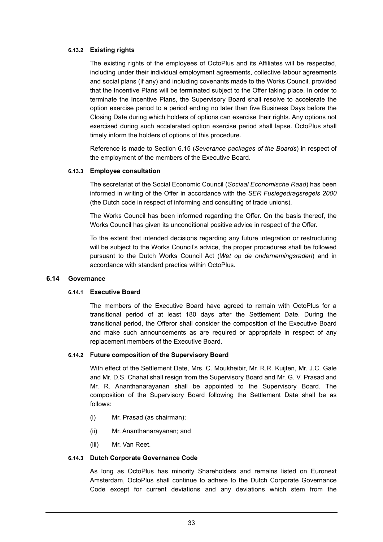## **6.13.2 Existing rights**

The existing rights of the employees of OctoPlus and its Affiliates will be respected, including under their individual employment agreements, collective labour agreements and social plans (if any) and including covenants made to the Works Council, provided that the Incentive Plans will be terminated subject to the Offer taking place. In order to terminate the Incentive Plans, the Supervisory Board shall resolve to accelerate the option exercise period to a period ending no later than five Business Days before the Closing Date during which holders of options can exercise their rights. Any options not exercised during such accelerated option exercise period shall lapse. OctoPlus shall timely inform the holders of options of this procedure.

Reference is made to Section 6.15 (*Severance packages of the Boards*) in respect of the employment of the members of the Executive Board.

## **6.13.3 Employee consultation**

The secretariat of the Social Economic Council (*Sociaal Economische Raad*) has been informed in writing of the Offer in accordance with the *SER Fusiegedragsregels 2000* (the Dutch code in respect of informing and consulting of trade unions).

The Works Council has been informed regarding the Offer. On the basis thereof, the Works Council has given its unconditional positive advice in respect of the Offer.

To the extent that intended decisions regarding any future integration or restructuring will be subject to the Works Council's advice, the proper procedures shall be followed pursuant to the Dutch Works Council Act (*Wet op de ondernemingsraden*) and in accordance with standard practice within OctoPlus.

## **6.14 Governance**

## **6.14.1 Executive Board**

The members of the Executive Board have agreed to remain with OctoPlus for a transitional period of at least 180 days after the Settlement Date. During the transitional period, the Offeror shall consider the composition of the Executive Board and make such announcements as are required or appropriate in respect of any replacement members of the Executive Board.

## **6.14.2 Future composition of the Supervisory Board**

With effect of the Settlement Date, Mrs. C. Moukheibir, Mr. R.R. Kuijten, Mr. J.C. Gale and Mr. D.S. Chahal shall resign from the Supervisory Board and Mr. G. V. Prasad and Mr. R. Ananthanarayanan shall be appointed to the Supervisory Board. The composition of the Supervisory Board following the Settlement Date shall be as follows:

- (i) Mr. Prasad (as chairman);
- (ii) Mr. Ananthanarayanan; and
- (iii) Mr. Van Reet.

## **6.14.3 Dutch Corporate Governance Code**

As long as OctoPlus has minority Shareholders and remains listed on Euronext Amsterdam, OctoPlus shall continue to adhere to the Dutch Corporate Governance Code except for current deviations and any deviations which stem from the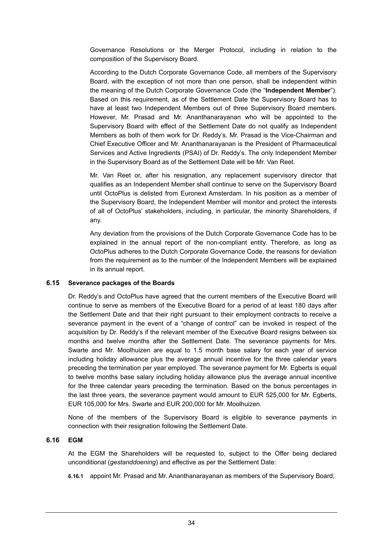Governance Resolutions or the Merger Protocol, including in relation to the composition of the Supervisory Board.

According to the Dutch Corporate Governance Code, all members of the Supervisory Board, with the exception of not more than one person, shall be independent within the meaning of the Dutch Corporate Governance Code (the "**Independent Member**"). Based on this requirement, as of the Settlement Date the Supervisory Board has to have at least two Independent Members out of three Supervisory Board members. However, Mr. Prasad and Mr. Ananthanarayanan who will be appointed to the Supervisory Board with effect of the Settlement Date do not qualify as Independent Members as both of them work for Dr. Reddy's. Mr. Prasad is the Vice-Chairman and Chief Executive Officer and Mr. Ananthanarayanan is the President of Pharmaceutical Services and Active Ingredients (PSAI) of Dr. Reddy's. The only Independent Member in the Supervisory Board as of the Settlement Date will be Mr. Van Reet.

Mr. Van Reet or, after his resignation, any replacement supervisory director that qualifies as an Independent Member shall continue to serve on the Supervisory Board until OctoPlus is delisted from Euronext Amsterdam. In his position as a member of the Supervisory Board, the Independent Member will monitor and protect the interests of all of OctoPlus' stakeholders, including, in particular, the minority Shareholders, if any.

Any deviation from the provisions of the Dutch Corporate Governance Code has to be explained in the annual report of the non-compliant entity. Therefore, as long as OctoPlus adheres to the Dutch Corporate Governance Code, the reasons for deviation from the requirement as to the number of the Independent Members will be explained in its annual report.

## **6.15 Severance packages of the Boards**

Dr. Reddy's and OctoPlus have agreed that the current members of the Executive Board will continue to serve as members of the Executive Board for a period of at least 180 days after the Settlement Date and that their right pursuant to their employment contracts to receive a severance payment in the event of a "change of control" can be invoked in respect of the acquisition by Dr. Reddy's if the relevant member of the Executive Board resigns between six months and twelve months after the Settlement Date. The severance payments for Mrs. Swarte and Mr. Moolhuizen are equal to 1.5 month base salary for each year of service including holiday allowance plus the average annual incentive for the three calendar years preceding the termination per year employed. The severance payment for Mr. Egberts is equal to twelve months base salary including holiday allowance plus the average annual incentive for the three calendar years preceding the termination. Based on the bonus percentages in the last three years, the severance payment would amount to EUR 525,000 for Mr. Egberts, EUR 105,000 for Mrs. Swarte and EUR 200,000 for Mr. Moolhuizen.

None of the members of the Supervisory Board is eligible to severance payments in connection with their resignation following the Settlement Date.

#### **6.16 EGM**

At the EGM the Shareholders will be requested to, subject to the Offer being declared unconditional (*gestanddoening*) and effective as per the Settlement Date:

**6.16.1** appoint Mr. Prasad and Mr. Ananthanarayanan as members of the Supervisory Board;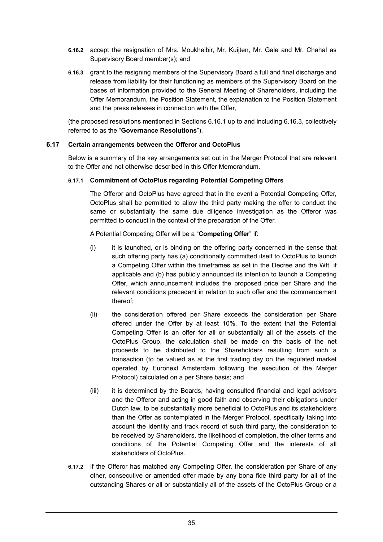- **6.16.2** accept the resignation of Mrs. Moukheibir, Mr. Kuijten, Mr. Gale and Mr. Chahal as Supervisory Board member(s); and
- **6.16.3** grant to the resigning members of the Supervisory Board a full and final discharge and release from liability for their functioning as members of the Supervisory Board on the bases of information provided to the General Meeting of Shareholders, including the Offer Memorandum, the Position Statement, the explanation to the Position Statement and the press releases in connection with the Offer,

(the proposed resolutions mentioned in Sections 6.16.1 up to and including 6.16.3, collectively referred to as the "**Governance Resolutions**").

## **6.17 Certain arrangements between the Offeror and OctoPlus**

Below is a summary of the key arrangements set out in the Merger Protocol that are relevant to the Offer and not otherwise described in this Offer Memorandum.

#### **6.17.1 Commitment of OctoPlus regarding Potential Competing Offers**

The Offeror and OctoPlus have agreed that in the event a Potential Competing Offer, OctoPlus shall be permitted to allow the third party making the offer to conduct the same or substantially the same due diligence investigation as the Offeror was permitted to conduct in the context of the preparation of the Offer.

A Potential Competing Offer will be a "**Competing Offer**" if:

- $(i)$  it is launched, or is binding on the offering party concerned in the sense that such offering party has (a) conditionally committed itself to OctoPlus to launch a Competing Offer within the timeframes as set in the Decree and the Wft, if applicable and (b) has publicly announced its intention to launch a Competing Offer, which announcement includes the proposed price per Share and the relevant conditions precedent in relation to such offer and the commencement thereof;
- (ii) the consideration offered per Share exceeds the consideration per Share offered under the Offer by at least 10%. To the extent that the Potential Competing Offer is an offer for all or substantially all of the assets of the OctoPlus Group, the calculation shall be made on the basis of the net proceeds to be distributed to the Shareholders resulting from such a transaction (to be valued as at the first trading day on the regulated market operated by Euronext Amsterdam following the execution of the Merger Protocol) calculated on a per Share basis; and
- (iii) it is determined by the Boards, having consulted financial and legal advisors and the Offeror and acting in good faith and observing their obligations under Dutch law, to be substantially more beneficial to OctoPlus and its stakeholders than the Offer as contemplated in the Merger Protocol, specifically taking into account the identity and track record of such third party, the consideration to be received by Shareholders, the likelihood of completion, the other terms and conditions of the Potential Competing Offer and the interests of all stakeholders of OctoPlus.
- **6.17.2** If the Offeror has matched any Competing Offer, the consideration per Share of any other, consecutive or amended offer made by any bona fide third party for all of the outstanding Shares or all or substantially all of the assets of the OctoPlus Group or a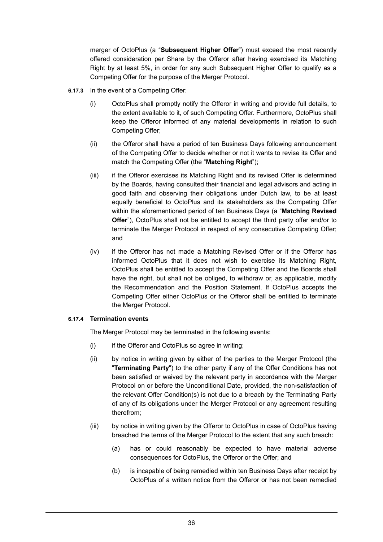merger of OctoPlus (a "**Subsequent Higher Offer**") must exceed the most recently offered consideration per Share by the Offeror after having exercised its Matching Right by at least 5%, in order for any such Subsequent Higher Offer to qualify as a Competing Offer for the purpose of the Merger Protocol.

- **6.17.3** In the event of a Competing Offer:
	- (i) OctoPlus shall promptly notify the Offeror in writing and provide full details, to the extent available to it, of such Competing Offer. Furthermore, OctoPlus shall keep the Offeror informed of any material developments in relation to such Competing Offer;
	- (ii) the Offeror shall have a period of ten Business Days following announcement of the Competing Offer to decide whether or not it wants to revise its Offer and match the Competing Offer (the "**Matching Right**");
	- (iii) if the Offeror exercises its Matching Right and its revised Offer is determined by the Boards, having consulted their financial and legal advisors and acting in good faith and observing their obligations under Dutch law, to be at least equally beneficial to OctoPlus and its stakeholders as the Competing Offer within the aforementioned period of ten Business Days (a "**Matching Revised Offer**"), OctoPlus shall not be entitled to accept the third party offer and/or to terminate the Merger Protocol in respect of any consecutive Competing Offer; and
	- (iv) if the Offeror has not made a Matching Revised Offer or if the Offeror has informed OctoPlus that it does not wish to exercise its Matching Right, OctoPlus shall be entitled to accept the Competing Offer and the Boards shall have the right, but shall not be obliged, to withdraw or, as applicable, modify the Recommendation and the Position Statement. If OctoPlus accepts the Competing Offer either OctoPlus or the Offeror shall be entitled to terminate the Merger Protocol.

## **6.17.4 Termination events**

The Merger Protocol may be terminated in the following events:

- (i) if the Offeror and OctoPlus so agree in writing;
- (ii) by notice in writing given by either of the parties to the Merger Protocol (the "**Terminating Party**") to the other party if any of the Offer Conditions has not been satisfied or waived by the relevant party in accordance with the Merger Protocol on or before the Unconditional Date, provided, the non-satisfaction of the relevant Offer Condition(s) is not due to a breach by the Terminating Party of any of its obligations under the Merger Protocol or any agreement resulting therefrom;
- (iii) by notice in writing given by the Offeror to OctoPlus in case of OctoPlus having breached the terms of the Merger Protocol to the extent that any such breach:
	- (a) has or could reasonably be expected to have material adverse consequences for OctoPlus, the Offeror or the Offer; and
	- (b) is incapable of being remedied within ten Business Days after receipt by OctoPlus of a written notice from the Offeror or has not been remedied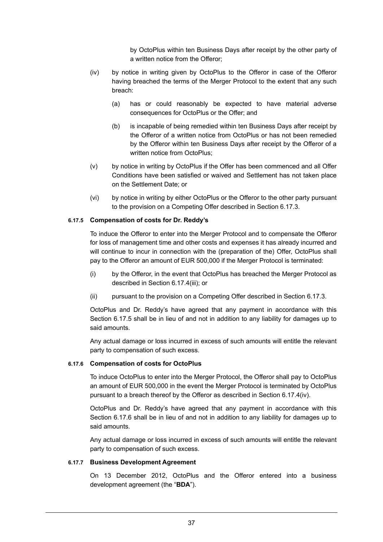by OctoPlus within ten Business Days after receipt by the other party of a written notice from the Offeror;

- (iv) by notice in writing given by OctoPlus to the Offeror in case of the Offeror having breached the terms of the Merger Protocol to the extent that any such breach:
	- (a) has or could reasonably be expected to have material adverse consequences for OctoPlus or the Offer; and
	- (b) is incapable of being remedied within ten Business Days after receipt by the Offeror of a written notice from OctoPlus or has not been remedied by the Offeror within ten Business Days after receipt by the Offeror of a written notice from OctoPlus;
- (v) by notice in writing by OctoPlus if the Offer has been commenced and all Offer Conditions have been satisfied or waived and Settlement has not taken place on the Settlement Date; or
- (vi) by notice in writing by either OctoPlus or the Offeror to the other party pursuant to the provision on a Competing Offer described in Section 6.17.3.

## **6.17.5 Compensation of costs for Dr. Reddy's**

To induce the Offeror to enter into the Merger Protocol and to compensate the Offeror for loss of management time and other costs and expenses it has already incurred and will continue to incur in connection with the (preparation of the) Offer, OctoPlus shall pay to the Offeror an amount of EUR 500,000 if the Merger Protocol is terminated:

- (i) by the Offeror, in the event that OctoPlus has breached the Merger Protocol as described in Section 6.17.4(iii); or
- (ii) pursuant to the provision on a Competing Offer described in Section 6.17.3.

OctoPlus and Dr. Reddy's have agreed that any payment in accordance with this Section 6.17.5 shall be in lieu of and not in addition to any liability for damages up to said amounts.

Any actual damage or loss incurred in excess of such amounts will entitle the relevant party to compensation of such excess.

## **6.17.6 Compensation of costs for OctoPlus**

To induce OctoPlus to enter into the Merger Protocol, the Offeror shall pay to OctoPlus an amount of EUR 500,000 in the event the Merger Protocol is terminated by OctoPlus pursuant to a breach thereof by the Offeror as described in Section 6.17.4(iv).

OctoPlus and Dr. Reddy's have agreed that any payment in accordance with this Section 6.17.6 shall be in lieu of and not in addition to any liability for damages up to said amounts.

Any actual damage or loss incurred in excess of such amounts will entitle the relevant party to compensation of such excess.

## **6.17.7 Business Development Agreement**

On 13 December 2012, OctoPlus and the Offeror entered into a business development agreement (the "**BDA**").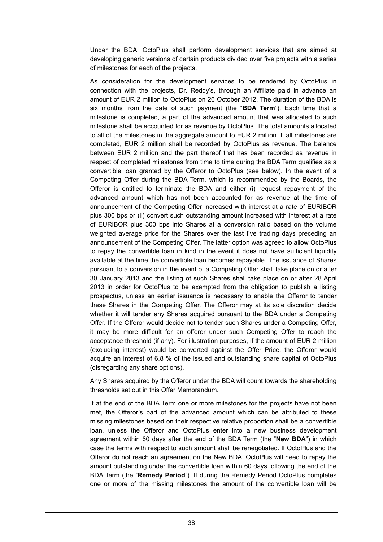Under the BDA, OctoPlus shall perform development services that are aimed at developing generic versions of certain products divided over five projects with a series of milestones for each of the projects.

As consideration for the development services to be rendered by OctoPlus in connection with the projects, Dr. Reddy's, through an Affiliate paid in advance an amount of EUR 2 million to OctoPlus on 26 October 2012. The duration of the BDA is six months from the date of such payment (the "**BDA Term**"). Each time that a milestone is completed, a part of the advanced amount that was allocated to such milestone shall be accounted for as revenue by OctoPlus. The total amounts allocated to all of the milestones in the aggregate amount to EUR 2 million. If all milestones are completed, EUR 2 million shall be recorded by OctoPlus as revenue. The balance between EUR 2 million and the part thereof that has been recorded as revenue in respect of completed milestones from time to time during the BDA Term qualifies as a convertible loan granted by the Offeror to OctoPlus (see below). In the event of a Competing Offer during the BDA Term, which is recommended by the Boards, the Offeror is entitled to terminate the BDA and either (i) request repayment of the advanced amount which has not been accounted for as revenue at the time of announcement of the Competing Offer increased with interest at a rate of EURIBOR plus 300 bps or (ii) convert such outstanding amount increased with interest at a rate of EURIBOR plus 300 bps into Shares at a conversion ratio based on the volume weighted average price for the Shares over the last five trading days preceding an announcement of the Competing Offer. The latter option was agreed to allow OctoPlus to repay the convertible loan in kind in the event it does not have sufficient liquidity available at the time the convertible loan becomes repayable. The issuance of Shares pursuant to a conversion in the event of a Competing Offer shall take place on or after 30 January 2013 and the listing of such Shares shall take place on or after 28 April 2013 in order for OctoPlus to be exempted from the obligation to publish a listing prospectus, unless an earlier issuance is necessary to enable the Offeror to tender these Shares in the Competing Offer. The Offeror may at its sole discretion decide whether it will tender any Shares acquired pursuant to the BDA under a Competing Offer. If the Offeror would decide not to tender such Shares under a Competing Offer, it may be more difficult for an offeror under such Competing Offer to reach the acceptance threshold (if any). For illustration purposes, if the amount of EUR 2 million (excluding interest) would be converted against the Offer Price, the Offeror would acquire an interest of 6.8 % of the issued and outstanding share capital of OctoPlus (disregarding any share options).

Any Shares acquired by the Offeror under the BDA will count towards the shareholding thresholds set out in this Offer Memorandum.

If at the end of the BDA Term one or more milestones for the projects have not been met, the Offeror's part of the advanced amount which can be attributed to these missing milestones based on their respective relative proportion shall be a convertible loan, unless the Offeror and OctoPlus enter into a new business development agreement within 60 days after the end of the BDA Term (the "**New BDA**") in which case the terms with respect to such amount shall be renegotiated. If OctoPlus and the Offeror do not reach an agreement on the New BDA, OctoPlus will need to repay the amount outstanding under the convertible loan within 60 days following the end of the BDA Term (the "**Remedy Period**"). If during the Remedy Period OctoPlus completes one or more of the missing milestones the amount of the convertible loan will be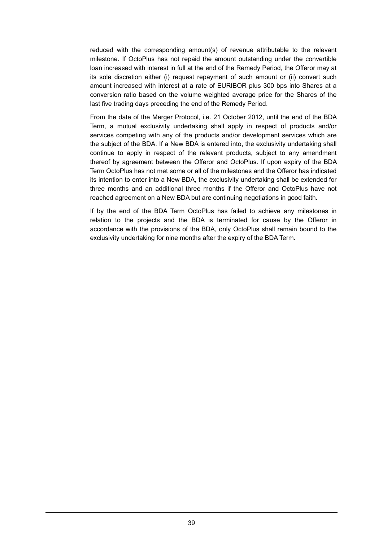reduced with the corresponding amount(s) of revenue attributable to the relevant milestone. If OctoPlus has not repaid the amount outstanding under the convertible loan increased with interest in full at the end of the Remedy Period, the Offeror may at its sole discretion either (i) request repayment of such amount or (ii) convert such amount increased with interest at a rate of EURIBOR plus 300 bps into Shares at a conversion ratio based on the volume weighted average price for the Shares of the last five trading days preceding the end of the Remedy Period.

From the date of the Merger Protocol, i.e. 21 October 2012, until the end of the BDA Term, a mutual exclusivity undertaking shall apply in respect of products and/or services competing with any of the products and/or development services which are the subject of the BDA. If a New BDA is entered into, the exclusivity undertaking shall continue to apply in respect of the relevant products, subject to any amendment thereof by agreement between the Offeror and OctoPlus. If upon expiry of the BDA Term OctoPlus has not met some or all of the milestones and the Offeror has indicated its intention to enter into a New BDA, the exclusivity undertaking shall be extended for three months and an additional three months if the Offeror and OctoPlus have not reached agreement on a New BDA but are continuing negotiations in good faith.

If by the end of the BDA Term OctoPlus has failed to achieve any milestones in relation to the projects and the BDA is terminated for cause by the Offeror in accordance with the provisions of the BDA, only OctoPlus shall remain bound to the exclusivity undertaking for nine months after the expiry of the BDA Term.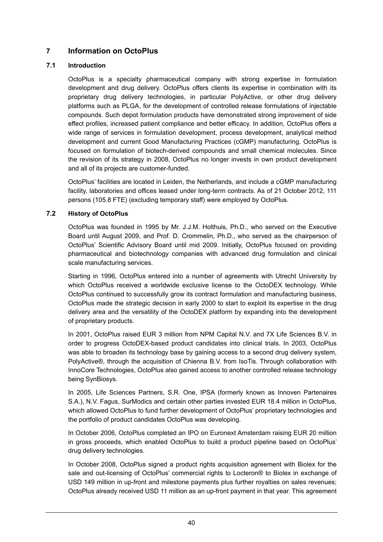# **7 Information on OctoPlus**

## **7.1 Introduction**

OctoPlus is a specialty pharmaceutical company with strong expertise in formulation development and drug delivery. OctoPlus offers clients its expertise in combination with its proprietary drug delivery technologies, in particular PolyActive, or other drug delivery platforms such as PLGA, for the development of controlled release formulations of injectable compounds. Such depot formulation products have demonstrated strong improvement of side effect profiles, increased patient compliance and better efficacy. In addition, OctoPlus offers a wide range of services in formulation development, process development, analytical method development and current Good Manufacturing Practices (cGMP) manufacturing. OctoPlus is focused on formulation of biotech-derived compounds and small chemical molecules. Since the revision of its strategy in 2008, OctoPlus no longer invests in own product development and all of its projects are customer-funded.

OctoPlus' facilities are located in Leiden, the Netherlands, and include a cGMP manufacturing facility, laboratories and offices leased under long-term contracts. As of 21 October 2012, 111 persons (105.8 FTE) (excluding temporary staff) were employed by OctoPlus.

## **7.2 History of OctoPlus**

OctoPlus was founded in 1995 by Mr. J.J.M. Holthuis, Ph.D., who served on the Executive Board until August 2009, and Prof. D. Crommelin, Ph.D., who served as the chairperson of OctoPlus' Scientific Advisory Board until mid 2009. Initially, OctoPlus focused on providing pharmaceutical and biotechnology companies with advanced drug formulation and clinical scale manufacturing services.

Starting in 1996, OctoPlus entered into a number of agreements with Utrecht University by which OctoPlus received a worldwide exclusive license to the OctoDEX technology. While OctoPlus continued to successfully grow its contract formulation and manufacturing business, OctoPlus made the strategic decision in early 2000 to start to exploit its expertise in the drug delivery area and the versatility of the OctoDEX platform by expanding into the development of proprietary products.

In 2001, OctoPlus raised EUR 3 million from NPM Capital N.V. and 7X Life Sciences B.V. in order to progress OctoDEX-based product candidates into clinical trials. In 2003, OctoPlus was able to broaden its technology base by gaining access to a second drug delivery system, PolyActive®, through the acquisition of Chienna B.V. from IsoTis. Through collaboration with InnoCore Technologies, OctoPlus also gained access to another controlled release technology being SynBiosys.

In 2005, Life Sciences Partners, S.R. One, IPSA (formerly known as Innoven Partenaires S.A.), N.V. Fagus, SurModics and certain other parties invested EUR 18.4 million in OctoPlus, which allowed OctoPlus to fund further development of OctoPlus' proprietary technologies and the portfolio of product candidates OctoPlus was developing.

In October 2006, OctoPlus completed an IPO on Euronext Amsterdam raising EUR 20 million in gross proceeds, which enabled OctoPlus to build a product pipeline based on OctoPlus' drug delivery technologies.

In October 2008, OctoPlus signed a product rights acquisition agreement with Biolex for the sale and out-licensing of OctoPlus' commercial rights to Locteron® to Biolex in exchange of USD 149 million in up-front and milestone payments plus further royalties on sales revenues; OctoPlus already received USD 11 million as an up-front payment in that year. This agreement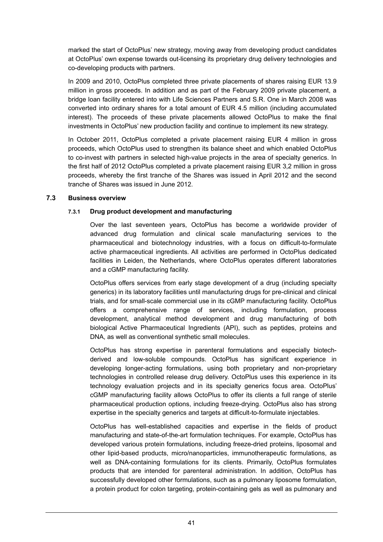marked the start of OctoPlus' new strategy, moving away from developing product candidates at OctoPlus' own expense towards out-licensing its proprietary drug delivery technologies and co-developing products with partners.

In 2009 and 2010, OctoPlus completed three private placements of shares raising EUR 13.9 million in gross proceeds. In addition and as part of the February 2009 private placement, a bridge loan facility entered into with Life Sciences Partners and S.R. One in March 2008 was converted into ordinary shares for a total amount of EUR 4.5 million (including accumulated interest). The proceeds of these private placements allowed OctoPlus to make the final investments in OctoPlus' new production facility and continue to implement its new strategy.

In October 2011, OctoPlus completed a private placement raising EUR 4 million in gross proceeds, which OctoPlus used to strengthen its balance sheet and which enabled OctoPlus to co-invest with partners in selected high-value projects in the area of specialty generics. In the first half of 2012 OctoPlus completed a private placement raising EUR 3,2 million in gross proceeds, whereby the first tranche of the Shares was issued in April 2012 and the second tranche of Shares was issued in June 2012.

## **7.3 Business overview**

## **7.3.1 Drug product development and manufacturing**

Over the last seventeen years, OctoPlus has become a worldwide provider of advanced drug formulation and clinical scale manufacturing services to the pharmaceutical and biotechnology industries, with a focus on difficult-to-formulate active pharmaceutical ingredients. All activities are performed in OctoPlus dedicated facilities in Leiden, the Netherlands, where OctoPlus operates different laboratories and a cGMP manufacturing facility.

OctoPlus offers services from early stage development of a drug (including specialty generics) in its laboratory facilities until manufacturing drugs for pre-clinical and clinical trials, and for small-scale commercial use in its cGMP manufacturing facility. OctoPlus offers a comprehensive range of services, including formulation, process development, analytical method development and drug manufacturing of both biological Active Pharmaceutical Ingredients (API), such as peptides, proteins and DNA, as well as conventional synthetic small molecules.

OctoPlus has strong expertise in parenteral formulations and especially biotechderived and low-soluble compounds. OctoPlus has significant experience in developing longer-acting formulations, using both proprietary and non-proprietary technologies in controlled release drug delivery. OctoPlus uses this experience in its technology evaluation projects and in its specialty generics focus area. OctoPlus' cGMP manufacturing facility allows OctoPlus to offer its clients a full range of sterile pharmaceutical production options, including freeze-drying. OctoPlus also has strong expertise in the specialty generics and targets at difficult-to-formulate injectables.

OctoPlus has well-established capacities and expertise in the fields of product manufacturing and state-of-the-art formulation techniques. For example, OctoPlus has developed various protein formulations, including freeze-dried proteins, liposomal and other lipid-based products, micro/nanoparticles, immunotherapeutic formulations, as well as DNA-containing formulations for its clients. Primarily, OctoPlus formulates products that are intended for parenteral administration. In addition, OctoPlus has successfully developed other formulations, such as a pulmonary liposome formulation, a protein product for colon targeting, protein-containing gels as well as pulmonary and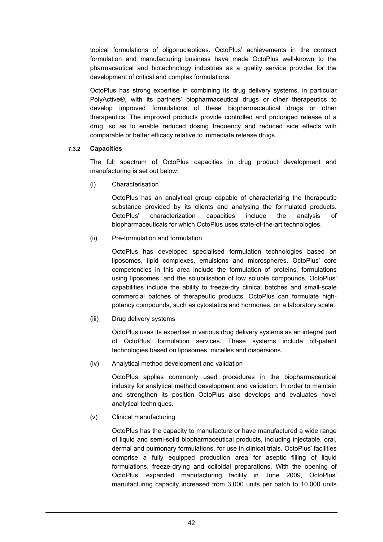topical formulations of oligonucleotides. OctoPlus' achievements in the contract formulation and manufacturing business have made OctoPlus well-known to the pharmaceutical and biotechnology industries as a quality service provider for the development of critical and complex formulations.

OctoPlus has strong expertise in combining its drug delivery systems, in particular PolyActive®, with its partners' biopharmaceutical drugs or other therapeutics to develop improved formulations of these biopharmaceutical drugs or other therapeutics. The improved products provide controlled and prolonged release of a drug, so as to enable reduced dosing frequency and reduced side effects with comparable or better efficacy relative to immediate release drugs.

## **7.3.2 Capacities**

The full spectrum of OctoPlus capacities in drug product development and manufacturing is set out below:

(i) Characterisation

OctoPlus has an analytical group capable of characterizing the therapeutic substance provided by its clients and analysing the formulated products. OctoPlus' characterization capacities include the analysis of biopharmaceuticals for which OctoPlus uses state-of-the-art technologies.

(ii) Pre-formulation and formulation

OctoPlus has developed specialised formulation technologies based on liposomes, lipid complexes, emulsions and microspheres. OctoPlus' core competencies in this area include the formulation of proteins, formulations using liposomes, and the solubilisation of low soluble compounds. OctoPlus' capabilities include the ability to freeze-dry clinical batches and small-scale commercial batches of therapeutic products. OctoPlus can formulate highpotency compounds, such as cytostatics and hormones, on a laboratory scale.

(iii) Drug delivery systems

OctoPlus uses its expertise in various drug delivery systems as an integral part of OctoPlus' formulation services. These systems include off-patent technologies based on liposomes, micelles and dispersions.

(iv) Analytical method development and validation

OctoPlus applies commonly used procedures in the biopharmaceutical industry for analytical method development and validation. In order to maintain and strengthen its position OctoPlus also develops and evaluates novel analytical techniques.

(v) Clinical manufacturing

OctoPlus has the capacity to manufacture or have manufactured a wide range of liquid and semi-solid biopharmaceutical products, including injectable, oral, dermal and pulmonary formulations, for use in clinical trials. OctoPlus' facilities comprise a fully equipped production area for aseptic filling of liquid formulations, freeze-drying and colloidal preparations. With the opening of OctoPlus' expanded manufacturing facility in June 2009, OctoPlus' manufacturing capacity increased from 3,000 units per batch to 10,000 units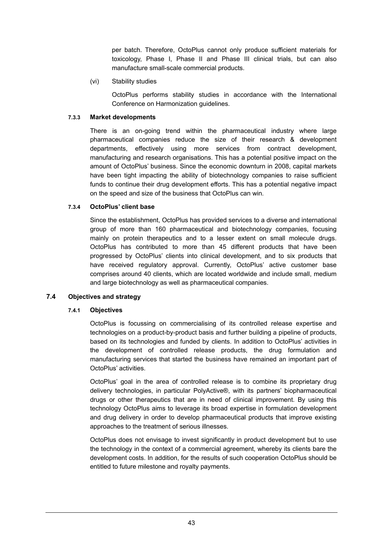per batch. Therefore, OctoPlus cannot only produce sufficient materials for toxicology, Phase I, Phase II and Phase III clinical trials, but can also manufacture small-scale commercial products.

(vi) Stability studies

OctoPlus performs stability studies in accordance with the International Conference on Harmonization guidelines.

## **7.3.3 Market developments**

There is an on-going trend within the pharmaceutical industry where large pharmaceutical companies reduce the size of their research & development departments, effectively using more services from contract development, manufacturing and research organisations. This has a potential positive impact on the amount of OctoPlus' business. Since the economic downturn in 2008, capital markets have been tight impacting the ability of biotechnology companies to raise sufficient funds to continue their drug development efforts. This has a potential negative impact on the speed and size of the business that OctoPlus can win.

## **7.3.4 OctoPlus' client base**

Since the establishment, OctoPlus has provided services to a diverse and international group of more than 160 pharmaceutical and biotechnology companies, focusing mainly on protein therapeutics and to a lesser extent on small molecule drugs. OctoPlus has contributed to more than 45 different products that have been progressed by OctoPlus' clients into clinical development, and to six products that have received regulatory approval. Currently, OctoPlus' active customer base comprises around 40 clients, which are located worldwide and include small, medium and large biotechnology as well as pharmaceutical companies.

## **7.4 Objectives and strategy**

## **7.4.1 Objectives**

OctoPlus is focussing on commercialising of its controlled release expertise and technologies on a product-by-product basis and further building a pipeline of products, based on its technologies and funded by clients. In addition to OctoPlus' activities in the development of controlled release products, the drug formulation and manufacturing services that started the business have remained an important part of OctoPlus' activities.

OctoPlus' goal in the area of controlled release is to combine its proprietary drug delivery technologies, in particular PolyActive®, with its partners' biopharmaceutical drugs or other therapeutics that are in need of clinical improvement. By using this technology OctoPlus aims to leverage its broad expertise in formulation development and drug delivery in order to develop pharmaceutical products that improve existing approaches to the treatment of serious illnesses.

OctoPlus does not envisage to invest significantly in product development but to use the technology in the context of a commercial agreement, whereby its clients bare the development costs. In addition, for the results of such cooperation OctoPlus should be entitled to future milestone and royalty payments.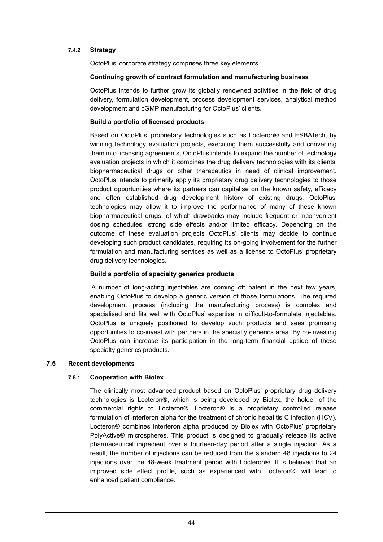## **7.4.2 Strategy**

OctoPlus' corporate strategy comprises three key elements.

## **Continuing growth of contract formulation and manufacturing business**

OctoPlus intends to further grow its globally renowned activities in the field of drug delivery, formulation development, process development services, analytical method development and cGMP manufacturing for OctoPlus' clients.

## **Build a portfolio of licensed products**

Based on OctoPlus' proprietary technologies such as Locteron® and ESBATech, by winning technology evaluation projects, executing them successfully and converting them into licensing agreements, OctoPlus intends to expand the number of technology evaluation projects in which it combines the drug delivery technologies with its clients' biopharmaceutical drugs or other therapeutics in need of clinical improvement. OctoPlus intends to primarily apply its proprietary drug delivery technologies to those product opportunities where its partners can capitalise on the known safety, efficacy and often established drug development history of existing drugs. OctoPlus' technologies may allow it to improve the performance of many of these known biopharmaceutical drugs, of which drawbacks may include frequent or inconvenient dosing schedules, strong side effects and/or limited efficacy. Depending on the outcome of these evaluation projects OctoPlus' clients may decide to continue developing such product candidates, requiring its on-going involvement for the further formulation and manufacturing services as well as a license to OctoPlus' proprietary drug delivery technologies.

## **Build a portfolio of specialty generics products**

A number of long-acting injectables are coming off patent in the next few years, enabling OctoPlus to develop a generic version of those formulations. The required development process (including the manufacturing process) is complex and specialised and fits well with OctoPlus' expertise in difficult-to-formulate injectables. OctoPlus is uniquely positioned to develop such products and sees promising opportunities to co-invest with partners in the specialty generics area. By co-investing OctoPlus can increase its participation in the long-term financial upside of these specialty generics products.

## **7.5 Recent developments**

## **7.5.1 Cooperation with Biolex**

The clinically most advanced product based on OctoPlus' proprietary drug delivery technologies is Locteron®, which is being developed by Biolex, the holder of the commercial rights to Locteron®. Locteron® is a proprietary controlled release formulation of interferon alpha for the treatment of chronic hepatitis C infection (HCV). Locteron® combines interferon alpha produced by Biolex with OctoPlus' proprietary PolyActive® microspheres. This product is designed to gradually release its active pharmaceutical ingredient over a fourteen-day period after a single injection. As a result, the number of injections can be reduced from the standard 48 injections to 24 injections over the 48-week treatment period with Locteron®. It is believed that an improved side effect profile, such as experienced with Locteron®, will lead to enhanced patient compliance.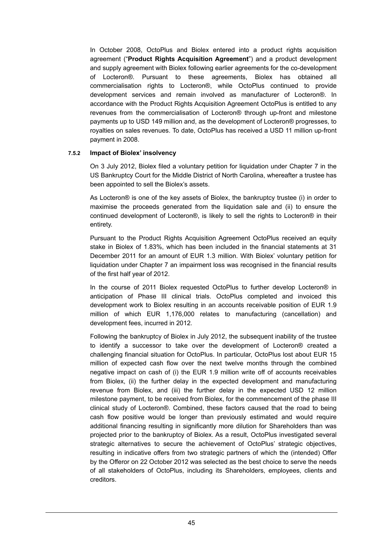In October 2008, OctoPlus and Biolex entered into a product rights acquisition agreement ("**Product Rights Acquisition Agreement**") and a product development and supply agreement with Biolex following earlier agreements for the co-development of Locteron®. Pursuant to these agreements, Biolex has obtained all commercialisation rights to Locteron®, while OctoPlus continued to provide development services and remain involved as manufacturer of Locteron®. In accordance with the Product Rights Acquisition Agreement OctoPlus is entitled to any revenues from the commercialisation of Locteron® through up-front and milestone payments up to USD 149 million and, as the development of Locteron® progresses, to royalties on sales revenues. To date, OctoPlus has received a USD 11 million up-front payment in 2008.

## **7.5.2 Impact of Biolex' insolvency**

On 3 July 2012, Biolex filed a voluntary petition for liquidation under Chapter 7 in the US Bankruptcy Court for the Middle District of North Carolina, whereafter a trustee has been appointed to sell the Biolex's assets.

As Locteron® is one of the key assets of Biolex, the bankruptcy trustee (i) in order to maximise the proceeds generated from the liquidation sale and (ii) to ensure the continued development of Locteron®, is likely to sell the rights to Locteron® in their entirety.

Pursuant to the Product Rights Acquisition Agreement OctoPlus received an equity stake in Biolex of 1.83%, which has been included in the financial statements at 31 December 2011 for an amount of EUR 1.3 million. With Biolex' voluntary petition for liquidation under Chapter 7 an impairment loss was recognised in the financial results of the first half year of 2012.

In the course of 2011 Biolex requested OctoPlus to further develop Locteron® in anticipation of Phase III clinical trials. OctoPlus completed and invoiced this development work to Biolex resulting in an accounts receivable position of EUR 1.9 million of which EUR 1,176,000 relates to manufacturing (cancellation) and development fees, incurred in 2012.

Following the bankruptcy of Biolex in July 2012, the subsequent inability of the trustee to identify a successor to take over the development of Locteron® created a challenging financial situation for OctoPlus. In particular, OctoPlus lost about EUR 15 million of expected cash flow over the next twelve months through the combined negative impact on cash of (i) the EUR 1.9 million write off of accounts receivables from Biolex, (ii) the further delay in the expected development and manufacturing revenue from Biolex, and (iii) the further delay in the expected USD 12 million milestone payment, to be received from Biolex, for the commencement of the phase III clinical study of Locteron®. Combined, these factors caused that the road to being cash flow positive would be longer than previously estimated and would require additional financing resulting in significantly more dilution for Shareholders than was projected prior to the bankruptcy of Biolex. As a result, OctoPlus investigated several strategic alternatives to secure the achievement of OctoPlus' strategic objectives, resulting in indicative offers from two strategic partners of which the (intended) Offer by the Offeror on 22 October 2012 was selected as the best choice to serve the needs of all stakeholders of OctoPlus, including its Shareholders, employees, clients and creditors.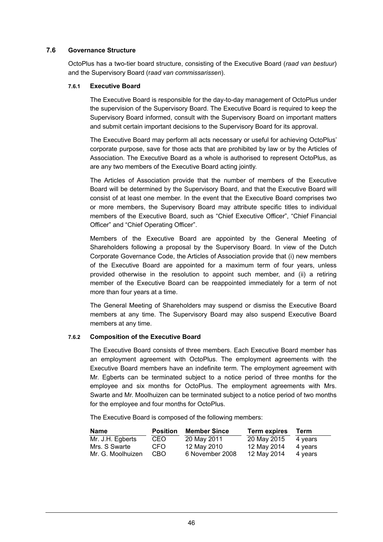## **7.6 Governance Structure**

OctoPlus has a two-tier board structure, consisting of the Executive Board (*raad van bestuur*) and the Supervisory Board (r*aad van commissarissen*).

## **7.6.1 Executive Board**

The Executive Board is responsible for the day-to-day management of OctoPlus under the supervision of the Supervisory Board. The Executive Board is required to keep the Supervisory Board informed, consult with the Supervisory Board on important matters and submit certain important decisions to the Supervisory Board for its approval.

The Executive Board may perform all acts necessary or useful for achieving OctoPlus' corporate purpose, save for those acts that are prohibited by law or by the Articles of Association. The Executive Board as a whole is authorised to represent OctoPlus, as are any two members of the Executive Board acting jointly.

The Articles of Association provide that the number of members of the Executive Board will be determined by the Supervisory Board, and that the Executive Board will consist of at least one member. In the event that the Executive Board comprises two or more members, the Supervisory Board may attribute specific titles to individual members of the Executive Board, such as "Chief Executive Officer", "Chief Financial Officer" and "Chief Operating Officer".

Members of the Executive Board are appointed by the General Meeting of Shareholders following a proposal by the Supervisory Board. In view of the Dutch Corporate Governance Code, the Articles of Association provide that (i) new members of the Executive Board are appointed for a maximum term of four years, unless provided otherwise in the resolution to appoint such member, and (ii) a retiring member of the Executive Board can be reappointed immediately for a term of not more than four years at a time.

The General Meeting of Shareholders may suspend or dismiss the Executive Board members at any time. The Supervisory Board may also suspend Executive Board members at any time.

## **7.6.2 Composition of the Executive Board**

The Executive Board consists of three members. Each Executive Board member has an employment agreement with OctoPlus. The employment agreements with the Executive Board members have an indefinite term. The employment agreement with Mr. Egberts can be terminated subject to a notice period of three months for the employee and six months for OctoPlus. The employment agreements with Mrs. Swarte and Mr. Moolhuizen can be terminated subject to a notice period of two months for the employee and four months for OctoPlus.

The Executive Board is composed of the following members:

| <b>Name</b>       | <b>Position</b> | <b>Member Since</b> | <b>Term expires</b> | Term    |
|-------------------|-----------------|---------------------|---------------------|---------|
| Mr. J.H. Egberts  | CEO.            | 20 May 2011         | 20 May 2015         | 4 years |
| Mrs. S Swarte     | CFO.            | 12 May 2010         | 12 May 2014         | 4 years |
| Mr. G. Moolhuizen | CBO.            | 6 November 2008     | 12 May 2014         | 4 years |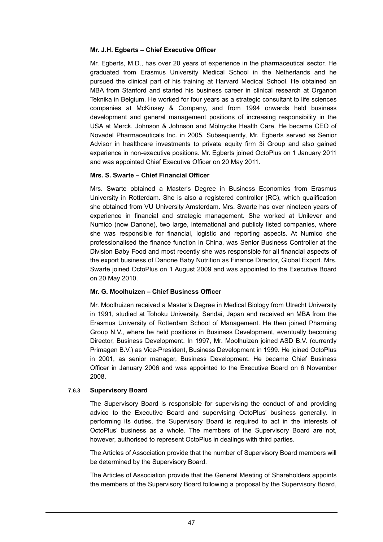## **Mr. J.H. Egberts – Chief Executive Officer**

Mr. Egberts, M.D., has over 20 years of experience in the pharmaceutical sector. He graduated from Erasmus University Medical School in the Netherlands and he pursued the clinical part of his training at Harvard Medical School. He obtained an MBA from Stanford and started his business career in clinical research at Organon Teknika in Belgium. He worked for four years as a strategic consultant to life sciences companies at McKinsey & Company, and from 1994 onwards held business development and general management positions of increasing responsibility in the USA at Merck, Johnson & Johnson and Mölnycke Health Care. He became CEO of Novadel Pharmaceuticals Inc. in 2005. Subsequently, Mr. Egberts served as Senior Advisor in healthcare investments to private equity firm 3i Group and also gained experience in non-executive positions. Mr. Egberts joined OctoPlus on 1 January 2011 and was appointed Chief Executive Officer on 20 May 2011.

## **Mrs. S. Swarte – Chief Financial Officer**

Mrs. Swarte obtained a Master's Degree in Business Economics from Erasmus University in Rotterdam. She is also a registered controller (RC), which qualification she obtained from VU University Amsterdam. Mrs. Swarte has over nineteen years of experience in financial and strategic management. She worked at Unilever and Numico (now Danone), two large, international and publicly listed companies, where she was responsible for financial, logistic and reporting aspects. At Numico she professionalised the finance function in China, was Senior Business Controller at the Division Baby Food and most recently she was responsible for all financial aspects of the export business of Danone Baby Nutrition as Finance Director, Global Export. Mrs. Swarte joined OctoPlus on 1 August 2009 and was appointed to the Executive Board on 20 May 2010.

## **Mr. G. Moolhuizen – Chief Business Officer**

Mr. Moolhuizen received a Master's Degree in Medical Biology from Utrecht University in 1991, studied at Tohoku University, Sendai, Japan and received an MBA from the Erasmus University of Rotterdam School of Management. He then joined Pharming Group N.V., where he held positions in Business Development, eventually becoming Director, Business Development. In 1997, Mr. Moolhuizen joined ASD B.V. (currently Primagen B.V.) as Vice-President, Business Development in 1999. He joined OctoPlus in 2001, as senior manager, Business Development. He became Chief Business Officer in January 2006 and was appointed to the Executive Board on 6 November 2008.

## **7.6.3 Supervisory Board**

The Supervisory Board is responsible for supervising the conduct of and providing advice to the Executive Board and supervising OctoPlus' business generally. In performing its duties, the Supervisory Board is required to act in the interests of OctoPlus' business as a whole. The members of the Supervisory Board are not, however, authorised to represent OctoPlus in dealings with third parties.

The Articles of Association provide that the number of Supervisory Board members will be determined by the Supervisory Board.

The Articles of Association provide that the General Meeting of Shareholders appoints the members of the Supervisory Board following a proposal by the Supervisory Board,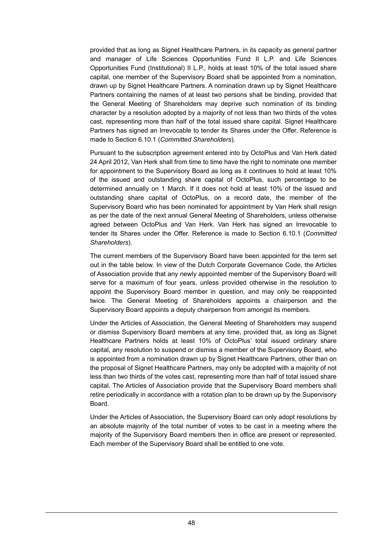provided that as long as Signet Healthcare Partners, in its capacity as general partner and manager of Life Sciences Opportunities Fund II L.P. and Life Sciences Opportunities Fund (Institutional) II L.P., holds at least 10% of the total issued share capital, one member of the Supervisory Board shall be appointed from a nomination, drawn up by Signet Healthcare Partners. A nomination drawn up by Signet Healthcare Partners containing the names of at least two persons shall be binding, provided that the General Meeting of Shareholders may deprive such nomination of its binding character by a resolution adopted by a majority of not less than two thirds of the votes cast, representing more than half of the total issued share capital. Signet Healthcare Partners has signed an Irrevocable to tender its Shares under the Offer. Reference is made to Section 6.10.1 (*Committed Shareholders*).

Pursuant to the subscription agreement entered into by OctoPlus and Van Herk dated 24 April 2012, Van Herk shall from time to time have the right to nominate one member for appointment to the Supervisory Board as long as it continues to hold at least 10% of the issued and outstanding share capital of OctoPlus, such percentage to be determined annually on 1 March. If it does not hold at least 10% of the issued and outstanding share capital of OctoPlus, on a record date, the member of the Supervisory Board who has been nominated for appointment by Van Herk shall resign as per the date of the next annual General Meeting of Shareholders, unless otherwise agreed between OctoPlus and Van Herk. Van Herk has signed an Irrevocable to tender its Shares under the Offer. Reference is made to Section 6.10.1 (*Committed Shareholders*).

The current members of the Supervisory Board have been appointed for the term set out in the table below. In view of the Dutch Corporate Governance Code, the Articles of Association provide that any newly appointed member of the Supervisory Board will serve for a maximum of four years, unless provided otherwise in the resolution to appoint the Supervisory Board member in question, and may only be reappointed twice. The General Meeting of Shareholders appoints a chairperson and the Supervisory Board appoints a deputy chairperson from amongst its members.

Under the Articles of Association, the General Meeting of Shareholders may suspend or dismiss Supervisory Board members at any time, provided that, as long as Signet Healthcare Partners holds at least 10% of OctoPlus' total issued ordinary share capital, any resolution to suspend or dismiss a member of the Supervisory Board, who is appointed from a nomination drawn up by Signet Healthcare Partners, other than on the proposal of Signet Healthcare Partners, may only be adopted with a majority of not less than two thirds of the votes cast, representing more than half of total issued share capital. The Articles of Association provide that the Supervisory Board members shall retire periodically in accordance with a rotation plan to be drawn up by the Supervisory Board.

Under the Articles of Association, the Supervisory Board can only adopt resolutions by an absolute majority of the total number of votes to be cast in a meeting where the majority of the Supervisory Board members then in office are present or represented. Each member of the Supervisory Board shall be entitled to one vote.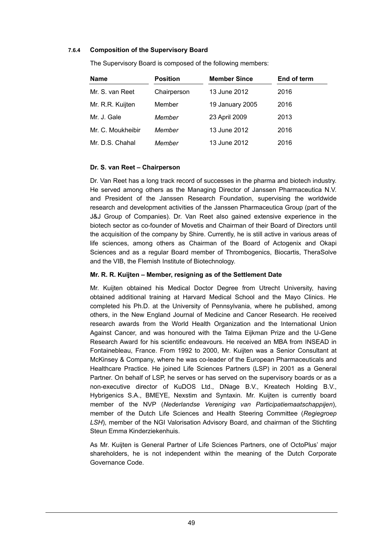## **7.6.4 Composition of the Supervisory Board**

The Supervisory Board is composed of the following members:

| <b>Name</b>       | <b>Position</b> | <b>Member Since</b> | End of term |
|-------------------|-----------------|---------------------|-------------|
| Mr. S. van Reet   | Chairperson     | 13 June 2012        | 2016        |
| Mr. R.R. Kuijten  | Member          | 19 January 2005     | 2016        |
| Mr. J. Gale       | Member          | 23 April 2009       | 2013        |
| Mr. C. Moukheibir | Member          | 13 June 2012        | 2016        |
| Mr. D.S. Chahal   | Member          | 13 June 2012        | 2016        |

#### **Dr. S. van Reet – Chairperson**

Dr. Van Reet has a long track record of successes in the pharma and biotech industry. He served among others as the Managing Director of Janssen Pharmaceutica N.V. and President of the Janssen Research Foundation, supervising the worldwide research and development activities of the Janssen Pharmaceutica Group (part of the J&J Group of Companies). Dr. Van Reet also gained extensive experience in the biotech sector as co-founder of Movetis and Chairman of their Board of Directors until the acquisition of the company by Shire. Currently, he is still active in various areas of life sciences, among others as Chairman of the Board of Actogenix and Okapi Sciences and as a regular Board member of Thrombogenics, Biocartis, TheraSolve and the VIB, the Flemish Institute of Biotechnology.

### **Mr. R. R. Kuijten – Member, resigning as of the Settlement Date**

Mr. Kuijten obtained his Medical Doctor Degree from Utrecht University, having obtained additional training at Harvard Medical School and the Mayo Clinics. He completed his Ph.D. at the University of Pennsylvania, where he published, among others, in the New England Journal of Medicine and Cancer Research. He received research awards from the World Health Organization and the International Union Against Cancer, and was honoured with the Talma Eijkman Prize and the U-Gene Research Award for his scientific endeavours. He received an MBA from INSEAD in Fontainebleau, France. From 1992 to 2000, Mr. Kuijten was a Senior Consultant at McKinsey & Company, where he was co-leader of the European Pharmaceuticals and Healthcare Practice. He joined Life Sciences Partners (LSP) in 2001 as a General Partner. On behalf of LSP, he serves or has served on the supervisory boards or as a non-executive director of KuDOS Ltd., DNage B.V., Kreatech Holding B.V., Hybrigenics S.A., BMEYE, Nexstim and Syntaxin. Mr. Kuijten is currently board member of the NVP (*Nederlandse Vereniging van Participatiemaatschappijen*), member of the Dutch Life Sciences and Health Steering Committee (*Regiegroep LSH*), member of the NGI Valorisation Advisory Board, and chairman of the Stichting Steun Emma Kinderziekenhuis.

As Mr. Kuijten is General Partner of Life Sciences Partners, one of OctoPlus' major shareholders, he is not independent within the meaning of the Dutch Corporate Governance Code.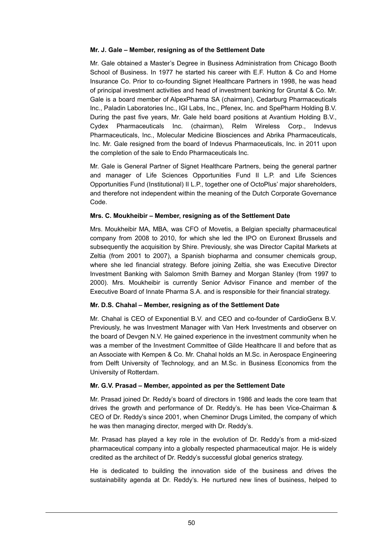## **Mr. J. Gale – Member, resigning as of the Settlement Date**

Mr. Gale obtained a Master's Degree in Business Administration from Chicago Booth School of Business. In 1977 he started his career with E.F. Hutton & Co and Home Insurance Co. Prior to co-founding Signet Healthcare Partners in 1998, he was head of principal investment activities and head of investment banking for Gruntal & Co. Mr. Gale is a board member of AlpexPharma SA (chairman), Cedarburg Pharmaceuticals Inc., Paladin Laboratories Inc., IGI Labs, Inc., Pfenex, Inc. and SpePharm Holding B.V. During the past five years, Mr. Gale held board positions at Avantium Holding B.V., Cydex Pharmaceuticals Inc. (chairman), Relm Wireless Corp., Indevus Pharmaceuticals, Inc., Molecular Medicine Biosciences and Abrika Pharmaceuticals, Inc. Mr. Gale resigned from the board of Indevus Pharmaceuticals, Inc. in 2011 upon the completion of the sale to Endo Pharmaceuticals Inc.

Mr. Gale is General Partner of Signet Healthcare Partners, being the general partner and manager of Life Sciences Opportunities Fund II L.P. and Life Sciences Opportunities Fund (Institutional) II L.P., together one of OctoPlus' major shareholders, and therefore not independent within the meaning of the Dutch Corporate Governance Code.

## **Mrs. C. Moukheibir – Member, resigning as of the Settlement Date**

Mrs. Moukheibir MA, MBA, was CFO of Movetis, a Belgian specialty pharmaceutical company from 2008 to 2010, for which she led the IPO on Euronext Brussels and subsequently the acquisition by Shire. Previously, she was Director Capital Markets at Zeltia (from 2001 to 2007), a Spanish biopharma and consumer chemicals group, where she led financial strategy. Before joining Zeltia, she was Executive Director Investment Banking with Salomon Smith Barney and Morgan Stanley (from 1997 to 2000). Mrs. Moukheibir is currently Senior Advisor Finance and member of the Executive Board of Innate Pharma S.A. and is responsible for their financial strategy.

## **Mr. D.S. Chahal – Member, resigning as of the Settlement Date**

Mr. Chahal is CEO of Exponential B.V. and CEO and co-founder of CardioGenx B.V. Previously, he was Investment Manager with Van Herk Investments and observer on the board of Devgen N.V. He gained experience in the investment community when he was a member of the Investment Committee of Gilde Healthcare II and before that as an Associate with Kempen & Co. Mr. Chahal holds an M.Sc. in Aerospace Engineering from Delft University of Technology, and an M.Sc. in Business Economics from the University of Rotterdam.

## **Mr. G.V. Prasad – Member, appointed as per the Settlement Date**

Mr. Prasad joined Dr. Reddy's board of directors in 1986 and leads the core team that drives the growth and performance of Dr. Reddy's. He has been Vice-Chairman & CEO of Dr. Reddy's since 2001, when Cheminor Drugs Limited, the company of which he was then managing director, merged with Dr. Reddy's.

Mr. Prasad has played a key role in the evolution of Dr. Reddy's from a mid-sized pharmaceutical company into a globally respected pharmaceutical major. He is widely credited as the architect of Dr. Reddy's successful global generics strategy.

He is dedicated to building the innovation side of the business and drives the sustainability agenda at Dr. Reddy's. He nurtured new lines of business, helped to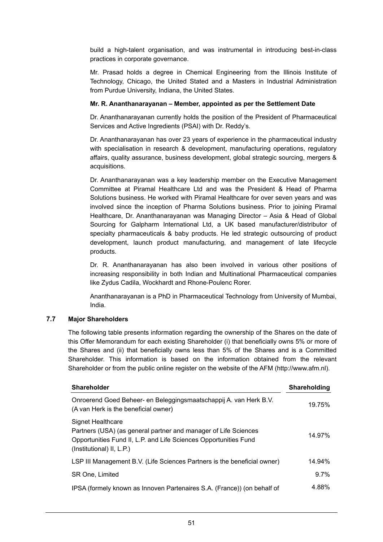build a high-talent organisation, and was instrumental in introducing best-in-class practices in corporate governance.

Mr. Prasad holds a degree in Chemical Engineering from the Illinois Institute of Technology, Chicago, the United Stated and a Masters in Industrial Administration from Purdue University, Indiana, the United States.

## **Mr. R. Ananthanarayanan – Member, appointed as per the Settlement Date**

Dr. Ananthanarayanan currently holds the position of the President of Pharmaceutical Services and Active Ingredients (PSAI) with Dr. Reddy's.

Dr. Ananthanarayanan has over 23 years of experience in the pharmaceutical industry with specialisation in research & development, manufacturing operations, regulatory affairs, quality assurance, business development, global strategic sourcing, mergers & acquisitions.

Dr. Ananthanarayanan was a key leadership member on the Executive Management Committee at Piramal Healthcare Ltd and was the President & Head of Pharma Solutions business. He worked with Piramal Healthcare for over seven years and was involved since the inception of Pharma Solutions business. Prior to joining Piramal Healthcare, Dr. Ananthanarayanan was Managing Director – Asia & Head of Global Sourcing for Galpharm International Ltd, a UK based manufacturer/distributor of specialty pharmaceuticals & baby products. He led strategic outsourcing of product development, launch product manufacturing, and management of late lifecycle products.

Dr. R. Ananthanarayanan has also been involved in various other positions of increasing responsibility in both Indian and Multinational Pharmaceutical companies like Zydus Cadila, Wockhardt and Rhone-Poulenc Rorer.

Ananthanarayanan is a PhD in Pharmaceutical Technology from University of Mumbai, India.

## **7.7 Major Shareholders**

The following table presents information regarding the ownership of the Shares on the date of this Offer Memorandum for each existing Shareholder (i) that beneficially owns 5% or more of the Shares and (ii) that beneficially owns less than 5% of the Shares and is a Committed Shareholder. This information is based on the information obtained from the relevant Shareholder or from the public online register on the website of the AFM (http://www.afm.nl).

| <b>Shareholder</b>                                                                                                                                                                    | Shareholding |
|---------------------------------------------------------------------------------------------------------------------------------------------------------------------------------------|--------------|
| Onroerend Goed Beheer- en Beleggingsmaatschappij A. van Herk B.V.<br>(A van Herk is the beneficial owner)                                                                             | 19.75%       |
| Signet Healthcare<br>Partners (USA) (as general partner and manager of Life Sciences<br>Opportunities Fund II, L.P. and Life Sciences Opportunities Fund<br>(Institutional) II, L.P.) | 14.97%       |
| LSP III Management B.V. (Life Sciences Partners is the beneficial owner)                                                                                                              | 14.94%       |
| SR One, Limited                                                                                                                                                                       | $9.7\%$      |
| IPSA (formely known as Innoven Partenaires S.A. (France)) (on behalf of                                                                                                               | 4.88%        |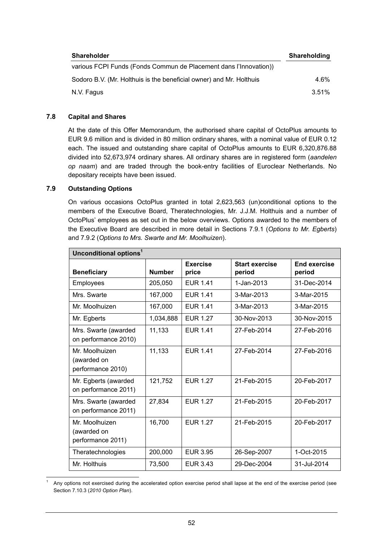| <b>Shareholder</b>                                                  | Shareholding |  |
|---------------------------------------------------------------------|--------------|--|
| various FCPI Funds (Fonds Commun de Placement dans l'Innovation))   |              |  |
| Sodoro B.V. (Mr. Holthuis is the beneficial owner) and Mr. Holthuis | 4.6%         |  |
| N.V. Fagus                                                          | 3.51%        |  |

## **7.8 Capital and Shares**

At the date of this Offer Memorandum, the authorised share capital of OctoPlus amounts to EUR 9.6 million and is divided in 80 million ordinary shares, with a nominal value of EUR 0.12 each. The issued and outstanding share capital of OctoPlus amounts to EUR 6,320,876.88 divided into 52,673,974 ordinary shares. All ordinary shares are in registered form (*aandelen op naam*) and are traded through the book-entry facilities of Euroclear Netherlands. No depositary receipts have been issued.

## **7.9 Outstanding Options**

On various occasions OctoPlus granted in total 2,623,563 (un)conditional options to the members of the Executive Board, Theratechnologies, Mr. J.J.M. Holthuis and a number of OctoPlus' employees as set out in the below overviews. Options awarded to the members of the Executive Board are described in more detail in Sections 7.9.1 (*Options to Mr. Egberts*) and 7.9.2 (*Options to Mrs. Swarte and Mr. Moolhuizen*).

| Unconditional options <sup>1</sup>                 |               |                          |                                 |                        |
|----------------------------------------------------|---------------|--------------------------|---------------------------------|------------------------|
| <b>Beneficiary</b>                                 | <b>Number</b> | <b>Exercise</b><br>price | <b>Start exercise</b><br>period | End exercise<br>period |
| Employees                                          | 205,050       | <b>EUR 1.41</b>          | 1-Jan-2013                      | 31-Dec-2014            |
| Mrs. Swarte                                        | 167,000       | <b>EUR 1.41</b>          | 3-Mar-2013                      | 3-Mar-2015             |
| Mr. Moolhuizen                                     | 167,000       | <b>EUR 1.41</b>          | 3-Mar-2013                      | 3-Mar-2015             |
| Mr. Egberts                                        | 1,034,888     | <b>EUR 1.27</b>          | 30-Nov-2013                     | 30-Nov-2015            |
| Mrs. Swarte (awarded<br>on performance 2010)       | 11,133        | <b>EUR 1.41</b>          | 27-Feb-2014                     | 27-Feb-2016            |
| Mr. Moolhuizen<br>(awarded on<br>performance 2010) | 11,133        | <b>EUR 1.41</b>          | 27-Feb-2014                     | 27-Feb-2016            |
| Mr. Egberts (awarded<br>on performance 2011)       | 121,752       | <b>EUR 1.27</b>          | 21-Feb-2015                     | 20-Feb-2017            |
| Mrs. Swarte (awarded<br>on performance 2011)       | 27,834        | <b>EUR 1.27</b>          | 21-Feb-2015                     | 20-Feb-2017            |
| Mr. Moolhuizen<br>(awarded on<br>performance 2011) | 16,700        | <b>EUR 1.27</b>          | 21-Feb-2015                     | 20-Feb-2017            |
| Theratechnologies                                  | 200,000       | <b>EUR 3.95</b>          | 26-Sep-2007                     | 1-Oct-2015             |
| Mr. Holthuis                                       | 73,500        | <b>EUR 3.43</b>          | 29-Dec-2004                     | 31-Jul-2014            |

<sup>-</sup>1 Any options not exercised during the accelerated option exercise period shall lapse at the end of the exercise period (see Section 7.10.3 (*2010 Option Plan*).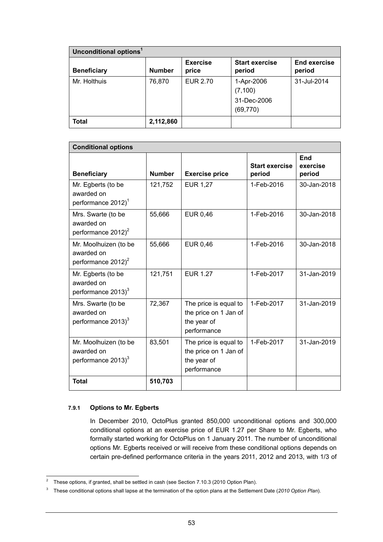| Unconditional options <sup>1</sup> |               |                          |                                                    |                               |
|------------------------------------|---------------|--------------------------|----------------------------------------------------|-------------------------------|
| <b>Beneficiary</b>                 | <b>Number</b> | <b>Exercise</b><br>price | <b>Start exercise</b><br>period                    | <b>End exercise</b><br>period |
| Mr. Holthuis                       | 76,870        | <b>EUR 2.70</b>          | 1-Apr-2006<br>(7, 100)<br>31-Dec-2006<br>(69, 770) | 31-Jul-2014                   |
| <b>Total</b>                       | 2,112,860     |                          |                                                    |                               |

| <b>Conditional options</b>                                            |               |                                                                              |                                 |                           |
|-----------------------------------------------------------------------|---------------|------------------------------------------------------------------------------|---------------------------------|---------------------------|
| <b>Beneficiary</b>                                                    | <b>Number</b> | <b>Exercise price</b>                                                        | <b>Start exercise</b><br>period | End<br>exercise<br>period |
| Mr. Egberts (to be<br>awarded on<br>performance 2012) <sup>1</sup>    | 121,752       | <b>EUR 1,27</b>                                                              | 1-Feb-2016                      | 30-Jan-2018               |
| Mrs. Swarte (to be<br>awarded on<br>performance 2012) <sup>2</sup>    | 55,666        | <b>EUR 0,46</b>                                                              | 1-Feb-2016                      | 30-Jan-2018               |
| Mr. Moolhuizen (to be<br>awarded on<br>performance 2012) <sup>2</sup> | 55,666        | <b>EUR 0,46</b>                                                              | 1-Feb-2016                      | 30-Jan-2018               |
| Mr. Egberts (to be<br>awarded on<br>performance 2013) <sup>3</sup>    | 121,751       | <b>EUR 1.27</b>                                                              | 1-Feb-2017                      | 31-Jan-2019               |
| Mrs. Swarte (to be<br>awarded on<br>performance 2013) <sup>3</sup>    | 72,367        | The price is equal to<br>the price on 1 Jan of<br>the year of<br>performance | 1-Feb-2017                      | 31-Jan-2019               |
| Mr. Moolhuizen (to be<br>awarded on<br>performance 2013) <sup>3</sup> | 83,501        | The price is equal to<br>the price on 1 Jan of<br>the year of<br>performance | 1-Feb-2017                      | 31-Jan-2019               |
| <b>Total</b>                                                          | 510,703       |                                                                              |                                 |                           |

## **7.9.1 Options to Mr. Egberts**

In December 2010, OctoPlus granted 850,000 unconditional options and 300,000 conditional options at an exercise price of EUR 1.27 per Share to Mr. Egberts, who formally started working for OctoPlus on 1 January 2011. The number of unconditional options Mr. Egberts received or will receive from these conditional options depends on certain pre-defined performance criteria in the years 2011, 2012 and 2013, with 1/3 of

 $\frac{1}{2}$ These options, if granted, shall be settled in cash (see Section 7.10.3 (2010 Option Plan).

<sup>3</sup> These conditional options shall lapse at the termination of the option plans at the Settlement Date (*2010 Option Plan*).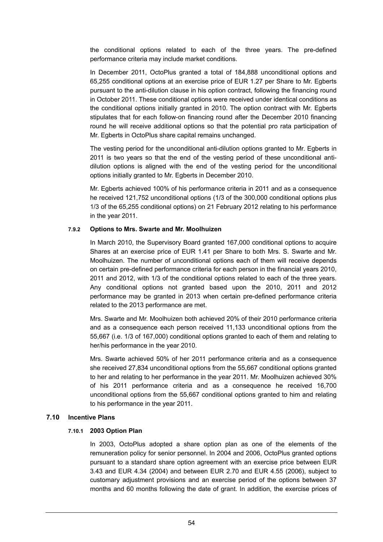the conditional options related to each of the three years. The pre-defined performance criteria may include market conditions.

In December 2011, OctoPlus granted a total of 184,888 unconditional options and 65,255 conditional options at an exercise price of EUR 1.27 per Share to Mr. Egberts pursuant to the anti-dilution clause in his option contract, following the financing round in October 2011. These conditional options were received under identical conditions as the conditional options initially granted in 2010. The option contract with Mr. Egberts stipulates that for each follow-on financing round after the December 2010 financing round he will receive additional options so that the potential pro rata participation of Mr. Egberts in OctoPlus share capital remains unchanged.

The vesting period for the unconditional anti-dilution options granted to Mr. Egberts in 2011 is two years so that the end of the vesting period of these unconditional antidilution options is aligned with the end of the vesting period for the unconditional options initially granted to Mr. Egberts in December 2010.

Mr. Egberts achieved 100% of his performance criteria in 2011 and as a consequence he received 121,752 unconditional options (1/3 of the 300,000 conditional options plus 1/3 of the 65,255 conditional options) on 21 February 2012 relating to his performance in the year 2011.

## **7.9.2 Options to Mrs. Swarte and Mr. Moolhuizen**

In March 2010, the Supervisory Board granted 167,000 conditional options to acquire Shares at an exercise price of EUR 1.41 per Share to both Mrs. S. Swarte and Mr. Moolhuizen. The number of unconditional options each of them will receive depends on certain pre-defined performance criteria for each person in the financial years 2010, 2011 and 2012, with 1/3 of the conditional options related to each of the three years. Any conditional options not granted based upon the 2010, 2011 and 2012 performance may be granted in 2013 when certain pre-defined performance criteria related to the 2013 performance are met.

Mrs. Swarte and Mr. Moolhuizen both achieved 20% of their 2010 performance criteria and as a consequence each person received 11,133 unconditional options from the 55,667 (i.e. 1/3 of 167,000) conditional options granted to each of them and relating to her/his performance in the year 2010.

Mrs. Swarte achieved 50% of her 2011 performance criteria and as a consequence she received 27,834 unconditional options from the 55,667 conditional options granted to her and relating to her performance in the year 2011. Mr. Moolhuizen achieved 30% of his 2011 performance criteria and as a consequence he received 16,700 unconditional options from the 55,667 conditional options granted to him and relating to his performance in the year 2011.

#### **7.10 Incentive Plans**

## **7.10.1 2003 Option Plan**

In 2003, OctoPlus adopted a share option plan as one of the elements of the remuneration policy for senior personnel. In 2004 and 2006, OctoPlus granted options pursuant to a standard share option agreement with an exercise price between EUR 3.43 and EUR 4.34 (2004) and between EUR 2.70 and EUR 4.55 (2006), subject to customary adjustment provisions and an exercise period of the options between 37 months and 60 months following the date of grant. In addition, the exercise prices of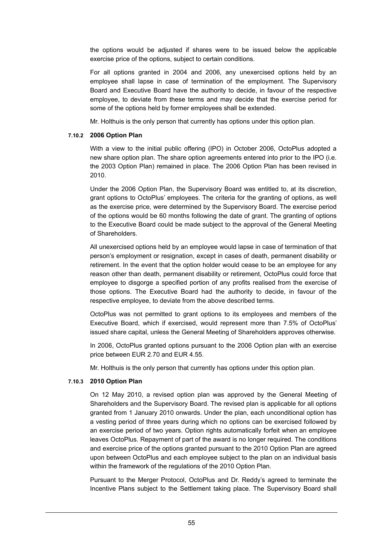the options would be adjusted if shares were to be issued below the applicable exercise price of the options, subject to certain conditions.

For all options granted in 2004 and 2006, any unexercised options held by an employee shall lapse in case of termination of the employment. The Supervisory Board and Executive Board have the authority to decide, in favour of the respective employee, to deviate from these terms and may decide that the exercise period for some of the options held by former employees shall be extended.

Mr. Holthuis is the only person that currently has options under this option plan.

## **7.10.2 2006 Option Plan**

With a view to the initial public offering (IPO) in October 2006, OctoPlus adopted a new share option plan. The share option agreements entered into prior to the IPO (i.e. the 2003 Option Plan) remained in place. The 2006 Option Plan has been revised in 2010.

Under the 2006 Option Plan, the Supervisory Board was entitled to, at its discretion, grant options to OctoPlus' employees. The criteria for the granting of options, as well as the exercise price, were determined by the Supervisory Board. The exercise period of the options would be 60 months following the date of grant. The granting of options to the Executive Board could be made subject to the approval of the General Meeting of Shareholders.

All unexercised options held by an employee would lapse in case of termination of that person's employment or resignation, except in cases of death, permanent disability or retirement. In the event that the option holder would cease to be an employee for any reason other than death, permanent disability or retirement, OctoPlus could force that employee to disgorge a specified portion of any profits realised from the exercise of those options. The Executive Board had the authority to decide, in favour of the respective employee, to deviate from the above described terms.

OctoPlus was not permitted to grant options to its employees and members of the Executive Board, which if exercised, would represent more than 7.5% of OctoPlus' issued share capital, unless the General Meeting of Shareholders approves otherwise.

In 2006, OctoPlus granted options pursuant to the 2006 Option plan with an exercise price between EUR 2.70 and EUR 4.55.

Mr. Holthuis is the only person that currently has options under this option plan.

## **7.10.3 2010 Option Plan**

On 12 May 2010, a revised option plan was approved by the General Meeting of Shareholders and the Supervisory Board. The revised plan is applicable for all options granted from 1 January 2010 onwards. Under the plan, each unconditional option has a vesting period of three years during which no options can be exercised followed by an exercise period of two years. Option rights automatically forfeit when an employee leaves OctoPlus. Repayment of part of the award is no longer required. The conditions and exercise price of the options granted pursuant to the 2010 Option Plan are agreed upon between OctoPlus and each employee subject to the plan on an individual basis within the framework of the regulations of the 2010 Option Plan.

Pursuant to the Merger Protocol, OctoPlus and Dr. Reddy's agreed to terminate the Incentive Plans subject to the Settlement taking place. The Supervisory Board shall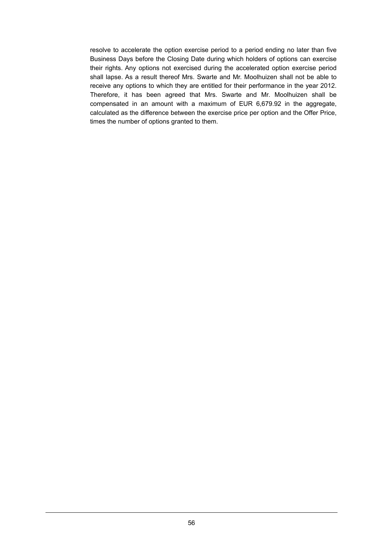resolve to accelerate the option exercise period to a period ending no later than five Business Days before the Closing Date during which holders of options can exercise their rights. Any options not exercised during the accelerated option exercise period shall lapse. As a result thereof Mrs. Swarte and Mr. Moolhuizen shall not be able to receive any options to which they are entitled for their performance in the year 2012. Therefore, it has been agreed that Mrs. Swarte and Mr. Moolhuizen shall be compensated in an amount with a maximum of EUR 6,679.92 in the aggregate, calculated as the difference between the exercise price per option and the Offer Price, times the number of options granted to them.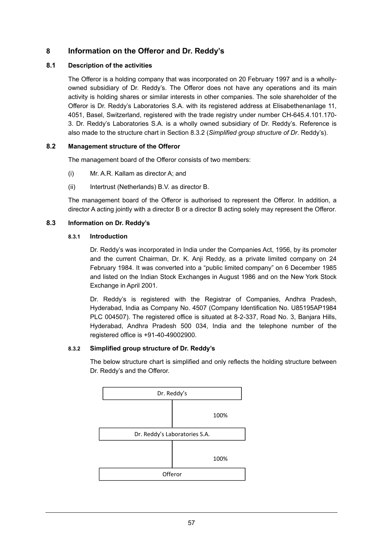# **8 Information on the Offeror and Dr. Reddy's**

## **8.1 Description of the activities**

The Offeror is a holding company that was incorporated on 20 February 1997 and is a whollyowned subsidiary of Dr. Reddy's. The Offeror does not have any operations and its main activity is holding shares or similar interests in other companies. The sole shareholder of the Offeror is Dr. Reddy's Laboratories S.A. with its registered address at Elisabethenanlage 11, 4051, Basel, Switzerland, registered with the trade registry under number CH-645.4.101.170- 3. Dr. Reddy's Laboratories S.A. is a wholly owned subsidiary of Dr. Reddy's. Reference is also made to the structure chart in Section 8.3.2 (*Simplified group structure of Dr*. Reddy's).

## **8.2 Management structure of the Offeror**

The management board of the Offeror consists of two members:

- (i) Mr. A.R. Kallam as director A; and
- (ii) Intertrust (Netherlands) B.V. as director B.

The management board of the Offeror is authorised to represent the Offeror. In addition, a director A acting jointly with a director B or a director B acting solely may represent the Offeror.

## **8.3 Information on Dr. Reddy's**

## **8.3.1 Introduction**

Dr. Reddy's was incorporated in India under the Companies Act, 1956, by its promoter and the current Chairman, Dr. K. Anji Reddy, as a private limited company on 24 February 1984. It was converted into a "public limited company" on 6 December 1985 and listed on the Indian Stock Exchanges in August 1986 and on the New York Stock Exchange in April 2001.

Dr. Reddy's is registered with the Registrar of Companies, Andhra Pradesh, Hyderabad, India as Company No. 4507 (Company Identification No. U85195AP1984 PLC 004507). The registered office is situated at 8-2-337, Road No. 3, Banjara Hills, Hyderabad, Andhra Pradesh 500 034, India and the telephone number of the registered office is +91-40-49002900.

## **8.3.2 Simplified group structure of Dr. Reddy's**

The below structure chart is simplified and only reflects the holding structure between Dr. Reddy's and the Offeror.

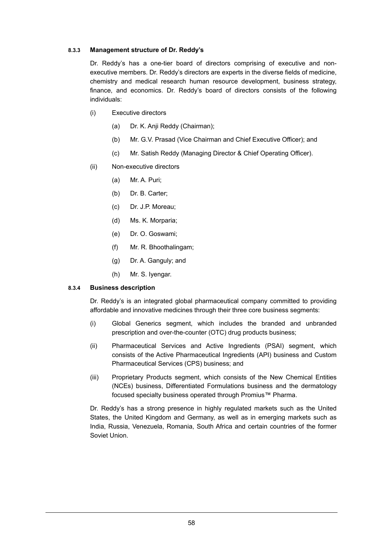## **8.3.3 Management structure of Dr. Reddy's**

Dr. Reddy's has a one-tier board of directors comprising of executive and nonexecutive members. Dr. Reddy's directors are experts in the diverse fields of medicine, chemistry and medical research human resource development, business strategy, finance, and economics. Dr. Reddy's board of directors consists of the following individuals:

- (i) Executive directors
	- (a) Dr. K. Anji Reddy (Chairman);
	- (b) Mr. G.V. Prasad (Vice Chairman and Chief Executive Officer); and
	- (c) Mr. Satish Reddy (Managing Director & Chief Operating Officer).
- (ii) Non-executive directors
	- (a) Mr. A. Puri;
	- (b) Dr. B. Carter;
	- (c) Dr. J.P. Moreau;
	- (d) Ms. K. Morparia;
	- (e) Dr. O. Goswami;
	- (f) Mr. R. Bhoothalingam;
	- (g) Dr. A. Ganguly; and
	- (h) Mr. S. Iyengar.

## **8.3.4 Business description**

Dr. Reddy's is an integrated global pharmaceutical company committed to providing affordable and innovative medicines through their three core business segments:

- (i) Global Generics segment, which includes the branded and unbranded prescription and over-the-counter (OTC) drug products business;
- (ii) Pharmaceutical Services and Active Ingredients (PSAI) segment, which consists of the Active Pharmaceutical Ingredients (API) business and Custom Pharmaceutical Services (CPS) business; and
- (iii) Proprietary Products segment, which consists of the New Chemical Entities (NCEs) business, Differentiated Formulations business and the dermatology focused specialty business operated through Promius™ Pharma.

Dr. Reddy's has a strong presence in highly regulated markets such as the United States, the United Kingdom and Germany, as well as in emerging markets such as India, Russia, Venezuela, Romania, South Africa and certain countries of the former Soviet Union.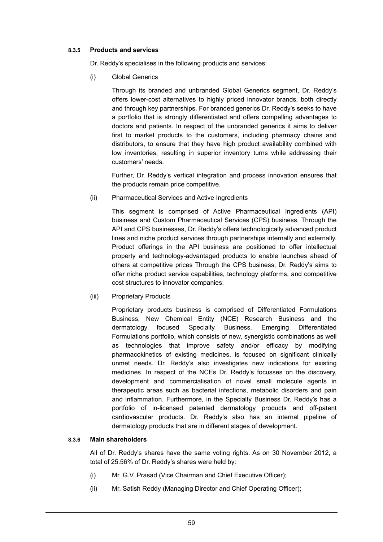## **8.3.5 Products and services**

Dr. Reddy's specialises in the following products and services:

(i) Global Generics

Through its branded and unbranded Global Generics segment, Dr. Reddy's offers lower-cost alternatives to highly priced innovator brands, both directly and through key partnerships. For branded generics Dr. Reddy's seeks to have a portfolio that is strongly differentiated and offers compelling advantages to doctors and patients. In respect of the unbranded generics it aims to deliver first to market products to the customers, including pharmacy chains and distributors, to ensure that they have high product availability combined with low inventories, resulting in superior inventory turns while addressing their customers' needs.

Further, Dr. Reddy's vertical integration and process innovation ensures that the products remain price competitive.

(ii) Pharmaceutical Services and Active Ingredients

This segment is comprised of Active Pharmaceutical Ingredients (API) business and Custom Pharmaceutical Services (CPS) business. Through the API and CPS businesses, Dr. Reddy's offers technologically advanced product lines and niche product services through partnerships internally and externally. Product offerings in the API business are positioned to offer intellectual property and technology-advantaged products to enable launches ahead of others at competitive prices Through the CPS business, Dr. Reddy's aims to offer niche product service capabilities, technology platforms, and competitive cost structures to innovator companies.

(iii) Proprietary Products

Proprietary products business is comprised of Differentiated Formulations Business, New Chemical Entity (NCE) Research Business and the dermatology focused Specialty Business. Emerging Differentiated Formulations portfolio, which consists of new, synergistic combinations as well as technologies that improve safety and/or efficacy by modifying pharmacokinetics of existing medicines, is focused on significant clinically unmet needs. Dr. Reddy's also investigates new indications for existing medicines. In respect of the NCEs Dr. Reddy's focusses on the discovery, development and commercialisation of novel small molecule agents in therapeutic areas such as bacterial infections, metabolic disorders and pain and inflammation. Furthermore, in the Specialty Business Dr. Reddy's has a portfolio of in-licensed patented dermatology products and off-patent cardiovascular products. Dr. Reddy's also has an internal pipeline of dermatology products that are in different stages of development.

## **8.3.6 Main shareholders**

All of Dr. Reddy's shares have the same voting rights. As on 30 November 2012, a total of 25.56% of Dr. Reddy's shares were held by:

- (i) Mr. G.V. Prasad (Vice Chairman and Chief Executive Officer);
- (ii) Mr. Satish Reddy (Managing Director and Chief Operating Officer);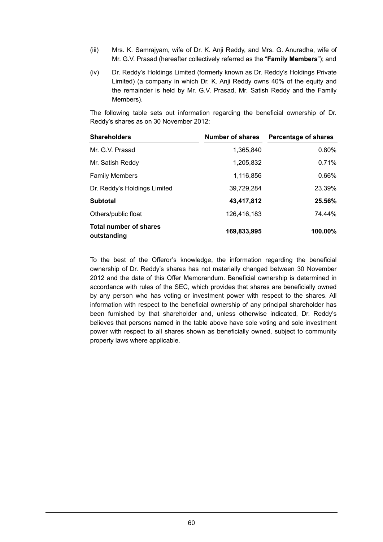- (iii) Mrs. K. Samrajyam, wife of Dr. K. Anji Reddy, and Mrs. G. Anuradha, wife of Mr. G.V. Prasad (hereafter collectively referred as the "**Family Members**"); and
- (iv) Dr. Reddy's Holdings Limited (formerly known as Dr. Reddy's Holdings Private Limited) (a company in which Dr. K. Anji Reddy owns 40% of the equity and the remainder is held by Mr. G.V. Prasad, Mr. Satish Reddy and the Family Members).

The following table sets out information regarding the beneficial ownership of Dr. Reddy's shares as on 30 November 2012:

| <b>Shareholders</b>                          | <b>Number of shares</b> | <b>Percentage of shares</b> |
|----------------------------------------------|-------------------------|-----------------------------|
| Mr. G.V. Prasad                              | 1,365,840               | 0.80%                       |
| Mr. Satish Reddy                             | 1,205,832               | 0.71%                       |
| <b>Family Members</b>                        | 1,116,856               | 0.66%                       |
| Dr. Reddy's Holdings Limited                 | 39,729,284              | 23.39%                      |
| <b>Subtotal</b>                              | 43,417,812              | 25.56%                      |
| Others/public float                          | 126,416,183             | 74.44%                      |
| <b>Total number of shares</b><br>outstanding | 169,833,995             | 100.00%                     |

To the best of the Offeror's knowledge, the information regarding the beneficial ownership of Dr. Reddy's shares has not materially changed between 30 November 2012 and the date of this Offer Memorandum. Beneficial ownership is determined in accordance with rules of the SEC, which provides that shares are beneficially owned by any person who has voting or investment power with respect to the shares. All information with respect to the beneficial ownership of any principal shareholder has been furnished by that shareholder and, unless otherwise indicated, Dr. Reddy's believes that persons named in the table above have sole voting and sole investment power with respect to all shares shown as beneficially owned, subject to community property laws where applicable.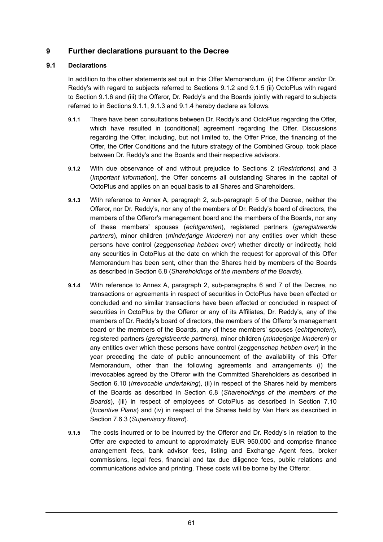# **9 Further declarations pursuant to the Decree**

## **9.1 Declarations**

In addition to the other statements set out in this Offer Memorandum, (i) the Offeror and/or Dr. Reddy's with regard to subjects referred to Sections 9.1.2 and 9.1.5 (ii) OctoPlus with regard to Section 9.1.6 and (iii) the Offeror, Dr. Reddy's and the Boards jointly with regard to subjects referred to in Sections 9.1.1, 9.1.3 and 9.1.4 hereby declare as follows.

- **9.1.1** There have been consultations between Dr. Reddy's and OctoPlus regarding the Offer, which have resulted in (conditional) agreement regarding the Offer. Discussions regarding the Offer, including, but not limited to, the Offer Price, the financing of the Offer, the Offer Conditions and the future strategy of the Combined Group, took place between Dr. Reddy's and the Boards and their respective advisors.
- **9.1.2** With due observance of and without prejudice to Sections 2 (*Restrictions*) and 3 (*Important information*), the Offer concerns all outstanding Shares in the capital of OctoPlus and applies on an equal basis to all Shares and Shareholders.
- **9.1.3** With reference to Annex A, paragraph 2, sub-paragraph 5 of the Decree, neither the Offeror, nor Dr. Reddy's, nor any of the members of Dr. Reddy's board of directors, the members of the Offeror's management board and the members of the Boards, nor any of these members' spouses (*echtgenoten*), registered partners (*geregistreerde partners*), minor children (*minderjarige kinderen*) nor any entities over which these persons have control (*zeggenschap hebben over*) whether directly or indirectly, hold any securities in OctoPlus at the date on which the request for approval of this Offer Memorandum has been sent, other than the Shares held by members of the Boards as described in Section 6.8 (*Shareholdings of the members of the Boards*).
- **9.1.4** With reference to Annex A, paragraph 2, sub-paragraphs 6 and 7 of the Decree, no transactions or agreements in respect of securities in OctoPlus have been effected or concluded and no similar transactions have been effected or concluded in respect of securities in OctoPlus by the Offeror or any of its Affiliates, Dr. Reddy's, any of the members of Dr. Reddy's board of directors, the members of the Offeror's management board or the members of the Boards, any of these members' spouses (*echtgenoten*), registered partners (*geregistreerde partners*), minor children (*minderjarige kinderen*) or any entities over which these persons have control (*zeggenschap hebben over*) in the year preceding the date of public announcement of the availability of this Offer Memorandum, other than the following agreements and arrangements (i) the Irrevocables agreed by the Offeror with the Committed Shareholders as described in Section 6.10 (*Irrevocable undertaking*), (ii) in respect of the Shares held by members of the Boards as described in Section 6.8 (*Shareholdings of the members of the Boards*), (iii) in respect of employees of OctoPlus as described in Section 7.10 (*Incentive Plans*) and (iv) in respect of the Shares held by Van Herk as described in Section 7.6.3 (*Supervisory Board*).
- **9.1.5** The costs incurred or to be incurred by the Offeror and Dr. Reddy's in relation to the Offer are expected to amount to approximately EUR 950,000 and comprise finance arrangement fees, bank advisor fees, listing and Exchange Agent fees, broker commissions, legal fees, financial and tax due diligence fees, public relations and communications advice and printing. These costs will be borne by the Offeror.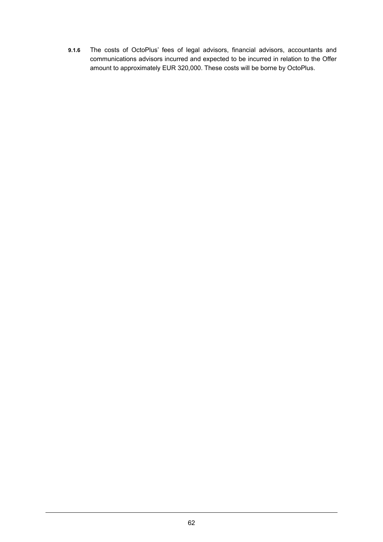**9.1.6** The costs of OctoPlus' fees of legal advisors, financial advisors, accountants and communications advisors incurred and expected to be incurred in relation to the Offer amount to approximately EUR 320,000. These costs will be borne by OctoPlus.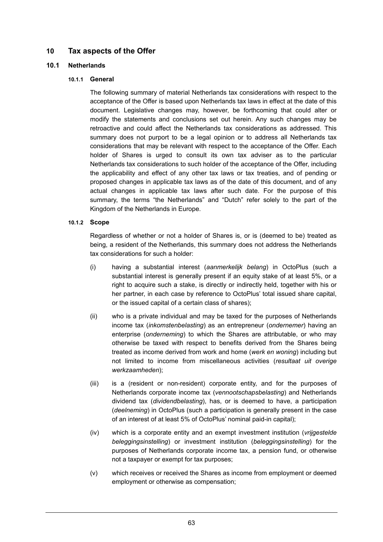# **10 Tax aspects of the Offer**

## **10.1 Netherlands**

## **10.1.1 General**

The following summary of material Netherlands tax considerations with respect to the acceptance of the Offer is based upon Netherlands tax laws in effect at the date of this document. Legislative changes may, however, be forthcoming that could alter or modify the statements and conclusions set out herein. Any such changes may be retroactive and could affect the Netherlands tax considerations as addressed. This summary does not purport to be a legal opinion or to address all Netherlands tax considerations that may be relevant with respect to the acceptance of the Offer. Each holder of Shares is urged to consult its own tax adviser as to the particular Netherlands tax considerations to such holder of the acceptance of the Offer, including the applicability and effect of any other tax laws or tax treaties, and of pending or proposed changes in applicable tax laws as of the date of this document, and of any actual changes in applicable tax laws after such date. For the purpose of this summary, the terms "the Netherlands" and "Dutch" refer solely to the part of the Kingdom of the Netherlands in Europe.

## **10.1.2 Scope**

Regardless of whether or not a holder of Shares is, or is (deemed to be) treated as being, a resident of the Netherlands, this summary does not address the Netherlands tax considerations for such a holder:

- (i) having a substantial interest (*aanmerkelijk belang*) in OctoPlus (such a substantial interest is generally present if an equity stake of at least 5%, or a right to acquire such a stake, is directly or indirectly held, together with his or her partner, in each case by reference to OctoPlus' total issued share capital, or the issued capital of a certain class of shares);
- (ii) who is a private individual and may be taxed for the purposes of Netherlands income tax (*inkomstenbelasting*) as an entrepreneur (*ondernemer*) having an enterprise (*onderneming*) to which the Shares are attributable, or who may otherwise be taxed with respect to benefits derived from the Shares being treated as income derived from work and home (*werk en woning*) including but not limited to income from miscellaneous activities (*resultaat uit overige werkzaamheden*);
- (iii) is a (resident or non-resident) corporate entity, and for the purposes of Netherlands corporate income tax (*vennootschapsbelasting*) and Netherlands dividend tax (*dividendbelasting*), has, or is deemed to have, a participation (*deelneming*) in OctoPlus (such a participation is generally present in the case of an interest of at least 5% of OctoPlus' nominal paid-in capital);
- (iv) which is a corporate entity and an exempt investment institution (*vrijgestelde beleggingsinstelling*) or investment institution (*beleggingsinstelling*) for the purposes of Netherlands corporate income tax, a pension fund, or otherwise not a taxpayer or exempt for tax purposes;
- (v) which receives or received the Shares as income from employment or deemed employment or otherwise as compensation;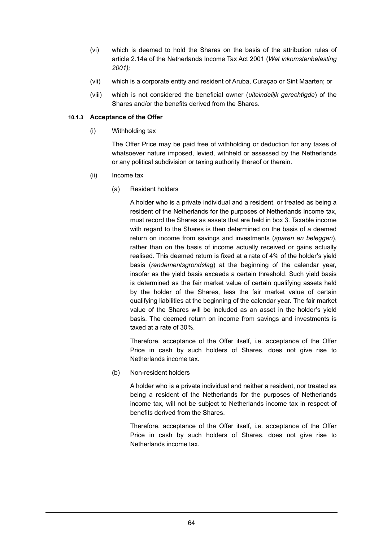- (vi) which is deemed to hold the Shares on the basis of the attribution rules of article 2.14a of the Netherlands Income Tax Act 2001 (*Wet inkomstenbelasting 2001);*
- (vii) which is a corporate entity and resident of Aruba, Curaçao or Sint Maarten; or
- (viii) which is not considered the beneficial owner (*uiteindelijk gerechtigde*) of the Shares and/or the benefits derived from the Shares.

## **10.1.3 Acceptance of the Offer**

(i) Withholding tax

The Offer Price may be paid free of withholding or deduction for any taxes of whatsoever nature imposed, levied, withheld or assessed by the Netherlands or any political subdivision or taxing authority thereof or therein.

- (ii) Income tax
	- (a) Resident holders

A holder who is a private individual and a resident, or treated as being a resident of the Netherlands for the purposes of Netherlands income tax, must record the Shares as assets that are held in box 3. Taxable income with regard to the Shares is then determined on the basis of a deemed return on income from savings and investments (*sparen en beleggen*), rather than on the basis of income actually received or gains actually realised. This deemed return is fixed at a rate of 4% of the holder's yield basis (*rendementsgrondslag*) at the beginning of the calendar year, insofar as the yield basis exceeds a certain threshold. Such yield basis is determined as the fair market value of certain qualifying assets held by the holder of the Shares, less the fair market value of certain qualifying liabilities at the beginning of the calendar year. The fair market value of the Shares will be included as an asset in the holder's yield basis. The deemed return on income from savings and investments is taxed at a rate of 30%.

Therefore, acceptance of the Offer itself, i.e. acceptance of the Offer Price in cash by such holders of Shares, does not give rise to Netherlands income tax.

(b) Non-resident holders

A holder who is a private individual and neither a resident, nor treated as being a resident of the Netherlands for the purposes of Netherlands income tax, will not be subject to Netherlands income tax in respect of benefits derived from the Shares.

Therefore, acceptance of the Offer itself, i.e. acceptance of the Offer Price in cash by such holders of Shares, does not give rise to Netherlands income tax.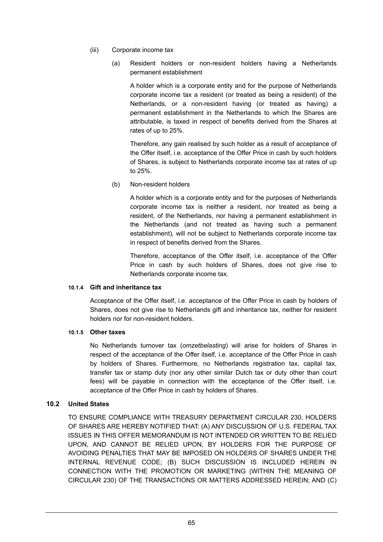- (iii) Corporate income tax
	- (a) Resident holders or non-resident holders having a Netherlands permanent establishment

A holder which is a corporate entity and for the purpose of Netherlands corporate income tax a resident (or treated as being a resident) of the Netherlands, or a non-resident having (or treated as having) a permanent establishment in the Netherlands to which the Shares are attributable, is taxed in respect of benefits derived from the Shares at rates of up to 25%.

Therefore, any gain realised by such holder as a result of acceptance of the Offer itself, i.e. acceptance of the Offer Price in cash by such holders of Shares, is subject to Netherlands corporate income tax at rates of up to 25%.

(b) Non-resident holders

A holder which is a corporate entity and for the purposes of Netherlands corporate income tax is neither a resident, nor treated as being a resident, of the Netherlands, nor having a permanent establishment in the Netherlands (and not treated as having such a permanent establishment), will not be subject to Netherlands corporate income tax in respect of benefits derived from the Shares.

Therefore, acceptance of the Offer itself, i.e. acceptance of the Offer Price in cash by such holders of Shares, does not give rise to Netherlands corporate income tax.

## **10.1.4 Gift and inheritance tax**

Acceptance of the Offer itself, i.e. acceptance of the Offer Price in cash by holders of Shares, does not give rise to Netherlands gift and inheritance tax, neither for resident holders nor for non-resident holders.

## **10.1.5 Other taxes**

No Netherlands turnover tax (*omzetbelasting*) will arise for holders of Shares in respect of the acceptance of the Offer itself, i.e. acceptance of the Offer Price in cash by holders of Shares. Furthermore, no Netherlands registration tax, capital tax, transfer tax or stamp duty (nor any other similar Dutch tax or duty other than court fees) will be payable in connection with the acceptance of the Offer itself, i.e. acceptance of the Offer Price in cash by holders of Shares.

## **10.2 United States**

TO ENSURE COMPLIANCE WITH TREASURY DEPARTMENT CIRCULAR 230, HOLDERS OF SHARES ARE HEREBY NOTIFIED THAT: (A) ANY DISCUSSION OF U.S. FEDERAL TAX ISSUES IN THIS OFFER MEMORANDUM IS NOT INTENDED OR WRITTEN TO BE RELIED UPON, AND CANNOT BE RELIED UPON, BY HOLDERS FOR THE PURPOSE OF AVOIDING PENALTIES THAT MAY BE IMPOSED ON HOLDERS OF SHARES UNDER THE INTERNAL REVENUE CODE; (B) SUCH DISCUSSION IS INCLUDED HEREIN IN CONNECTION WITH THE PROMOTION OR MARKETING (WITHIN THE MEANING OF CIRCULAR 230) OF THE TRANSACTIONS OR MATTERS ADDRESSED HEREIN; AND (C)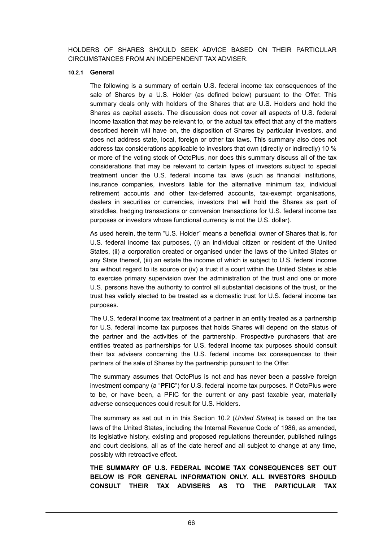HOLDERS OF SHARES SHOULD SEEK ADVICE BASED ON THEIR PARTICULAR CIRCUMSTANCES FROM AN INDEPENDENT TAX ADVISER.

### **10.2.1 General**

The following is a summary of certain U.S. federal income tax consequences of the sale of Shares by a U.S. Holder (as defined below) pursuant to the Offer. This summary deals only with holders of the Shares that are U.S. Holders and hold the Shares as capital assets. The discussion does not cover all aspects of U.S. federal income taxation that may be relevant to, or the actual tax effect that any of the matters described herein will have on, the disposition of Shares by particular investors, and does not address state, local, foreign or other tax laws. This summary also does not address tax considerations applicable to investors that own (directly or indirectly) 10 % or more of the voting stock of OctoPlus, nor does this summary discuss all of the tax considerations that may be relevant to certain types of investors subject to special treatment under the U.S. federal income tax laws (such as financial institutions, insurance companies, investors liable for the alternative minimum tax, individual retirement accounts and other tax-deferred accounts, tax-exempt organisations, dealers in securities or currencies, investors that will hold the Shares as part of straddles, hedging transactions or conversion transactions for U.S. federal income tax purposes or investors whose functional currency is not the U.S. dollar).

As used herein, the term "U.S. Holder" means a beneficial owner of Shares that is, for U.S. federal income tax purposes, (i) an individual citizen or resident of the United States, (ii) a corporation created or organised under the laws of the United States or any State thereof, (iii) an estate the income of which is subject to U.S. federal income tax without regard to its source or (iv) a trust if a court within the United States is able to exercise primary supervision over the administration of the trust and one or more U.S. persons have the authority to control all substantial decisions of the trust, or the trust has validly elected to be treated as a domestic trust for U.S. federal income tax purposes.

The U.S. federal income tax treatment of a partner in an entity treated as a partnership for U.S. federal income tax purposes that holds Shares will depend on the status of the partner and the activities of the partnership. Prospective purchasers that are entities treated as partnerships for U.S. federal income tax purposes should consult their tax advisers concerning the U.S. federal income tax consequences to their partners of the sale of Shares by the partnership pursuant to the Offer.

The summary assumes that OctoPlus is not and has never been a passive foreign investment company (a "**PFIC**") for U.S. federal income tax purposes. If OctoPlus were to be, or have been, a PFIC for the current or any past taxable year, materially adverse consequences could result for U.S. Holders.

The summary as set out in in this Section 10.2 (*United States*) is based on the tax laws of the United States, including the Internal Revenue Code of 1986, as amended, its legislative history, existing and proposed regulations thereunder, published rulings and court decisions, all as of the date hereof and all subject to change at any time, possibly with retroactive effect.

## **THE SUMMARY OF U.S. FEDERAL INCOME TAX CONSEQUENCES SET OUT BELOW IS FOR GENERAL INFORMATION ONLY. ALL INVESTORS SHOULD CONSULT THEIR TAX ADVISERS AS TO THE PARTICULAR TAX**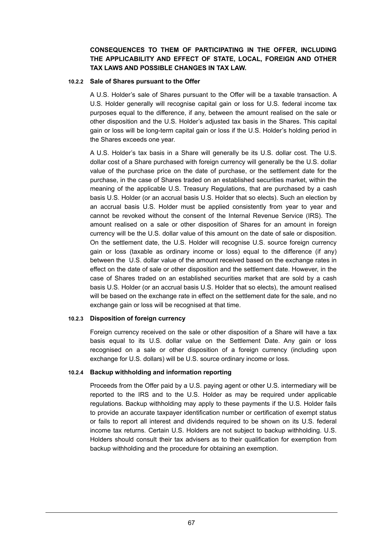# **CONSEQUENCES TO THEM OF PARTICIPATING IN THE OFFER, INCLUDING THE APPLICABILITY AND EFFECT OF STATE, LOCAL, FOREIGN AND OTHER TAX LAWS AND POSSIBLE CHANGES IN TAX LAW.**

# **10.2.2 Sale of Shares pursuant to the Offer**

A U.S. Holder's sale of Shares pursuant to the Offer will be a taxable transaction. A U.S. Holder generally will recognise capital gain or loss for U.S. federal income tax purposes equal to the difference, if any, between the amount realised on the sale or other disposition and the U.S. Holder's adjusted tax basis in the Shares. This capital gain or loss will be long-term capital gain or loss if the U.S. Holder's holding period in the Shares exceeds one year.

A U.S. Holder's tax basis in a Share will generally be its U.S. dollar cost. The U.S. dollar cost of a Share purchased with foreign currency will generally be the U.S. dollar value of the purchase price on the date of purchase, or the settlement date for the purchase, in the case of Shares traded on an established securities market, within the meaning of the applicable U.S. Treasury Regulations, that are purchased by a cash basis U.S. Holder (or an accrual basis U.S. Holder that so elects). Such an election by an accrual basis U.S. Holder must be applied consistently from year to year and cannot be revoked without the consent of the Internal Revenue Service (IRS). The amount realised on a sale or other disposition of Shares for an amount in foreign currency will be the U.S. dollar value of this amount on the date of sale or disposition. On the settlement date, the U.S. Holder will recognise U.S. source foreign currency gain or loss (taxable as ordinary income or loss) equal to the difference (if any) between the U.S. dollar value of the amount received based on the exchange rates in effect on the date of sale or other disposition and the settlement date. However, in the case of Shares traded on an established securities market that are sold by a cash basis U.S. Holder (or an accrual basis U.S. Holder that so elects), the amount realised will be based on the exchange rate in effect on the settlement date for the sale, and no exchange gain or loss will be recognised at that time.

# **10.2.3 Disposition of foreign currency**

Foreign currency received on the sale or other disposition of a Share will have a tax basis equal to its U.S. dollar value on the Settlement Date. Any gain or loss recognised on a sale or other disposition of a foreign currency (including upon exchange for U.S. dollars) will be U.S. source ordinary income or loss.

# **10.2.4 Backup withholding and information reporting**

Proceeds from the Offer paid by a U.S. paying agent or other U.S. intermediary will be reported to the IRS and to the U.S. Holder as may be required under applicable regulations. Backup withholding may apply to these payments if the U.S. Holder fails to provide an accurate taxpayer identification number or certification of exempt status or fails to report all interest and dividends required to be shown on its U.S. federal income tax returns. Certain U.S. Holders are not subject to backup withholding. U.S. Holders should consult their tax advisers as to their qualification for exemption from backup withholding and the procedure for obtaining an exemption.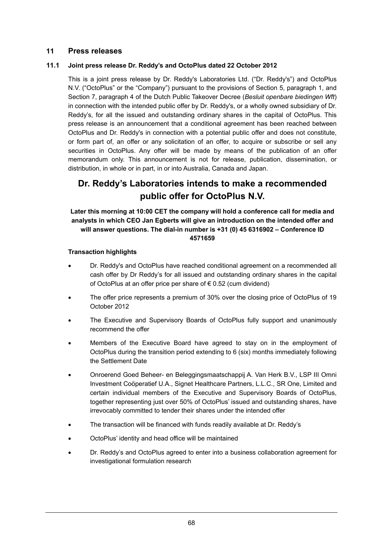# **11 Press releases**

# **11.1 Joint press release Dr. Reddy's and OctoPlus dated 22 October 2012**

This is a joint press release by Dr. Reddy's Laboratories Ltd. ("Dr. Reddy's") and OctoPlus N.V. ("OctoPlus" or the "Company") pursuant to the provisions of Section 5, paragraph 1, and Section 7, paragraph 4 of the Dutch Public Takeover Decree (*Besluit openbare biedingen Wft*) in connection with the intended public offer by Dr. Reddy's, or a wholly owned subsidiary of Dr. Reddy's, for all the issued and outstanding ordinary shares in the capital of OctoPlus. This press release is an announcement that a conditional agreement has been reached between OctoPlus and Dr. Reddy's in connection with a potential public offer and does not constitute, or form part of, an offer or any solicitation of an offer, to acquire or subscribe or sell any securities in OctoPlus. Any offer will be made by means of the publication of an offer memorandum only. This announcement is not for release, publication, dissemination, or distribution, in whole or in part, in or into Australia, Canada and Japan.

# **Dr. Reddy's Laboratories intends to make a recommended public offer for OctoPlus N.V.**

**Later this morning at 10:00 CET the company will hold a conference call for media and analysts in which CEO Jan Egberts will give an introduction on the intended offer and will answer questions. The dial-in number is +31 (0) 45 6316902 – Conference ID 4571659**

# **Transaction highlights**

- Dr. Reddy's and OctoPlus have reached conditional agreement on a recommended all cash offer by Dr Reddy's for all issued and outstanding ordinary shares in the capital of OctoPlus at an offer price per share of  $\epsilon$  0.52 (cum dividend)
- The offer price represents a premium of 30% over the closing price of OctoPlus of 19 October 2012
- The Executive and Supervisory Boards of OctoPlus fully support and unanimously recommend the offer
- Members of the Executive Board have agreed to stay on in the employment of OctoPlus during the transition period extending to 6 (six) months immediately following the Settlement Date
- Onroerend Goed Beheer- en Beleggingsmaatschappij A. Van Herk B.V., LSP III Omni Investment Coöperatief U.A., Signet Healthcare Partners, L.L.C., SR One, Limited and certain individual members of the Executive and Supervisory Boards of OctoPlus, together representing just over 50% of OctoPlus' issued and outstanding shares, have irrevocably committed to tender their shares under the intended offer
- The transaction will be financed with funds readily available at Dr. Reddy's
- OctoPlus' identity and head office will be maintained
- Dr. Reddy's and OctoPlus agreed to enter into a business collaboration agreement for investigational formulation research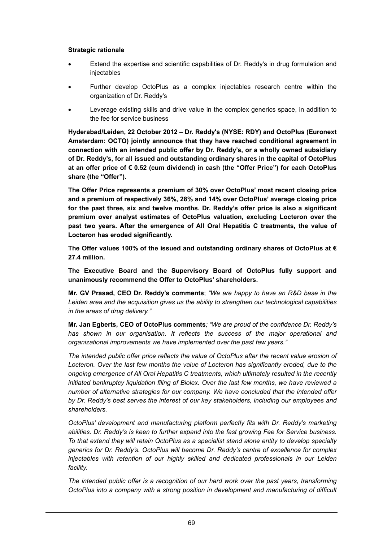# **Strategic rationale**

- Extend the expertise and scientific capabilities of Dr. Reddy's in drug formulation and injectables
- Further develop OctoPlus as a complex injectables research centre within the organization of Dr. Reddy's
- Leverage existing skills and drive value in the complex generics space, in addition to the fee for service business

**Hyderabad/Leiden, 22 October 2012 – Dr. Reddy's (NYSE: RDY) and OctoPlus (Euronext Amsterdam: OCTO) jointly announce that they have reached conditional agreement in connection with an intended public offer by Dr. Reddy's, or a wholly owned subsidiary of Dr. Reddy's, for all issued and outstanding ordinary shares in the capital of OctoPlus at an offer price of € 0.52 (cum dividend) in cash (the "Offer Price") for each OctoPlus share (the "Offer").**

**The Offer Price represents a premium of 30% over OctoPlus' most recent closing price and a premium of respectively 36%, 28% and 14% over OctoPlus' average closing price for the past three, six and twelve months. Dr. Reddy's offer price is also a significant premium over analyst estimates of OctoPlus valuation, excluding Locteron over the past two years. After the emergence of All Oral Hepatitis C treatments, the value of Locteron has eroded significantly.**

**The Offer values 100% of the issued and outstanding ordinary shares of OctoPlus at € 27.4 million.** 

**The Executive Board and the Supervisory Board of OctoPlus fully support and unanimously recommend the Offer to OctoPlus' shareholders.** 

**Mr. GV Prasad, CEO Dr. Reddy's comments**; *"We are happy to have an R&D base in the Leiden area and the acquisition gives us the ability to strengthen our technological capabilities in the areas of drug delivery."*

**Mr. Jan Egberts, CEO of OctoPlus comments***; "We are proud of the confidence Dr. Reddy's has shown in our organisation. It reflects the success of the major operational and organizational improvements we have implemented over the past few years."*

*The intended public offer price reflects the value of OctoPlus after the recent value erosion of Locteron. Over the last few months the value of Locteron has significantly eroded, due to the ongoing emergence of All Oral Hepatitis C treatments, which ultimately resulted in the recently initiated bankruptcy liquidation filing of Biolex. Over the last few months, we have reviewed a number of alternative strategies for our company. We have concluded that the intended offer by Dr. Reddy's best serves the interest of our key stakeholders, including our employees and shareholders.*

*OctoPlus' development and manufacturing platform perfectly fits with Dr. Reddy's marketing abilities. Dr. Reddy's is keen to further expand into the fast growing Fee for Service business. To that extend they will retain OctoPlus as a specialist stand alone entity to develop specialty generics for Dr. Reddy's. OctoPlus will become Dr. Reddy's centre of excellence for complex injectables with retention of our highly skilled and dedicated professionals in our Leiden facility.*

*The intended public offer is a recognition of our hard work over the past years, transforming OctoPlus into a company with a strong position in development and manufacturing of difficult*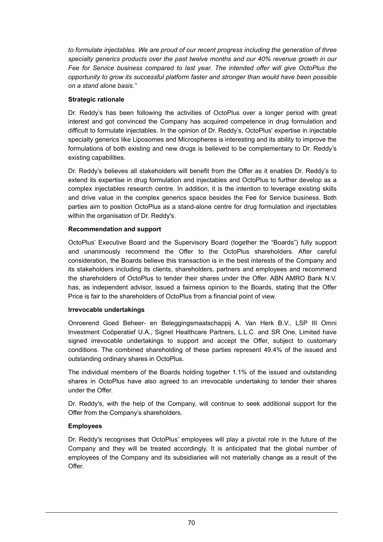*to formulate injectables. We are proud of our recent progress including the generation of three specialty generics products over the past twelve months and our 40% revenue growth in our*  Fee for Service business compared to last year. The intended offer will give OctoPlus the *opportunity to grow its successful platform faster and stronger than would have been possible on a stand alone basis."*

# **Strategic rationale**

Dr. Reddy's has been following the activities of OctoPlus over a longer period with great interest and got convinced the Company has acquired competence in drug formulation and difficult to formulate injectables. In the opinion of Dr. Reddy's, OctoPlus' expertise in injectable specialty generics like Liposomes and Microspheres is interesting and its ability to improve the formulations of both existing and new drugs is believed to be complementary to Dr. Reddy's existing capabilities.

Dr. Reddy's believes all stakeholders will benefit from the Offer as it enables Dr. Reddy's to extend its expertise in drug formulation and injectables and OctoPlus to further develop as a complex injectables research centre. In addition, it is the intention to leverage existing skills and drive value in the complex generics space besides the Fee for Service business. Both parties aim to position OctoPlus as a stand-alone centre for drug formulation and injectables within the organisation of Dr. Reddy's.

# **Recommendation and support**

OctoPlus' Executive Board and the Supervisory Board (together the "Boards") fully support and unanimously recommend the Offer to the OctoPlus shareholders. After careful consideration, the Boards believe this transaction is in the best interests of the Company and its stakeholders including its clients, shareholders, partners and employees and recommend the shareholders of OctoPlus to tender their shares under the Offer. ABN AMRO Bank N.V. has, as independent advisor, issued a fairness opinion to the Boards, stating that the Offer Price is fair to the shareholders of OctoPlus from a financial point of view.

# **Irrevocable undertakings**

Onroerend Goed Beheer- en Beleggingsmaatschappij A. Van Herk B.V., LSP III Omni Investment Coöperatief U.A., Signet Healthcare Partners, L.L.C. and SR One, Limited have signed irrevocable undertakings to support and accept the Offer, subject to customary conditions. The combined shareholding of these parties represent 49.4% of the issued and outstanding ordinary shares in OctoPlus.

The individual members of the Boards holding together 1.1% of the issued and outstanding shares in OctoPlus have also agreed to an irrevocable undertaking to tender their shares under the Offer.

Dr. Reddy's, with the help of the Company, will continue to seek additional support for the Offer from the Company's shareholders.

# **Employees**

Dr. Reddy's recognises that OctoPlus' employees will play a pivotal role in the future of the Company and they will be treated accordingly. It is anticipated that the global number of employees of the Company and its subsidiaries will not materially change as a result of the Offer.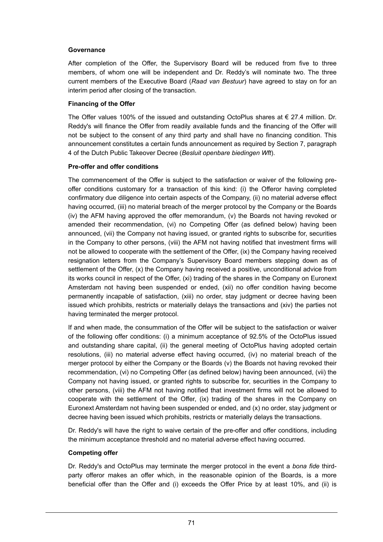# **Governance**

After completion of the Offer, the Supervisory Board will be reduced from five to three members, of whom one will be independent and Dr. Reddy's will nominate two. The three current members of the Executive Board (*Raad van Bestuur*) have agreed to stay on for an interim period after closing of the transaction.

# **Financing of the Offer**

The Offer values 100% of the issued and outstanding OctoPlus shares at  $\epsilon$  27.4 million. Dr. Reddy's will finance the Offer from readily available funds and the financing of the Offer will not be subject to the consent of any third party and shall have no financing condition. This announcement constitutes a certain funds announcement as required by Section 7, paragraph 4 of the Dutch Public Takeover Decree (*Besluit openbare biedingen Wft*).

# **Pre-offer and offer conditions**

The commencement of the Offer is subject to the satisfaction or waiver of the following preoffer conditions customary for a transaction of this kind: (i) the Offeror having completed confirmatory due diligence into certain aspects of the Company, (ii) no material adverse effect having occurred, (iii) no material breach of the merger protocol by the Company or the Boards (iv) the AFM having approved the offer memorandum, (v) the Boards not having revoked or amended their recommendation, (vi) no Competing Offer (as defined below) having been announced, (vii) the Company not having issued, or granted rights to subscribe for, securities in the Company to other persons, (viii) the AFM not having notified that investment firms will not be allowed to cooperate with the settlement of the Offer, (ix) the Company having received resignation letters from the Company's Supervisory Board members stepping down as of settlement of the Offer, (x) the Company having received a positive, unconditional advice from its works council in respect of the Offer, (xi) trading of the shares in the Company on Euronext Amsterdam not having been suspended or ended, (xii) no offer condition having become permanently incapable of satisfaction, (xiii) no order, stay judgment or decree having been issued which prohibits, restricts or materially delays the transactions and (xiv) the parties not having terminated the merger protocol.

If and when made, the consummation of the Offer will be subject to the satisfaction or waiver of the following offer conditions: (i) a minimum acceptance of 92.5% of the OctoPlus issued and outstanding share capital, (ii) the general meeting of OctoPlus having adopted certain resolutions, (iii) no material adverse effect having occurred, (iv) no material breach of the merger protocol by either the Company or the Boards (v) the Boards not having revoked their recommendation, (vi) no Competing Offer (as defined below) having been announced, (vii) the Company not having issued, or granted rights to subscribe for, securities in the Company to other persons, (viii) the AFM not having notified that investment firms will not be allowed to cooperate with the settlement of the Offer, (ix) trading of the shares in the Company on Euronext Amsterdam not having been suspended or ended, and (x) no order, stay judgment or decree having been issued which prohibits, restricts or materially delays the transactions.

Dr. Reddy's will have the right to waive certain of the pre-offer and offer conditions, including the minimum acceptance threshold and no material adverse effect having occurred.

# **Competing offer**

Dr. Reddy's and OctoPlus may terminate the merger protocol in the event a *bona fide* thirdparty offeror makes an offer which, in the reasonable opinion of the Boards, is a more beneficial offer than the Offer and (i) exceeds the Offer Price by at least 10%, and (ii) is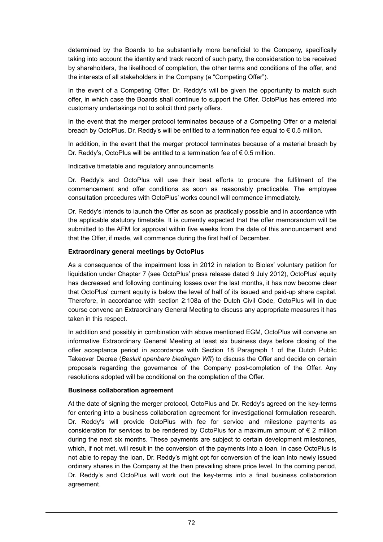determined by the Boards to be substantially more beneficial to the Company, specifically taking into account the identity and track record of such party, the consideration to be received by shareholders, the likelihood of completion, the other terms and conditions of the offer, and the interests of all stakeholders in the Company (a "Competing Offer").

In the event of a Competing Offer, Dr. Reddy's will be given the opportunity to match such offer, in which case the Boards shall continue to support the Offer. OctoPlus has entered into customary undertakings not to solicit third party offers.

In the event that the merger protocol terminates because of a Competing Offer or a material breach by OctoPlus, Dr. Reddy's will be entitled to a termination fee equal to € 0.5 million.

In addition, in the event that the merger protocol terminates because of a material breach by Dr. Reddy's, OctoPlus will be entitled to a termination fee of  $\epsilon$  0.5 million.

Indicative timetable and regulatory announcements

Dr. Reddy's and OctoPlus will use their best efforts to procure the fulfilment of the commencement and offer conditions as soon as reasonably practicable. The employee consultation procedures with OctoPlus' works council will commence immediately.

Dr. Reddy's intends to launch the Offer as soon as practically possible and in accordance with the applicable statutory timetable. It is currently expected that the offer memorandum will be submitted to the AFM for approval within five weeks from the date of this announcement and that the Offer, if made, will commence during the first half of December.

# **Extraordinary general meetings by OctoPlus**

As a consequence of the impairment loss in 2012 in relation to Biolex' voluntary petition for liquidation under Chapter 7 (see OctoPlus' press release dated 9 July 2012), OctoPlus' equity has decreased and following continuing losses over the last months, it has now become clear that OctoPlus' current equity is below the level of half of its issued and paid-up share capital. Therefore, in accordance with section 2:108a of the Dutch Civil Code, OctoPlus will in due course convene an Extraordinary General Meeting to discuss any appropriate measures it has taken in this respect.

In addition and possibly in combination with above mentioned EGM, OctoPlus will convene an informative Extraordinary General Meeting at least six business days before closing of the offer acceptance period in accordance with Section 18 Paragraph 1 of the Dutch Public Takeover Decree (*Besluit openbare biedingen Wft*) to discuss the Offer and decide on certain proposals regarding the governance of the Company post-completion of the Offer. Any resolutions adopted will be conditional on the completion of the Offer.

# **Business collaboration agreement**

At the date of signing the merger protocol, OctoPlus and Dr. Reddy's agreed on the key-terms for entering into a business collaboration agreement for investigational formulation research. Dr. Reddy's will provide OctoPlus with fee for service and milestone payments as consideration for services to be rendered by OctoPlus for a maximum amount of  $\epsilon$  2 million during the next six months. These payments are subject to certain development milestones, which, if not met, will result in the conversion of the payments into a loan. In case OctoPlus is not able to repay the loan, Dr. Reddy's might opt for conversion of the loan into newly issued ordinary shares in the Company at the then prevailing share price level. In the coming period, Dr. Reddy's and OctoPlus will work out the key-terms into a final business collaboration agreement.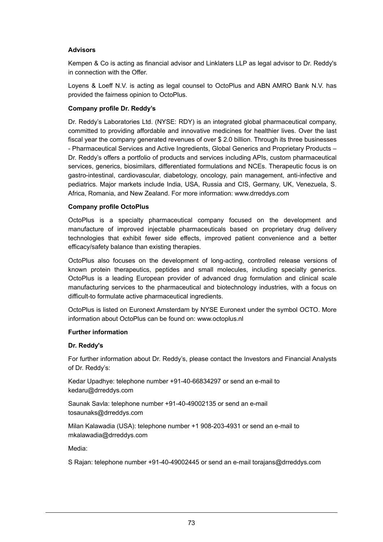# **Advisors**

Kempen & Co is acting as financial advisor and Linklaters LLP as legal advisor to Dr. Reddy's in connection with the Offer.

Loyens & Loeff N.V. is acting as legal counsel to OctoPlus and ABN AMRO Bank N.V. has provided the fairness opinion to OctoPlus.

# **Company profile Dr. Reddy's**

Dr. Reddy's Laboratories Ltd. (NYSE: RDY) is an integrated global pharmaceutical company, committed to providing affordable and innovative medicines for healthier lives. Over the last fiscal year the company generated revenues of over \$ 2.0 billion. Through its three businesses - Pharmaceutical Services and Active Ingredients, Global Generics and Proprietary Products – Dr. Reddy's offers a portfolio of products and services including APIs, custom pharmaceutical services, generics, biosimilars, differentiated formulations and NCEs. Therapeutic focus is on gastro-intestinal, cardiovascular, diabetology, oncology, pain management, anti-infective and pediatrics. Major markets include India, USA, Russia and CIS, Germany, UK, Venezuela, S. Africa, Romania, and New Zealand. For more information: www.drreddys.com

# **Company profile OctoPlus**

OctoPlus is a specialty pharmaceutical company focused on the development and manufacture of improved injectable pharmaceuticals based on proprietary drug delivery technologies that exhibit fewer side effects, improved patient convenience and a better efficacy/safety balance than existing therapies.

OctoPlus also focuses on the development of long-acting, controlled release versions of known protein therapeutics, peptides and small molecules, including specialty generics. OctoPlus is a leading European provider of advanced drug formulation and clinical scale manufacturing services to the pharmaceutical and biotechnology industries, with a focus on difficult-to formulate active pharmaceutical ingredients.

OctoPlus is listed on Euronext Amsterdam by NYSE Euronext under the symbol OCTO. More information about OctoPlus can be found on: www.octoplus.nl

# **Further information**

# **Dr. Reddy's**

For further information about Dr. Reddy's, please contact the Investors and Financial Analysts of Dr. Reddy's:

Kedar Upadhye: telephone number +91-40-66834297 or send an e-mail to kedaru@drreddys.com

Saunak Savla: telephone number +91-40-49002135 or send an e-mail tosaunaks@drreddys.com

Milan Kalawadia (USA): telephone number +1 908-203-4931 or send an e-mail to mkalawadia@drreddys.com

Media:

S Rajan: telephone number +91-40-49002445 or send an e-mail torajans@drreddys.com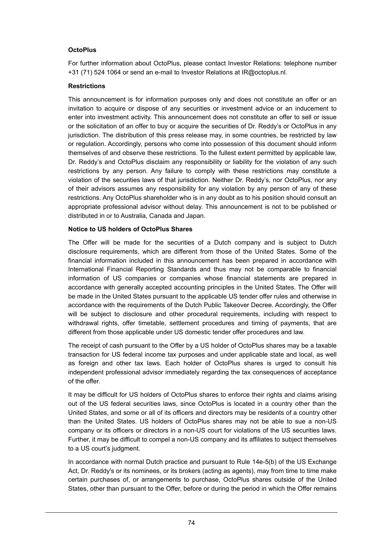# **OctoPlus**

For further information about OctoPlus, please contact Investor Relations: telephone number +31 (71) 524 1064 or send an e-mail to Investor Relations at IR@octoplus.nl.

# **Restrictions**

This announcement is for information purposes only and does not constitute an offer or an invitation to acquire or dispose of any securities or investment advice or an inducement to enter into investment activity. This announcement does not constitute an offer to sell or issue or the solicitation of an offer to buy or acquire the securities of Dr. Reddy's or OctoPlus in any jurisdiction. The distribution of this press release may, in some countries, be restricted by law or regulation. Accordingly, persons who come into possession of this document should inform themselves of and observe these restrictions. To the fullest extent permitted by applicable law, Dr. Reddy's and OctoPlus disclaim any responsibility or liability for the violation of any such restrictions by any person. Any failure to comply with these restrictions may constitute a violation of the securities laws of that jurisdiction. Neither Dr. Reddy's, nor OctoPlus, nor any of their advisors assumes any responsibility for any violation by any person of any of these restrictions. Any OctoPlus shareholder who is in any doubt as to his position should consult an appropriate professional advisor without delay. This announcement is not to be published or distributed in or to Australia, Canada and Japan.

# **Notice to US holders of OctoPlus Shares**

The Offer will be made for the securities of a Dutch company and is subject to Dutch disclosure requirements, which are different from those of the United States. Some of the financial information included in this announcement has been prepared in accordance with International Financial Reporting Standards and thus may not be comparable to financial information of US companies or companies whose financial statements are prepared in accordance with generally accepted accounting principles in the United States. The Offer will be made in the United States pursuant to the applicable US tender offer rules and otherwise in accordance with the requirements of the Dutch Public Takeover Decree. Accordingly, the Offer will be subject to disclosure and other procedural requirements, including with respect to withdrawal rights, offer timetable, settlement procedures and timing of payments, that are different from those applicable under US domestic tender offer procedures and law.

The receipt of cash pursuant to the Offer by a US holder of OctoPlus shares may be a taxable transaction for US federal income tax purposes and under applicable state and local, as well as foreign and other tax laws. Each holder of OctoPlus shares is urged to consult his independent professional advisor immediately regarding the tax consequences of acceptance of the offer.

It may be difficult for US holders of OctoPlus shares to enforce their rights and claims arising out of the US federal securities laws, since OctoPlus is located in a country other than the United States, and some or all of its officers and directors may be residents of a country other than the United States. US holders of OctoPlus shares may not be able to sue a non-US company or its officers or directors in a non-US court for violations of the US securities laws. Further, it may be difficult to compel a non-US company and its affiliates to subject themselves to a US court's judgment.

In accordance with normal Dutch practice and pursuant to Rule 14e-5(b) of the US Exchange Act, Dr. Reddy's or its nominees, or its brokers (acting as agents), may from time to time make certain purchases of, or arrangements to purchase, OctoPlus shares outside of the United States, other than pursuant to the Offer, before or during the period in which the Offer remains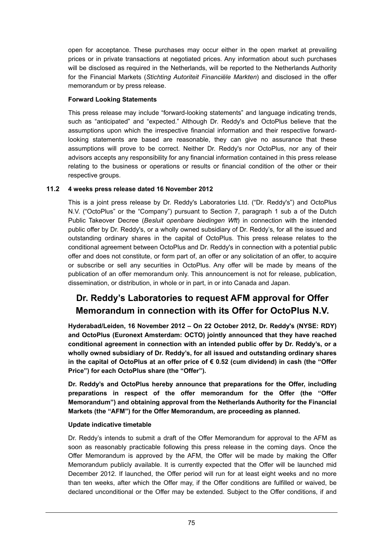open for acceptance. These purchases may occur either in the open market at prevailing prices or in private transactions at negotiated prices. Any information about such purchases will be disclosed as required in the Netherlands, will be reported to the Netherlands Authority for the Financial Markets (*Stichting Autoriteit Financiële Markten*) and disclosed in the offer memorandum or by press release.

# **Forward Looking Statements**

This press release may include "forward-looking statements" and language indicating trends, such as "anticipated" and "expected." Although Dr. Reddy's and OctoPlus believe that the assumptions upon which the irrespective financial information and their respective forwardlooking statements are based are reasonable, they can give no assurance that these assumptions will prove to be correct. Neither Dr. Reddy's nor OctoPlus, nor any of their advisors accepts any responsibility for any financial information contained in this press release relating to the business or operations or results or financial condition of the other or their respective groups.

# **11.2 4 weeks press release dated 16 November 2012**

This is a joint press release by Dr. Reddy's Laboratories Ltd. ("Dr. Reddy's") and OctoPlus N.V. ("OctoPlus" or the "Company") pursuant to Section 7, paragraph 1 sub a of the Dutch Public Takeover Decree (*Besluit openbare biedingen Wft*) in connection with the intended public offer by Dr. Reddy's, or a wholly owned subsidiary of Dr. Reddy's, for all the issued and outstanding ordinary shares in the capital of OctoPlus. This press release relates to the conditional agreement between OctoPlus and Dr. Reddy's in connection with a potential public offer and does not constitute, or form part of, an offer or any solicitation of an offer, to acquire or subscribe or sell any securities in OctoPlus. Any offer will be made by means of the publication of an offer memorandum only. This announcement is not for release, publication, dissemination, or distribution, in whole or in part, in or into Canada and Japan.

# **Dr. Reddy's Laboratories to request AFM approval for Offer Memorandum in connection with its Offer for OctoPlus N.V.**

**Hyderabad/Leiden, 16 November 2012 – On 22 October 2012, Dr. Reddy's (NYSE: RDY) and OctoPlus (Euronext Amsterdam: OCTO) jointly announced that they have reached conditional agreement in connection with an intended public offer by Dr. Reddy's, or a wholly owned subsidiary of Dr. Reddy's, for all issued and outstanding ordinary shares in the capital of OctoPlus at an offer price of € 0.52 (cum dividend) in cash (the "Offer Price") for each OctoPlus share (the "Offer").**

**Dr. Reddy's and OctoPlus hereby announce that preparations for the Offer, including preparations in respect of the offer memorandum for the Offer (the "Offer Memorandum") and obtaining approval from the Netherlands Authority for the Financial Markets (the "AFM") for the Offer Memorandum, are proceeding as planned.**

# **Update indicative timetable**

Dr. Reddy's intends to submit a draft of the Offer Memorandum for approval to the AFM as soon as reasonably practicable following this press release in the coming days. Once the Offer Memorandum is approved by the AFM, the Offer will be made by making the Offer Memorandum publicly available. It is currently expected that the Offer will be launched mid December 2012. If launched, the Offer period will run for at least eight weeks and no more than ten weeks, after which the Offer may, if the Offer conditions are fulfilled or waived, be declared unconditional or the Offer may be extended. Subject to the Offer conditions, if and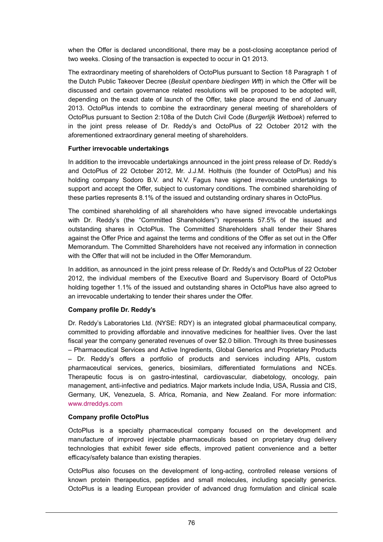when the Offer is declared unconditional, there may be a post-closing acceptance period of two weeks. Closing of the transaction is expected to occur in Q1 2013.

The extraordinary meeting of shareholders of OctoPlus pursuant to Section 18 Paragraph 1 of the Dutch Public Takeover Decree (*Besluit openbare biedingen Wft*) in which the Offer will be discussed and certain governance related resolutions will be proposed to be adopted will, depending on the exact date of launch of the Offer, take place around the end of January 2013. OctoPlus intends to combine the extraordinary general meeting of shareholders of OctoPlus pursuant to Section 2:108a of the Dutch Civil Code (*Burgerlijk Wetboek*) referred to in the joint press release of Dr. Reddy's and OctoPlus of 22 October 2012 with the aforementioned extraordinary general meeting of shareholders.

# **Further irrevocable undertakings**

In addition to the irrevocable undertakings announced in the joint press release of Dr. Reddy's and OctoPlus of 22 October 2012, Mr. J.J.M. Holthuis (the founder of OctoPlus) and his holding company Sodoro B.V. and N.V. Fagus have signed irrevocable undertakings to support and accept the Offer, subject to customary conditions. The combined shareholding of these parties represents 8.1% of the issued and outstanding ordinary shares in OctoPlus.

The combined shareholding of all shareholders who have signed irrevocable undertakings with Dr. Reddy's (the "Committed Shareholders") represents 57.5% of the issued and outstanding shares in OctoPlus. The Committed Shareholders shall tender their Shares against the Offer Price and against the terms and conditions of the Offer as set out in the Offer Memorandum. The Committed Shareholders have not received any information in connection with the Offer that will not be included in the Offer Memorandum.

In addition, as announced in the joint press release of Dr. Reddy's and OctoPlus of 22 October 2012, the individual members of the Executive Board and Supervisory Board of OctoPlus holding together 1.1% of the issued and outstanding shares in OctoPlus have also agreed to an irrevocable undertaking to tender their shares under the Offer.

# **Company profile Dr. Reddy's**

Dr. Reddy's Laboratories Ltd. (NYSE: RDY) is an integrated global pharmaceutical company, committed to providing affordable and innovative medicines for healthier lives. Over the last fiscal year the company generated revenues of over \$2.0 billion. Through its three businesses – Pharmaceutical Services and Active Ingredients, Global Generics and Proprietary Products – Dr. Reddy's offers a portfolio of products and services including APIs, custom pharmaceutical services, generics, biosimilars, differentiated formulations and NCEs. Therapeutic focus is on gastro-intestinal, cardiovascular, diabetology, oncology, pain management, anti-infective and pediatrics. Major markets include India, USA, Russia and CIS, Germany, UK, Venezuela, S. Africa, Romania, and New Zealand. For more information: www.drreddys.com

# **Company profile OctoPlus**

OctoPlus is a specialty pharmaceutical company focused on the development and manufacture of improved injectable pharmaceuticals based on proprietary drug delivery technologies that exhibit fewer side effects, improved patient convenience and a better efficacy/safety balance than existing therapies.

OctoPlus also focuses on the development of long-acting, controlled release versions of known protein therapeutics, peptides and small molecules, including specialty generics. OctoPlus is a leading European provider of advanced drug formulation and clinical scale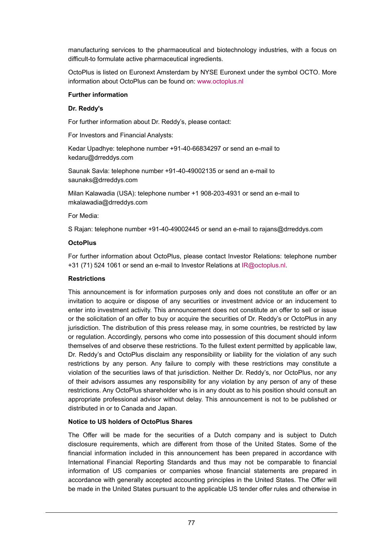manufacturing services to the pharmaceutical and biotechnology industries, with a focus on difficult-to formulate active pharmaceutical ingredients.

OctoPlus is listed on Euronext Amsterdam by NYSE Euronext under the symbol OCTO. More information about OctoPlus can be found on: www.octoplus.nl

# **Further information**

# **Dr. Reddy's**

For further information about Dr. Reddy's, please contact:

For Investors and Financial Analysts:

Kedar Upadhye: telephone number +91-40-66834297 or send an e-mail to kedaru@drreddys.com

Saunak Savla: telephone number +91-40-49002135 or send an e-mail to saunaks@drreddys.com

Milan Kalawadia (USA): telephone number +1 908-203-4931 or send an e-mail to mkalawadia@drreddys.com

# For Media:

S Rajan: telephone number +91-40-49002445 or send an e-mail to rajans@drreddys.com

# **OctoPlus**

For further information about OctoPlus, please contact Investor Relations: telephone number +31 (71) 524 1061 or send an e-mail to Investor Relations at IR@octoplus.nl.

# **Restrictions**

This announcement is for information purposes only and does not constitute an offer or an invitation to acquire or dispose of any securities or investment advice or an inducement to enter into investment activity. This announcement does not constitute an offer to sell or issue or the solicitation of an offer to buy or acquire the securities of Dr. Reddy's or OctoPlus in any jurisdiction. The distribution of this press release may, in some countries, be restricted by law or regulation. Accordingly, persons who come into possession of this document should inform themselves of and observe these restrictions. To the fullest extent permitted by applicable law, Dr. Reddy's and OctoPlus disclaim any responsibility or liability for the violation of any such restrictions by any person. Any failure to comply with these restrictions may constitute a violation of the securities laws of that jurisdiction. Neither Dr. Reddy's, nor OctoPlus, nor any of their advisors assumes any responsibility for any violation by any person of any of these restrictions. Any OctoPlus shareholder who is in any doubt as to his position should consult an appropriate professional advisor without delay. This announcement is not to be published or distributed in or to Canada and Japan.

# **Notice to US holders of OctoPlus Shares**

The Offer will be made for the securities of a Dutch company and is subject to Dutch disclosure requirements, which are different from those of the United States. Some of the financial information included in this announcement has been prepared in accordance with International Financial Reporting Standards and thus may not be comparable to financial information of US companies or companies whose financial statements are prepared in accordance with generally accepted accounting principles in the United States. The Offer will be made in the United States pursuant to the applicable US tender offer rules and otherwise in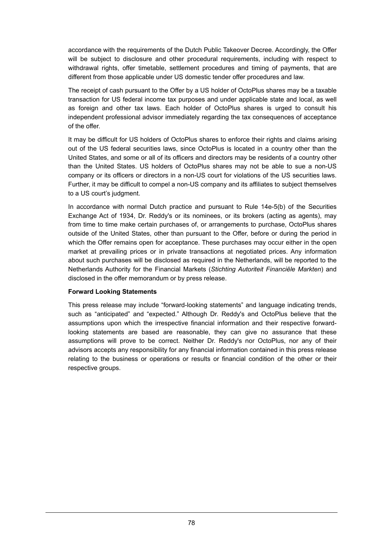accordance with the requirements of the Dutch Public Takeover Decree. Accordingly, the Offer will be subject to disclosure and other procedural requirements, including with respect to withdrawal rights, offer timetable, settlement procedures and timing of payments, that are different from those applicable under US domestic tender offer procedures and law.

The receipt of cash pursuant to the Offer by a US holder of OctoPlus shares may be a taxable transaction for US federal income tax purposes and under applicable state and local, as well as foreign and other tax laws. Each holder of OctoPlus shares is urged to consult his independent professional advisor immediately regarding the tax consequences of acceptance of the offer.

It may be difficult for US holders of OctoPlus shares to enforce their rights and claims arising out of the US federal securities laws, since OctoPlus is located in a country other than the United States, and some or all of its officers and directors may be residents of a country other than the United States. US holders of OctoPlus shares may not be able to sue a non-US company or its officers or directors in a non-US court for violations of the US securities laws. Further, it may be difficult to compel a non-US company and its affiliates to subject themselves to a US court's judgment.

In accordance with normal Dutch practice and pursuant to Rule 14e-5(b) of the Securities Exchange Act of 1934, Dr. Reddy's or its nominees, or its brokers (acting as agents), may from time to time make certain purchases of, or arrangements to purchase, OctoPlus shares outside of the United States, other than pursuant to the Offer, before or during the period in which the Offer remains open for acceptance. These purchases may occur either in the open market at prevailing prices or in private transactions at negotiated prices. Any information about such purchases will be disclosed as required in the Netherlands, will be reported to the Netherlands Authority for the Financial Markets (*Stichting Autoriteit Financiële Markten*) and disclosed in the offer memorandum or by press release.

# **Forward Looking Statements**

This press release may include "forward-looking statements" and language indicating trends, such as "anticipated" and "expected." Although Dr. Reddy's and OctoPlus believe that the assumptions upon which the irrespective financial information and their respective forwardlooking statements are based are reasonable, they can give no assurance that these assumptions will prove to be correct. Neither Dr. Reddy's nor OctoPlus, nor any of their advisors accepts any responsibility for any financial information contained in this press release relating to the business or operations or results or financial condition of the other or their respective groups.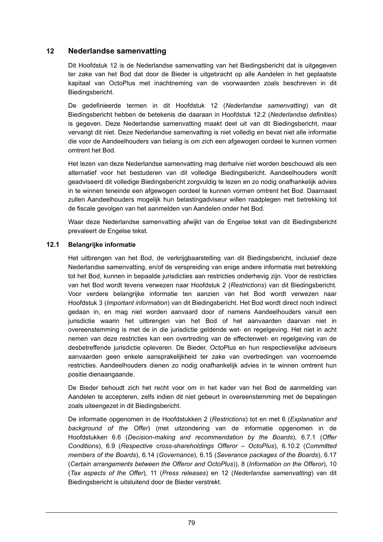# **12 Nederlandse samenvatting**

Dit Hoofdstuk 12 is de Nederlandse samenvatting van het Biedingsbericht dat is uitgegeven ter zake van het Bod dat door de Bieder is uitgebracht op alle Aandelen in het geplaatste kapitaal van OctoPlus met inachtneming van de voorwaarden zoals beschreven in dit Biedingsbericht.

De gedefinieerde termen in dit Hoofdstuk 12 (*Nederlandse samenvatting*) van dit Biedingsbericht hebben de betekenis die daaraan in Hoofdstuk 12.2 (*Nederlandse definities*) is gegeven. Deze Nederlandse samenvatting maakt deel uit van dit Biedingsbericht, maar vervangt dit niet. Deze Nederlandse samenvatting is niet volledig en bevat niet alle informatie die voor de Aandeelhouders van belang is om zich een afgewogen oordeel te kunnen vormen omtrent het Bod.

Het lezen van deze Nederlandse samenvatting mag derhalve niet worden beschouwd als een alternatief voor het bestuderen van dit volledige Biedingsbericht. Aandeelhouders wordt geadviseerd dit volledige Biedingsbericht zorgvuldig te lezen en zo nodig onafhankelijk advies in te winnen teneinde een afgewogen oordeel te kunnen vormen omtrent het Bod. Daarnaast zullen Aandeelhouders mogelijk hun belastingadviseur willen raadplegen met betrekking tot de fiscale gevolgen van het aanmelden van Aandelen onder het Bod.

Waar deze Nederlandse samenvatting afwijkt van de Engelse tekst van dit Biedingsbericht prevaleert de Engelse tekst.

# **12.1 Belangrijke informatie**

Het uitbrengen van het Bod, de verkrijgbaarstelling van dit Biedingsbericht, inclusief deze Nederlandse samenvatting, en/of de verspreiding van enige andere informatie met betrekking tot het Bod, kunnen in bepaalde jurisdicties aan restricties onderhevig zijn. Voor de restricties van het Bod wordt tevens verwezen naar Hoofdstuk 2 (*Restrictions*) van dit Biedingsbericht. Voor verdere belangrijke informatie ten aanzien van het Bod wordt verwezen naar Hoofdstuk 3 (*Important information*) van dit Biedingsbericht. Het Bod wordt direct noch indirect gedaan in, en mag niet worden aanvaard door of namens Aandeelhouders vanuit een jurisdictie waarin het uitbrengen van het Bod of het aanvaarden daarvan niet in overeenstemming is met de in die jurisdictie geldende wet- en regelgeving. Het niet in acht nemen van deze restricties kan een overtreding van de effectenwet- en regelgeving van de desbetreffende jurisdictie opleveren. De Bieder, OctoPlus en hun respectievelijke adviseurs aanvaarden geen enkele aansprakelijkheid ter zake van overtredingen van voornoemde restricties. Aandeelhouders dienen zo nodig onafhankelijk advies in te winnen omtrent hun positie dienaangaande.

De Bieder behoudt zich het recht voor om in het kader van het Bod de aanmelding van Aandelen te accepteren, zelfs indien dit niet gebeurt in overeenstemming met de bepalingen zoals uiteengezet in dit Biedingsbericht.

De informatie opgenomen in de Hoofdstukken 2 (*Restrictions*) tot en met 6 (*Explanation and background of the Offer*) (met uitzondering van de informatie opgenomen in de Hoofdstukken 6.6 (*Decision-making and recommendation by the Boards*), 6.7.1 (*Offer Conditions*), 6.9 (*Respective cross-shareholdings Offeror – OctoPlus*), 6.10.2 (*Committed members of the Boards*), 6.14 (*Governance*), 6.15 (*Severance packages of the Boards*), 6.17 (*Certain arrangements between the Offeror and OctoPlus*)), 8 (*Information on the Offeror*), 10 (*Tax aspects of the Offer*), 11 (*Press releases*) en 12 (*Nederlandse samenvatting*) van dit Biedingsbericht is uitsluitend door de Bieder verstrekt.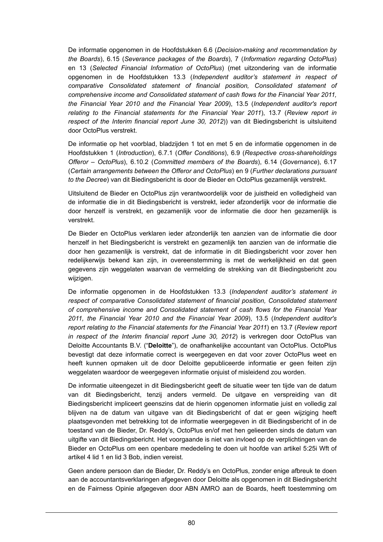De informatie opgenomen in de Hoofdstukken 6.6 (*Decision-making and recommendation by the Boards*), 6.15 (*Severance packages of the Boards*), 7 (*Information regarding OctoPlus*) en 13 (*Selected Financial Information of OctoPlus*) (met uitzondering van de informatie opgenomen in de Hoofdstukken 13.3 (*Independent auditor's statement in respect of comparative Consolidated statement of financial position, Consolidated statement of comprehensive income and Consolidated statement of cash flows for the Financial Year 2011, the Financial Year 2010 and the Financial Year 2009*), 13.5 (*Independent auditor's report relating to the Financial statements for the Financial Year 2011*), 13.7 (*Review report in respect of the Interim financial report June 30, 2012*)) van dit Biedingsbericht is uitsluitend door OctoPlus verstrekt.

De informatie op het voorblad, bladzijden 1 tot en met 5 en de informatie opgenomen in de Hoofdstukken 1 (*Introduction*), 6.7.1 (*Offer Conditions*), 6.9 (*Respective cross-shareholdings Offeror – OctoPlus*), 6.10.2 (*Committed members of the Boards*), 6.14 (*Governance*), 6.17 (*Certain arrangements between the Offeror and OctoPlus*) en 9 (*Further declarations pursuant to the Decree*) van dit Biedingsbericht is door de Bieder en OctoPlus gezamenlijk verstrekt.

Uitsluitend de Bieder en OctoPlus zijn verantwoordelijk voor de juistheid en volledigheid van de informatie die in dit Biedingsbericht is verstrekt, ieder afzonderlijk voor de informatie die door henzelf is verstrekt, en gezamenlijk voor de informatie die door hen gezamenlijk is verstrekt.

De Bieder en OctoPlus verklaren ieder afzonderlijk ten aanzien van de informatie die door henzelf in het Biedingsbericht is verstrekt en gezamenlijk ten aanzien van de informatie die door hen gezamenlijk is verstrekt, dat de informatie in dit Biedingsbericht voor zover hen redelijkerwijs bekend kan zijn, in overeenstemming is met de werkelijkheid en dat geen gegevens zijn weggelaten waarvan de vermelding de strekking van dit Biedingsbericht zou wijzigen.

De informatie opgenomen in de Hoofdstukken 13.3 (*Independent auditor's statement in respect of comparative Consolidated statement of financial position, Consolidated statement of comprehensive income and Consolidated statement of cash flows for the Financial Year 2011, the Financial Year 2010 and the Financial Year 2009*), 13.5 (*Independent auditor's report relating to the Financial statements for the Financial Year 2011*) en 13.7 (*Review report in respect of the Interim financial report June 30, 2012*) is verkregen door OctoPlus van Deloitte Accountants B.V. ("**Deloitte**"), de onafhankelijke accountant van OctoPlus. OctoPlus bevestigt dat deze informatie correct is weergegeven en dat voor zover OctoPlus weet en heeft kunnen opmaken uit de door Deloitte gepubliceerde informatie er geen feiten zijn weggelaten waardoor de weergegeven informatie onjuist of misleidend zou worden.

De informatie uiteengezet in dit Biedingsbericht geeft de situatie weer ten tijde van de datum van dit Biedingsbericht, tenzij anders vermeld. De uitgave en verspreiding van dit Biedingsbericht impliceert geenszins dat de hierin opgenomen informatie juist en volledig zal blijven na de datum van uitgave van dit Biedingsbericht of dat er geen wijziging heeft plaatsgevonden met betrekking tot de informatie weergegeven in dit Biedingsbericht of in de toestand van de Bieder, Dr. Reddy's, OctoPlus en/of met hen gelieerden sinds de datum van uitgifte van dit Biedingsbericht. Het voorgaande is niet van invloed op de verplichtingen van de Bieder en OctoPlus om een openbare mededeling te doen uit hoofde van artikel 5:25i Wft of artikel 4 lid 1 en lid 3 Bob, indien vereist.

Geen andere persoon dan de Bieder, Dr. Reddy's en OctoPlus, zonder enige afbreuk te doen aan de accountantsverklaringen afgegeven door Deloitte als opgenomen in dit Biedingsbericht en de Fairness Opinie afgegeven door ABN AMRO aan de Boards, heeft toestemming om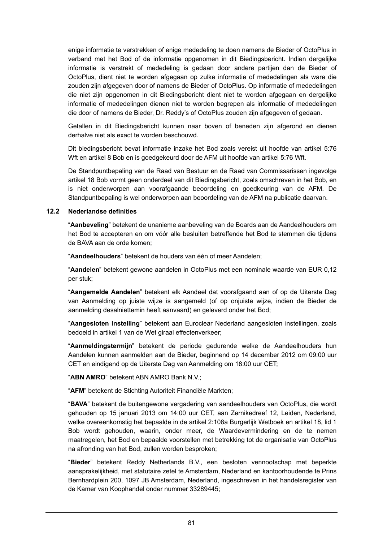enige informatie te verstrekken of enige mededeling te doen namens de Bieder of OctoPlus in verband met het Bod of de informatie opgenomen in dit Biedingsbericht. Indien dergelijke informatie is verstrekt of mededeling is gedaan door andere partijen dan de Bieder of OctoPlus, dient niet te worden afgegaan op zulke informatie of mededelingen als ware die zouden zijn afgegeven door of namens de Bieder of OctoPlus. Op informatie of mededelingen die niet zijn opgenomen in dit Biedingsbericht dient niet te worden afgegaan en dergelijke informatie of mededelingen dienen niet te worden begrepen als informatie of mededelingen die door of namens de Bieder, Dr. Reddy's of OctoPlus zouden zijn afgegeven of gedaan.

Getallen in dit Biedingsbericht kunnen naar boven of beneden zijn afgerond en dienen derhalve niet als exact te worden beschouwd.

Dit biedingsbericht bevat informatie inzake het Bod zoals vereist uit hoofde van artikel 5:76 Wft en artikel 8 Bob en is goedgekeurd door de AFM uit hoofde van artikel 5:76 Wft.

De Standpuntbepaling van de Raad van Bestuur en de Raad van Commissarissen ingevolge artikel 18 Bob vormt geen onderdeel van dit Biedingsbericht, zoals omschreven in het Bob, en is niet onderworpen aan voorafgaande beoordeling en goedkeuring van de AFM. De Standpuntbepaling is wel onderworpen aan beoordeling van de AFM na publicatie daarvan.

#### **12.2 Nederlandse definities**

"**Aanbeveling**" betekent de unanieme aanbeveling van de Boards aan de Aandeelhouders om het Bod te accepteren en om vóór alle besluiten betreffende het Bod te stemmen die tijdens de BAVA aan de orde komen;

"**Aandeelhouders**" betekent de houders van één of meer Aandelen;

"**Aandelen**" betekent gewone aandelen in OctoPlus met een nominale waarde van EUR 0,12 per stuk;

"**Aangemelde Aandelen**" betekent elk Aandeel dat voorafgaand aan of op de Uiterste Dag van Aanmelding op juiste wijze is aangemeld (of op onjuiste wijze, indien de Bieder de aanmelding desalniettemin heeft aanvaard) en geleverd onder het Bod;

"**Aangesloten Instelling**" betekent aan Euroclear Nederland aangesloten instellingen, zoals bedoeld in artikel 1 van de Wet giraal effectenverkeer;

"**Aanmeldingstermijn**" betekent de periode gedurende welke de Aandeelhouders hun Aandelen kunnen aanmelden aan de Bieder, beginnend op 14 december 2012 om 09:00 uur CET en eindigend op de Uiterste Dag van Aanmelding om 18:00 uur CET;

"**ABN AMRO**" betekent ABN AMRO Bank N.V.;

"**AFM**" betekent de Stichting Autoriteit Financiële Markten;

"**BAVA**" betekent de buitengewone vergadering van aandeelhouders van OctoPlus, die wordt gehouden op 15 januari 2013 om 14:00 uur CET, aan Zernikedreef 12, Leiden, Nederland, welke overeenkomstig het bepaalde in de artikel 2:108a Burgerlijk Wetboek en artikel 18, lid 1 Bob wordt gehouden, waarin, onder meer, de Waardevermindering en de te nemen maatregelen, het Bod en bepaalde voorstellen met betrekking tot de organisatie van OctoPlus na afronding van het Bod, zullen worden besproken;

"**Bieder**" betekent Reddy Netherlands B.V., een besloten vennootschap met beperkte aansprakelijkheid, met statutaire zetel te Amsterdam, Nederland en kantoorhoudende te Prins Bernhardplein 200, 1097 JB Amsterdam, Nederland, ingeschreven in het handelsregister van de Kamer van Koophandel onder nummer 33289445;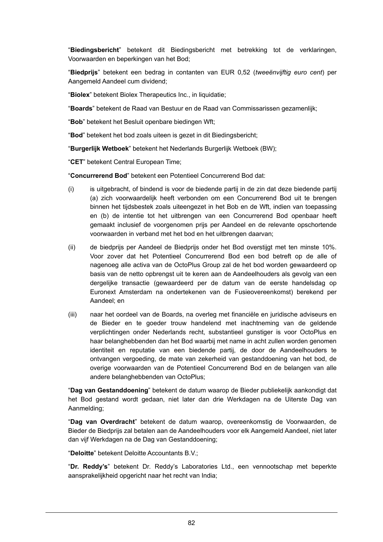"**Biedingsbericht**" betekent dit Biedingsbericht met betrekking tot de verklaringen, Voorwaarden en beperkingen van het Bod;

"**Biedprijs**" betekent een bedrag in contanten van EUR 0,52 (*tweeënvijftig euro cent*) per Aangemeld Aandeel cum dividend;

"**Biolex**" betekent Biolex Therapeutics Inc., in liquidatie;

"**Boards**" betekent de Raad van Bestuur en de Raad van Commissarissen gezamenlijk;

"**Bob**" betekent het Besluit openbare biedingen Wft;

"**Bod**" betekent het bod zoals uiteen is gezet in dit Biedingsbericht;

"**Burgerlijk Wetboek**" betekent het Nederlands Burgerlijk Wetboek (BW);

"**CET**" betekent Central European Time;

"**Concurrerend Bod**" betekent een Potentieel Concurrerend Bod dat:

- (i) is uitgebracht, of bindend is voor de biedende partij in de zin dat deze biedende partij (a) zich voorwaardelijk heeft verbonden om een Concurrerend Bod uit te brengen binnen het tijdsbestek zoals uiteengezet in het Bob en de Wft, indien van toepassing en (b) de intentie tot het uitbrengen van een Concurrerend Bod openbaar heeft gemaakt inclusief de voorgenomen prijs per Aandeel en de relevante opschortende voorwaarden in verband met het bod en het uitbrengen daarvan;
- (ii) de biedprijs per Aandeel de Biedprijs onder het Bod overstijgt met ten minste 10%. Voor zover dat het Potentieel Concurrerend Bod een bod betreft op de alle of nagenoeg alle activa van de OctoPlus Group zal de het bod worden gewaardeerd op basis van de netto opbrengst uit te keren aan de Aandeelhouders als gevolg van een dergelijke transactie (gewaardeerd per de datum van de eerste handelsdag op Euronext Amsterdam na ondertekenen van de Fusieovereenkomst) berekend per Aandeel; en
- (iii) naar het oordeel van de Boards, na overleg met financiële en juridische adviseurs en de Bieder en te goeder trouw handelend met inachtneming van de geldende verplichtingen onder Nederlands recht, substantieel gunstiger is voor OctoPlus en haar belanghebbenden dan het Bod waarbij met name in acht zullen worden genomen identiteit en reputatie van een biedende partij, de door de Aandeelhouders te ontvangen vergoeding, de mate van zekerheid van gestanddoening van het bod, de overige voorwaarden van de Potentieel Concurrerend Bod en de belangen van alle andere belanghebbenden van OctoPlus;

"**Dag van Gestanddoening**" betekent de datum waarop de Bieder publiekelijk aankondigt dat het Bod gestand wordt gedaan, niet later dan drie Werkdagen na de Uiterste Dag van Aanmelding;

"**Dag van Overdracht**" betekent de datum waarop, overeenkomstig de Voorwaarden, de Bieder de Biedprijs zal betalen aan de Aandeelhouders voor elk Aangemeld Aandeel, niet later dan vijf Werkdagen na de Dag van Gestanddoening;

"**Deloitte**" betekent Deloitte Accountants B.V.;

"**Dr. Reddy's**" betekent Dr. Reddy's Laboratories Ltd., een vennootschap met beperkte aansprakelijkheid opgericht naar het recht van India;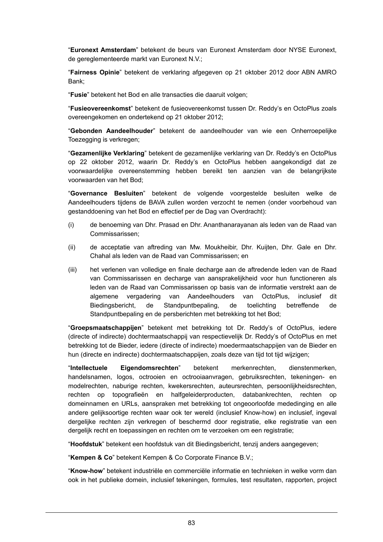"**Euronext Amsterdam**" betekent de beurs van Euronext Amsterdam door NYSE Euronext, de gereglementeerde markt van Euronext N.V.;

"**Fairness Opinie**" betekent de verklaring afgegeven op 21 oktober 2012 door ABN AMRO Bank;

"**Fusie**" betekent het Bod en alle transacties die daaruit volgen;

"**Fusieovereenkomst**" betekent de fusieovereenkomst tussen Dr. Reddy's en OctoPlus zoals overeengekomen en ondertekend op 21 oktober 2012;

"**Gebonden Aandeelhouder**" betekent de aandeelhouder van wie een Onherroepelijke Toezegging is verkregen;

"**Gezamenlijke Verklaring**" betekent de gezamenlijke verklaring van Dr. Reddy's en OctoPlus op 22 oktober 2012, waarin Dr. Reddy's en OctoPlus hebben aangekondigd dat ze voorwaardelijke overeenstemming hebben bereikt ten aanzien van de belangrijkste voorwaarden van het Bod;

"**Governance Besluiten**" betekent de volgende voorgestelde besluiten welke de Aandeelhouders tijdens de BAVA zullen worden verzocht te nemen (onder voorbehoud van gestanddoening van het Bod en effectief per de Dag van Overdracht):

- (i) de benoeming van Dhr. Prasad en Dhr. Ananthanarayanan als leden van de Raad van Commissarissen;
- (ii) de acceptatie van aftreding van Mw. Moukheibir, Dhr. Kuijten, Dhr. Gale en Dhr. Chahal als leden van de Raad van Commissarissen; en
- (iii) het verlenen van volledige en finale decharge aan de aftredende leden van de Raad van Commissarissen en decharge van aansprakelijkheid voor hun functioneren als leden van de Raad van Commissarissen op basis van de informatie verstrekt aan de algemene vergadering van Aandeelhouders van OctoPlus, inclusief dit Biedingsbericht, de Standpuntbepaling, de toelichting betreffende de Standpuntbepaling en de persberichten met betrekking tot het Bod;

"**Groepsmaatschappijen**" betekent met betrekking tot Dr. Reddy's of OctoPlus, iedere (directe of indirecte) dochtermaatschappij van respectievelijk Dr. Reddy's of OctoPlus en met betrekking tot de Bieder, iedere (directe of indirecte) moedermaatschappijen van de Bieder en hun (directe en indirecte) dochtermaatschappijen, zoals deze van tijd tot tijd wijzigen;

"**Intellectuele Eigendomsrechten**" betekent merkenrechten, dienstenmerken, handelsnamen, logos, octrooien en octrooiaanvragen, gebruiksrechten, tekeningen- en modelrechten, naburige rechten, kwekersrechten, auteursrechten, persoonlijkheidsrechten, rechten op topografieën en halfgeleiderproducten, databankrechten, rechten op domeinnamen en URLs, aanspraken met betrekking tot ongeoorloofde mededinging en alle andere gelijksoortige rechten waar ook ter wereld (inclusief Know-how) en inclusief, ingeval dergelijke rechten zijn verkregen of beschermd door registratie, elke registratie van een dergelijk recht en toepassingen en rechten om te verzoeken om een registratie;

"**Hoofdstuk**" betekent een hoofdstuk van dit Biedingsbericht, tenzij anders aangegeven;

"**Kempen & Co**" betekent Kempen & Co Corporate Finance B.V.;

"**Know-how**" betekent industriële en commerciële informatie en technieken in welke vorm dan ook in het publieke domein, inclusief tekeningen, formules, test resultaten, rapporten, project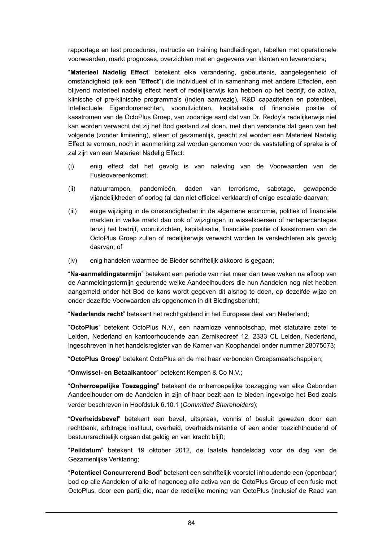rapportage en test procedures, instructie en training handleidingen, tabellen met operationele voorwaarden, markt prognoses, overzichten met en gegevens van klanten en leveranciers;

"**Materieel Nadelig Effect**" betekent elke verandering, gebeurtenis, aangelegenheid of omstandigheid (elk een "**Effect**") die individueel of in samenhang met andere Effecten, een blijvend materieel nadelig effect heeft of redelijkerwijs kan hebben op het bedrijf, de activa, klinische of pre-klinische programma's (indien aanwezig), R&D capaciteiten en potentieel, Intellectuele Eigendomsrechten, vooruitzichten, kapitalisatie of financiële positie of kasstromen van de OctoPlus Groep, van zodanige aard dat van Dr. Reddy's redelijkerwijs niet kan worden verwacht dat zij het Bod gestand zal doen, met dien verstande dat geen van het volgende (zonder limitering), alleen of gezamenlijk, geacht zal worden een Materieel Nadelig Effect te vormen, noch in aanmerking zal worden genomen voor de vaststelling of sprake is of zal zijn van een Materieel Nadelig Effect:

- (i) enig effect dat het gevolg is van naleving van de Voorwaarden van de Fusieovereenkomst;
- (ii) natuurrampen, pandemieën, daden van terrorisme, sabotage, gewapende vijandelijkheden of oorlog (al dan niet officieel verklaard) of enige escalatie daarvan;
- (iii) enige wijziging in de omstandigheden in de algemene economie, politiek of financiële markten in welke markt dan ook of wijzigingen in wisselkoersen of rentepercentages tenzij het bedrijf, vooruitzichten, kapitalisatie, financiële positie of kasstromen van de OctoPlus Groep zullen of redelijkerwijs verwacht worden te verslechteren als gevolg daarvan; of
- (iv) enig handelen waarmee de Bieder schriftelijk akkoord is gegaan;

"**Na-aanmeldingstermijn**" betekent een periode van niet meer dan twee weken na afloop van de Aanmeldingstermijn gedurende welke Aandeelhouders die hun Aandelen nog niet hebben aangemeld onder het Bod de kans wordt gegeven dit alsnog te doen, op dezelfde wijze en onder dezelfde Voorwaarden als opgenomen in dit Biedingsbericht;

"**Nederlands recht**" betekent het recht geldend in het Europese deel van Nederland;

"**OctoPlus**" betekent OctoPlus N.V., een naamloze vennootschap, met statutaire zetel te Leiden, Nederland en kantoorhoudende aan Zernikedreef 12, 2333 CL Leiden, Nederland, ingeschreven in het handelsregister van de Kamer van Koophandel onder nummer 28075073;

"**OctoPlus Groep**" betekent OctoPlus en de met haar verbonden Groepsmaatschappijen;

"**Omwissel- en Betaalkantoor**" betekent Kempen & Co N.V.;

"**Onherroepelijke Toezegging**" betekent de onherroepelijke toezegging van elke Gebonden Aandeelhouder om de Aandelen in zijn of haar bezit aan te bieden ingevolge het Bod zoals verder beschreven in Hoofdstuk 6.10.1 (*Committed Shareholders*);

"**Overheidsbevel**" betekent een bevel, uitspraak, vonnis of besluit gewezen door een rechtbank, arbitrage instituut, overheid, overheidsinstantie of een ander toezichthoudend of bestuursrechtelijk orgaan dat geldig en van kracht blijft;

"**Peildatum**" betekent 19 oktober 2012, de laatste handelsdag voor de dag van de Gezamenlijke Verklaring;

"**Potentieel Concurrerend Bod**" betekent een schriftelijk voorstel inhoudende een (openbaar) bod op alle Aandelen of alle of nagenoeg alle activa van de OctoPlus Group of een fusie met OctoPlus, door een partij die, naar de redelijke mening van OctoPlus (inclusief de Raad van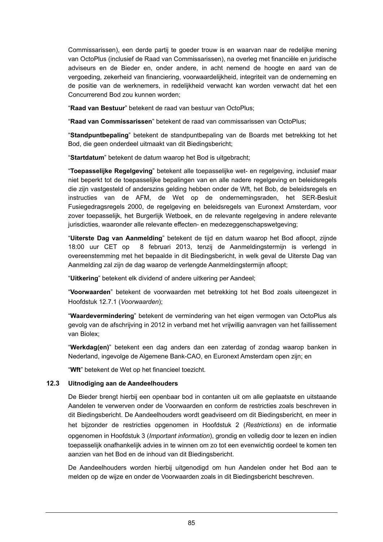Commissarissen), een derde partij te goeder trouw is en waarvan naar de redelijke mening van OctoPlus (inclusief de Raad van Commissarissen), na overleg met financiële en juridische adviseurs en de Bieder en, onder andere, in acht nemend de hoogte en aard van de vergoeding, zekerheid van financiering, voorwaardelijkheid, integriteit van de onderneming en de positie van de werknemers, in redelijkheid verwacht kan worden verwacht dat het een Concurrerend Bod zou kunnen worden;

"**Raad van Bestuur**" betekent de raad van bestuur van OctoPlus;

"**Raad van Commissarissen**" betekent de raad van commissarissen van OctoPlus;

"**Standpuntbepaling**" betekent de standpuntbepaling van de Boards met betrekking tot het Bod, die geen onderdeel uitmaakt van dit Biedingsbericht;

"**Startdatum**" betekent de datum waarop het Bod is uitgebracht;

"**Toepasselijke Regelgeving**" betekent alle toepasselijke wet- en regelgeving, inclusief maar niet beperkt tot de toepasselijke bepalingen van en alle nadere regelgeving en beleidsregels die zijn vastgesteld of anderszins gelding hebben onder de Wft, het Bob, de beleidsregels en instructies van de AFM, de Wet op de ondernemingsraden, het SER-Besluit Fusiegedragsregels 2000, de regelgeving en beleidsregels van Euronext Amsterdam, voor zover toepasselijk, het Burgerlijk Wetboek, en de relevante regelgeving in andere relevante jurisdicties, waaronder alle relevante effecten- en medezeggenschapswetgeving;

"**Uiterste Dag van Aanmelding**" betekent de tijd en datum waarop het Bod afloopt, zijnde 18:00 uur CET op 8 februari 2013, tenzij de Aanmeldingstermijn is verlengd in overeenstemming met het bepaalde in dit Biedingsbericht, in welk geval de Uiterste Dag van Aanmelding zal zijn de dag waarop de verlengde Aanmeldingstermijn afloopt;

"**Uitkering**" betekent elk dividend of andere uitkering per Aandeel;

"**Voorwaarden**" betekent de voorwaarden met betrekking tot het Bod zoals uiteengezet in Hoofdstuk 12.7.1 (*Voorwaarden*);

"**Waardevermindering**" betekent de vermindering van het eigen vermogen van OctoPlus als gevolg van de afschrijving in 2012 in verband met het vrijwillig aanvragen van het faillissement van Biolex;

"**Werkdag(en)**" betekent een dag anders dan een zaterdag of zondag waarop banken in Nederland, ingevolge de Algemene Bank-CAO, en Euronext Amsterdam open zijn; en

"**Wft**" betekent de Wet op het financieel toezicht.

# **12.3 Uitnodiging aan de Aandeelhouders**

De Bieder brengt hierbij een openbaar bod in contanten uit om alle geplaatste en uitstaande Aandelen te verwerven onder de Voorwaarden en conform de restricties zoals beschreven in dit Biedingsbericht. De Aandeelhouders wordt geadviseerd om dit Biedingsbericht, en meer in het bijzonder de restricties opgenomen in Hoofdstuk 2 (*Restrictions*) en de informatie opgenomen in Hoofdstuk 3 (*Important information*), grondig en volledig door te lezen en indien toepasselijk onafhankelijk advies in te winnen om zo tot een evenwichtig oordeel te komen ten aanzien van het Bod en de inhoud van dit Biedingsbericht.

De Aandeelhouders worden hierbij uitgenodigd om hun Aandelen onder het Bod aan te melden op de wijze en onder de Voorwaarden zoals in dit Biedingsbericht beschreven.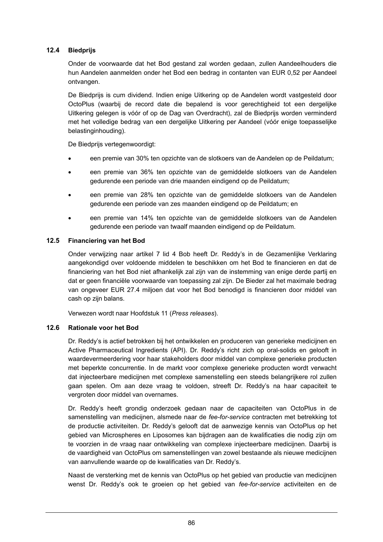# **12.4 Biedprijs**

Onder de voorwaarde dat het Bod gestand zal worden gedaan, zullen Aandeelhouders die hun Aandelen aanmelden onder het Bod een bedrag in contanten van EUR 0,52 per Aandeel ontvangen.

De Biedprijs is cum dividend. Indien enige Uitkering op de Aandelen wordt vastgesteld door OctoPlus (waarbij de record date die bepalend is voor gerechtigheid tot een dergelijke Uitkering gelegen is vóór of op de Dag van Overdracht), zal de Biedprijs worden verminderd met het volledige bedrag van een dergelijke Uitkering per Aandeel (vóór enige toepasselijke belastinginhouding).

De Biedprijs vertegenwoordigt:

- een premie van 30% ten opzichte van de slotkoers van de Aandelen op de Peildatum;
- een premie van 36% ten opzichte van de gemiddelde slotkoers van de Aandelen gedurende een periode van drie maanden eindigend op de Peildatum;
- een premie van 28% ten opzichte van de gemiddelde slotkoers van de Aandelen gedurende een periode van zes maanden eindigend op de Peildatum; en
- een premie van 14% ten opzichte van de gemiddelde slotkoers van de Aandelen gedurende een periode van twaalf maanden eindigend op de Peildatum.

# **12.5 Financiering van het Bod**

Onder verwijzing naar artikel 7 lid 4 Bob heeft Dr. Reddy's in de Gezamenlijke Verklaring aangekondigd over voldoende middelen te beschikken om het Bod te financieren en dat de financiering van het Bod niet afhankelijk zal zijn van de instemming van enige derde partij en dat er geen financiële voorwaarde van toepassing zal zijn. De Bieder zal het maximale bedrag van ongeveer EUR 27.4 miljoen dat voor het Bod benodigd is financieren door middel van cash op zijn balans.

Verwezen wordt naar Hoofdstuk 11 (*Press releases*).

# **12.6 Rationale voor het Bod**

Dr. Reddy's is actief betrokken bij het ontwikkelen en produceren van generieke medicijnen en Active Pharmaceutical Ingredients (API). Dr. Reddy's richt zich op oral-solids en gelooft in waardevermeerdering voor haar stakeholders door middel van complexe generieke producten met beperkte concurrentie. In de markt voor complexe generieke producten wordt verwacht dat injecteerbare medicijnen met complexe samenstelling een steeds belangrijkere rol zullen gaan spelen. Om aan deze vraag te voldoen, streeft Dr. Reddy's na haar capaciteit te vergroten door middel van overnames.

Dr. Reddy's heeft grondig onderzoek gedaan naar de capaciteiten van OctoPlus in de samenstelling van medicijnen, alsmede naar de *fee-for-service* contracten met betrekking tot de productie activiteiten. Dr. Reddy's gelooft dat de aanwezige kennis van OctoPlus op het gebied van Microspheres en Liposomes kan bijdragen aan de kwalificaties die nodig zijn om te voorzien in de vraag naar ontwikkeling van complexe injecteerbare medicijnen. Daarbij is de vaardigheid van OctoPlus om samenstellingen van zowel bestaande als nieuwe medicijnen van aanvullende waarde op de kwalificaties van Dr. Reddy's.

Naast de versterking met de kennis van OctoPlus op het gebied van productie van medicijnen wenst Dr. Reddy's ook te groeien op het gebied van *fee-for-service* activiteiten en de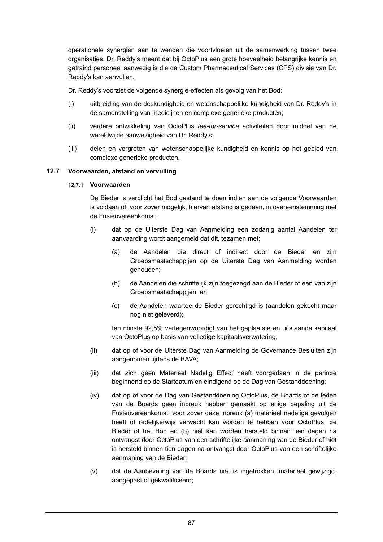operationele synergiën aan te wenden die voortvloeien uit de samenwerking tussen twee organisaties. Dr. Reddy's meent dat bij OctoPlus een grote hoeveelheid belangrijke kennis en getraind personeel aanwezig is die de Custom Pharmaceutical Services (CPS) divisie van Dr. Reddy's kan aanvullen.

Dr. Reddy's voorziet de volgende synergie-effecten als gevolg van het Bod:

- (i) uitbreiding van de deskundigheid en wetenschappelijke kundigheid van Dr. Reddy's in de samenstelling van medicijnen en complexe generieke producten;
- (ii) verdere ontwikkeling van OctoPlus *fee-for-service* activiteiten door middel van de wereldwijde aanwezigheid van Dr. Reddy's;
- (iii) delen en vergroten van wetenschappelijke kundigheid en kennis op het gebied van complexe generieke producten.

# **12.7 Voorwaarden, afstand en vervulling**

# **12.7.1 Voorwaarden**

De Bieder is verplicht het Bod gestand te doen indien aan de volgende Voorwaarden is voldaan of, voor zover mogelijk, hiervan afstand is gedaan, in overeenstemming met de Fusieovereenkomst:

- (i) dat op de Uiterste Dag van Aanmelding een zodanig aantal Aandelen ter aanvaarding wordt aangemeld dat dit, tezamen met:
	- (a) de Aandelen die direct of indirect door de Bieder en zijn Groepsmaatschappijen op de Uiterste Dag van Aanmelding worden gehouden;
	- (b) de Aandelen die schriftelijk zijn toegezegd aan de Bieder of een van zijn Groepsmaatschappijen; en
	- (c) de Aandelen waartoe de Bieder gerechtigd is (aandelen gekocht maar nog niet geleverd);

ten minste 92,5% vertegenwoordigt van het geplaatste en uitstaande kapitaal van OctoPlus op basis van volledige kapitaalsverwatering;

- (ii) dat op of voor de Uiterste Dag van Aanmelding de Governance Besluiten zijn aangenomen tijdens de BAVA;
- (iii) dat zich geen Materieel Nadelig Effect heeft voorgedaan in de periode beginnend op de Startdatum en eindigend op de Dag van Gestanddoening;
- (iv) dat op of voor de Dag van Gestanddoening OctoPlus, de Boards of de leden van de Boards geen inbreuk hebben gemaakt op enige bepaling uit de Fusieovereenkomst, voor zover deze inbreuk (a) materieel nadelige gevolgen heeft of redelijkerwijs verwacht kan worden te hebben voor OctoPlus, de Bieder of het Bod en (b) niet kan worden hersteld binnen tien dagen na ontvangst door OctoPlus van een schriftelijke aanmaning van de Bieder of niet is hersteld binnen tien dagen na ontvangst door OctoPlus van een schriftelijke aanmaning van de Bieder;
- (v) dat de Aanbeveling van de Boards niet is ingetrokken, materieel gewijzigd, aangepast of gekwalificeerd;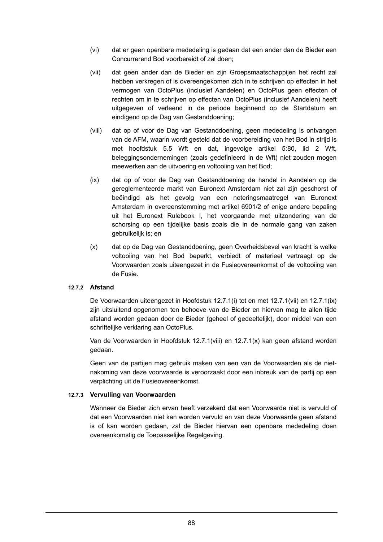- (vi) dat er geen openbare mededeling is gedaan dat een ander dan de Bieder een Concurrerend Bod voorbereidt of zal doen;
- (vii) dat geen ander dan de Bieder en zijn Groepsmaatschappijen het recht zal hebben verkregen of is overeengekomen zich in te schrijven op effecten in het vermogen van OctoPlus (inclusief Aandelen) en OctoPlus geen effecten of rechten om in te schrijven op effecten van OctoPlus (inclusief Aandelen) heeft uitgegeven of verleend in de periode beginnend op de Startdatum en eindigend op de Dag van Gestanddoening;
- (viii) dat op of voor de Dag van Gestanddoening, geen mededeling is ontvangen van de AFM, waarin wordt gesteld dat de voorbereiding van het Bod in strijd is met hoofdstuk 5.5 Wft en dat, ingevolge artikel 5:80, lid 2 Wft, beleggingsondernemingen (zoals gedefinieerd in de Wft) niet zouden mogen meewerken aan de uitvoering en voltooiing van het Bod;
- (ix) dat op of voor de Dag van Gestanddoening de handel in Aandelen op de gereglementeerde markt van Euronext Amsterdam niet zal zijn geschorst of beëindigd als het gevolg van een noteringsmaatregel van Euronext Amsterdam in overeenstemming met artikel 6901/2 of enige andere bepaling uit het Euronext Rulebook I, het voorgaande met uitzondering van de schorsing op een tijdelijke basis zoals die in de normale gang van zaken gebruikelijk is; en
- (x) dat op de Dag van Gestanddoening, geen Overheidsbevel van kracht is welke voltooiing van het Bod beperkt, verbiedt of materieel vertraagt op de Voorwaarden zoals uiteengezet in de Fusieovereenkomst of de voltooiing van de Fusie.

# **12.7.2 Afstand**

De Voorwaarden uiteengezet in Hoofdstuk 12.7.1(i) tot en met 12.7.1(vii) en 12.7.1(ix) zijn uitsluitend opgenomen ten behoeve van de Bieder en hiervan mag te allen tijde afstand worden gedaan door de Bieder (geheel of gedeeltelijk), door middel van een schriftelijke verklaring aan OctoPlus.

Van de Voorwaarden in Hoofdstuk 12.7.1(viii) en 12.7.1(x) kan geen afstand worden gedaan.

Geen van de partijen mag gebruik maken van een van de Voorwaarden als de nietnakoming van deze voorwaarde is veroorzaakt door een inbreuk van de partij op een verplichting uit de Fusieovereenkomst.

# **12.7.3 Vervulling van Voorwaarden**

Wanneer de Bieder zich ervan heeft verzekerd dat een Voorwaarde niet is vervuld of dat een Voorwaarden niet kan worden vervuld en van deze Voorwaarde geen afstand is of kan worden gedaan, zal de Bieder hiervan een openbare mededeling doen overeenkomstig de Toepasselijke Regelgeving.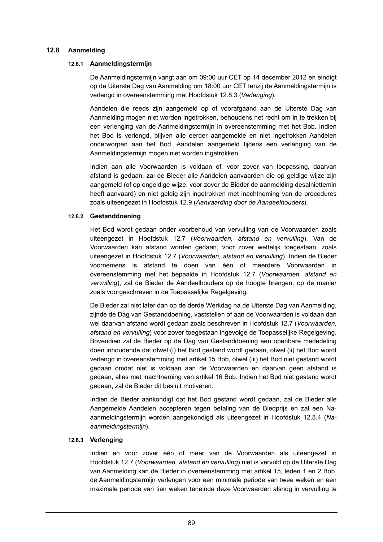# **12.8 Aanmelding**

# **12.8.1 Aanmeldingstermijn**

De Aanmeldingstermijn vangt aan om 09:00 uur CET op 14 december 2012 en eindigt op de Uiterste Dag van Aanmelding om 18:00 uur CET tenzij de Aanmeldingstermijn is verlengd in overeenstemming met Hoofdstuk 12.8.3 (*Verlenging*).

Aandelen die reeds zijn aangemeld op of voorafgaand aan de Uiterste Dag van Aanmelding mogen niet worden ingetrokken, behoudens het recht om in te trekken bij een verlenging van de Aanmeldingstermijn in overeenstemming met het Bob. Indien het Bod is verlengd, blijven alle eerder aangemelde en niet ingetrokken Aandelen onderworpen aan het Bod. Aandelen aangemeld tijdens een verlenging van de Aanmeldingstermijn mogen niet worden ingetrokken.

Indien aan alle Voorwaarden is voldaan of, voor zover van toepassing, daarvan afstand is gedaan, zal de Bieder alle Aandelen aanvaarden die op geldige wijze zijn aangemeld (of op ongeldige wijze, voor zover de Bieder de aanmelding desalniettemin heeft aanvaard) en niet geldig zijn ingetrokken met inachtneming van de procedures zoals uiteengezet in Hoofdstuk 12.9 (*Aanvaarding door de Aandeelhouders*).

#### **12.8.2 Gestanddoening**

Het Bod wordt gedaan onder voorbehoud van vervulling van de Voorwaarden zoals uiteengezet in Hoofdstuk 12.7 (*Voorwaarden, afstand en vervulling*). Van de Voorwaarden kan afstand worden gedaan, voor zover wettelijk toegestaan, zoals uiteengezet in Hoofdstuk 12.7 (*Voorwaarden, afstand en vervulling*). Indien de Bieder voornemens is afstand te doen van één of meerdere Voorwaarden in overeenstemming met het bepaalde in Hoofdstuk 12.7 (*Voorwaarden, afstand en vervulling*), zal de Bieder de Aandeelhouders op de hoogte brengen, op de manier zoals voorgeschreven in de Toepasselijke Regelgeving.

De Bieder zal niet later dan op de derde Werkdag na de Uiterste Dag van Aanmelding, zijnde de Dag van Gestanddoening, vaststellen of aan de Voorwaarden is voldaan dan wel daarvan afstand wordt gedaan zoals beschreven in Hoofdstuk 12.7 (*Voorwaarden, afstand en vervulling*) voor zover toegestaan ingevolge de Toepasselijke Regelgeving. Bovendien zal de Bieder op de Dag van Gestanddoening een openbare mededeling doen inhoudende dat ofwel (i) het Bod gestand wordt gedaan, ofwel (ii) het Bod wordt verlengd in overeenstemming met artikel 15 Bob, ofwel (iii) het Bod niet gestand wordt gedaan omdat niet is voldaan aan de Voorwaarden en daarvan geen afstand is gedaan, alles met inachtneming van artikel 16 Bob. Indien het Bod niet gestand wordt gedaan, zal de Bieder dit besluit motiveren.

Indien de Bieder aankondigt dat het Bod gestand wordt gedaan, zal de Bieder alle Aangemelde Aandelen accepteren tegen betaling van de Biedprijs en zal een Naaanmeldingstermijn worden aangekondigd als uiteengezet in Hoofdstuk 12.8.4 (*Naaanmeldingstermijn*).

#### **12.8.3 Verlenging**

Indien en voor zover één of meer van de Voorwaarden als uiteengezet in Hoofdstuk 12.7 (*Voorwaarden, afstand en vervulling*) niet is vervuld op de Uiterste Dag van Aanmelding kan de Bieder in overeenstemming met artikel 15, leden 1 en 2 Bob, de Aanmeldingstermijn verlengen voor een minimale periode van twee weken en een maximale periode van tien weken teneinde deze Voorwaarden alsnog in vervulling te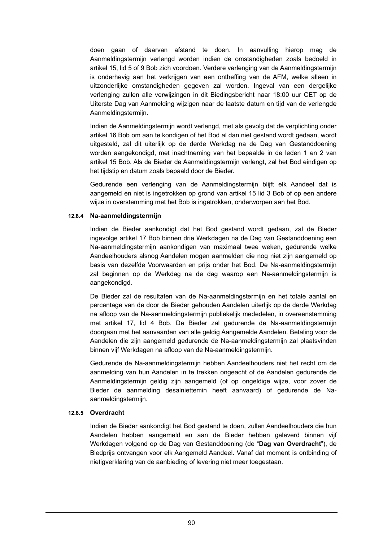doen gaan of daarvan afstand te doen. In aanvulling hierop mag de Aanmeldingstermijn verlengd worden indien de omstandigheden zoals bedoeld in artikel 15, lid 5 of 9 Bob zich voordoen. Verdere verlenging van de Aanmeldingstermijn is onderhevig aan het verkrijgen van een ontheffing van de AFM, welke alleen in uitzonderlijke omstandigheden gegeven zal worden. Ingeval van een dergelijke verlenging zullen alle verwijzingen in dit Biedingsbericht naar 18:00 uur CET op de Uiterste Dag van Aanmelding wijzigen naar de laatste datum en tijd van de verlengde Aanmeldingstermijn.

Indien de Aanmeldingstermijn wordt verlengd, met als gevolg dat de verplichting onder artikel 16 Bob om aan te kondigen of het Bod al dan niet gestand wordt gedaan, wordt uitgesteld, zal dit uiterlijk op de derde Werkdag na de Dag van Gestanddoening worden aangekondigd, met inachtneming van het bepaalde in de leden 1 en 2 van artikel 15 Bob. Als de Bieder de Aanmeldingstermijn verlengt, zal het Bod eindigen op het tijdstip en datum zoals bepaald door de Bieder.

Gedurende een verlenging van de Aanmeldingstermijn blijft elk Aandeel dat is aangemeld en niet is ingetrokken op grond van artikel 15 lid 3 Bob of op een andere wijze in overstemming met het Bob is ingetrokken, onderworpen aan het Bod.

#### **12.8.4 Na-aanmeldingstermijn**

Indien de Bieder aankondigt dat het Bod gestand wordt gedaan, zal de Bieder ingevolge artikel 17 Bob binnen drie Werkdagen na de Dag van Gestanddoening een Na-aanmeldingstermijn aankondigen van maximaal twee weken, gedurende welke Aandeelhouders alsnog Aandelen mogen aanmelden die nog niet zijn aangemeld op basis van dezelfde Voorwaarden en prijs onder het Bod. De Na-aanmeldingstermijn zal beginnen op de Werkdag na de dag waarop een Na-aanmeldingstermijn is aangekondigd.

De Bieder zal de resultaten van de Na-aanmeldingstermijn en het totale aantal en percentage van de door de Bieder gehouden Aandelen uiterlijk op de derde Werkdag na afloop van de Na-aanmeldingstermijn publiekelijk mededelen, in overeenstemming met artikel 17, lid 4 Bob. De Bieder zal gedurende de Na-aanmeldingstermijn doorgaan met het aanvaarden van alle geldig Aangemelde Aandelen. Betaling voor de Aandelen die zijn aangemeld gedurende de Na-aanmeldingstermijn zal plaatsvinden binnen vijf Werkdagen na afloop van de Na-aanmeldingstermijn.

Gedurende de Na-aanmeldingstermijn hebben Aandeelhouders niet het recht om de aanmelding van hun Aandelen in te trekken ongeacht of de Aandelen gedurende de Aanmeldingstermijn geldig zijn aangemeld (of op ongeldige wijze, voor zover de Bieder de aanmelding desalniettemin heeft aanvaard) of gedurende de Naaanmeldingstermijn.

# **12.8.5 Overdracht**

Indien de Bieder aankondigt het Bod gestand te doen, zullen Aandeelhouders die hun Aandelen hebben aangemeld en aan de Bieder hebben geleverd binnen vijf Werkdagen volgend op de Dag van Gestanddoening (de "**Dag van Overdracht**"), de Biedprijs ontvangen voor elk Aangemeld Aandeel. Vanaf dat moment is ontbinding of nietigverklaring van de aanbieding of levering niet meer toegestaan.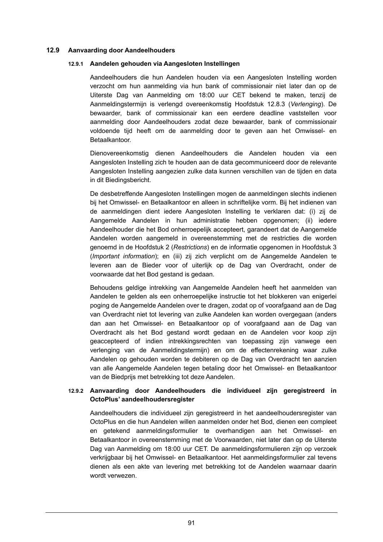#### **12.9 Aanvaarding door Aandeelhouders**

#### **12.9.1 Aandelen gehouden via Aangesloten Instellingen**

Aandeelhouders die hun Aandelen houden via een Aangesloten Instelling worden verzocht om hun aanmelding via hun bank of commissionair niet later dan op de Uiterste Dag van Aanmelding om 18:00 uur CET bekend te maken, tenzij de Aanmeldingstermijn is verlengd overeenkomstig Hoofdstuk 12.8.3 (*Verlenging*). De bewaarder, bank of commissionair kan een eerdere deadline vaststellen voor aanmelding door Aandeelhouders zodat deze bewaarder, bank of commissionair voldoende tijd heeft om de aanmelding door te geven aan het Omwissel- en Betaalkantoor.

Dienovereenkomstig dienen Aandeelhouders die Aandelen houden via een Aangesloten Instelling zich te houden aan de data gecommuniceerd door de relevante Aangesloten Instelling aangezien zulke data kunnen verschillen van de tijden en data in dit Biedingsbericht.

De desbetreffende Aangesloten Instellingen mogen de aanmeldingen slechts indienen bij het Omwissel- en Betaalkantoor en alleen in schriftelijke vorm. Bij het indienen van de aanmeldingen dient iedere Aangesloten Instelling te verklaren dat: (i) zij de Aangemelde Aandelen in hun administratie hebben opgenomen; (ii) iedere Aandeelhouder die het Bod onherroepelijk accepteert, garandeert dat de Aangemelde Aandelen worden aangemeld in overeenstemming met de restricties die worden genoemd in de Hoofdstuk 2 (*Restrictions*) en de informatie opgenomen in Hoofdstuk 3 (*Important information*); en (iii) zij zich verplicht om de Aangemelde Aandelen te leveren aan de Bieder voor of uiterlijk op de Dag van Overdracht, onder de voorwaarde dat het Bod gestand is gedaan.

Behoudens geldige intrekking van Aangemelde Aandelen heeft het aanmelden van Aandelen te gelden als een onherroepelijke instructie tot het blokkeren van enigerlei poging de Aangemelde Aandelen over te dragen, zodat op of voorafgaand aan de Dag van Overdracht niet tot levering van zulke Aandelen kan worden overgegaan (anders dan aan het Omwissel- en Betaalkantoor op of voorafgaand aan de Dag van Overdracht als het Bod gestand wordt gedaan en de Aandelen voor koop zijn geaccepteerd of indien intrekkingsrechten van toepassing zijn vanwege een verlenging van de Aanmeldingstermijn) en om de effectenrekening waar zulke Aandelen op gehouden worden te debiteren op de Dag van Overdracht ten aanzien van alle Aangemelde Aandelen tegen betaling door het Omwissel- en Betaalkantoor van de Biedprijs met betrekking tot deze Aandelen.

# **12.9.2 Aanvaarding door Aandeelhouders die individueel zijn geregistreerd in OctoPlus' aandeelhoudersregister**

Aandeelhouders die individueel zijn geregistreerd in het aandeelhoudersregister van OctoPlus en die hun Aandelen willen aanmelden onder het Bod, dienen een compleet en getekend aanmeldingsformulier te overhandigen aan het Omwissel- en Betaalkantoor in overeenstemming met de Voorwaarden, niet later dan op de Uiterste Dag van Aanmelding om 18:00 uur CET. De aanmeldingsformulieren zijn op verzoek verkrijgbaar bij het Omwissel- en Betaalkantoor. Het aanmeldingsformulier zal tevens dienen als een akte van levering met betrekking tot de Aandelen waarnaar daarin wordt verwezen.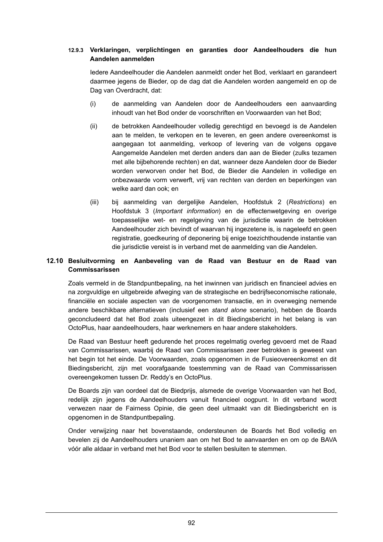# **12.9.3 Verklaringen, verplichtingen en garanties door Aandeelhouders die hun Aandelen aanmelden**

Iedere Aandeelhouder die Aandelen aanmeldt onder het Bod, verklaart en garandeert daarmee jegens de Bieder, op de dag dat die Aandelen worden aangemeld en op de Dag van Overdracht, dat:

- (i) de aanmelding van Aandelen door de Aandeelhouders een aanvaarding inhoudt van het Bod onder de voorschriften en Voorwaarden van het Bod;
- (ii) de betrokken Aandeelhouder volledig gerechtigd en bevoegd is de Aandelen aan te melden, te verkopen en te leveren, en geen andere overeenkomst is aangegaan tot aanmelding, verkoop of levering van de volgens opgave Aangemelde Aandelen met derden anders dan aan de Bieder (zulks tezamen met alle bijbehorende rechten) en dat, wanneer deze Aandelen door de Bieder worden verworven onder het Bod, de Bieder die Aandelen in volledige en onbezwaarde vorm verwerft, vrij van rechten van derden en beperkingen van welke aard dan ook; en
- (iii) bij aanmelding van dergelijke Aandelen, Hoofdstuk 2 (*Restrictions*) en Hoofdstuk 3 (*Important information*) en de effectenwetgeving en overige toepasselijke wet- en regelgeving van de jurisdictie waarin de betrokken Aandeelhouder zich bevindt of waarvan hij ingezetene is, is nageleefd en geen registratie, goedkeuring of deponering bij enige toezichthoudende instantie van die jurisdictie vereist is in verband met de aanmelding van die Aandelen.

# **12.10 Besluitvorming en Aanbeveling van de Raad van Bestuur en de Raad van Commissarissen**

Zoals vermeld in de Standpuntbepaling, na het inwinnen van juridisch en financieel advies en na zorgvuldige en uitgebreide afweging van de strategische en bedrijfseconomische rationale, financiële en sociale aspecten van de voorgenomen transactie, en in overweging nemende andere beschikbare alternatieven (inclusief een *stand alone* scenario), hebben de Boards geconcludeerd dat het Bod zoals uiteengezet in dit Biedingsbericht in het belang is van OctoPlus, haar aandeelhouders, haar werknemers en haar andere stakeholders.

De Raad van Bestuur heeft gedurende het proces regelmatig overleg gevoerd met de Raad van Commissarissen, waarbij de Raad van Commissarissen zeer betrokken is geweest van het begin tot het einde. De Voorwaarden, zoals opgenomen in de Fusieovereenkomst en dit Biedingsbericht, zijn met voorafgaande toestemming van de Raad van Commissarissen overeengekomen tussen Dr. Reddy's en OctoPlus.

De Boards zijn van oordeel dat de Biedprijs, alsmede de overige Voorwaarden van het Bod, redelijk zijn jegens de Aandeelhouders vanuit financieel oogpunt. In dit verband wordt verwezen naar de Fairness Opinie, die geen deel uitmaakt van dit Biedingsbericht en is opgenomen in de Standpuntbepaling.

Onder verwijzing naar het bovenstaande, ondersteunen de Boards het Bod volledig en bevelen zij de Aandeelhouders unaniem aan om het Bod te aanvaarden en om op de BAVA vóór alle aldaar in verband met het Bod voor te stellen besluiten te stemmen.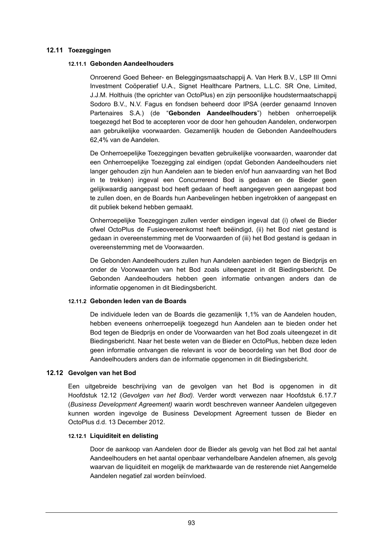# **12.11 Toezeggingen**

#### **12.11.1 Gebonden Aandeelhouders**

Onroerend Goed Beheer- en Beleggingsmaatschappij A. Van Herk B.V., LSP III Omni Investment Coöperatief U.A., Signet Healthcare Partners, L.L.C. SR One, Limited, J.J.M. Holthuis (the oprichter van OctoPlus) en zijn persoonlijke houdstermaatschappij Sodoro B.V., N.V. Fagus en fondsen beheerd door IPSA (eerder genaamd Innoven Partenaires S.A.) (de "**Gebonden Aandeelhouders**") hebben onherroepelijk toegezegd het Bod te accepteren voor de door hen gehouden Aandelen, onderworpen aan gebruikelijke voorwaarden. Gezamenlijk houden de Gebonden Aandeelhouders 62,4% van de Aandelen.

De Onherroepelijke Toezeggingen bevatten gebruikelijke voorwaarden, waaronder dat een Onherroepelijke Toezegging zal eindigen (opdat Gebonden Aandeelhouders niet langer gehouden zijn hun Aandelen aan te bieden en/of hun aanvaarding van het Bod in te trekken) ingeval een Concurrerend Bod is gedaan en de Bieder geen gelijkwaardig aangepast bod heeft gedaan of heeft aangegeven geen aangepast bod te zullen doen, en de Boards hun Aanbevelingen hebben ingetrokken of aangepast en dit publiek bekend hebben gemaakt.

Onherroepelijke Toezeggingen zullen verder eindigen ingeval dat (i) ofwel de Bieder ofwel OctoPlus de Fusieovereenkomst heeft beëindigd, (ii) het Bod niet gestand is gedaan in overeenstemming met de Voorwaarden of (iii) het Bod gestand is gedaan in overeenstemming met de Voorwaarden.

De Gebonden Aandeelhouders zullen hun Aandelen aanbieden tegen de Biedprijs en onder de Voorwaarden van het Bod zoals uiteengezet in dit Biedingsbericht. De Gebonden Aandeelhouders hebben geen informatie ontvangen anders dan de informatie opgenomen in dit Biedingsbericht.

# **12.11.2 Gebonden leden van de Boards**

De individuele leden van de Boards die gezamenlijk 1,1% van de Aandelen houden, hebben eveneens onherroepelijk toegezegd hun Aandelen aan te bieden onder het Bod tegen de Biedprijs en onder de Voorwaarden van het Bod zoals uiteengezet in dit Biedingsbericht. Naar het beste weten van de Bieder en OctoPlus, hebben deze leden geen informatie ontvangen die relevant is voor de beoordeling van het Bod door de Aandeelhouders anders dan de informatie opgenomen in dit Biedingsbericht.

# **12.12 Gevolgen van het Bod**

Een uitgebreide beschrijving van de gevolgen van het Bod is opgenomen in dit Hoofdstuk 12.12 (*Gevolgen van het Bod).* Verder wordt verwezen naar Hoofdstuk 6.17.7 (*Business Development Agreement)* waarin wordt beschreven wanneer Aandelen uitgegeven kunnen worden ingevolge de Business Development Agreement tussen de Bieder en OctoPlus d.d. 13 December 2012.

#### **12.12.1 Liquiditeit en delisting**

Door de aankoop van Aandelen door de Bieder als gevolg van het Bod zal het aantal Aandeelhouders en het aantal openbaar verhandelbare Aandelen afnemen, als gevolg waarvan de liquiditeit en mogelijk de marktwaarde van de resterende niet Aangemelde Aandelen negatief zal worden beïnvloed.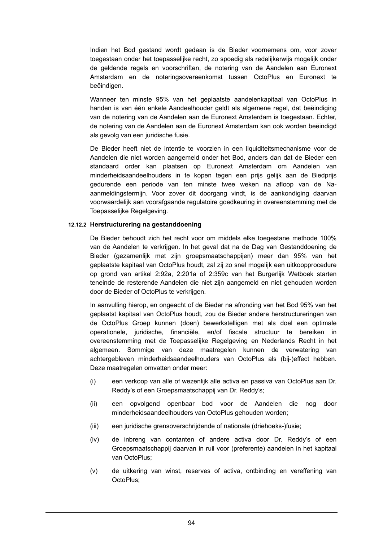Indien het Bod gestand wordt gedaan is de Bieder voornemens om, voor zover toegestaan onder het toepasselijke recht, zo spoedig als redelijkerwijs mogelijk onder de geldende regels en voorschriften, de notering van de Aandelen aan Euronext Amsterdam en de noteringsovereenkomst tussen OctoPlus en Euronext te beëindigen.

Wanneer ten minste 95% van het geplaatste aandelenkapitaal van OctoPlus in handen is van één enkele Aandeelhouder geldt als algemene regel, dat beëindiging van de notering van de Aandelen aan de Euronext Amsterdam is toegestaan. Echter, de notering van de Aandelen aan de Euronext Amsterdam kan ook worden beëindigd als gevolg van een juridische fusie.

De Bieder heeft niet de intentie te voorzien in een liquiditeitsmechanisme voor de Aandelen die niet worden aangemeld onder het Bod, anders dan dat de Bieder een standaard order kan plaatsen op Euronext Amsterdam om Aandelen van minderheidsaandeelhouders in te kopen tegen een prijs gelijk aan de Biedprijs gedurende een periode van ten minste twee weken na afloop van de Naaanmeldingstermijn. Voor zover dit doorgang vindt, is de aankondiging daarvan voorwaardelijk aan voorafgaande regulatoire goedkeuring in overeenstemming met de Toepasselijke Regelgeving.

# **12.12.2 Herstructurering na gestanddoening**

De Bieder behoudt zich het recht voor om middels elke toegestane methode 100% van de Aandelen te verkrijgen. In het geval dat na de Dag van Gestanddoening de Bieder (gezamenlijk met zijn groepsmaatschappijen) meer dan 95% van het geplaatste kapitaal van OctoPlus houdt, zal zij zo snel mogelijk een uitkoopprocedure op grond van artikel 2:92a, 2:201a of 2:359c van het Burgerlijk Wetboek starten teneinde de resterende Aandelen die niet zijn aangemeld en niet gehouden worden door de Bieder of OctoPlus te verkrijgen.

In aanvulling hierop, en ongeacht of de Bieder na afronding van het Bod 95% van het geplaatst kapitaal van OctoPlus houdt, zou de Bieder andere herstructureringen van de OctoPlus Groep kunnen (doen) bewerkstelligen met als doel een optimale operationele, juridische, financiële, en/of fiscale structuur te bereiken in overeenstemming met de Toepasselijke Regelgeving en Nederlands Recht in het algemeen. Sommige van deze maatregelen kunnen de verwatering van achtergebleven minderheidsaandeelhouders van OctoPlus als (bij-)effect hebben. Deze maatregelen omvatten onder meer:

- (i) een verkoop van alle of wezenlijk alle activa en passiva van OctoPlus aan Dr. Reddy's of een Groepsmaatschappij van Dr. Reddy's;
- (ii) een opvolgend openbaar bod voor de Aandelen die nog door minderheidsaandeelhouders van OctoPlus gehouden worden;
- (iii) een juridische grensoverschrijdende of nationale (driehoeks-)fusie;
- (iv) de inbreng van contanten of andere activa door Dr. Reddy's of een Groepsmaatschappij daarvan in ruil voor (preferente) aandelen in het kapitaal van OctoPlus;
- (v) de uitkering van winst, reserves of activa, ontbinding en vereffening van OctoPlus;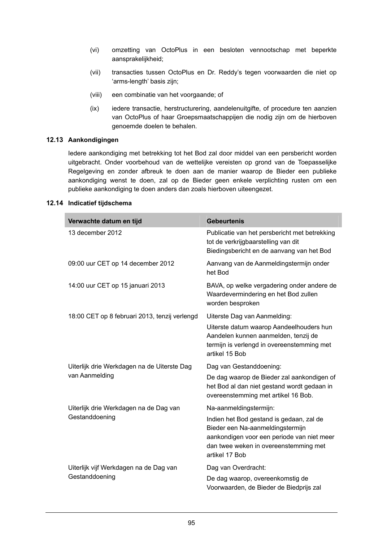- (vi) omzetting van OctoPlus in een besloten vennootschap met beperkte aansprakelijkheid;
- (vii) transacties tussen OctoPlus en Dr. Reddy's tegen voorwaarden die niet op 'arms-length' basis zijn;
- (viii) een combinatie van het voorgaande; of
- (ix) iedere transactie, herstructurering, aandelenuitgifte, of procedure ten aanzien van OctoPlus of haar Groepsmaatschappijen die nodig zijn om de hierboven genoemde doelen te behalen.

# **12.13 Aankondigingen**

Iedere aankondiging met betrekking tot het Bod zal door middel van een persbericht worden uitgebracht. Onder voorbehoud van de wettelijke vereisten op grond van de Toepasselijke Regelgeving en zonder afbreuk te doen aan de manier waarop de Bieder een publieke aankondiging wenst te doen, zal op de Bieder geen enkele verplichting rusten om een publieke aankondiging te doen anders dan zoals hierboven uiteengezet.

# **12.14 Indicatief tijdschema**

| Verwachte datum en tijd                       | <b>Gebeurtenis</b>                                                                                                                                                                    |  |  |
|-----------------------------------------------|---------------------------------------------------------------------------------------------------------------------------------------------------------------------------------------|--|--|
| 13 december 2012                              | Publicatie van het persbericht met betrekking<br>tot de verkrijgbaarstelling van dit<br>Biedingsbericht en de aanvang van het Bod                                                     |  |  |
| 09:00 uur CET op 14 december 2012             | Aanvang van de Aanmeldingstermijn onder<br>het Bod                                                                                                                                    |  |  |
| 14:00 uur CET op 15 januari 2013              | BAVA, op welke vergadering onder andere de<br>Waardevermindering en het Bod zullen<br>worden besproken                                                                                |  |  |
| 18:00 CET op 8 februari 2013, tenzij verlengd | Uiterste Dag van Aanmelding:                                                                                                                                                          |  |  |
|                                               | Uiterste datum waarop Aandeelhouders hun<br>Aandelen kunnen aanmelden, tenzij de<br>termijn is verlengd in overeenstemming met<br>artikel 15 Bob                                      |  |  |
| Uiterlijk drie Werkdagen na de Uiterste Dag   | Dag van Gestanddoening:                                                                                                                                                               |  |  |
| van Aanmelding                                | De dag waarop de Bieder zal aankondigen of<br>het Bod al dan niet gestand wordt gedaan in<br>overeenstemming met artikel 16 Bob.                                                      |  |  |
| Uiterlijk drie Werkdagen na de Dag van        | Na-aanmeldingstermijn:                                                                                                                                                                |  |  |
| Gestanddoening                                | Indien het Bod gestand is gedaan, zal de<br>Bieder een Na-aanmeldingstermijn<br>aankondigen voor een periode van niet meer<br>dan twee weken in overeenstemming met<br>artikel 17 Bob |  |  |
| Uiterlijk vijf Werkdagen na de Dag van        | Dag van Overdracht:                                                                                                                                                                   |  |  |
| Gestanddoening                                | De dag waarop, overeenkomstig de<br>Voorwaarden, de Bieder de Biedprijs zal                                                                                                           |  |  |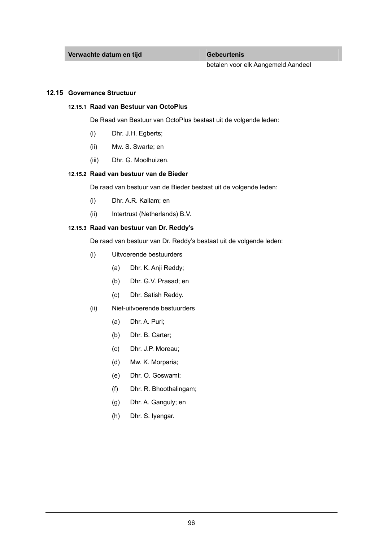**Verwachte datum en tijd Gebeurtenis**

betalen voor elk Aangemeld Aandeel

#### **12.15 Governance Structuur**

# **12.15.1 Raad van Bestuur van OctoPlus**

De Raad van Bestuur van OctoPlus bestaat uit de volgende leden:

- (i) Dhr. J.H. Egberts;
- (ii) Mw. S. Swarte; en
- (iii) Dhr. G. Moolhuizen.

# **12.15.2 Raad van bestuur van de Bieder**

De raad van bestuur van de Bieder bestaat uit de volgende leden:

- (i) Dhr. A.R. Kallam; en
- (ii) Intertrust (Netherlands) B.V.

#### **12.15.3 Raad van bestuur van Dr. Reddy's**

De raad van bestuur van Dr. Reddy's bestaat uit de volgende leden:

- (i) Uitvoerende bestuurders
	- (a) Dhr. K. Anji Reddy;
	- (b) Dhr. G.V. Prasad; en
	- (c) Dhr. Satish Reddy.
- (ii) Niet-uitvoerende bestuurders
	- (a) Dhr. A. Puri;
	- (b) Dhr. B. Carter;
	- (c) Dhr. J.P. Moreau;
	- (d) Mw. K. Morparia;
	- (e) Dhr. O. Goswami;
	- (f) Dhr. R. Bhoothalingam;
	- (g) Dhr. A. Ganguly; en
	- (h) Dhr. S. Iyengar.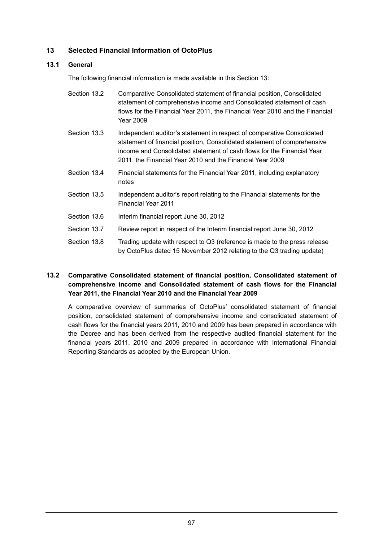# **13 Selected Financial Information of OctoPlus**

# **13.1 General**

The following financial information is made available in this Section 13:

- Section 13.2 Comparative Consolidated statement of financial position, Consolidated statement of comprehensive income and Consolidated statement of cash flows for the Financial Year 2011, the Financial Year 2010 and the Financial Year 2009
- Section 13.3 Independent auditor's statement in respect of comparative Consolidated statement of financial position, Consolidated statement of comprehensive income and Consolidated statement of cash flows for the Financial Year 2011, the Financial Year 2010 and the Financial Year 2009
- Section 13.4 Financial statements for the Financial Year 2011, including explanatory notes
- Section 13.5 Independent auditor's report relating to the Financial statements for the Financial Year 2011
- Section 13.6 Interim financial report June 30, 2012
- Section 13.7 Review report in respect of the Interim financial report June 30, 2012
- Section 13.8 Trading update with respect to Q3 (reference is made to the press release by OctoPlus dated 15 November 2012 relating to the Q3 trading update)

# **13.2 Comparative Consolidated statement of financial position, Consolidated statement of comprehensive income and Consolidated statement of cash flows for the Financial Year 2011, the Financial Year 2010 and the Financial Year 2009**

A comparative overview of summaries of OctoPlus' consolidated statement of financial position, consolidated statement of comprehensive income and consolidated statement of cash flows for the financial years 2011, 2010 and 2009 has been prepared in accordance with the Decree and has been derived from the respective audited financial statement for the financial years 2011, 2010 and 2009 prepared in accordance with International Financial Reporting Standards as adopted by the European Union.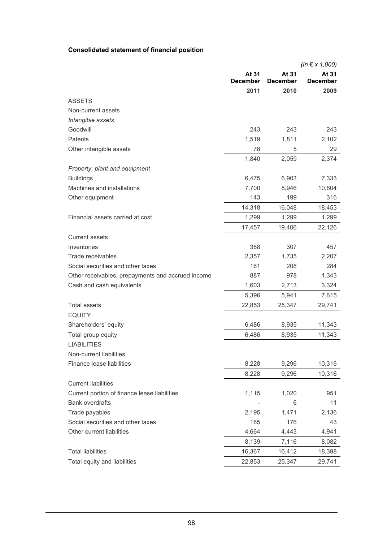# **Consolidated statement of financial position**

|                                                   |                         | $(ln \in x 1,000)$      |                         |
|---------------------------------------------------|-------------------------|-------------------------|-------------------------|
|                                                   | At 31                   | At 31                   | At 31                   |
|                                                   | <b>December</b><br>2011 | <b>December</b><br>2010 | <b>December</b><br>2009 |
| <b>ASSETS</b>                                     |                         |                         |                         |
| Non-current assets                                |                         |                         |                         |
| Intangible assets                                 |                         |                         |                         |
| Goodwill                                          | 243                     | 243                     | 243                     |
| Patents                                           | 1,519                   | 1,811                   | 2,102                   |
| Other intangible assets                           | 78                      | 5                       | 29                      |
|                                                   | 1,840                   | 2,059                   | 2,374                   |
| Property, plant and equipment                     |                         |                         |                         |
| <b>Buildings</b>                                  | 6,475                   | 6,903                   | 7,333                   |
| Machines and installations                        | 7,700                   | 8,946                   | 10,804                  |
| Other equipment                                   | 143                     | 199                     | 316                     |
|                                                   | 14,318                  | 16,048                  | 18,453                  |
| Financial assets carried at cost                  | 1,299                   | 1,299                   | 1,299                   |
|                                                   | 17,457                  | 19,406                  | 22,126                  |
| <b>Current assets</b>                             |                         |                         |                         |
| Inventories                                       | 388                     | 307                     | 457                     |
| Trade receivables                                 | 2,357                   | 1,735                   | 2,207                   |
| Social securities and other taxes                 | 161                     | 208                     | 284                     |
| Other receivables, prepayments and accrued income | 887                     | 978                     | 1,343                   |
| Cash and cash equivalents                         | 1,603                   | 2,713                   | 3,324                   |
|                                                   | 5,396                   | 5,941                   | 7,615                   |
| <b>Total assets</b>                               | 22,853                  | 25,347                  | 29,741                  |
| <b>EQUITY</b>                                     |                         |                         |                         |
| Shareholders' equity                              | 6,486                   | 8,935                   | 11,343                  |
| Total group equity                                | 6,486                   | 8,935                   | 11,343                  |
| <b>LIABILITIES</b>                                |                         |                         |                         |
| Non-current liabilities                           |                         |                         |                         |
| Finance lease liabilities                         | 8,228                   | 9,296                   | 10,316                  |
|                                                   | 8,228                   | 9,296                   | 10,316                  |
| <b>Current liabilities</b>                        |                         |                         |                         |
| Current portion of finance lease liabilities      | 1,115                   | 1,020                   | 951                     |
| <b>Bank overdrafts</b>                            |                         | 6                       | 11                      |
| Trade payables                                    | 2,195                   | 1,471                   | 2,136                   |
| Social securities and other taxes                 | 165                     | 176                     | 43                      |
| Other current liabilities                         | 4,664                   | 4,443                   | 4,941                   |
|                                                   | 8,139                   | 7,116                   | 8,082                   |
| <b>Total liabilities</b>                          | 16,367                  | 16,412                  | 18,398                  |
| Total equity and liabilities                      | 22,853                  | 25,347                  | 29,741                  |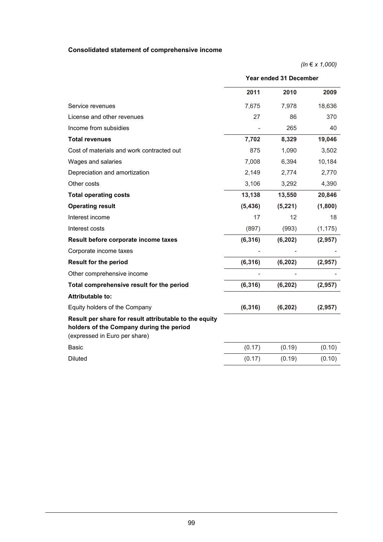# **Consolidated statement of comprehensive income**

*(In* € *x 1,000)*

|                                                                                                                                     | Year ended 31 December |          |          |
|-------------------------------------------------------------------------------------------------------------------------------------|------------------------|----------|----------|
|                                                                                                                                     | 2011                   | 2010     | 2009     |
| Service revenues                                                                                                                    | 7,675                  | 7,978    | 18,636   |
| License and other revenues                                                                                                          | 27                     | 86       | 370      |
| Income from subsidies                                                                                                               |                        | 265      | 40       |
| <b>Total revenues</b>                                                                                                               | 7,702                  | 8,329    | 19,046   |
| Cost of materials and work contracted out                                                                                           | 875                    | 1,090    | 3,502    |
| Wages and salaries                                                                                                                  | 7,008                  | 6,394    | 10,184   |
| Depreciation and amortization                                                                                                       | 2,149                  | 2,774    | 2,770    |
| Other costs                                                                                                                         | 3,106                  | 3,292    | 4,390    |
| <b>Total operating costs</b>                                                                                                        | 13,138                 | 13,550   | 20,846   |
| <b>Operating result</b>                                                                                                             | (5, 436)               | (5, 221) | (1,800)  |
| Interest income                                                                                                                     | 17                     | 12       | 18       |
| Interest costs                                                                                                                      | (897)                  | (993)    | (1, 175) |
| Result before corporate income taxes                                                                                                | (6, 316)               | (6, 202) | (2,957)  |
| Corporate income taxes                                                                                                              |                        |          |          |
| <b>Result for the period</b>                                                                                                        | (6, 316)               | (6, 202) | (2,957)  |
| Other comprehensive income                                                                                                          |                        |          |          |
| Total comprehensive result for the period                                                                                           | (6, 316)               | (6, 202) | (2,957)  |
| <b>Attributable to:</b>                                                                                                             |                        |          |          |
| Equity holders of the Company                                                                                                       | (6, 316)               | (6, 202) | (2,957)  |
| Result per share for result attributable to the equity<br>holders of the Company during the period<br>(expressed in Euro per share) |                        |          |          |
| <b>Basic</b>                                                                                                                        | (0.17)                 | (0.19)   | (0.10)   |
| <b>Diluted</b>                                                                                                                      | (0.17)                 | (0.19)   | (0.10)   |
|                                                                                                                                     |                        |          |          |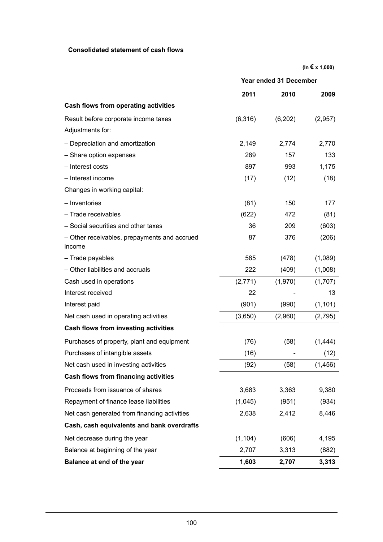# **Consolidated statement of cash flows**

|                                                        |          | Year ended 31 December |          |
|--------------------------------------------------------|----------|------------------------|----------|
|                                                        | 2011     | 2010                   | 2009     |
| Cash flows from operating activities                   |          |                        |          |
| Result before corporate income taxes                   | (6,316)  | (6, 202)               | (2,957)  |
| Adjustments for:                                       |          |                        |          |
| - Depreciation and amortization                        | 2,149    | 2,774                  | 2,770    |
| - Share option expenses                                | 289      | 157                    | 133      |
| - Interest costs                                       | 897      | 993                    | 1,175    |
| - Interest income                                      | (17)     | (12)                   | (18)     |
| Changes in working capital:                            |          |                        |          |
| - Inventories                                          | (81)     | 150                    | 177      |
| - Trade receivables                                    | (622)    | 472                    | (81)     |
| - Social securities and other taxes                    | 36       | 209                    | (603)    |
| - Other receivables, prepayments and accrued<br>income | 87       | 376                    | (206)    |
| - Trade payables                                       | 585      | (478)                  | (1,089)  |
| - Other liabilities and accruals                       | 222      | (409)                  | (1,008)  |
| Cash used in operations                                | (2,771)  | (1,970)                | (1,707)  |
| Interest received                                      | 22       |                        | 13       |
| Interest paid                                          | (901)    | (990)                  | (1, 101) |
| Net cash used in operating activities                  | (3,650)  | (2,960)                | (2,795)  |
| <b>Cash flows from investing activities</b>            |          |                        |          |
| Purchases of property, plant and equipment             | (76)     | (58)                   | (1, 444) |
| Purchases of intangible assets                         | (16)     |                        | (12)     |
| Net cash used in investing activities                  | (92)     | (58)                   | (1, 456) |
| <b>Cash flows from financing activities</b>            |          |                        |          |
| Proceeds from issuance of shares                       | 3,683    | 3,363                  | 9,380    |
| Repayment of finance lease liabilities                 | (1,045)  | (951)                  | (934)    |
| Net cash generated from financing activities           | 2,638    | 2,412                  | 8,446    |
| Cash, cash equivalents and bank overdrafts             |          |                        |          |
| Net decrease during the year                           | (1, 104) | (606)                  | 4,195    |
| Balance at beginning of the year                       | 2,707    | 3,313                  | (882)    |
| Balance at end of the year                             | 1,603    | 2,707                  | 3,313    |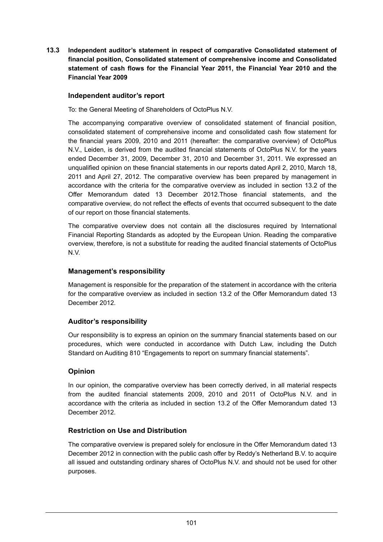**13.3 Independent auditor's statement in respect of comparative Consolidated statement of financial position, Consolidated statement of comprehensive income and Consolidated statement of cash flows for the Financial Year 2011, the Financial Year 2010 and the Financial Year 2009** 

# **Independent auditor's report**

To: the General Meeting of Shareholders of OctoPlus N.V.

The accompanying comparative overview of consolidated statement of financial position, consolidated statement of comprehensive income and consolidated cash flow statement for the financial years 2009, 2010 and 2011 (hereafter: the comparative overview) of OctoPlus N.V., Leiden, is derived from the audited financial statements of OctoPlus N.V. for the years ended December 31, 2009, December 31, 2010 and December 31, 2011. We expressed an unqualified opinion on these financial statements in our reports dated April 2, 2010, March 18, 2011 and April 27, 2012. The comparative overview has been prepared by management in accordance with the criteria for the comparative overview as included in section 13.2 of the Offer Memorandum dated 13 December 2012.Those financial statements, and the comparative overview, do not reflect the effects of events that occurred subsequent to the date of our report on those financial statements.

The comparative overview does not contain all the disclosures required by International Financial Reporting Standards as adopted by the European Union. Reading the comparative overview, therefore, is not a substitute for reading the audited financial statements of OctoPlus N.V.

# **Management's responsibility**

Management is responsible for the preparation of the statement in accordance with the criteria for the comparative overview as included in section 13.2 of the Offer Memorandum dated 13 December 2012.

# **Auditor's responsibility**

Our responsibility is to express an opinion on the summary financial statements based on our procedures, which were conducted in accordance with Dutch Law, including the Dutch Standard on Auditing 810 "Engagements to report on summary financial statements".

# **Opinion**

In our opinion, the comparative overview has been correctly derived, in all material respects from the audited financial statements 2009, 2010 and 2011 of OctoPlus N.V. and in accordance with the criteria as included in section 13.2 of the Offer Memorandum dated 13 December 2012.

# **Restriction on Use and Distribution**

The comparative overview is prepared solely for enclosure in the Offer Memorandum dated 13 December 2012 in connection with the public cash offer by Reddy's Netherland B.V. to acquire all issued and outstanding ordinary shares of OctoPlus N.V. and should not be used for other purposes.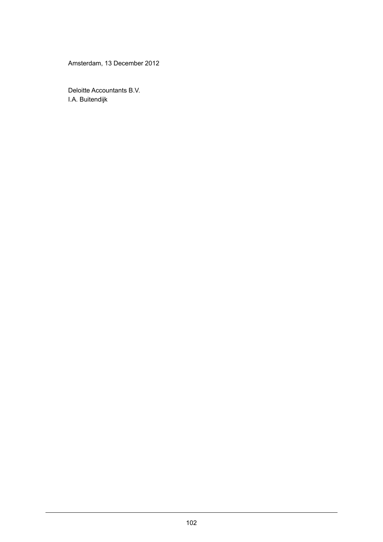Amsterdam, 13 December 2012

Deloitte Accountants B.V. I.A. Buitendijk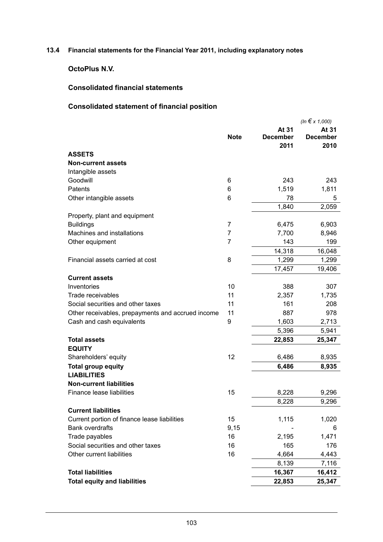# **13.4 Financial statements for the Financial Year 2011, including explanatory notes**

# **OctoPlus N.V.**

## **Consolidated financial statements**

# **Consolidated statement of financial position**

| At 31<br>At 31<br><b>Note</b><br><b>December</b><br><b>December</b><br>2011<br>2010<br><b>ASSETS</b><br><b>Non-current assets</b><br>Intangible assets<br>Goodwill<br>6<br>243<br>243<br>Patents<br>1,811<br>6<br>1,519<br>Other intangible assets<br>6<br>78<br>5<br>1,840<br>2,059<br>Property, plant and equipment<br><b>Buildings</b><br>7<br>6,903<br>6,475<br>Machines and installations<br>7<br>7,700<br>8,946<br>143<br>199<br>7<br>Other equipment<br>14,318<br>16,048<br>1,299<br>Financial assets carried at cost<br>8<br>1,299<br>17,457<br>19,406<br><b>Current assets</b><br>Inventories<br>10<br>388<br>307<br>11<br>Trade receivables<br>2,357<br>1,735<br>161<br>208<br>Social securities and other taxes<br>11<br>11<br>887<br>Other receivables, prepayments and accrued income<br>978<br>9<br>1,603<br>Cash and cash equivalents<br>2,713<br>5,396<br>5,941<br><b>Total assets</b><br>22,853<br>25,347<br><b>EQUITY</b><br>12<br>6,486<br>Shareholders' equity<br>8,935<br><b>Total group equity</b><br>6,486<br>8,935<br><b>LIABILITIES</b><br><b>Non-current liabilities</b><br>15<br>Finance lease liabilities<br>8,228<br>9,296<br>8,228<br>9,296<br><b>Current liabilities</b><br>15<br>Current portion of finance lease liabilities<br>1,115<br>1,020<br><b>Bank overdrafts</b><br>9,15<br>6<br>Trade payables<br>16<br>2,195<br>1,471<br>Social securities and other taxes<br>16<br>165<br>176<br>Other current liabilities<br>16<br>4,664<br>4,443<br>8,139<br>7,116<br><b>Total liabilities</b><br>16,367<br>16,412<br><b>Total equity and liabilities</b><br>25,347<br>22,853 |  |  | (ln € x 1,000) |
|-------------------------------------------------------------------------------------------------------------------------------------------------------------------------------------------------------------------------------------------------------------------------------------------------------------------------------------------------------------------------------------------------------------------------------------------------------------------------------------------------------------------------------------------------------------------------------------------------------------------------------------------------------------------------------------------------------------------------------------------------------------------------------------------------------------------------------------------------------------------------------------------------------------------------------------------------------------------------------------------------------------------------------------------------------------------------------------------------------------------------------------------------------------------------------------------------------------------------------------------------------------------------------------------------------------------------------------------------------------------------------------------------------------------------------------------------------------------------------------------------------------------------------------------------------------------------------------------------------------|--|--|----------------|
|                                                                                                                                                                                                                                                                                                                                                                                                                                                                                                                                                                                                                                                                                                                                                                                                                                                                                                                                                                                                                                                                                                                                                                                                                                                                                                                                                                                                                                                                                                                                                                                                             |  |  |                |
|                                                                                                                                                                                                                                                                                                                                                                                                                                                                                                                                                                                                                                                                                                                                                                                                                                                                                                                                                                                                                                                                                                                                                                                                                                                                                                                                                                                                                                                                                                                                                                                                             |  |  |                |
|                                                                                                                                                                                                                                                                                                                                                                                                                                                                                                                                                                                                                                                                                                                                                                                                                                                                                                                                                                                                                                                                                                                                                                                                                                                                                                                                                                                                                                                                                                                                                                                                             |  |  |                |
|                                                                                                                                                                                                                                                                                                                                                                                                                                                                                                                                                                                                                                                                                                                                                                                                                                                                                                                                                                                                                                                                                                                                                                                                                                                                                                                                                                                                                                                                                                                                                                                                             |  |  |                |
|                                                                                                                                                                                                                                                                                                                                                                                                                                                                                                                                                                                                                                                                                                                                                                                                                                                                                                                                                                                                                                                                                                                                                                                                                                                                                                                                                                                                                                                                                                                                                                                                             |  |  |                |
|                                                                                                                                                                                                                                                                                                                                                                                                                                                                                                                                                                                                                                                                                                                                                                                                                                                                                                                                                                                                                                                                                                                                                                                                                                                                                                                                                                                                                                                                                                                                                                                                             |  |  |                |
|                                                                                                                                                                                                                                                                                                                                                                                                                                                                                                                                                                                                                                                                                                                                                                                                                                                                                                                                                                                                                                                                                                                                                                                                                                                                                                                                                                                                                                                                                                                                                                                                             |  |  |                |
|                                                                                                                                                                                                                                                                                                                                                                                                                                                                                                                                                                                                                                                                                                                                                                                                                                                                                                                                                                                                                                                                                                                                                                                                                                                                                                                                                                                                                                                                                                                                                                                                             |  |  |                |
|                                                                                                                                                                                                                                                                                                                                                                                                                                                                                                                                                                                                                                                                                                                                                                                                                                                                                                                                                                                                                                                                                                                                                                                                                                                                                                                                                                                                                                                                                                                                                                                                             |  |  |                |
|                                                                                                                                                                                                                                                                                                                                                                                                                                                                                                                                                                                                                                                                                                                                                                                                                                                                                                                                                                                                                                                                                                                                                                                                                                                                                                                                                                                                                                                                                                                                                                                                             |  |  |                |
|                                                                                                                                                                                                                                                                                                                                                                                                                                                                                                                                                                                                                                                                                                                                                                                                                                                                                                                                                                                                                                                                                                                                                                                                                                                                                                                                                                                                                                                                                                                                                                                                             |  |  |                |
|                                                                                                                                                                                                                                                                                                                                                                                                                                                                                                                                                                                                                                                                                                                                                                                                                                                                                                                                                                                                                                                                                                                                                                                                                                                                                                                                                                                                                                                                                                                                                                                                             |  |  |                |
|                                                                                                                                                                                                                                                                                                                                                                                                                                                                                                                                                                                                                                                                                                                                                                                                                                                                                                                                                                                                                                                                                                                                                                                                                                                                                                                                                                                                                                                                                                                                                                                                             |  |  |                |
|                                                                                                                                                                                                                                                                                                                                                                                                                                                                                                                                                                                                                                                                                                                                                                                                                                                                                                                                                                                                                                                                                                                                                                                                                                                                                                                                                                                                                                                                                                                                                                                                             |  |  |                |
|                                                                                                                                                                                                                                                                                                                                                                                                                                                                                                                                                                                                                                                                                                                                                                                                                                                                                                                                                                                                                                                                                                                                                                                                                                                                                                                                                                                                                                                                                                                                                                                                             |  |  |                |
|                                                                                                                                                                                                                                                                                                                                                                                                                                                                                                                                                                                                                                                                                                                                                                                                                                                                                                                                                                                                                                                                                                                                                                                                                                                                                                                                                                                                                                                                                                                                                                                                             |  |  |                |
|                                                                                                                                                                                                                                                                                                                                                                                                                                                                                                                                                                                                                                                                                                                                                                                                                                                                                                                                                                                                                                                                                                                                                                                                                                                                                                                                                                                                                                                                                                                                                                                                             |  |  |                |
|                                                                                                                                                                                                                                                                                                                                                                                                                                                                                                                                                                                                                                                                                                                                                                                                                                                                                                                                                                                                                                                                                                                                                                                                                                                                                                                                                                                                                                                                                                                                                                                                             |  |  |                |
|                                                                                                                                                                                                                                                                                                                                                                                                                                                                                                                                                                                                                                                                                                                                                                                                                                                                                                                                                                                                                                                                                                                                                                                                                                                                                                                                                                                                                                                                                                                                                                                                             |  |  |                |
|                                                                                                                                                                                                                                                                                                                                                                                                                                                                                                                                                                                                                                                                                                                                                                                                                                                                                                                                                                                                                                                                                                                                                                                                                                                                                                                                                                                                                                                                                                                                                                                                             |  |  |                |
|                                                                                                                                                                                                                                                                                                                                                                                                                                                                                                                                                                                                                                                                                                                                                                                                                                                                                                                                                                                                                                                                                                                                                                                                                                                                                                                                                                                                                                                                                                                                                                                                             |  |  |                |
|                                                                                                                                                                                                                                                                                                                                                                                                                                                                                                                                                                                                                                                                                                                                                                                                                                                                                                                                                                                                                                                                                                                                                                                                                                                                                                                                                                                                                                                                                                                                                                                                             |  |  |                |
|                                                                                                                                                                                                                                                                                                                                                                                                                                                                                                                                                                                                                                                                                                                                                                                                                                                                                                                                                                                                                                                                                                                                                                                                                                                                                                                                                                                                                                                                                                                                                                                                             |  |  |                |
|                                                                                                                                                                                                                                                                                                                                                                                                                                                                                                                                                                                                                                                                                                                                                                                                                                                                                                                                                                                                                                                                                                                                                                                                                                                                                                                                                                                                                                                                                                                                                                                                             |  |  |                |
|                                                                                                                                                                                                                                                                                                                                                                                                                                                                                                                                                                                                                                                                                                                                                                                                                                                                                                                                                                                                                                                                                                                                                                                                                                                                                                                                                                                                                                                                                                                                                                                                             |  |  |                |
|                                                                                                                                                                                                                                                                                                                                                                                                                                                                                                                                                                                                                                                                                                                                                                                                                                                                                                                                                                                                                                                                                                                                                                                                                                                                                                                                                                                                                                                                                                                                                                                                             |  |  |                |
|                                                                                                                                                                                                                                                                                                                                                                                                                                                                                                                                                                                                                                                                                                                                                                                                                                                                                                                                                                                                                                                                                                                                                                                                                                                                                                                                                                                                                                                                                                                                                                                                             |  |  |                |
|                                                                                                                                                                                                                                                                                                                                                                                                                                                                                                                                                                                                                                                                                                                                                                                                                                                                                                                                                                                                                                                                                                                                                                                                                                                                                                                                                                                                                                                                                                                                                                                                             |  |  |                |
|                                                                                                                                                                                                                                                                                                                                                                                                                                                                                                                                                                                                                                                                                                                                                                                                                                                                                                                                                                                                                                                                                                                                                                                                                                                                                                                                                                                                                                                                                                                                                                                                             |  |  |                |
|                                                                                                                                                                                                                                                                                                                                                                                                                                                                                                                                                                                                                                                                                                                                                                                                                                                                                                                                                                                                                                                                                                                                                                                                                                                                                                                                                                                                                                                                                                                                                                                                             |  |  |                |
|                                                                                                                                                                                                                                                                                                                                                                                                                                                                                                                                                                                                                                                                                                                                                                                                                                                                                                                                                                                                                                                                                                                                                                                                                                                                                                                                                                                                                                                                                                                                                                                                             |  |  |                |
|                                                                                                                                                                                                                                                                                                                                                                                                                                                                                                                                                                                                                                                                                                                                                                                                                                                                                                                                                                                                                                                                                                                                                                                                                                                                                                                                                                                                                                                                                                                                                                                                             |  |  |                |
|                                                                                                                                                                                                                                                                                                                                                                                                                                                                                                                                                                                                                                                                                                                                                                                                                                                                                                                                                                                                                                                                                                                                                                                                                                                                                                                                                                                                                                                                                                                                                                                                             |  |  |                |
|                                                                                                                                                                                                                                                                                                                                                                                                                                                                                                                                                                                                                                                                                                                                                                                                                                                                                                                                                                                                                                                                                                                                                                                                                                                                                                                                                                                                                                                                                                                                                                                                             |  |  |                |
|                                                                                                                                                                                                                                                                                                                                                                                                                                                                                                                                                                                                                                                                                                                                                                                                                                                                                                                                                                                                                                                                                                                                                                                                                                                                                                                                                                                                                                                                                                                                                                                                             |  |  |                |
|                                                                                                                                                                                                                                                                                                                                                                                                                                                                                                                                                                                                                                                                                                                                                                                                                                                                                                                                                                                                                                                                                                                                                                                                                                                                                                                                                                                                                                                                                                                                                                                                             |  |  |                |
|                                                                                                                                                                                                                                                                                                                                                                                                                                                                                                                                                                                                                                                                                                                                                                                                                                                                                                                                                                                                                                                                                                                                                                                                                                                                                                                                                                                                                                                                                                                                                                                                             |  |  |                |
|                                                                                                                                                                                                                                                                                                                                                                                                                                                                                                                                                                                                                                                                                                                                                                                                                                                                                                                                                                                                                                                                                                                                                                                                                                                                                                                                                                                                                                                                                                                                                                                                             |  |  |                |
|                                                                                                                                                                                                                                                                                                                                                                                                                                                                                                                                                                                                                                                                                                                                                                                                                                                                                                                                                                                                                                                                                                                                                                                                                                                                                                                                                                                                                                                                                                                                                                                                             |  |  |                |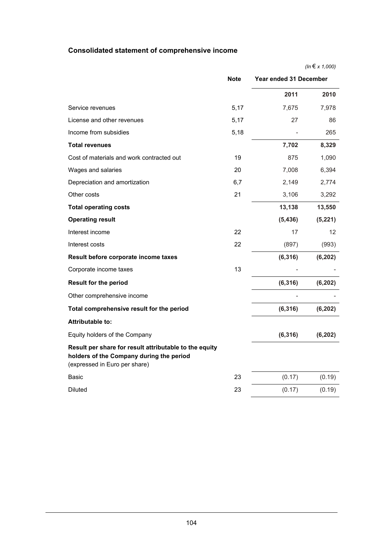# **Consolidated statement of comprehensive income**

|                                                                                                                                     | <b>Note</b> |          | <b>Year ended 31 December</b> |  |  |
|-------------------------------------------------------------------------------------------------------------------------------------|-------------|----------|-------------------------------|--|--|
|                                                                                                                                     |             | 2011     | 2010                          |  |  |
| Service revenues                                                                                                                    | 5,17        | 7,675    | 7,978                         |  |  |
| License and other revenues                                                                                                          | 5,17        | 27       | 86                            |  |  |
| Income from subsidies                                                                                                               | 5,18        |          | 265                           |  |  |
| <b>Total revenues</b>                                                                                                               |             | 7,702    | 8,329                         |  |  |
| Cost of materials and work contracted out                                                                                           | 19          | 875      | 1,090                         |  |  |
| Wages and salaries                                                                                                                  | 20          | 7,008    | 6,394                         |  |  |
| Depreciation and amortization                                                                                                       | 6,7         | 2,149    | 2,774                         |  |  |
| Other costs                                                                                                                         | 21          | 3,106    | 3,292                         |  |  |
| <b>Total operating costs</b>                                                                                                        |             | 13,138   | 13,550                        |  |  |
| <b>Operating result</b>                                                                                                             |             | (5, 436) | (5, 221)                      |  |  |
| Interest income                                                                                                                     | 22          | 17       | 12 <sup>2</sup>               |  |  |
| Interest costs                                                                                                                      | 22          | (897)    | (993)                         |  |  |
| Result before corporate income taxes                                                                                                |             | (6, 316) | (6, 202)                      |  |  |
| Corporate income taxes                                                                                                              | 13          |          |                               |  |  |
| <b>Result for the period</b>                                                                                                        |             | (6, 316) | (6, 202)                      |  |  |
| Other comprehensive income                                                                                                          |             |          |                               |  |  |
| Total comprehensive result for the period                                                                                           |             | (6, 316) | (6, 202)                      |  |  |
| <b>Attributable to:</b>                                                                                                             |             |          |                               |  |  |
| Equity holders of the Company                                                                                                       |             | (6, 316) | (6, 202)                      |  |  |
| Result per share for result attributable to the equity<br>holders of the Company during the period<br>(expressed in Euro per share) |             |          |                               |  |  |
| Basic                                                                                                                               | 23          | (0.17)   | (0.19)                        |  |  |
| <b>Diluted</b>                                                                                                                      | 23          | (0.17)   | (0.19)                        |  |  |
|                                                                                                                                     |             |          |                               |  |  |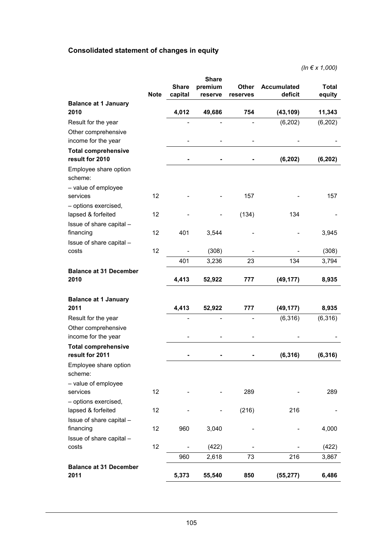# **Consolidated statement of changes in equity**

*(In € x 1,000)* 

|                                               |             |              | <b>Share</b> |              |                    |              |
|-----------------------------------------------|-------------|--------------|--------------|--------------|--------------------|--------------|
|                                               |             | <b>Share</b> | premium      | <b>Other</b> | <b>Accumulated</b> | <b>Total</b> |
|                                               | <b>Note</b> | capital      | reserve      | reserves     | deficit            | equity       |
| <b>Balance at 1 January</b>                   |             |              |              |              |                    |              |
| 2010                                          |             | 4,012        | 49,686       | 754          | (43, 109)          | 11,343       |
| Result for the year                           |             |              |              |              | (6, 202)           | (6, 202)     |
| Other comprehensive                           |             |              |              |              |                    |              |
| income for the year                           |             |              |              |              |                    |              |
| <b>Total comprehensive</b><br>result for 2010 |             |              |              |              | (6, 202)           | (6, 202)     |
| Employee share option<br>scheme:              |             |              |              |              |                    |              |
| - value of employee                           |             |              |              |              |                    |              |
| services                                      | 12          |              |              | 157          |                    | 157          |
| - options exercised,                          |             |              |              |              |                    |              |
| lapsed & forfeited                            | 12          |              |              | (134)        | 134                |              |
| Issue of share capital -                      |             |              |              |              |                    |              |
| financing                                     | 12          | 401          | 3,544        |              |                    | 3,945        |
| Issue of share capital -                      |             |              |              |              |                    |              |
| costs                                         | 12          |              | (308)        |              |                    | (308)        |
|                                               |             | 401          | 3,236        | 23           | 134                | 3,794        |
| <b>Balance at 31 December</b>                 |             |              |              |              |                    |              |
| 2010                                          |             | 4,413        | 52,922       | 777          | (49, 177)          | 8,935        |
|                                               |             |              |              |              |                    |              |
| <b>Balance at 1 January</b>                   |             |              |              |              |                    |              |
| 2011                                          |             | 4,413        | 52,922       | 777          | (49, 177)          | 8,935        |
| Result for the year                           |             |              |              |              | (6, 316)           | (6, 316)     |
| Other comprehensive                           |             |              |              |              |                    |              |
| income for the year                           |             |              |              |              |                    |              |
| <b>Total comprehensive</b>                    |             |              |              |              |                    |              |
| result for 2011                               |             |              |              |              | (6, 316)           | (6, 316)     |
| Employee share option<br>scheme:              |             |              |              |              |                    |              |
| - value of employee                           |             |              |              |              |                    |              |
| services                                      | 12          |              |              | 289          |                    | 289          |
| - options exercised,                          |             |              |              |              |                    |              |
| lapsed & forfeited                            | 12          |              |              | (216)        | 216                |              |
| Issue of share capital -                      |             |              |              |              |                    |              |
| financing                                     | 12          | 960          | 3,040        |              |                    | 4,000        |
| Issue of share capital -                      |             |              |              |              |                    |              |
| costs                                         | 12          |              | (422)        |              |                    | (422)        |
|                                               |             | 960          | 2,618        | 73           | 216                | 3,867        |
| <b>Balance at 31 December</b>                 |             |              |              |              |                    |              |
| 2011                                          |             | 5,373        | 55,540       | 850          | (55, 277)          | 6,486        |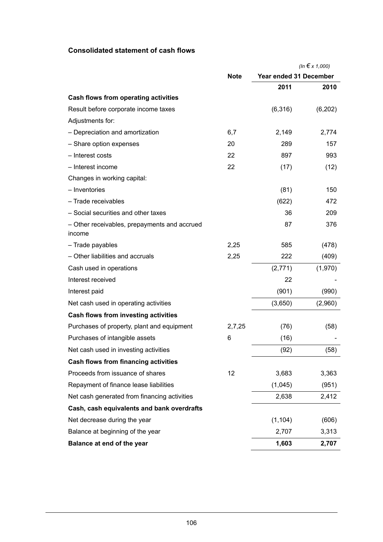# **Consolidated statement of cash flows**

|                                                        |             | (ln € x 1,000)         |         |
|--------------------------------------------------------|-------------|------------------------|---------|
|                                                        | <b>Note</b> | Year ended 31 December |         |
|                                                        |             | 2011                   | 2010    |
| Cash flows from operating activities                   |             |                        |         |
| Result before corporate income taxes                   |             | (6,316)                | (6,202) |
| Adjustments for:                                       |             |                        |         |
| - Depreciation and amortization                        | 6,7         | 2,149                  | 2,774   |
| - Share option expenses                                | 20          | 289                    | 157     |
| - Interest costs                                       | 22          | 897                    | 993     |
| - Interest income                                      | 22          | (17)                   | (12)    |
| Changes in working capital:                            |             |                        |         |
| - Inventories                                          |             | (81)                   | 150     |
| - Trade receivables                                    |             | (622)                  | 472     |
| - Social securities and other taxes                    |             | 36                     | 209     |
| - Other receivables, prepayments and accrued<br>income |             | 87                     | 376     |
| - Trade payables                                       | 2,25        | 585                    | (478)   |
| - Other liabilities and accruals                       | 2,25        | 222                    | (409)   |
| Cash used in operations                                |             | (2,771)                | (1,970) |
| Interest received                                      |             | 22                     |         |
| Interest paid                                          |             | (901)                  | (990)   |
| Net cash used in operating activities                  |             | (3,650)                | (2,960) |
| Cash flows from investing activities                   |             |                        |         |
| Purchases of property, plant and equipment             | 2,7,25      | (76)                   | (58)    |
| Purchases of intangible assets                         | 6           | (16)                   |         |
| Net cash used in investing activities                  |             | (92)                   | (58)    |
| <b>Cash flows from financing activities</b>            |             |                        |         |
| Proceeds from issuance of shares                       | 12          | 3,683                  | 3,363   |
| Repayment of finance lease liabilities                 |             | (1,045)                | (951)   |
| Net cash generated from financing activities           |             | 2,638                  | 2,412   |
| Cash, cash equivalents and bank overdrafts             |             |                        |         |
| Net decrease during the year                           |             | (1, 104)               | (606)   |
| Balance at beginning of the year                       |             | 2,707                  | 3,313   |
| Balance at end of the year                             |             | 1,603                  | 2,707   |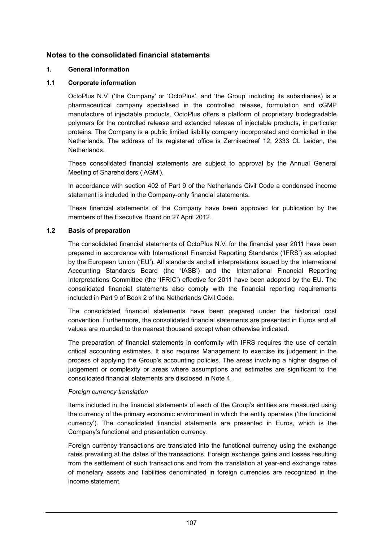## **Notes to the consolidated financial statements**

#### **1. General information**

## **1.1 Corporate information**

OctoPlus N.V. ('the Company' or 'OctoPlus', and 'the Group' including its subsidiaries) is a pharmaceutical company specialised in the controlled release, formulation and cGMP manufacture of injectable products. OctoPlus offers a platform of proprietary biodegradable polymers for the controlled release and extended release of injectable products, in particular proteins. The Company is a public limited liability company incorporated and domiciled in the Netherlands. The address of its registered office is Zernikedreef 12, 2333 CL Leiden, the Netherlands.

These consolidated financial statements are subject to approval by the Annual General Meeting of Shareholders ('AGM').

In accordance with section 402 of Part 9 of the Netherlands Civil Code a condensed income statement is included in the Company-only financial statements.

These financial statements of the Company have been approved for publication by the members of the Executive Board on 27 April 2012.

## **1.2 Basis of preparation**

The consolidated financial statements of OctoPlus N.V. for the financial year 2011 have been prepared in accordance with International Financial Reporting Standards ('IFRS') as adopted by the European Union ('EU'). All standards and all interpretations issued by the International Accounting Standards Board (the 'IASB') and the International Financial Reporting Interpretations Committee (the 'IFRIC') effective for 2011 have been adopted by the EU. The consolidated financial statements also comply with the financial reporting requirements included in Part 9 of Book 2 of the Netherlands Civil Code.

The consolidated financial statements have been prepared under the historical cost convention. Furthermore, the consolidated financial statements are presented in Euros and all values are rounded to the nearest thousand except when otherwise indicated.

The preparation of financial statements in conformity with IFRS requires the use of certain critical accounting estimates. It also requires Management to exercise its judgement in the process of applying the Group's accounting policies. The areas involving a higher degree of judgement or complexity or areas where assumptions and estimates are significant to the consolidated financial statements are disclosed in Note 4.

#### *Foreign currency translation*

Items included in the financial statements of each of the Group's entities are measured using the currency of the primary economic environment in which the entity operates ('the functional currency'). The consolidated financial statements are presented in Euros, which is the Company's functional and presentation currency.

Foreign currency transactions are translated into the functional currency using the exchange rates prevailing at the dates of the transactions. Foreign exchange gains and losses resulting from the settlement of such transactions and from the translation at year-end exchange rates of monetary assets and liabilities denominated in foreign currencies are recognized in the income statement.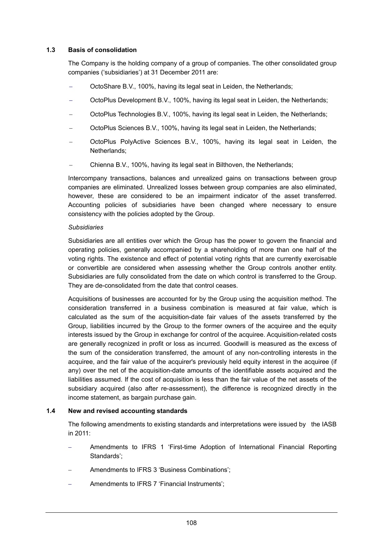## **1.3 Basis of consolidation**

The Company is the holding company of a group of companies. The other consolidated group companies ('subsidiaries') at 31 December 2011 are:

- OctoShare B.V., 100%, having its legal seat in Leiden, the Netherlands;
- OctoPlus Development B.V., 100%, having its legal seat in Leiden, the Netherlands;
- OctoPlus Technologies B.V., 100%, having its legal seat in Leiden, the Netherlands;
- OctoPlus Sciences B.V., 100%, having its legal seat in Leiden, the Netherlands;
- OctoPlus PolyActive Sciences B.V., 100%, having its legal seat in Leiden, the Netherlands;
- Chienna B.V., 100%, having its legal seat in Bilthoven, the Netherlands;

Intercompany transactions, balances and unrealized gains on transactions between group companies are eliminated. Unrealized losses between group companies are also eliminated, however, these are considered to be an impairment indicator of the asset transferred. Accounting policies of subsidiaries have been changed where necessary to ensure consistency with the policies adopted by the Group.

#### *Subsidiaries*

Subsidiaries are all entities over which the Group has the power to govern the financial and operating policies, generally accompanied by a shareholding of more than one half of the voting rights. The existence and effect of potential voting rights that are currently exercisable or convertible are considered when assessing whether the Group controls another entity. Subsidiaries are fully consolidated from the date on which control is transferred to the Group. They are de-consolidated from the date that control ceases.

Acquisitions of businesses are accounted for by the Group using the acquisition method. The consideration transferred in a business combination is measured at fair value, which is calculated as the sum of the acquisition-date fair values of the assets transferred by the Group, liabilities incurred by the Group to the former owners of the acquiree and the equity interests issued by the Group in exchange for control of the acquiree. Acquisition-related costs are generally recognized in profit or loss as incurred. Goodwill is measured as the excess of the sum of the consideration transferred, the amount of any non-controlling interests in the acquiree, and the fair value of the acquirer's previously held equity interest in the acquiree (if any) over the net of the acquisition-date amounts of the identifiable assets acquired and the liabilities assumed. If the cost of acquisition is less than the fair value of the net assets of the subsidiary acquired (also after re-assessment), the difference is recognized directly in the income statement, as bargain purchase gain.

#### **1.4 New and revised accounting standards**

The following amendments to existing standards and interpretations were issued by the IASB in 2011:

- Amendments to IFRS 1 'First-time Adoption of International Financial Reporting Standards';
- Amendments to IFRS 3 'Business Combinations';
- Amendments to IFRS 7 'Financial Instruments';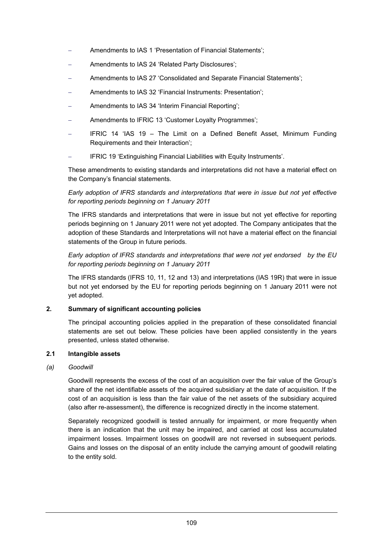- Amendments to IAS 1 'Presentation of Financial Statements';
- Amendments to IAS 24 'Related Party Disclosures';
- Amendments to IAS 27 'Consolidated and Separate Financial Statements';
- Amendments to IAS 32 'Financial Instruments: Presentation';
- Amendments to IAS 34 'Interim Financial Reporting';
- Amendments to IFRIC 13 'Customer Loyalty Programmes';
- IFRIC 14 'IAS 19 The Limit on a Defined Benefit Asset, Minimum Funding Requirements and their Interaction';
- IFRIC 19 'Extinguishing Financial Liabilities with Equity Instruments'.

These amendments to existing standards and interpretations did not have a material effect on the Company's financial statements.

## *Early adoption of IFRS standards and interpretations that were in issue but not yet effective for reporting periods beginning on 1 January 2011*

The IFRS standards and interpretations that were in issue but not yet effective for reporting periods beginning on 1 January 2011 were not yet adopted. The Company anticipates that the adoption of these Standards and Interpretations will not have a material effect on the financial statements of the Group in future periods.

*Early adoption of IFRS standards and interpretations that were not yet endorsed by the EU for reporting periods beginning on 1 January 2011*

The IFRS standards (IFRS 10, 11, 12 and 13) and interpretations (IAS 19R) that were in issue but not yet endorsed by the EU for reporting periods beginning on 1 January 2011 were not yet adopted.

## **2. Summary of significant accounting policies**

The principal accounting policies applied in the preparation of these consolidated financial statements are set out below. These policies have been applied consistently in the years presented, unless stated otherwise.

## **2.1 Intangible assets**

#### *(a) Goodwill*

Goodwill represents the excess of the cost of an acquisition over the fair value of the Group's share of the net identifiable assets of the acquired subsidiary at the date of acquisition. If the cost of an acquisition is less than the fair value of the net assets of the subsidiary acquired (also after re-assessment), the difference is recognized directly in the income statement.

Separately recognized goodwill is tested annually for impairment, or more frequently when there is an indication that the unit may be impaired, and carried at cost less accumulated impairment losses. Impairment losses on goodwill are not reversed in subsequent periods. Gains and losses on the disposal of an entity include the carrying amount of goodwill relating to the entity sold.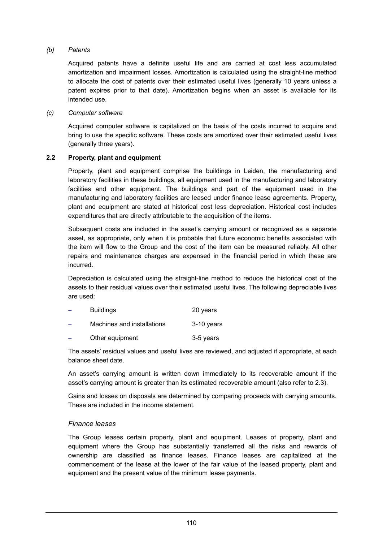## *(b) Patents*

Acquired patents have a definite useful life and are carried at cost less accumulated amortization and impairment losses. Amortization is calculated using the straight-line method to allocate the cost of patents over their estimated useful lives (generally 10 years unless a patent expires prior to that date). Amortization begins when an asset is available for its intended use.

#### *(c) Computer software*

Acquired computer software is capitalized on the basis of the costs incurred to acquire and bring to use the specific software. These costs are amortized over their estimated useful lives (generally three years).

## **2.2 Property, plant and equipment**

Property, plant and equipment comprise the buildings in Leiden, the manufacturing and laboratory facilities in these buildings, all equipment used in the manufacturing and laboratory facilities and other equipment. The buildings and part of the equipment used in the manufacturing and laboratory facilities are leased under finance lease agreements. Property, plant and equipment are stated at historical cost less depreciation. Historical cost includes expenditures that are directly attributable to the acquisition of the items.

Subsequent costs are included in the asset's carrying amount or recognized as a separate asset, as appropriate, only when it is probable that future economic benefits associated with the item will flow to the Group and the cost of the item can be measured reliably. All other repairs and maintenance charges are expensed in the financial period in which these are incurred.

Depreciation is calculated using the straight-line method to reduce the historical cost of the assets to their residual values over their estimated useful lives. The following depreciable lives are used:

| <b>Buildings</b> | 20 years |
|------------------|----------|
|                  |          |

Other equipment 3-5 years

The assets' residual values and useful lives are reviewed, and adjusted if appropriate, at each balance sheet date.

An asset's carrying amount is written down immediately to its recoverable amount if the asset's carrying amount is greater than its estimated recoverable amount (also refer to 2.3).

Gains and losses on disposals are determined by comparing proceeds with carrying amounts. These are included in the income statement.

#### *Finance leases*

The Group leases certain property, plant and equipment. Leases of property, plant and equipment where the Group has substantially transferred all the risks and rewards of ownership are classified as finance leases. Finance leases are capitalized at the commencement of the lease at the lower of the fair value of the leased property, plant and equipment and the present value of the minimum lease payments.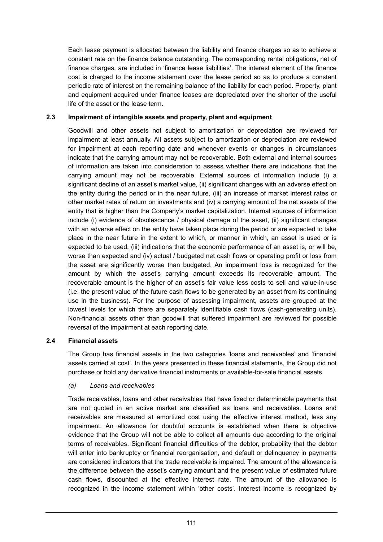Each lease payment is allocated between the liability and finance charges so as to achieve a constant rate on the finance balance outstanding. The corresponding rental obligations, net of finance charges, are included in 'finance lease liabilities'. The interest element of the finance cost is charged to the income statement over the lease period so as to produce a constant periodic rate of interest on the remaining balance of the liability for each period. Property, plant and equipment acquired under finance leases are depreciated over the shorter of the useful life of the asset or the lease term.

## **2.3 Impairment of intangible assets and property, plant and equipment**

Goodwill and other assets not subject to amortization or depreciation are reviewed for impairment at least annually. All assets subject to amortization or depreciation are reviewed for impairment at each reporting date and whenever events or changes in circumstances indicate that the carrying amount may not be recoverable. Both external and internal sources of information are taken into consideration to assess whether there are indications that the carrying amount may not be recoverable. External sources of information include (i) a significant decline of an asset's market value, (ii) significant changes with an adverse effect on the entity during the period or in the near future, (iii) an increase of market interest rates or other market rates of return on investments and (iv) a carrying amount of the net assets of the entity that is higher than the Company's market capitalization. Internal sources of information include (i) evidence of obsolescence / physical damage of the asset, (ii) significant changes with an adverse effect on the entity have taken place during the period or are expected to take place in the near future in the extent to which, or manner in which, an asset is used or is expected to be used, (iii) indications that the economic performance of an asset is, or will be, worse than expected and (iv) actual / budgeted net cash flows or operating profit or loss from the asset are significantly worse than budgeted. An impairment loss is recognized for the amount by which the asset's carrying amount exceeds its recoverable amount. The recoverable amount is the higher of an asset's fair value less costs to sell and value-in-use (i.e. the present value of the future cash flows to be generated by an asset from its continuing use in the business). For the purpose of assessing impairment, assets are grouped at the lowest levels for which there are separately identifiable cash flows (cash-generating units). Non-financial assets other than goodwill that suffered impairment are reviewed for possible reversal of the impairment at each reporting date.

#### **2.4 Financial assets**

The Group has financial assets in the two categories 'loans and receivables' and 'financial assets carried at cost'. In the years presented in these financial statements, the Group did not purchase or hold any derivative financial instruments or available-for-sale financial assets.

#### *(a) Loans and receivables*

Trade receivables, loans and other receivables that have fixed or determinable payments that are not quoted in an active market are classified as loans and receivables. Loans and receivables are measured at amortized cost using the effective interest method, less any impairment. An allowance for doubtful accounts is established when there is objective evidence that the Group will not be able to collect all amounts due according to the original terms of receivables. Significant financial difficulties of the debtor, probability that the debtor will enter into bankruptcy or financial reorganisation, and default or delinquency in payments are considered indicators that the trade receivable is impaired. The amount of the allowance is the difference between the asset's carrying amount and the present value of estimated future cash flows, discounted at the effective interest rate. The amount of the allowance is recognized in the income statement within 'other costs'. Interest income is recognized by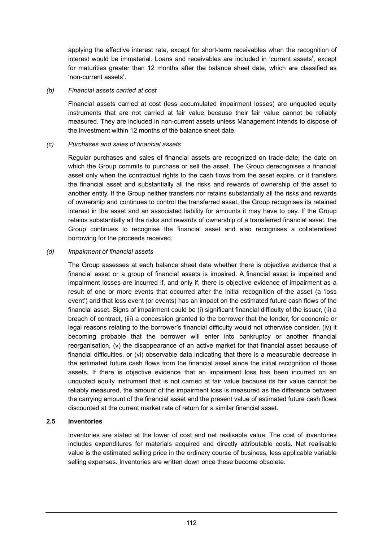applying the effective interest rate, except for short-term receivables when the recognition of interest would be immaterial. Loans and receivables are included in 'current assets', except for maturities greater than 12 months after the balance sheet date, which are classified as 'non-current assets'.

#### *(b) Financial assets carried at cost*

Financial assets carried at cost (less accumulated impairment losses) are unquoted equity instruments that are not carried at fair value because their fair value cannot be reliably measured. They are included in non-current assets unless Management intends to dispose of the investment within 12 months of the balance sheet date.

#### *(c) Purchases and sales of financial assets*

Regular purchases and sales of financial assets are recognized on trade-date; the date on which the Group commits to purchase or sell the asset. The Group derecognises a financial asset only when the contractual rights to the cash flows from the asset expire, or it transfers the financial asset and substantially all the risks and rewards of ownership of the asset to another entity. If the Group neither transfers nor retains substantially all the risks and rewards of ownership and continues to control the transferred asset, the Group recognises its retained interest in the asset and an associated liability for amounts it may have to pay. If the Group retains substantially all the risks and rewards of ownership of a transferred financial asset, the Group continues to recognise the financial asset and also recognises a collateralised borrowing for the proceeds received.

#### *(d) Impairment of financial assets*

The Group assesses at each balance sheet date whether there is objective evidence that a financial asset or a group of financial assets is impaired. A financial asset is impaired and impairment losses are incurred if, and only if, there is objective evidence of impairment as a result of one or more events that occurred after the initial recognition of the asset (a 'loss event') and that loss event (or events) has an impact on the estimated future cash flows of the financial asset. Signs of impairment could be (i) significant financial difficulty of the issuer, (ii) a breach of contract, (iii) a concession granted to the borrower that the lender, for economic or legal reasons relating to the borrower's financial difficulty would not otherwise consider, (iv) it becoming probable that the borrower will enter into bankruptcy or another financial reorganisation, (v) the disappearance of an active market for that financial asset because of financial difficulties, or (vi) observable data indicating that there is a measurable decrease in the estimated future cash flows from the financial asset since the initial recognition of those assets. If there is objective evidence that an impairment loss has been incurred on an unquoted equity instrument that is not carried at fair value because its fair value cannot be reliably measured, the amount of the impairment loss is measured as the difference between the carrying amount of the financial asset and the present value of estimated future cash flows discounted at the current market rate of return for a similar financial asset.

## **2.5 Inventories**

Inventories are stated at the lower of cost and net realisable value. The cost of inventories includes expenditures for materials acquired and directly attributable costs. Net realisable value is the estimated selling price in the ordinary course of business, less applicable variable selling expenses. Inventories are written down once these become obsolete.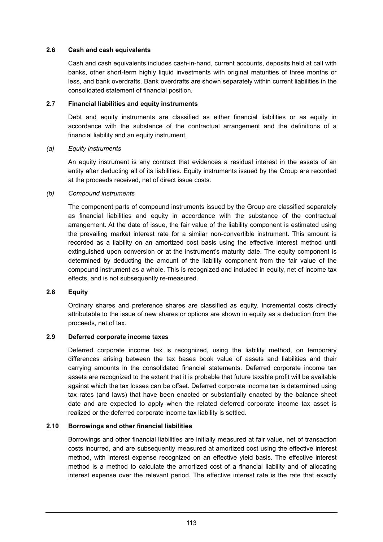### **2.6 Cash and cash equivalents**

Cash and cash equivalents includes cash-in-hand, current accounts, deposits held at call with banks, other short-term highly liquid investments with original maturities of three months or less, and bank overdrafts. Bank overdrafts are shown separately within current liabilities in the consolidated statement of financial position.

#### **2.7 Financial liabilities and equity instruments**

Debt and equity instruments are classified as either financial liabilities or as equity in accordance with the substance of the contractual arrangement and the definitions of a financial liability and an equity instrument.

#### *(a) Equity instruments*

An equity instrument is any contract that evidences a residual interest in the assets of an entity after deducting all of its liabilities. Equity instruments issued by the Group are recorded at the proceeds received, net of direct issue costs.

#### *(b) Compound instruments*

The component parts of compound instruments issued by the Group are classified separately as financial liabilities and equity in accordance with the substance of the contractual arrangement. At the date of issue, the fair value of the liability component is estimated using the prevailing market interest rate for a similar non-convertible instrument. This amount is recorded as a liability on an amortized cost basis using the effective interest method until extinguished upon conversion or at the instrument's maturity date. The equity component is determined by deducting the amount of the liability component from the fair value of the compound instrument as a whole. This is recognized and included in equity, net of income tax effects, and is not subsequently re-measured.

## **2.8 Equity**

Ordinary shares and preference shares are classified as equity. Incremental costs directly attributable to the issue of new shares or options are shown in equity as a deduction from the proceeds, net of tax.

#### **2.9 Deferred corporate income taxes**

Deferred corporate income tax is recognized, using the liability method, on temporary differences arising between the tax bases book value of assets and liabilities and their carrying amounts in the consolidated financial statements. Deferred corporate income tax assets are recognized to the extent that it is probable that future taxable profit will be available against which the tax losses can be offset. Deferred corporate income tax is determined using tax rates (and laws) that have been enacted or substantially enacted by the balance sheet date and are expected to apply when the related deferred corporate income tax asset is realized or the deferred corporate income tax liability is settled.

#### **2.10 Borrowings and other financial liabilities**

Borrowings and other financial liabilities are initially measured at fair value, net of transaction costs incurred, and are subsequently measured at amortized cost using the effective interest method, with interest expense recognized on an effective yield basis. The effective interest method is a method to calculate the amortized cost of a financial liability and of allocating interest expense over the relevant period. The effective interest rate is the rate that exactly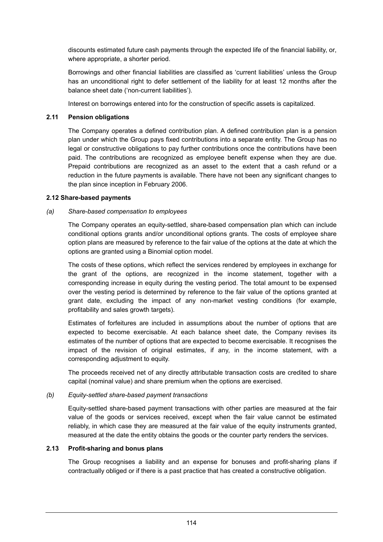discounts estimated future cash payments through the expected life of the financial liability, or, where appropriate, a shorter period.

Borrowings and other financial liabilities are classified as 'current liabilities' unless the Group has an unconditional right to defer settlement of the liability for at least 12 months after the balance sheet date ('non-current liabilities').

Interest on borrowings entered into for the construction of specific assets is capitalized.

## **2.11 Pension obligations**

The Company operates a defined contribution plan. A defined contribution plan is a pension plan under which the Group pays fixed contributions into a separate entity. The Group has no legal or constructive obligations to pay further contributions once the contributions have been paid. The contributions are recognized as employee benefit expense when they are due. Prepaid contributions are recognized as an asset to the extent that a cash refund or a reduction in the future payments is available. There have not been any significant changes to the plan since inception in February 2006.

#### **2.12 Share-based payments**

## *(a) Share-based compensation to employees*

The Company operates an equity-settled, share-based compensation plan which can include conditional options grants and/or unconditional options grants. The costs of employee share option plans are measured by reference to the fair value of the options at the date at which the options are granted using a Binomial option model.

The costs of these options, which reflect the services rendered by employees in exchange for the grant of the options, are recognized in the income statement, together with a corresponding increase in equity during the vesting period. The total amount to be expensed over the vesting period is determined by reference to the fair value of the options granted at grant date, excluding the impact of any non-market vesting conditions (for example, profitability and sales growth targets).

Estimates of forfeitures are included in assumptions about the number of options that are expected to become exercisable. At each balance sheet date, the Company revises its estimates of the number of options that are expected to become exercisable. It recognises the impact of the revision of original estimates, if any, in the income statement, with a corresponding adjustment to equity.

The proceeds received net of any directly attributable transaction costs are credited to share capital (nominal value) and share premium when the options are exercised.

#### *(b) Equity-settled share-based payment transactions*

Equity-settled share-based payment transactions with other parties are measured at the fair value of the goods or services received, except when the fair value cannot be estimated reliably, in which case they are measured at the fair value of the equity instruments granted, measured at the date the entity obtains the goods or the counter party renders the services.

## **2.13 Profit-sharing and bonus plans**

The Group recognises a liability and an expense for bonuses and profit-sharing plans if contractually obliged or if there is a past practice that has created a constructive obligation.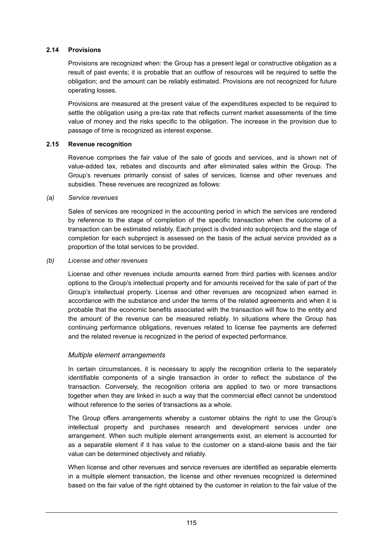## **2.14 Provisions**

Provisions are recognized when: the Group has a present legal or constructive obligation as a result of past events; it is probable that an outflow of resources will be required to settle the obligation; and the amount can be reliably estimated. Provisions are not recognized for future operating losses.

Provisions are measured at the present value of the expenditures expected to be required to settle the obligation using a pre-tax rate that reflects current market assessments of the time value of money and the risks specific to the obligation. The increase in the provision due to passage of time is recognized as interest expense.

#### **2.15 Revenue recognition**

Revenue comprises the fair value of the sale of goods and services, and is shown net of value-added tax, rebates and discounts and after eliminated sales within the Group. The Group's revenues primarily consist of sales of services, license and other revenues and subsidies. These revenues are recognized as follows:

#### *(a) Service revenues*

Sales of services are recognized in the accounting period in which the services are rendered by reference to the stage of completion of the specific transaction when the outcome of a transaction can be estimated reliably. Each project is divided into subprojects and the stage of completion for each subproject is assessed on the basis of the actual service provided as a proportion of the total services to be provided.

#### *(b) License and other revenues*

License and other revenues include amounts earned from third parties with licenses and/or options to the Group's intellectual property and for amounts received for the sale of part of the Group's intellectual property. License and other revenues are recognized when earned in accordance with the substance and under the terms of the related agreements and when it is probable that the economic benefits associated with the transaction will flow to the entity and the amount of the revenue can be measured reliably. In situations where the Group has continuing performance obligations, revenues related to license fee payments are deferred and the related revenue is recognized in the period of expected performance.

#### *Multiple element arrangements*

In certain circumstances, it is necessary to apply the recognition criteria to the separately identifiable components of a single transaction in order to reflect the substance of the transaction. Conversely, the recognition criteria are applied to two or more transactions together when they are linked in such a way that the commercial effect cannot be understood without reference to the series of transactions as a whole.

The Group offers arrangements whereby a customer obtains the right to use the Group's intellectual property and purchases research and development services under one arrangement. When such multiple element arrangements exist, an element is accounted for as a separable element if it has value to the customer on a stand-alone basis and the fair value can be determined objectively and reliably.

When license and other revenues and service revenues are identified as separable elements in a multiple element transaction, the license and other revenues recognized is determined based on the fair value of the right obtained by the customer in relation to the fair value of the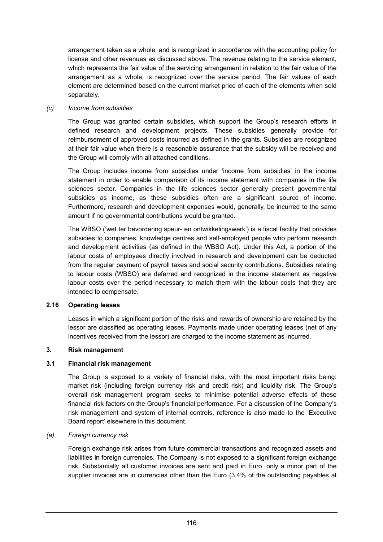arrangement taken as a whole, and is recognized in accordance with the accounting policy for license and other revenues as discussed above. The revenue relating to the service element, which represents the fair value of the servicing arrangement in relation to the fair value of the arrangement as a whole, is recognized over the service period. The fair values of each element are determined based on the current market price of each of the elements when sold separately.

#### *(c) Income from subsidies*

The Group was granted certain subsidies, which support the Group's research efforts in defined research and development projects. These subsidies generally provide for reimbursement of approved costs incurred as defined in the grants. Subsidies are recognized at their fair value when there is a reasonable assurance that the subsidy will be received and the Group will comply with all attached conditions.

The Group includes income from subsidies under 'income from subsidies' in the income statement in order to enable comparison of its income statement with companies in the life sciences sector. Companies in the life sciences sector generally present governmental subsidies as income, as these subsidies often are a significant source of income. Furthermore, research and development expenses would, generally, be incurred to the same amount if no governmental contributions would be granted.

The WBSO ('wet ter bevordering speur- en ontwikkelingswerk') is a fiscal facility that provides subsidies to companies, knowledge centres and self-employed people who perform research and development activities (as defined in the WBSO Act). Under this Act, a portion of the labour costs of employees directly involved in research and development can be deducted from the regular payment of payroll taxes and social security contributions. Subsidies relating to labour costs (WBSO) are deferred and recognized in the income statement as negative labour costs over the period necessary to match them with the labour costs that they are intended to compensate.

#### **2.16 Operating leases**

Leases in which a significant portion of the risks and rewards of ownership are retained by the lessor are classified as operating leases. Payments made under operating leases (net of any incentives received from the lessor) are charged to the income statement as incurred.

## **3. Risk management**

## **3.1 Financial risk management**

The Group is exposed to a variety of financial risks, with the most important risks being: market risk (including foreign currency risk and credit risk) and liquidity risk. The Group's overall risk management program seeks to minimise potential adverse effects of these financial risk factors on the Group's financial performance. For a discussion of the Company's risk management and system of internal controls, reference is also made to the 'Executive Board report' elsewhere in this document.

#### *(a) Foreign currency risk*

Foreign exchange risk arises from future commercial transactions and recognized assets and liabilities in foreign currencies. The Company is not exposed to a significant foreign exchange risk. Substantially all customer invoices are sent and paid in Euro, only a minor part of the supplier invoices are in currencies other than the Euro (3.4% of the outstanding payables at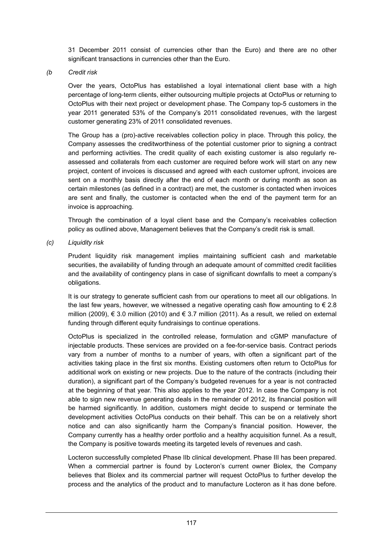31 December 2011 consist of currencies other than the Euro) and there are no other significant transactions in currencies other than the Euro.

## *(b Credit risk*

Over the years, OctoPlus has established a loyal international client base with a high percentage of long-term clients, either outsourcing multiple projects at OctoPlus or returning to OctoPlus with their next project or development phase. The Company top-5 customers in the year 2011 generated 53% of the Company's 2011 consolidated revenues, with the largest customer generating 23% of 2011 consolidated revenues.

The Group has a (pro)-active receivables collection policy in place. Through this policy, the Company assesses the creditworthiness of the potential customer prior to signing a contract and performing activities. The credit quality of each existing customer is also regularly reassessed and collaterals from each customer are required before work will start on any new project, content of invoices is discussed and agreed with each customer upfront, invoices are sent on a monthly basis directly after the end of each month or during month as soon as certain milestones (as defined in a contract) are met, the customer is contacted when invoices are sent and finally, the customer is contacted when the end of the payment term for an invoice is approaching.

Through the combination of a loyal client base and the Company's receivables collection policy as outlined above, Management believes that the Company's credit risk is small.

*(c) Liquidity risk*

Prudent liquidity risk management implies maintaining sufficient cash and marketable securities, the availability of funding through an adequate amount of committed credit facilities and the availability of contingency plans in case of significant downfalls to meet a company's obligations.

It is our strategy to generate sufficient cash from our operations to meet all our obligations. In the last few years, however, we witnessed a negative operating cash flow amounting to  $\epsilon$  2.8 million (2009), € 3.0 million (2010) and € 3.7 million (2011). As a result, we relied on external funding through different equity fundraisings to continue operations.

OctoPlus is specialized in the controlled release, formulation and cGMP manufacture of injectable products. These services are provided on a fee-for-service basis. Contract periods vary from a number of months to a number of years, with often a significant part of the activities taking place in the first six months. Existing customers often return to OctoPlus for additional work on existing or new projects. Due to the nature of the contracts (including their duration), a significant part of the Company's budgeted revenues for a year is not contracted at the beginning of that year. This also applies to the year 2012. In case the Company is not able to sign new revenue generating deals in the remainder of 2012, its financial position will be harmed significantly. In addition, customers might decide to suspend or terminate the development activities OctoPlus conducts on their behalf. This can be on a relatively short notice and can also significantly harm the Company's financial position. However, the Company currently has a healthy order portfolio and a healthy acquisition funnel. As a result, the Company is positive towards meeting its targeted levels of revenues and cash.

Locteron successfully completed Phase IIb clinical development. Phase III has been prepared. When a commercial partner is found by Locteron's current owner Biolex, the Company believes that Biolex and its commercial partner will request OctoPlus to further develop the process and the analytics of the product and to manufacture Locteron as it has done before.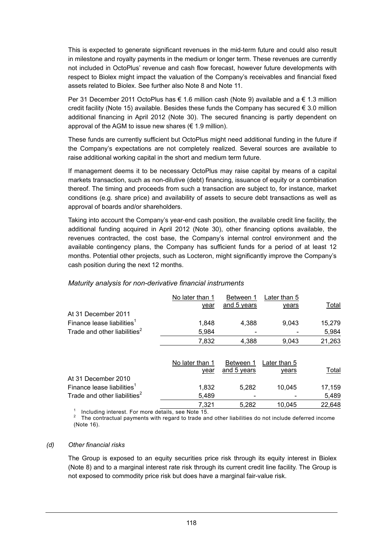This is expected to generate significant revenues in the mid-term future and could also result in milestone and royalty payments in the medium or longer term. These revenues are currently not included in OctoPlus' revenue and cash flow forecast, however future developments with respect to Biolex might impact the valuation of the Company's receivables and financial fixed assets related to Biolex. See further also Note 8 and Note 11.

Per 31 December 2011 OctoPlus has € 1.6 million cash (Note 9) available and a € 1.3 million credit facility (Note 15) available. Besides these funds the Company has secured  $\epsilon$  3.0 million additional financing in April 2012 (Note 30). The secured financing is partly dependent on approval of the AGM to issue new shares ( $\epsilon$  1.9 million).

These funds are currently sufficient but OctoPlus might need additional funding in the future if the Company's expectations are not completely realized. Several sources are available to raise additional working capital in the short and medium term future.

If management deems it to be necessary OctoPlus may raise capital by means of a capital markets transaction, such as non-dilutive (debt) financing, issuance of equity or a combination thereof. The timing and proceeds from such a transaction are subject to, for instance, market conditions (e.g. share price) and availability of assets to secure debt transactions as well as approval of boards and/or shareholders.

Taking into account the Company's year-end cash position, the available credit line facility, the additional funding acquired in April 2012 (Note 30), other financing options available, the revenues contracted, the cost base, the Company's internal control environment and the available contingency plans, the Company has sufficient funds for a period of at least 12 months. Potential other projects, such as Locteron, might significantly improve the Company's cash position during the next 12 months.

## *Maturity analysis for non-derivative financial instruments*

|                                          | No later than 1<br>year | Between 1<br>and 5 years | Later than 5<br>years | Total  |
|------------------------------------------|-------------------------|--------------------------|-----------------------|--------|
| At 31 December 2011                      |                         |                          |                       |        |
| Finance lease liabilities <sup>1</sup>   | 1.848                   | 4.388                    | 9.043                 | 15.279 |
| Trade and other liabilities <sup>2</sup> | 5.984                   | -                        | $\qquad \qquad$       | 5,984  |
|                                          | 7.832                   | 4.388                    | 9.043                 | 21,263 |

|                                          | No later than 1<br>year | Between 1<br>and 5 years | Later than 5<br>years | <u>Total</u> |
|------------------------------------------|-------------------------|--------------------------|-----------------------|--------------|
| At 31 December 2010                      |                         |                          |                       |              |
| Finance lease liabilities <sup>1</sup>   | 1.832                   | 5.282                    | 10.045                | 17.159       |
| Trade and other liabilities <sup>2</sup> | 5.489                   | $\overline{\phantom{0}}$ |                       | 5,489        |
|                                          | 7.321                   | 5.282                    | 10.045                | 22.648       |

<sup>1</sup> Including interest. For more details, see Note 15.

 $2$  The contractual payments with regard to trade and other liabilities do not include deferred income (Note 16).

#### *(d) Other financial risks*

The Group is exposed to an equity securities price risk through its equity interest in Biolex (Note 8) and to a marginal interest rate risk through its current credit line facility. The Group is not exposed to commodity price risk but does have a marginal fair-value risk.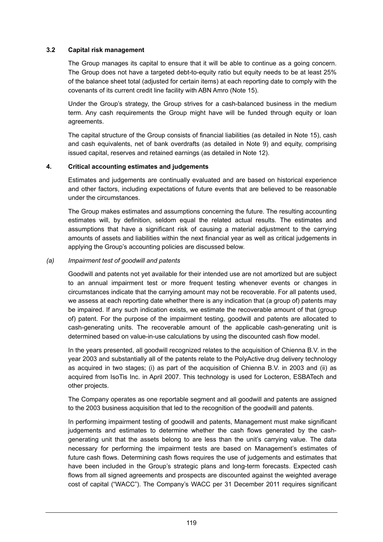## **3.2 Capital risk management**

The Group manages its capital to ensure that it will be able to continue as a going concern. The Group does not have a targeted debt-to-equity ratio but equity needs to be at least 25% of the balance sheet total (adjusted for certain items) at each reporting date to comply with the covenants of its current credit line facility with ABN Amro (Note 15).

Under the Group's strategy, the Group strives for a cash-balanced business in the medium term. Any cash requirements the Group might have will be funded through equity or loan agreements.

The capital structure of the Group consists of financial liabilities (as detailed in Note 15), cash and cash equivalents, net of bank overdrafts (as detailed in Note 9) and equity, comprising issued capital, reserves and retained earnings (as detailed in Note 12).

## **4. Critical accounting estimates and judgements**

Estimates and judgements are continually evaluated and are based on historical experience and other factors, including expectations of future events that are believed to be reasonable under the circumstances.

The Group makes estimates and assumptions concerning the future. The resulting accounting estimates will, by definition, seldom equal the related actual results. The estimates and assumptions that have a significant risk of causing a material adjustment to the carrying amounts of assets and liabilities within the next financial year as well as critical judgements in applying the Group's accounting policies are discussed below.

#### *(a) Impairment test of goodwill and patents*

Goodwill and patents not yet available for their intended use are not amortized but are subject to an annual impairment test or more frequent testing whenever events or changes in circumstances indicate that the carrying amount may not be recoverable. For all patents used, we assess at each reporting date whether there is any indication that (a group of) patents may be impaired. If any such indication exists, we estimate the recoverable amount of that (group of) patent. For the purpose of the impairment testing, goodwill and patents are allocated to cash-generating units. The recoverable amount of the applicable cash-generating unit is determined based on value-in-use calculations by using the discounted cash flow model.

In the years presented, all goodwill recognized relates to the acquisition of Chienna B.V. in the year 2003 and substantially all of the patents relate to the PolyActive drug delivery technology as acquired in two stages; (i) as part of the acquisition of Chienna B.V. in 2003 and (ii) as acquired from IsoTis Inc. in April 2007. This technology is used for Locteron, ESBATech and other projects.

The Company operates as one reportable segment and all goodwill and patents are assigned to the 2003 business acquisition that led to the recognition of the goodwill and patents.

In performing impairment testing of goodwill and patents, Management must make significant judgements and estimates to determine whether the cash flows generated by the cashgenerating unit that the assets belong to are less than the unit's carrying value. The data necessary for performing the impairment tests are based on Management's estimates of future cash flows. Determining cash flows requires the use of judgements and estimates that have been included in the Group's strategic plans and long-term forecasts. Expected cash flows from all signed agreements and prospects are discounted against the weighted average cost of capital ("WACC"). The Company's WACC per 31 December 2011 requires significant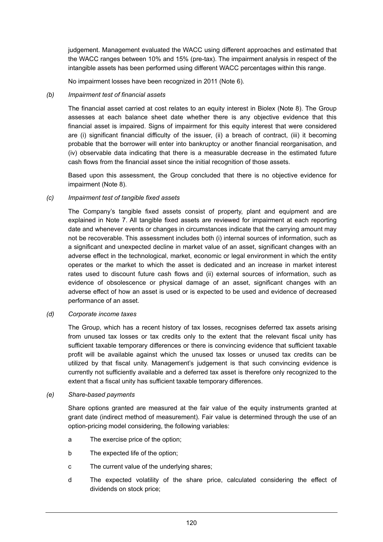judgement. Management evaluated the WACC using different approaches and estimated that the WACC ranges between 10% and 15% (pre-tax). The impairment analysis in respect of the intangible assets has been performed using different WACC percentages within this range.

No impairment losses have been recognized in 2011 (Note 6).

## *(b) Impairment test of financial assets*

The financial asset carried at cost relates to an equity interest in Biolex (Note 8). The Group assesses at each balance sheet date whether there is any objective evidence that this financial asset is impaired. Signs of impairment for this equity interest that were considered are (i) significant financial difficulty of the issuer, (ii) a breach of contract, (iii) it becoming probable that the borrower will enter into bankruptcy or another financial reorganisation, and (iv) observable data indicating that there is a measurable decrease in the estimated future cash flows from the financial asset since the initial recognition of those assets.

Based upon this assessment, the Group concluded that there is no objective evidence for impairment (Note 8).

## *(c) Impairment test of tangible fixed assets*

The Company's tangible fixed assets consist of property, plant and equipment and are explained in Note 7. All tangible fixed assets are reviewed for impairment at each reporting date and whenever events or changes in circumstances indicate that the carrying amount may not be recoverable. This assessment includes both (i) internal sources of information, such as a significant and unexpected decline in market value of an asset, significant changes with an adverse effect in the technological, market, economic or legal environment in which the entity operates or the market to which the asset is dedicated and an increase in market interest rates used to discount future cash flows and (ii) external sources of information, such as evidence of obsolescence or physical damage of an asset, significant changes with an adverse effect of how an asset is used or is expected to be used and evidence of decreased performance of an asset.

#### *(d) Corporate income taxes*

The Group, which has a recent history of tax losses, recognises deferred tax assets arising from unused tax losses or tax credits only to the extent that the relevant fiscal unity has sufficient taxable temporary differences or there is convincing evidence that sufficient taxable profit will be available against which the unused tax losses or unused tax credits can be utilized by that fiscal unity. Management's judgement is that such convincing evidence is currently not sufficiently available and a deferred tax asset is therefore only recognized to the extent that a fiscal unity has sufficient taxable temporary differences.

#### *(e) Share-based payments*

Share options granted are measured at the fair value of the equity instruments granted at grant date (indirect method of measurement). Fair value is determined through the use of an option-pricing model considering, the following variables:

- a The exercise price of the option;
- b The expected life of the option;
- c The current value of the underlying shares;
- d The expected volatility of the share price, calculated considering the effect of dividends on stock price;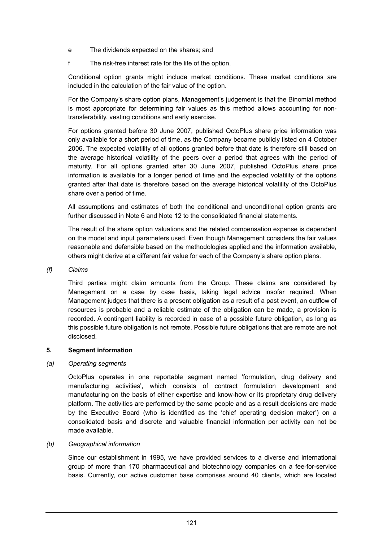- e The dividends expected on the shares; and
- f The risk-free interest rate for the life of the option.

Conditional option grants might include market conditions. These market conditions are included in the calculation of the fair value of the option.

For the Company's share option plans, Management's judgement is that the Binomial method is most appropriate for determining fair values as this method allows accounting for nontransferability, vesting conditions and early exercise.

For options granted before 30 June 2007, published OctoPlus share price information was only available for a short period of time, as the Company became publicly listed on 4 October 2006. The expected volatility of all options granted before that date is therefore still based on the average historical volatility of the peers over a period that agrees with the period of maturity. For all options granted after 30 June 2007, published OctoPlus share price information is available for a longer period of time and the expected volatility of the options granted after that date is therefore based on the average historical volatility of the OctoPlus share over a period of time.

All assumptions and estimates of both the conditional and unconditional option grants are further discussed in Note 6 and Note 12 to the consolidated financial statements.

The result of the share option valuations and the related compensation expense is dependent on the model and input parameters used. Even though Management considers the fair values reasonable and defensible based on the methodologies applied and the information available, others might derive at a different fair value for each of the Company's share option plans.

#### *(f) Claims*

Third parties might claim amounts from the Group. These claims are considered by Management on a case by case basis, taking legal advice insofar required. When Management judges that there is a present obligation as a result of a past event, an outflow of resources is probable and a reliable estimate of the obligation can be made, a provision is recorded. A contingent liability is recorded in case of a possible future obligation, as long as this possible future obligation is not remote. Possible future obligations that are remote are not disclosed.

#### **5. Segment information**

#### *(a) Operating segments*

OctoPlus operates in one reportable segment named 'formulation, drug delivery and manufacturing activities', which consists of contract formulation development and manufacturing on the basis of either expertise and know-how or its proprietary drug delivery platform. The activities are performed by the same people and as a result decisions are made by the Executive Board (who is identified as the 'chief operating decision maker') on a consolidated basis and discrete and valuable financial information per activity can not be made available.

#### *(b) Geographical information*

Since our establishment in 1995, we have provided services to a diverse and international group of more than 170 pharmaceutical and biotechnology companies on a fee-for-service basis. Currently, our active customer base comprises around 40 clients, which are located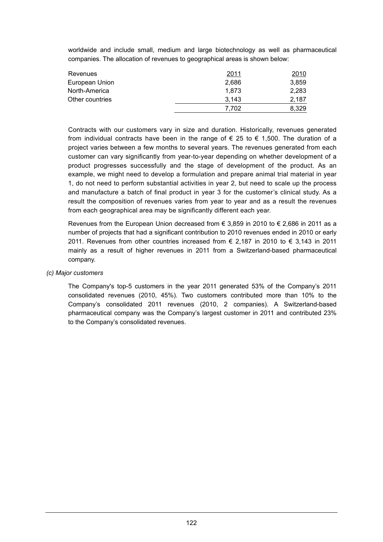worldwide and include small, medium and large biotechnology as well as pharmaceutical companies. The allocation of revenues to geographical areas is shown below:

| Revenues        | 2011  | 2010  |
|-----------------|-------|-------|
| European Union  | 2.686 | 3.859 |
| North-America   | 1.873 | 2,283 |
| Other countries | 3.143 | 2.187 |
|                 | 7.702 | 8.329 |

Contracts with our customers vary in size and duration. Historically, revenues generated from individual contracts have been in the range of  $\epsilon$  25 to  $\epsilon$  1,500. The duration of a project varies between a few months to several years. The revenues generated from each customer can vary significantly from year-to-year depending on whether development of a product progresses successfully and the stage of development of the product. As an example, we might need to develop a formulation and prepare animal trial material in year 1, do not need to perform substantial activities in year 2, but need to scale up the process and manufacture a batch of final product in year 3 for the customer's clinical study. As a result the composition of revenues varies from year to year and as a result the revenues from each geographical area may be significantly different each year.

Revenues from the European Union decreased from  $\epsilon$  3.859 in 2010 to  $\epsilon$  2.686 in 2011 as a number of projects that had a significant contribution to 2010 revenues ended in 2010 or early 2011. Revenues from other countries increased from  $\epsilon$  2,187 in 2010 to  $\epsilon$  3,143 in 2011 mainly as a result of higher revenues in 2011 from a Switzerland-based pharmaceutical company.

#### *(c) Major customers*

The Company's top-5 customers in the year 2011 generated 53% of the Company's 2011 consolidated revenues (2010, 45%). Two customers contributed more than 10% to the Company's consolidated 2011 revenues (2010, 2 companies). A Switzerland-based pharmaceutical company was the Company's largest customer in 2011 and contributed 23% to the Company's consolidated revenues.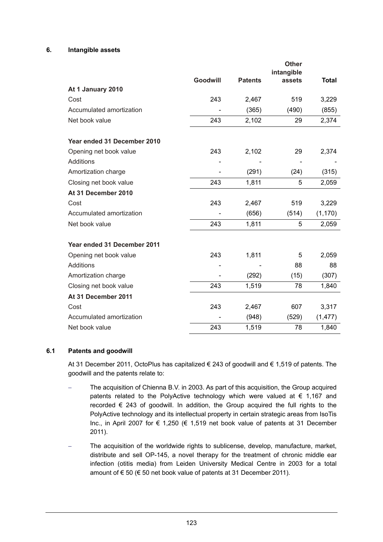#### **6. Intangible assets**

|                             |          |                | <b>Other</b><br>intangible |              |
|-----------------------------|----------|----------------|----------------------------|--------------|
|                             | Goodwill | <b>Patents</b> | assets                     | <b>Total</b> |
| At 1 January 2010           |          |                |                            |              |
| Cost                        | 243      | 2,467          | 519                        | 3,229        |
| Accumulated amortization    |          | (365)          | (490)                      | (855)        |
| Net book value              | 243      | 2,102          | 29                         | 2,374        |
| Year ended 31 December 2010 |          |                |                            |              |
| Opening net book value      | 243      | 2,102          | 29                         | 2,374        |
| Additions                   |          |                |                            |              |
| Amortization charge         |          | (291)          | (24)                       | (315)        |
| Closing net book value      | 243      | 1,811          | 5                          | 2,059        |
| At 31 December 2010         |          |                |                            |              |
| Cost                        | 243      | 2,467          | 519                        | 3,229        |
| Accumulated amortization    |          | (656)          | (514)                      | (1, 170)     |
| Net book value              | 243      | 1,811          | 5                          | 2,059        |
| Year ended 31 December 2011 |          |                |                            |              |
| Opening net book value      | 243      | 1,811          | 5                          | 2,059        |
| Additions                   |          |                | 88                         | 88           |
| Amortization charge         |          | (292)          | (15)                       | (307)        |
| Closing net book value      | 243      | 1,519          | 78                         | 1,840        |
| At 31 December 2011         |          |                |                            |              |
| Cost                        | 243      | 2,467          | 607                        | 3,317        |
| Accumulated amortization    |          | (948)          | (529)                      | (1, 477)     |
| Net book value              | 243      | 1,519          | 78                         | 1,840        |

## **6.1 Patents and goodwill**

At 31 December 2011, OctoPlus has capitalized € 243 of goodwill and € 1,519 of patents. The goodwill and the patents relate to:

- The acquisition of Chienna B.V. in 2003. As part of this acquisition, the Group acquired patents related to the PolyActive technology which were valued at  $\epsilon$  1,167 and recorded  $\epsilon$  243 of goodwill. In addition, the Group acquired the full rights to the PolyActive technology and its intellectual property in certain strategic areas from IsoTis Inc., in April 2007 for € 1,250 (€ 1,519 net book value of patents at 31 December 2011).
- The acquisition of the worldwide rights to sublicense, develop, manufacture, market, distribute and sell OP-145, a novel therapy for the treatment of chronic middle ear infection (otitis media) from Leiden University Medical Centre in 2003 for a total amount of € 50 (€ 50 net book value of patents at 31 December 2011).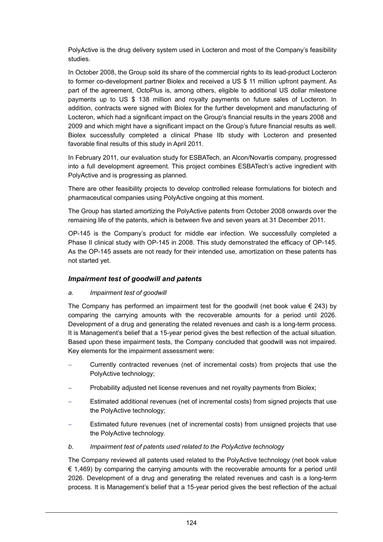PolyActive is the drug delivery system used in Locteron and most of the Company's feasibility studies.

In October 2008, the Group sold its share of the commercial rights to its lead-product Locteron to former co-development partner Biolex and received a US \$ 11 million upfront payment. As part of the agreement, OctoPlus is, among others, eligible to additional US dollar milestone payments up to US \$ 138 million and royalty payments on future sales of Locteron. In addition, contracts were signed with Biolex for the further development and manufacturing of Locteron, which had a significant impact on the Group's financial results in the years 2008 and 2009 and which might have a significant impact on the Group's future financial results as well. Biolex successfully completed a clinical Phase IIb study with Locteron and presented favorable final results of this study in April 2011.

In February 2011, our evaluation study for ESBATech, an Alcon/Novartis company, progressed into a full development agreement. This project combines ESBATech's active ingredient with PolyActive and is progressing as planned.

There are other feasibility projects to develop controlled release formulations for biotech and pharmaceutical companies using PolyActive ongoing at this moment.

The Group has started amortizing the PolyActive patents from October 2008 onwards over the remaining life of the patents, which is between five and seven years at 31 December 2011.

OP-145 is the Company's product for middle ear infection. We successfully completed a Phase II clinical study with OP-145 in 2008. This study demonstrated the efficacy of OP-145. As the OP-145 assets are not ready for their intended use, amortization on these patents has not started yet.

## *Impairment test of goodwill and patents*

## *a. Impairment test of goodwill*

The Company has performed an impairment test for the goodwill (net book value  $\epsilon$  243) by comparing the carrying amounts with the recoverable amounts for a period until 2026. Development of a drug and generating the related revenues and cash is a long-term process. It is Management's belief that a 15-year period gives the best reflection of the actual situation. Based upon these impairment tests, the Company concluded that goodwill was not impaired. Key elements for the impairment assessment were:

- Currently contracted revenues (net of incremental costs) from projects that use the PolyActive technology;
- Probability adjusted net license revenues and net royalty payments from Biolex;
- Estimated additional revenues (net of incremental costs) from signed projects that use the PolyActive technology;
- Estimated future revenues (net of incremental costs) from unsigned projects that use the PolyActive technology.
- *b. Impairment test of patents used related to the PolyActive technology*

The Company reviewed all patents used related to the PolyActive technology (net book value  $\epsilon$  1,469) by comparing the carrying amounts with the recoverable amounts for a period until 2026. Development of a drug and generating the related revenues and cash is a long-term process. It is Management's belief that a 15-year period gives the best reflection of the actual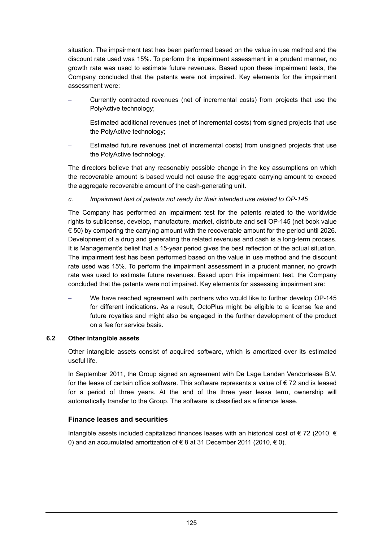situation. The impairment test has been performed based on the value in use method and the discount rate used was 15%. To perform the impairment assessment in a prudent manner, no growth rate was used to estimate future revenues. Based upon these impairment tests, the Company concluded that the patents were not impaired. Key elements for the impairment assessment were:

- Currently contracted revenues (net of incremental costs) from projects that use the PolyActive technology;
- Estimated additional revenues (net of incremental costs) from signed projects that use the PolyActive technology;
- Estimated future revenues (net of incremental costs) from unsigned projects that use the PolyActive technology.

The directors believe that any reasonably possible change in the key assumptions on which the recoverable amount is based would not cause the aggregate carrying amount to exceed the aggregate recoverable amount of the cash-generating unit.

## *c. Impairment test of patents not ready for their intended use related to OP-145*

The Company has performed an impairment test for the patents related to the worldwide rights to sublicense, develop, manufacture, market, distribute and sell OP-145 (net book value  $\epsilon$  50) by comparing the carrying amount with the recoverable amount for the period until 2026. Development of a drug and generating the related revenues and cash is a long-term process. It is Management's belief that a 15-year period gives the best reflection of the actual situation. The impairment test has been performed based on the value in use method and the discount rate used was 15%. To perform the impairment assessment in a prudent manner, no growth rate was used to estimate future revenues. Based upon this impairment test, the Company concluded that the patents were not impaired. Key elements for assessing impairment are:

 We have reached agreement with partners who would like to further develop OP-145 for different indications. As a result, OctoPlus might be eligible to a license fee and future royalties and might also be engaged in the further development of the product on a fee for service basis.

#### **6.2 Other intangible assets**

Other intangible assets consist of acquired software, which is amortized over its estimated useful life.

In September 2011, the Group signed an agreement with De Lage Landen Vendorlease B.V. for the lease of certain office software. This software represents a value of  $\epsilon$  72 and is leased for a period of three years. At the end of the three year lease term, ownership will automatically transfer to the Group. The software is classified as a finance lease.

## **Finance leases and securities**

Intangible assets included capitalized finances leases with an historical cost of  $\epsilon$  72 (2010,  $\epsilon$ 0) and an accumulated amortization of  $\epsilon$  8 at 31 December 2011 (2010,  $\epsilon$  0).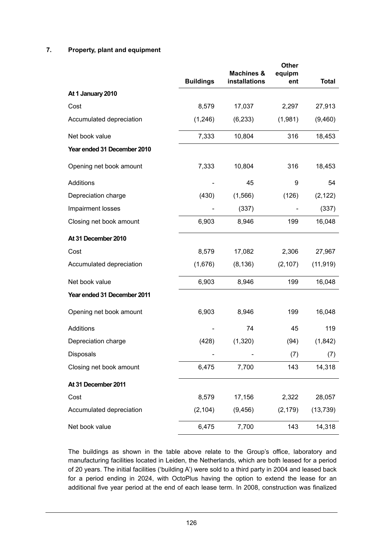## **7. Property, plant and equipment**

|                             | <b>Buildings</b> | <b>Machines &amp;</b><br>installations | <b>Other</b><br>equipm<br>ent | <b>Total</b> |
|-----------------------------|------------------|----------------------------------------|-------------------------------|--------------|
| At 1 January 2010           |                  |                                        |                               |              |
| Cost                        | 8,579            | 17,037                                 | 2,297                         | 27,913       |
| Accumulated depreciation    | (1,246)          | (6, 233)                               | (1,981)                       | (9,460)      |
| Net book value              | 7,333            | 10,804                                 | 316                           | 18,453       |
| Year ended 31 December 2010 |                  |                                        |                               |              |
| Opening net book amount     | 7,333            | 10,804                                 | 316                           | 18,453       |
| <b>Additions</b>            |                  | 45                                     | 9                             | 54           |
| Depreciation charge         | (430)            | (1, 566)                               | (126)                         | (2, 122)     |
| Impairment losses           |                  | (337)                                  |                               | (337)        |
| Closing net book amount     | 6,903            | 8,946                                  | 199                           | 16,048       |
| At 31 December 2010         |                  |                                        |                               |              |
| Cost                        | 8,579            | 17,082                                 | 2,306                         | 27,967       |
| Accumulated depreciation    | (1,676)          | (8, 136)                               | (2, 107)                      | (11, 919)    |
| Net book value              | 6,903            | 8,946                                  | 199                           | 16,048       |
| Year ended 31 December 2011 |                  |                                        |                               |              |
| Opening net book amount     | 6,903            | 8,946                                  | 199                           | 16,048       |
| Additions                   |                  | 74                                     | 45                            | 119          |
| Depreciation charge         | (428)            | (1,320)                                | (94)                          | (1,842)      |
| Disposals                   |                  |                                        | (7)                           | (7)          |
| Closing net book amount     | 6,475            | 7,700                                  | 143                           | 14,318       |
| At 31 December 2011         |                  |                                        |                               |              |
| Cost                        | 8,579            | 17,156                                 | 2,322                         | 28,057       |
| Accumulated depreciation    | (2, 104)         | (9, 456)                               | (2, 179)                      | (13, 739)    |
| Net book value              | 6,475            | 7,700                                  | 143                           | 14,318       |

The buildings as shown in the table above relate to the Group's office, laboratory and manufacturing facilities located in Leiden, the Netherlands, which are both leased for a period of 20 years. The initial facilities ('building A') were sold to a third party in 2004 and leased back for a period ending in 2024, with OctoPlus having the option to extend the lease for an additional five year period at the end of each lease term. In 2008, construction was finalized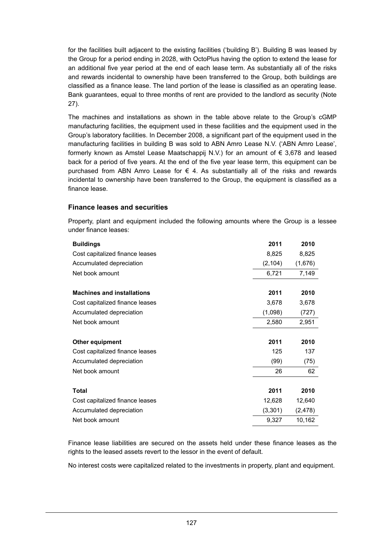for the facilities built adjacent to the existing facilities ('building B'). Building B was leased by the Group for a period ending in 2028, with OctoPlus having the option to extend the lease for an additional five year period at the end of each lease term. As substantially all of the risks and rewards incidental to ownership have been transferred to the Group, both buildings are classified as a finance lease. The land portion of the lease is classified as an operating lease. Bank guarantees, equal to three months of rent are provided to the landlord as security (Note 27).

The machines and installations as shown in the table above relate to the Group's cGMP manufacturing facilities, the equipment used in these facilities and the equipment used in the Group's laboratory facilities. In December 2008, a significant part of the equipment used in the manufacturing facilities in building B was sold to ABN Amro Lease N.V. ('ABN Amro Lease', formerly known as Amstel Lease Maatschappij N.V.) for an amount of  $\epsilon$  3,678 and leased back for a period of five years. At the end of the five year lease term, this equipment can be purchased from ABN Amro Lease for  $\epsilon$  4. As substantially all of the risks and rewards incidental to ownership have been transferred to the Group, the equipment is classified as a finance lease.

## **Finance leases and securities**

Property, plant and equipment included the following amounts where the Group is a lessee under finance leases:

| <b>Buildings</b>                  | 2011     | 2010     |
|-----------------------------------|----------|----------|
| Cost capitalized finance leases   | 8,825    | 8,825    |
| Accumulated depreciation          | (2, 104) | (1,676)  |
| Net book amount                   | 6,721    | 7,149    |
|                                   |          |          |
| <b>Machines and installations</b> | 2011     | 2010     |
| Cost capitalized finance leases   | 3,678    | 3,678    |
| Accumulated depreciation          | (1,098)  | (727)    |
| Net book amount                   | 2,580    | 2,951    |
|                                   |          |          |
| Other equipment                   | 2011     | 2010     |
| Cost capitalized finance leases   | 125      | 137      |
| Accumulated depreciation          | (99)     | (75)     |
| Net book amount                   | 26       | 62       |
|                                   |          |          |
| Total                             | 2011     | 2010     |
| Cost capitalized finance leases   | 12,628   | 12,640   |
| Accumulated depreciation          | (3,301)  | (2, 478) |
| Net book amount                   | 9,327    | 10,162   |

Finance lease liabilities are secured on the assets held under these finance leases as the rights to the leased assets revert to the lessor in the event of default.

No interest costs were capitalized related to the investments in property, plant and equipment.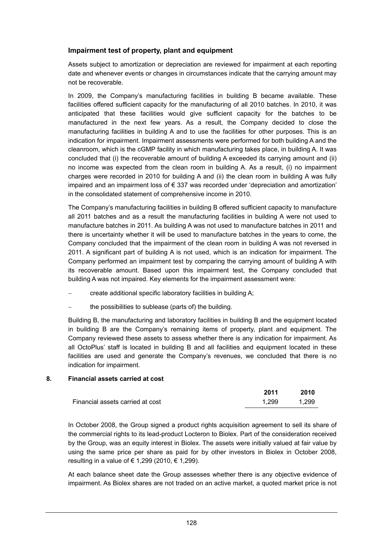## **Impairment test of property, plant and equipment**

Assets subject to amortization or depreciation are reviewed for impairment at each reporting date and whenever events or changes in circumstances indicate that the carrying amount may not be recoverable.

In 2009, the Company's manufacturing facilities in building B became available. These facilities offered sufficient capacity for the manufacturing of all 2010 batches. In 2010, it was anticipated that these facilities would give sufficient capacity for the batches to be manufactured in the next few years. As a result, the Company decided to close the manufacturing facilities in building A and to use the facilities for other purposes. This is an indication for impairment. Impairment assessments were performed for both building A and the cleanroom, which is the cGMP facility in which manufacturing takes place, in building A. It was concluded that (i) the recoverable amount of building A exceeded its carrying amount and (ii) no income was expected from the clean room in building A. As a result, (i) no impairment charges were recorded in 2010 for building A and (ii) the clean room in building A was fully impaired and an impairment loss of € 337 was recorded under 'depreciation and amortization' in the consolidated statement of comprehensive income in 2010.

The Company's manufacturing facilities in building B offered sufficient capacity to manufacture all 2011 batches and as a result the manufacturing facilities in building A were not used to manufacture batches in 2011. As building A was not used to manufacture batches in 2011 and there is uncertainty whether it will be used to manufacture batches in the years to come, the Company concluded that the impairment of the clean room in building A was not reversed in 2011. A significant part of building A is not used, which is an indication for impairment. The Company performed an impairment test by comparing the carrying amount of building A with its recoverable amount. Based upon this impairment test, the Company concluded that building A was not impaired. Key elements for the impairment assessment were:

- create additional specific laboratory facilities in building A;
- the possibilities to sublease (parts of) the building.

Building B, the manufacturing and laboratory facilities in building B and the equipment located in building B are the Company's remaining items of property, plant and equipment. The Company reviewed these assets to assess whether there is any indication for impairment. As all OctoPlus' staff is located in building B and all facilities and equipment located in these facilities are used and generate the Company's revenues, we concluded that there is no indication for impairment.

#### **8. Financial assets carried at cost**

|                                  | 2011  | 2010  |
|----------------------------------|-------|-------|
| Financial assets carried at cost | 1.299 | 1.299 |

In October 2008, the Group signed a product rights acquisition agreement to sell its share of the commercial rights to its lead-product Locteron to Biolex. Part of the consideration received by the Group, was an equity interest in Biolex. The assets were initially valued at fair value by using the same price per share as paid for by other investors in Biolex in October 2008, resulting in a value of € 1,299 (2010, € 1,299).

At each balance sheet date the Group assesses whether there is any objective evidence of impairment. As Biolex shares are not traded on an active market, a quoted market price is not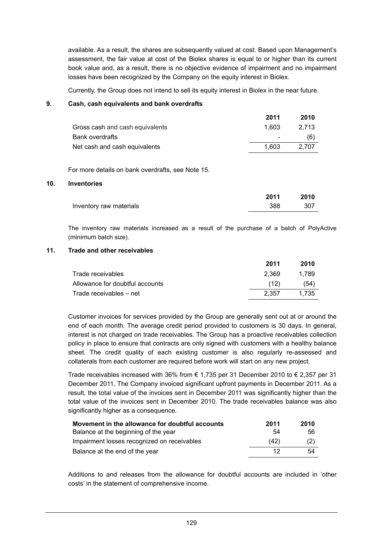available. As a result, the shares are subsequently valued at cost. Based upon Management's assessment, the fair value at cost of the Biolex shares is equal to or higher than its current book value and, as a result, there is no objective evidence of impairment and no impairment losses have been recognized by the Company on the equity interest in Biolex.

Currently, the Group does not intend to sell its equity interest in Biolex in the near future.

#### **9. Cash, cash equivalents and bank overdrafts**

|                                 | 2011  | 2010  |
|---------------------------------|-------|-------|
| Gross cash and cash equivalents | 1.603 | 2.713 |
| <b>Bank overdrafts</b>          |       | (6)   |
| Net cash and cash equivalents   | 1.603 | 2.707 |

For more details on bank overdrafts, see Note 15.

#### **10. Inventories**

|                         | 2011 | 2010 |
|-------------------------|------|------|
| Inventory raw materials | 388  | 307  |

The inventory raw materials increased as a result of the purchase of a batch of PolyActive (minimum batch size).

## **11. Trade and other receivables**

|                                 | 2011  | 2010  |
|---------------------------------|-------|-------|
| Trade receivables               | 2.369 | 1.789 |
| Allowance for doubtful accounts | (12)  | (54)  |
| Trade receivables – net         | 2.357 | 1.735 |

Customer invoices for services provided by the Group are generally sent out at or around the end of each month. The average credit period provided to customers is 30 days. In general, interest is not charged on trade receivables. The Group has a proactive receivables collection policy in place to ensure that contracts are only signed with customers with a healthy balance sheet. The credit quality of each existing customer is also regularly re-assessed and collaterals from each customer are required before work will start on any new project.

Trade receivables increased with 36% from  $\epsilon$  1,735 per 31 December 2010 to  $\epsilon$  2,357 per 31 December 2011. The Company invoiced significant upfront payments in December 2011. As a result, the total value of the invoices sent in December 2011 was significantly higher than the total value of the invoices sent in December 2010. The trade receivables balance was also significantly higher as a consequence.

| Movement in the allowance for doubtful accounts | 2011 | 2010 |
|-------------------------------------------------|------|------|
| Balance at the beginning of the year            | 54   | 56   |
| Impairment losses recognized on receivables     | (42) | (2)  |
| Balance at the end of the year                  | 12   | 54   |

Additions to and releases from the allowance for doubtful accounts are included in 'other costs' in the statement of comprehensive income.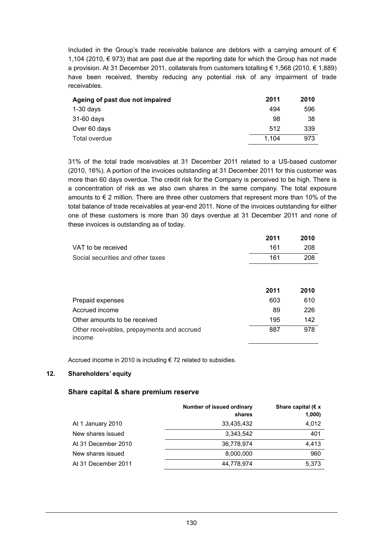Included in the Group's trade receivable balance are debtors with a carrying amount of  $\epsilon$ 1,104 (2010, € 973) that are past due at the reporting date for which the Group has not made a provision. At 31 December 2011, collaterals from customers totalling € 1,568 (2010, € 1,889) have been received, thereby reducing any potential risk of any impairment of trade receivables.

| Ageing of past due not impaired | 2011  | 2010 |
|---------------------------------|-------|------|
| $1-30$ days                     | 494   | 596  |
| 31-60 days                      | 98    | 38   |
| Over 60 days                    | 512   | 339  |
| Total overdue                   | 1.104 | 973  |

31% of the total trade receivables at 31 December 2011 related to a US-based customer (2010, 16%). A portion of the invoices outstanding at 31 December 2011 for this customer was more than 60 days overdue. The credit risk for the Company is perceived to be high. There is a concentration of risk as we also own shares in the same company. The total exposure amounts to  $\epsilon$  2 million. There are three other customers that represent more than 10% of the total balance of trade receivables at year-end 2011. None of the invoices outstanding for either one of these customers is more than 30 days overdue at 31 December 2011 and none of these invoices is outstanding as of today.

|                                                      | 2011 | 2010 |
|------------------------------------------------------|------|------|
| VAT to be received                                   | 161  | 208  |
| Social securities and other taxes                    | 161  | 208  |
|                                                      |      |      |
|                                                      | 2011 | 2010 |
| Prepaid expenses                                     | 603  | 610  |
| Accrued income                                       | 89   | 226  |
| Other amounts to be received                         | 195  | 142  |
| Other receivables, prepayments and accrued<br>income | 887  | 978  |

Accrued income in 2010 is including € 72 related to subsidies.

## **12. Shareholders' equity**

### **Share capital & share premium reserve**

|                     | Number of issued ordinary<br>shares | Share capital ( $\epsilon$ x<br>1,000 |
|---------------------|-------------------------------------|---------------------------------------|
| At 1 January 2010   | 33,435,432                          | 4,012                                 |
| New shares issued   | 3,343,542                           | 401                                   |
| At 31 December 2010 | 36.778.974                          | 4,413                                 |
| New shares issued   | 8,000,000                           | 960                                   |
| At 31 December 2011 | 44,778,974                          | 5,373                                 |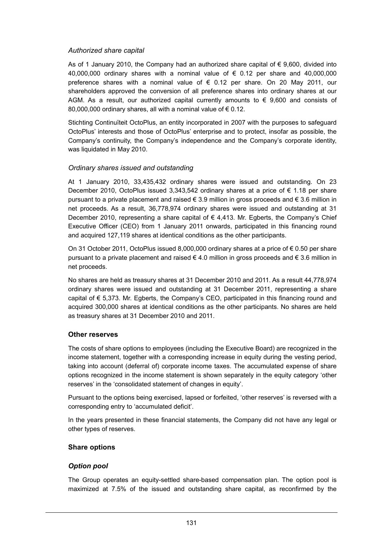## *Authorized share capital*

As of 1 January 2010, the Company had an authorized share capital of  $\epsilon$  9,600, divided into 40,000,000 ordinary shares with a nominal value of  $€$  0.12 per share and 40,000,000 preference shares with a nominal value of  $\epsilon$  0.12 per share. On 20 May 2011, our shareholders approved the conversion of all preference shares into ordinary shares at our AGM. As a result, our authorized capital currently amounts to  $\epsilon$  9,600 and consists of 80,000,000 ordinary shares, all with a nominal value of  $\epsilon$  0.12.

Stichting Continuïteit OctoPlus, an entity incorporated in 2007 with the purposes to safeguard OctoPlus' interests and those of OctoPlus' enterprise and to protect, insofar as possible, the Company's continuity, the Company's independence and the Company's corporate identity, was liquidated in May 2010.

## *Ordinary shares issued and outstanding*

At 1 January 2010, 33,435,432 ordinary shares were issued and outstanding. On 23 December 2010, OctoPlus issued 3,343,542 ordinary shares at a price of € 1.18 per share pursuant to a private placement and raised  $\epsilon$  3.9 million in gross proceeds and  $\epsilon$  3.6 million in net proceeds. As a result, 36,778,974 ordinary shares were issued and outstanding at 31 December 2010, representing a share capital of  $\epsilon$  4,413. Mr. Egberts, the Company's Chief Executive Officer (CEO) from 1 January 2011 onwards, participated in this financing round and acquired 127,119 shares at identical conditions as the other participants.

On 31 October 2011, OctoPlus issued 8,000,000 ordinary shares at a price of  $\epsilon$  0.50 per share pursuant to a private placement and raised  $\in$  4.0 million in gross proceeds and  $\in$  3.6 million in net proceeds.

No shares are held as treasury shares at 31 December 2010 and 2011. As a result 44,778,974 ordinary shares were issued and outstanding at 31 December 2011, representing a share capital of  $\epsilon$  5,373. Mr. Egberts, the Company's CEO, participated in this financing round and acquired 300,000 shares at identical conditions as the other participants. No shares are held as treasury shares at 31 December 2010 and 2011.

## **Other reserves**

The costs of share options to employees (including the Executive Board) are recognized in the income statement, together with a corresponding increase in equity during the vesting period, taking into account (deferral of) corporate income taxes. The accumulated expense of share options recognized in the income statement is shown separately in the equity category 'other reserves' in the 'consolidated statement of changes in equity'.

Pursuant to the options being exercised, lapsed or forfeited, 'other reserves' is reversed with a corresponding entry to 'accumulated deficit'.

In the years presented in these financial statements, the Company did not have any legal or other types of reserves.

## **Share options**

## *Option pool*

The Group operates an equity-settled share-based compensation plan. The option pool is maximized at 7.5% of the issued and outstanding share capital, as reconfirmed by the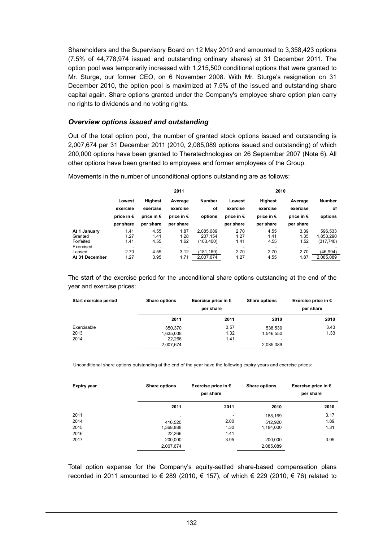Shareholders and the Supervisory Board on 12 May 2010 and amounted to 3,358,423 options (7.5% of 44,778,974 issued and outstanding ordinary shares) at 31 December 2011. The option pool was temporarily increased with 1,215,500 conditional options that were granted to Mr. Sturge, our former CEO, on 6 November 2008. With Mr. Sturge's resignation on 31 December 2010, the option pool is maximized at 7.5% of the issued and outstanding share capital again. Share options granted under the Company's employee share option plan carry no rights to dividends and no voting rights.

## *Overview options issued and outstanding*

Out of the total option pool, the number of granted stock options issued and outstanding is 2,007,674 per 31 December 2011 (2010, 2,085,089 options issued and outstanding) of which 200,000 options have been granted to Theratechnologies on 26 September 2007 (Note 6). All other options have been granted to employees and former employees of the Group.

Movements in the number of unconditional options outstanding are as follows:

|                | 2011                |                     |                     | 2010          |                     |                     |                     |               |
|----------------|---------------------|---------------------|---------------------|---------------|---------------------|---------------------|---------------------|---------------|
|                | Lowest              | <b>Highest</b>      | Average             | <b>Number</b> | Lowest              | <b>Highest</b>      | Average             | <b>Number</b> |
|                | exercise            | exercise            | exercise            | οf            | exercise            | exercise            | exercise            | οf            |
|                | price in $\epsilon$ | price in $\epsilon$ | price in $\epsilon$ | options       | price in $\epsilon$ | price in $\epsilon$ | price in $\epsilon$ | options       |
|                | per share           | per share           | per share           |               | per share           | per share           | per share           |               |
| At 1 January   | 1.41                | 4.55                | 1.87                | 2.085.089     | 2.70                | 4.55                | 3.39                | 596.533       |
| Granted        | 1.27                | 1.41                | 1.28                | 207.154       | 1.27                | 1.41                | 1.35                | 1.853.290     |
| Forfeited      | 1.41                | 4.55                | 1.62                | (103,400)     | 1.41                | 4.55                | 1.52                | (317,740)     |
| Exercised      | ۰                   | -                   | ۰                   |               | ۰                   | ۰                   |                     |               |
| Lapsed         | 2.70                | 4.55                | 3.12                | (181,169)     | 2.70                | 2.70                | 2.70                | (46,994)      |
| At 31 December | 1.27                | 3.95                | 1.71                | 2.007.674     | 1.27                | 4.55                | 1.87                | 2.085.089     |

The start of the exercise period for the unconditional share options outstanding at the end of the year and exercise prices:

| Start exercise period | Exercise price in $\epsilon$<br><b>Share options</b><br>per share |      | <b>Share options</b> | Exercise price in $\epsilon$<br>per share |
|-----------------------|-------------------------------------------------------------------|------|----------------------|-------------------------------------------|
|                       | 2011                                                              | 2011 | 2010                 | 2010                                      |
| Exercisable           | 350,370                                                           | 3.57 | 538,539              | 3.43                                      |
| 2013                  | 1,635,038                                                         | 1.32 | 1,546,550            | 1.33                                      |
| 2014                  | 22.266                                                            | 1.41 | -                    |                                           |
|                       | 2,007,674                                                         |      | 2,085,089            |                                           |

Unconditional share options outstanding at the end of the year have the following expiry years and exercise prices:

| <b>Expiry year</b> | Exercise price in $\epsilon$<br><b>Share options</b><br>per share |      | <b>Share options</b> | Exercise price in €<br>per share |
|--------------------|-------------------------------------------------------------------|------|----------------------|----------------------------------|
|                    | 2011                                                              | 2011 | 2010                 | 2010                             |
| 2011               | ٠                                                                 | -    | 188,169              | 3.17                             |
| 2014               | 416,520                                                           | 2.00 | 512.920              | 1.89                             |
| 2015               | 1,368,888                                                         | 1.30 | 1,184,000            | 1.31                             |
| 2016               | 22,266                                                            | 1.41 |                      |                                  |
| 2017               | 200,000                                                           | 3.95 | 200.000              | 3.95                             |
|                    | 2,007,674                                                         |      | 2,085,089            |                                  |

Total option expense for the Company's equity-settled share-based compensation plans recorded in 2011 amounted to € 289 (2010, € 157), of which € 229 (2010, € 76) related to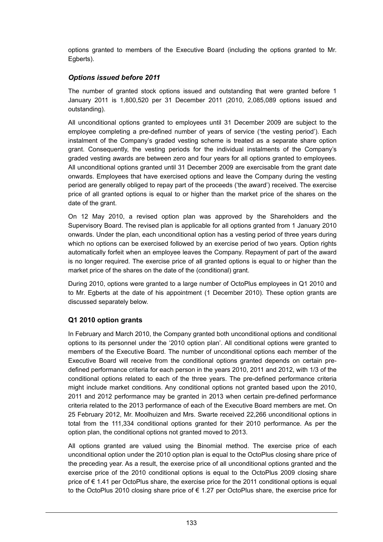options granted to members of the Executive Board (including the options granted to Mr. Egberts).

## *Options issued before 2011*

The number of granted stock options issued and outstanding that were granted before 1 January 2011 is 1,800,520 per 31 December 2011 (2010, 2,085,089 options issued and outstanding).

All unconditional options granted to employees until 31 December 2009 are subject to the employee completing a pre-defined number of years of service ('the vesting period'). Each instalment of the Company's graded vesting scheme is treated as a separate share option grant. Consequently, the vesting periods for the individual instalments of the Company's graded vesting awards are between zero and four years for all options granted to employees. All unconditional options granted until 31 December 2009 are exercisable from the grant date onwards. Employees that have exercised options and leave the Company during the vesting period are generally obliged to repay part of the proceeds ('the award') received. The exercise price of all granted options is equal to or higher than the market price of the shares on the date of the grant.

On 12 May 2010, a revised option plan was approved by the Shareholders and the Supervisory Board. The revised plan is applicable for all options granted from 1 January 2010 onwards. Under the plan, each unconditional option has a vesting period of three years during which no options can be exercised followed by an exercise period of two years. Option rights automatically forfeit when an employee leaves the Company. Repayment of part of the award is no longer required. The exercise price of all granted options is equal to or higher than the market price of the shares on the date of the (conditional) grant.

During 2010, options were granted to a large number of OctoPlus employees in Q1 2010 and to Mr. Egberts at the date of his appointment (1 December 2010). These option grants are discussed separately below.

## **Q1 2010 option grants**

In February and March 2010, the Company granted both unconditional options and conditional options to its personnel under the '2010 option plan'. All conditional options were granted to members of the Executive Board. The number of unconditional options each member of the Executive Board will receive from the conditional options granted depends on certain predefined performance criteria for each person in the years 2010, 2011 and 2012, with 1/3 of the conditional options related to each of the three years. The pre-defined performance criteria might include market conditions. Any conditional options not granted based upon the 2010, 2011 and 2012 performance may be granted in 2013 when certain pre-defined performance criteria related to the 2013 performance of each of the Executive Board members are met. On 25 February 2012, Mr. Moolhuizen and Mrs. Swarte received 22,266 unconditional options in total from the 111,334 conditional options granted for their 2010 performance. As per the option plan, the conditional options not granted moved to 2013.

All options granted are valued using the Binomial method. The exercise price of each unconditional option under the 2010 option plan is equal to the OctoPlus closing share price of the preceding year. As a result, the exercise price of all unconditional options granted and the exercise price of the 2010 conditional options is equal to the OctoPlus 2009 closing share price of  $\epsilon$  1.41 per OctoPlus share, the exercise price for the 2011 conditional options is equal to the OctoPlus 2010 closing share price of  $\epsilon$  1.27 per OctoPlus share, the exercise price for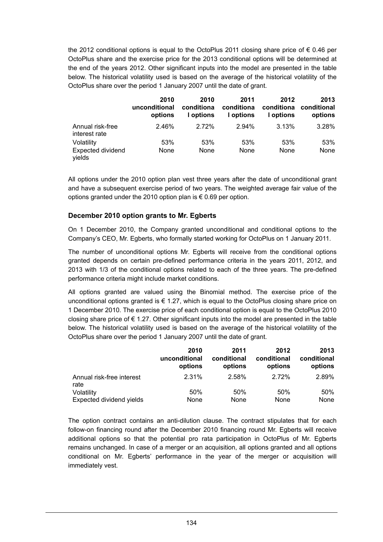the 2012 conditional options is equal to the OctoPlus 2011 closing share price of € 0.46 per OctoPlus share and the exercise price for the 2013 conditional options will be determined at the end of the years 2012. Other significant inputs into the model are presented in the table below. The historical volatility used is based on the average of the historical volatility of the OctoPlus share over the period 1 January 2007 until the date of grant.

|                                   | 2010<br>unconditional<br>options | 2010<br>conditiona<br><b>I</b> options | 2011<br>conditiona<br>l options | 2012<br>conditiona<br>I options | 2013<br>conditional<br>options |
|-----------------------------------|----------------------------------|----------------------------------------|---------------------------------|---------------------------------|--------------------------------|
| Annual risk-free<br>interest rate | 2.46%                            | 2.72%                                  | $2.94\%$                        | 3.13%                           | 3.28%                          |
| Volatility                        | 53%                              | 53%                                    | 53%                             | 53%                             | 53%                            |
| Expected dividend<br>yields       | <b>None</b>                      | None                                   | None                            | None                            | None                           |

All options under the 2010 option plan vest three years after the date of unconditional grant and have a subsequent exercise period of two years. The weighted average fair value of the options granted under the 2010 option plan is  $\epsilon$  0.69 per option.

## **December 2010 option grants to Mr. Egberts**

On 1 December 2010, the Company granted unconditional and conditional options to the Company's CEO, Mr. Egberts, who formally started working for OctoPlus on 1 January 2011.

The number of unconditional options Mr. Egberts will receive from the conditional options granted depends on certain pre-defined performance criteria in the years 2011, 2012, and 2013 with 1/3 of the conditional options related to each of the three years. The pre-defined performance criteria might include market conditions.

All options granted are valued using the Binomial method. The exercise price of the unconditional options granted is  $\epsilon$  1.27, which is equal to the OctoPlus closing share price on 1 December 2010. The exercise price of each conditional option is equal to the OctoPlus 2010 closing share price of  $\epsilon$  1.27. Other significant inputs into the model are presented in the table below. The historical volatility used is based on the average of the historical volatility of the OctoPlus share over the period 1 January 2007 until the date of grant.

|                                   | 2010          | 2011        | 2012        | 2013        |
|-----------------------------------|---------------|-------------|-------------|-------------|
|                                   | unconditional | conditional | conditional | conditional |
|                                   | options       | options     | options     | options     |
| Annual risk-free interest<br>rate | 2.31%         | 2.58%       | 2.72%       | 2.89%       |
| Volatility                        | 50%           | 50%         | 50%         | 50%         |
| Expected dividend yields          | None          | None        | None        | <b>None</b> |

The option contract contains an anti-dilution clause. The contract stipulates that for each follow-on financing round after the December 2010 financing round Mr. Egberts will receive additional options so that the potential pro rata participation in OctoPlus of Mr. Egberts remains unchanged. In case of a merger or an acquisition, all options granted and all options conditional on Mr. Egberts' performance in the year of the merger or acquisition will immediately vest.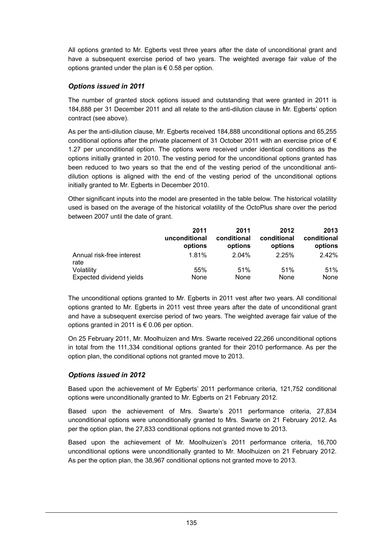All options granted to Mr. Egberts vest three years after the date of unconditional grant and have a subsequent exercise period of two years. The weighted average fair value of the options granted under the plan is  $\epsilon$  0.58 per option.

## *Options issued in 2011*

The number of granted stock options issued and outstanding that were granted in 2011 is 184,888 per 31 December 2011 and all relate to the anti-dilution clause in Mr. Egberts' option contract (see above).

As per the anti-dilution clause, Mr. Egberts received 184,888 unconditional options and 65,255 conditional options after the private placement of 31 October 2011 with an exercise price of  $\epsilon$ 1.27 per unconditional option. The options were received under identical conditions as the options initially granted in 2010. The vesting period for the unconditional options granted has been reduced to two years so that the end of the vesting period of the unconditional antidilution options is aligned with the end of the vesting period of the unconditional options initially granted to Mr. Egberts in December 2010.

Other significant inputs into the model are presented in the table below. The historical volatility used is based on the average of the historical volatility of the OctoPlus share over the period between 2007 until the date of grant.

|                                   | 2011          | 2011        | 2012        | 2013        |
|-----------------------------------|---------------|-------------|-------------|-------------|
|                                   | unconditional | conditional | conditional | conditional |
|                                   | options       | options     | options     | options     |
| Annual risk-free interest<br>rate | 1.81%         | $2.04\%$    | 2.25%       | 2.42%       |
| Volatility                        | 55%           | 51%         | 51%         | 51%         |
| Expected dividend yields          | None          | None        | None        | None        |

The unconditional options granted to Mr. Egberts in 2011 vest after two years. All conditional options granted to Mr. Egberts in 2011 vest three years after the date of unconditional grant and have a subsequent exercise period of two years. The weighted average fair value of the options granted in 2011 is € 0.06 per option.

On 25 February 2011, Mr. Moolhuizen and Mrs. Swarte received 22,266 unconditional options in total from the 111,334 conditional options granted for their 2010 performance. As per the option plan, the conditional options not granted move to 2013.

## *Options issued in 2012*

Based upon the achievement of Mr Egberts' 2011 performance criteria, 121,752 conditional options were unconditionally granted to Mr. Egberts on 21 February 2012.

Based upon the achievement of Mrs. Swarte's 2011 performance criteria, 27,834 unconditional options were unconditionally granted to Mrs. Swarte on 21 February 2012. As per the option plan, the 27,833 conditional options not granted move to 2013.

Based upon the achievement of Mr. Moolhuizen's 2011 performance criteria, 16,700 unconditional options were unconditionally granted to Mr. Moolhuizen on 21 February 2012. As per the option plan, the 38,967 conditional options not granted move to 2013.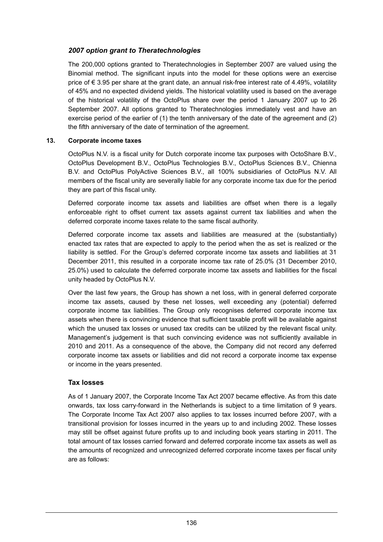## *2007 option grant to Theratechnologies*

The 200,000 options granted to Theratechnologies in September 2007 are valued using the Binomial method. The significant inputs into the model for these options were an exercise price of  $\epsilon$  3.95 per share at the grant date, an annual risk-free interest rate of 4.49%, volatility of 45% and no expected dividend yields. The historical volatility used is based on the average of the historical volatility of the OctoPlus share over the period 1 January 2007 up to 26 September 2007. All options granted to Theratechnologies immediately vest and have an exercise period of the earlier of (1) the tenth anniversary of the date of the agreement and (2) the fifth anniversary of the date of termination of the agreement.

## **13. Corporate income taxes**

OctoPlus N.V. is a fiscal unity for Dutch corporate income tax purposes with OctoShare B.V., OctoPlus Development B.V., OctoPlus Technologies B.V., OctoPlus Sciences B.V., Chienna B.V. and OctoPlus PolyActive Sciences B.V., all 100% subsidiaries of OctoPlus N.V. All members of the fiscal unity are severally liable for any corporate income tax due for the period they are part of this fiscal unity.

Deferred corporate income tax assets and liabilities are offset when there is a legally enforceable right to offset current tax assets against current tax liabilities and when the deferred corporate income taxes relate to the same fiscal authority.

Deferred corporate income tax assets and liabilities are measured at the (substantially) enacted tax rates that are expected to apply to the period when the as set is realized or the liability is settled. For the Group's deferred corporate income tax assets and liabilities at 31 December 2011, this resulted in a corporate income tax rate of 25.0% (31 December 2010, 25.0%) used to calculate the deferred corporate income tax assets and liabilities for the fiscal unity headed by OctoPlus N.V.

Over the last few years, the Group has shown a net loss, with in general deferred corporate income tax assets, caused by these net losses, well exceeding any (potential) deferred corporate income tax liabilities. The Group only recognises deferred corporate income tax assets when there is convincing evidence that sufficient taxable profit will be available against which the unused tax losses or unused tax credits can be utilized by the relevant fiscal unity. Management's judgement is that such convincing evidence was not sufficiently available in 2010 and 2011. As a consequence of the above, the Company did not record any deferred corporate income tax assets or liabilities and did not record a corporate income tax expense or income in the years presented.

## **Tax losses**

As of 1 January 2007, the Corporate Income Tax Act 2007 became effective. As from this date onwards, tax loss carry-forward in the Netherlands is subject to a time limitation of 9 years. The Corporate Income Tax Act 2007 also applies to tax losses incurred before 2007, with a transitional provision for losses incurred in the years up to and including 2002. These losses may still be offset against future profits up to and including book years starting in 2011. The total amount of tax losses carried forward and deferred corporate income tax assets as well as the amounts of recognized and unrecognized deferred corporate income taxes per fiscal unity are as follows: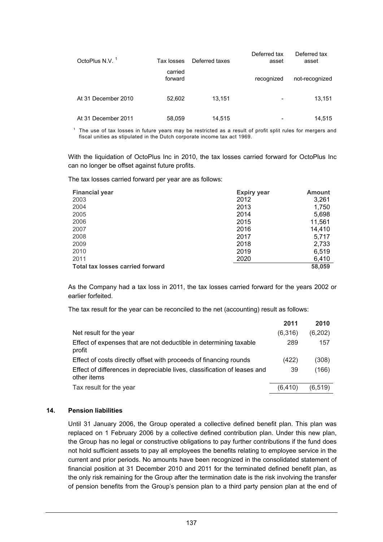| OctoPlus N.V. <sup>1</sup> | Tax losses         | Deferred taxes | Deferred tax<br>asset | Deferred tax<br>asset |
|----------------------------|--------------------|----------------|-----------------------|-----------------------|
|                            | carried<br>forward |                | recognized            | not-recognized        |
| At 31 December 2010        | 52,602             | 13,151         |                       | 13,151                |
| At 31 December 2011        | 58,059             | 14,515         |                       | 14,515                |

The use of tax losses in future years may be restricted as a result of profit split rules for mergers and fiscal unities as stipulated in the Dutch corporate income tax act 1969.

With the liquidation of OctoPlus Inc in 2010, the tax losses carried forward for OctoPlus Inc can no longer be offset against future profits.

The tax losses carried forward per year are as follows:

| <b>Financial year</b>                   | <b>Expiry year</b> | <b>Amount</b> |
|-----------------------------------------|--------------------|---------------|
| 2003                                    | 2012               | 3,261         |
| 2004                                    | 2013               | 1,750         |
| 2005                                    | 2014               | 5,698         |
| 2006                                    | 2015               | 11,561        |
| 2007                                    | 2016               | 14,410        |
| 2008                                    | 2017               | 5,717         |
| 2009                                    | 2018               | 2,733         |
| 2010                                    | 2019               | 6,519         |
| 2011                                    | 2020               | 6,410         |
| <b>Total tax losses carried forward</b> |                    | 58,059        |

As the Company had a tax loss in 2011, the tax losses carried forward for the years 2002 or earlier forfeited.

The tax result for the year can be reconciled to the net (accounting) result as follows:

|                                                                                         | 2011     | 2010     |
|-----------------------------------------------------------------------------------------|----------|----------|
| Net result for the year                                                                 | (6,316)  | (6,202)  |
| Effect of expenses that are not deductible in determining taxable<br>profit             | 289      | 157      |
| Effect of costs directly offset with proceeds of financing rounds                       | (422)    | (308)    |
| Effect of differences in depreciable lives, classification of leases and<br>other items | 39       | (166)    |
| Tax result for the year                                                                 | (6, 410) | (6, 519) |

#### **14. Pension liabilities**

Until 31 January 2006, the Group operated a collective defined benefit plan. This plan was replaced on 1 February 2006 by a collective defined contribution plan. Under this new plan, the Group has no legal or constructive obligations to pay further contributions if the fund does not hold sufficient assets to pay all employees the benefits relating to employee service in the current and prior periods. No amounts have been recognized in the consolidated statement of financial position at 31 December 2010 and 2011 for the terminated defined benefit plan, as the only risk remaining for the Group after the termination date is the risk involving the transfer of pension benefits from the Group's pension plan to a third party pension plan at the end of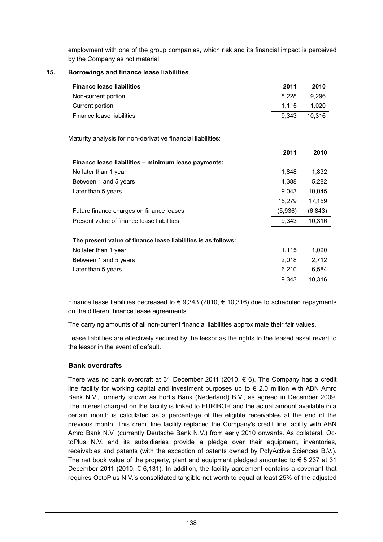employment with one of the group companies, which risk and its financial impact is perceived by the Company as not material.

#### **15. Borrowings and finance lease liabilities**

| <b>Finance lease liabilities</b>                              | 2011    | 2010     |
|---------------------------------------------------------------|---------|----------|
| Non-current portion                                           | 8,228   | 9,296    |
| Current portion                                               | 1,115   | 1,020    |
| Finance lease liabilities                                     | 9,343   | 10,316   |
| Maturity analysis for non-derivative financial liabilities:   |         |          |
|                                                               | 2011    | 2010     |
| Finance lease liabilities – minimum lease payments:           |         |          |
| No later than 1 year                                          | 1,848   | 1.832    |
| Between 1 and 5 years                                         | 4,388   | 5,282    |
| Later than 5 years                                            | 9,043   | 10,045   |
|                                                               | 15,279  | 17,159   |
| Future finance charges on finance leases                      | (5,936) | (6, 843) |
| Present value of finance lease liabilities                    | 9,343   | 10,316   |
| The present value of finance lease liabilities is as follows: |         |          |
| No later than 1 year                                          | 1,115   | 1,020    |
| Between 1 and 5 years                                         | 2,018   | 2,712    |
| Later than 5 years                                            | 6,210   | 6,584    |
|                                                               | 9,343   | 10,316   |

Finance lease liabilities decreased to  $\epsilon$  9,343 (2010,  $\epsilon$  10,316) due to scheduled repayments on the different finance lease agreements.

The carrying amounts of all non-current financial liabilities approximate their fair values.

Lease liabilities are effectively secured by the lessor as the rights to the leased asset revert to the lessor in the event of default.

## **Bank overdrafts**

There was no bank overdraft at 31 December 2011 (2010,  $\epsilon$  6). The Company has a credit line facility for working capital and investment purposes up to  $\epsilon$  2.0 million with ABN Amro Bank N.V., formerly known as Fortis Bank (Nederland) B.V., as agreed in December 2009. The interest charged on the facility is linked to EURIBOR and the actual amount available in a certain month is calculated as a percentage of the eligible receivables at the end of the previous month. This credit line facility replaced the Company's credit line facility with ABN Amro Bank N.V. (currently Deutsche Bank N.V.) from early 2010 onwards. As collateral, OctoPlus N.V. and its subsidiaries provide a pledge over their equipment, inventories, receivables and patents (with the exception of patents owned by PolyActive Sciences B.V.). The net book value of the property, plant and equipment pledged amounted to  $\epsilon$  5,237 at 31 December 2011 (2010, € 6,131). In addition, the facility agreement contains a covenant that requires OctoPlus N.V.'s consolidated tangible net worth to equal at least 25% of the adjusted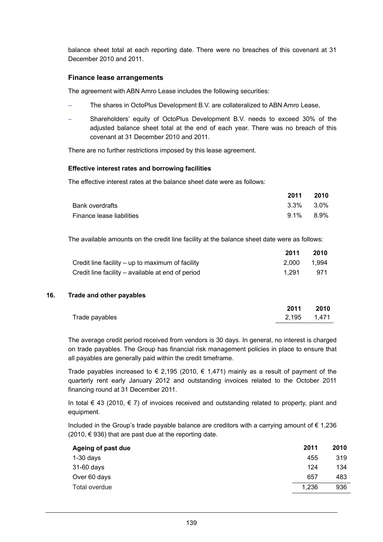balance sheet total at each reporting date. There were no breaches of this covenant at 31 December 2010 and 2011.

## **Finance lease arrangements**

The agreement with ABN Amro Lease includes the following securities:

- The shares in OctoPlus Development B.V. are collateralized to ABN Amro Lease,
- Shareholders' equity of OctoPlus Development B.V. needs to exceed 30% of the adjusted balance sheet total at the end of each year. There was no breach of this covenant at 31 December 2010 and 2011.

There are no further restrictions imposed by this lease agreement.

#### **Effective interest rates and borrowing facilities**

The effective interest rates at the balance sheet date were as follows:

|                           | 2011            | 2010 |
|---------------------------|-----------------|------|
| Bank overdrafts           | $3.3\%$ $3.0\%$ |      |
| Finance lease liabilities | $9.1\%$ $8.9\%$ |      |

The available amounts on the credit line facility at the balance sheet date were as follows:

|                                                    | 2011  | 2010  |
|----------------------------------------------------|-------|-------|
| Credit line facility $-$ up to maximum of facility | 2.000 | 1.994 |
| Credit line facility – available at end of period  | 1.291 | -971  |

## **16. Trade and other payables**

|                | 2011 2010   |
|----------------|-------------|
| Trade payables | 2,195 1,471 |

The average credit period received from vendors is 30 days. In general, no interest is charged on trade payables. The Group has financial risk management policies in place to ensure that all payables are generally paid within the credit timeframe.

Trade payables increased to  $\epsilon$  2,195 (2010,  $\epsilon$  1,471) mainly as a result of payment of the quarterly rent early January 2012 and outstanding invoices related to the October 2011 financing round at 31 December 2011.

In total € 43 (2010, € 7) of invoices received and outstanding related to property, plant and equipment.

Included in the Group's trade payable balance are creditors with a carrying amount of  $\epsilon$  1,236  $(2010, \epsilon 936)$  that are past due at the reporting date.

| Ageing of past due | 2011  | 2010 |
|--------------------|-------|------|
| $1-30$ days        | 455   | 319  |
| 31-60 days         | 124   | 134  |
| Over 60 days       | 657   | 483  |
| Total overdue      | 1,236 | 936  |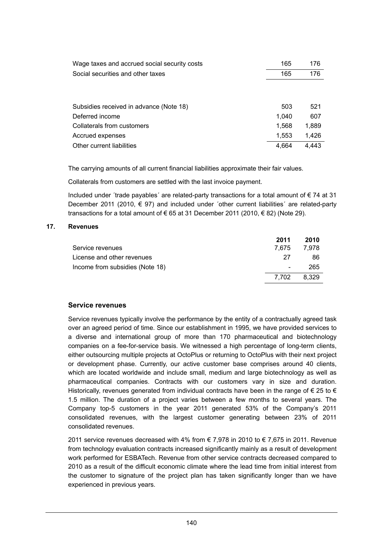| Wage taxes and accrued social security costs | 165   | 176   |
|----------------------------------------------|-------|-------|
| Social securities and other taxes            | 165   | 176   |
|                                              |       |       |
|                                              |       |       |
| Subsidies received in advance (Note 18)      | 503   | 521   |
| Deferred income                              | 1.040 | 607   |
| Collaterals from customers                   | 1.568 | 1,889 |
| Accrued expenses                             | 1.553 | 1.426 |
| Other current liabilities                    | 4,664 | 4,443 |

The carrying amounts of all current financial liabilities approximate their fair values.

Collaterals from customers are settled with the last invoice payment.

Included under ´trade payables´ are related-party transactions for a total amount of € 74 at 31 December 2011 (2010,  $\epsilon$  97) and included under 'other current liabilities' are related-party transactions for a total amount of € 65 at 31 December 2011 (2010, € 82) (Note 29).

## **17. Revenues**

|                                 | 2011  | 2010  |
|---------------------------------|-------|-------|
| Service revenues                | 7.675 | 7.978 |
| License and other revenues      | 27    | 86    |
| Income from subsidies (Note 18) |       | 265   |
|                                 | 7.702 | 8.329 |

## **Service revenues**

Service revenues typically involve the performance by the entity of a contractually agreed task over an agreed period of time. Since our establishment in 1995, we have provided services to a diverse and international group of more than 170 pharmaceutical and biotechnology companies on a fee-for-service basis. We witnessed a high percentage of long-term clients, either outsourcing multiple projects at OctoPlus or returning to OctoPlus with their next project or development phase. Currently, our active customer base comprises around 40 clients, which are located worldwide and include small, medium and large biotechnology as well as pharmaceutical companies. Contracts with our customers vary in size and duration. Historically, revenues generated from individual contracts have been in the range of  $\epsilon$  25 to  $\epsilon$ 1.5 million. The duration of a project varies between a few months to several years. The Company top-5 customers in the year 2011 generated 53% of the Company's 2011 consolidated revenues, with the largest customer generating between 23% of 2011 consolidated revenues.

2011 service revenues decreased with 4% from € 7,978 in 2010 to € 7,675 in 2011. Revenue from technology evaluation contracts increased significantly mainly as a result of development work performed for ESBATech. Revenue from other service contracts decreased compared to 2010 as a result of the difficult economic climate where the lead time from initial interest from the customer to signature of the project plan has taken significantly longer than we have experienced in previous years.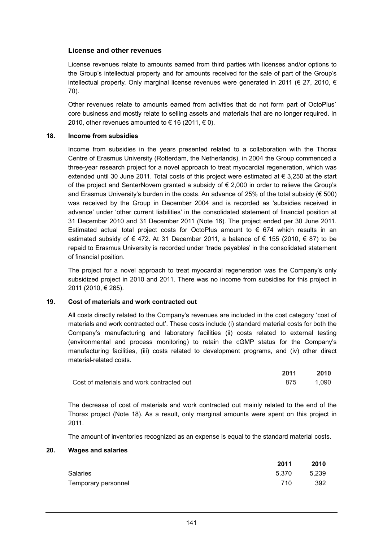# **License and other revenues**

License revenues relate to amounts earned from third parties with licenses and/or options to the Group's intellectual property and for amounts received for the sale of part of the Group's intellectual property. Only marginal license revenues were generated in 2011 (€ 27, 2010, € 70).

Other revenues relate to amounts earned from activities that do not form part of OctoPlus´ core business and mostly relate to selling assets and materials that are no longer required. In 2010, other revenues amounted to € 16 (2011, € 0).

## **18. Income from subsidies**

Income from subsidies in the years presented related to a collaboration with the Thorax Centre of Erasmus University (Rotterdam, the Netherlands), in 2004 the Group commenced a three-year research project for a novel approach to treat myocardial regeneration, which was extended until 30 June 2011. Total costs of this project were estimated at  $\epsilon$  3,250 at the start of the project and SenterNovem granted a subsidy of  $\epsilon$  2,000 in order to relieve the Group's and Erasmus University's burden in the costs. An advance of 25% of the total subsidy (€ 500) was received by the Group in December 2004 and is recorded as 'subsidies received in advance' under 'other current liabilities' in the consolidated statement of financial position at 31 December 2010 and 31 December 2011 (Note 16). The project ended per 30 June 2011. Estimated actual total project costs for OctoPlus amount to  $\epsilon$  674 which results in an estimated subsidy of  $\epsilon$  472. At 31 December 2011, a balance of  $\epsilon$  155 (2010,  $\epsilon$  87) to be repaid to Erasmus University is recorded under 'trade payables' in the consolidated statement of financial position.

The project for a novel approach to treat myocardial regeneration was the Company's only subsidized project in 2010 and 2011. There was no income from subsidies for this project in 2011 (2010, € 265).

## **19. Cost of materials and work contracted out**

All costs directly related to the Company's revenues are included in the cost category 'cost of materials and work contracted out'. These costs include (i) standard material costs for both the Company's manufacturing and laboratory facilities (ii) costs related to external testing (environmental and process monitoring) to retain the cGMP status for the Company's manufacturing facilities, (iii) costs related to development programs, and (iv) other direct material-related costs.

|                                           | 2011 | 2010  |
|-------------------------------------------|------|-------|
| Cost of materials and work contracted out | 875  | 1.090 |
|                                           |      |       |

The decrease of cost of materials and work contracted out mainly related to the end of the Thorax project (Note 18). As a result, only marginal amounts were spent on this project in 2011.

The amount of inventories recognized as an expense is equal to the standard material costs.

## **20. Wages and salaries**

|                     | 2011  | 2010  |
|---------------------|-------|-------|
| Salaries            | 5.370 | 5,239 |
| Temporary personnel | 710   | 392   |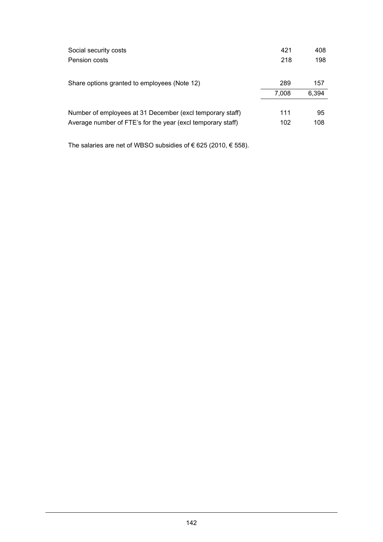| Social security costs                                       | 421   | 408   |
|-------------------------------------------------------------|-------|-------|
| Pension costs                                               | 218   | 198   |
|                                                             |       |       |
| Share options granted to employees (Note 12)                | 289   | 157   |
|                                                             | 7.008 | 6,394 |
|                                                             |       |       |
| Number of employees at 31 December (excl temporary staff)   | 111   | 95    |
| Average number of FTE's for the year (excl temporary staff) | 102   | 108   |
|                                                             |       |       |

The salaries are net of WBSO subsidies of  $\epsilon$  625 (2010,  $\epsilon$  558).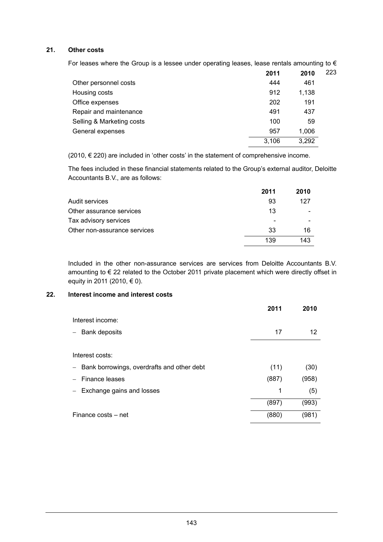# **21. Other costs**

For leases where the Group is a lessee under operating leases, lease rentals amounting to  $\epsilon$ 

|                           | 2011  | 2010  | 223 |
|---------------------------|-------|-------|-----|
| Other personnel costs     | 444   | 461   |     |
| Housing costs             | 912   | 1,138 |     |
| Office expenses           | 202   | 191   |     |
| Repair and maintenance    | 491   | 437   |     |
| Selling & Marketing costs | 100   | 59    |     |
| General expenses          | 957   | 1,006 |     |
|                           | 3,106 | 3,292 |     |

(2010, € 220) are included in 'other costs' in the statement of comprehensive income.

The fees included in these financial statements related to the Group's external auditor, Deloitte Accountants B.V., are as follows:

|                              | 2011 | 2010 |
|------------------------------|------|------|
| Audit services               | 93   | 127  |
| Other assurance services     | 13   |      |
| Tax advisory services        |      |      |
| Other non-assurance services | 33   | 16   |
|                              | 139  | 143  |

Included in the other non-assurance services are services from Deloitte Accountants B.V. amounting to € 22 related to the October 2011 private placement which were directly offset in equity in 2011 (2010, € 0).

## **22. Interest income and interest costs**

|                                              | 2011  | 2010  |
|----------------------------------------------|-------|-------|
| Interest income:                             |       |       |
| <b>Bank deposits</b><br>$-$                  | 17    | 12    |
|                                              |       |       |
| Interest costs:                              |       |       |
| - Bank borrowings, overdrafts and other debt | (11)  | (30)  |
| Finance leases                               | (887) | (958) |
| - Exchange gains and losses                  | 1     | (5)   |
|                                              | (897) | (993) |
| Finance costs – net                          | (880) | (981) |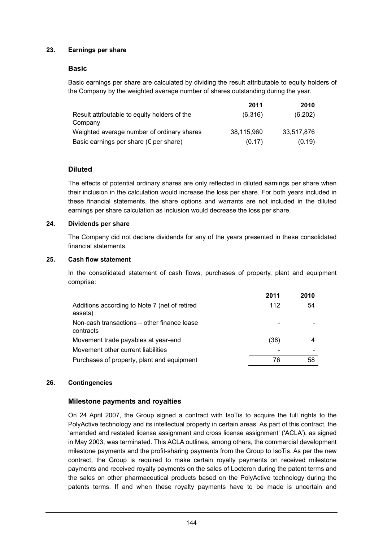## **23. Earnings per share**

## **Basic**

Basic earnings per share are calculated by dividing the result attributable to equity holders of the Company by the weighted average number of shares outstanding during the year.

|                                                         | 2011       | 2010       |
|---------------------------------------------------------|------------|------------|
| Result attributable to equity holders of the<br>Company | (6,316)    | (6,202)    |
| Weighted average number of ordinary shares              | 38.115.960 | 33.517.876 |
| Basic earnings per share ( $\epsilon$ per share)        | (0.17)     | (0.19)     |

## **Diluted**

The effects of potential ordinary shares are only reflected in diluted earnings per share when their inclusion in the calculation would increase the loss per share. For both years included in these financial statements, the share options and warrants are not included in the diluted earnings per share calculation as inclusion would decrease the loss per share.

## **24. Dividends per share**

The Company did not declare dividends for any of the years presented in these consolidated financial statements.

## **25. Cash flow statement**

In the consolidated statement of cash flows, purchases of property, plant and equipment comprise:

|                                                          | 2011 | 2010 |
|----------------------------------------------------------|------|------|
| Additions according to Note 7 (net of retired<br>assets) | 112  | 54   |
| Non-cash transactions – other finance lease<br>contracts |      |      |
| Movement trade payables at year-end                      | (36) |      |
| Movement other current liabilities                       |      |      |
| Purchases of property, plant and equipment               | 76   | 58   |

## **26. Contingencies**

## **Milestone payments and royalties**

On 24 April 2007, the Group signed a contract with IsoTis to acquire the full rights to the PolyActive technology and its intellectual property in certain areas. As part of this contract, the 'amended and restated license assignment and cross license assignment' ('ACLA'), as signed in May 2003, was terminated. This ACLA outlines, among others, the commercial development milestone payments and the profit-sharing payments from the Group to IsoTis. As per the new contract, the Group is required to make certain royalty payments on received milestone payments and received royalty payments on the sales of Locteron during the patent terms and the sales on other pharmaceutical products based on the PolyActive technology during the patents terms. If and when these royalty payments have to be made is uncertain and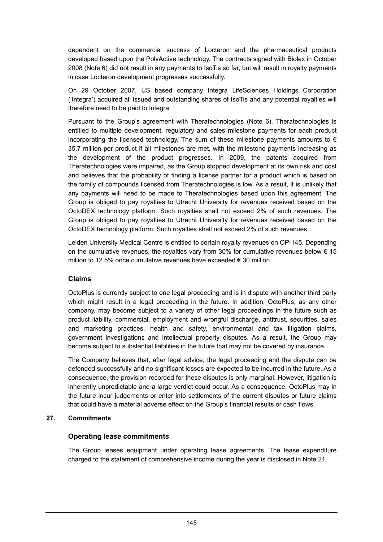dependent on the commercial success of Locteron and the pharmaceutical products developed based upon the PolyActive technology. The contracts signed with Biolex in October 2008 (Note 6) did not result in any payments to IsoTis so far, but will result in royalty payments in case Locteron development progresses successfully.

On 29 October 2007, US based company Integra LifeSciences Holdings Corporation ('Integra') acquired all issued and outstanding shares of IsoTis and any potential royalties will therefore need to be paid to Integra.

Pursuant to the Group's agreement with Theratechnologies (Note 6), Theratechnologies is entitled to multiple development, regulatory and sales milestone payments for each product incorporating the licensed technology. The sum of these milestone payments amounts to  $\epsilon$ 35.7 million per product if all milestones are met, with the milestone payments increasing as the development of the product progresses. In 2009, the patents acquired from Theratechnologies were impaired, as the Group stopped development at its own risk and cost and believes that the probability of finding a license partner for a product which is based on the family of compounds licensed from Theratechnologies is low. As a result, it is unlikely that any payments will need to be made to Theratechnologies based upon this agreement. The Group is obliged to pay royalties to Utrecht University for revenues received based on the OctoDEX technology platform. Such royalties shall not exceed 2% of such revenues. The Group is obliged to pay royalties to Utrecht University for revenues received based on the OctoDEX technology platform. Such royalties shall not exceed 2% of such revenues.

Leiden University Medical Centre is entitled to certain royalty revenues on OP-145. Depending on the cumulative revenues, the royalties vary from 30% for cumulative revenues below  $\epsilon$  15 million to 12.5% once cumulative revenues have exceeded  $\epsilon$  30 million.

# **Claims**

OctoPlus is currently subject to one legal proceeding and is in dispute with another third party which might result in a legal proceeding in the future. In addition, OctoPlus, as any other company, may become subject to a variety of other legal proceedings in the future such as product liability, commercial, employment and wrongful discharge, antitrust, securities, sales and marketing practices, health and safety, environmental and tax litigation claims, government investigations and intellectual property disputes. As a result, the Group may become subject to substantial liabilities in the future that may not be covered by insurance.

The Company believes that, after legal advice, the legal proceeding and the dispute can be defended successfully and no significant losses are expected to be incurred in the future. As a consequence, the provision recorded for these disputes is only marginal. However, litigation is inherently unpredictable and a large verdict could occur. As a consequence, OctoPlus may in the future incur judgements or enter into settlements of the current disputes or future claims that could have a material adverse effect on the Group's financial results or cash flows.

# **27. Commitments**

# **Operating lease commitments**

The Group leases equipment under operating lease agreements. The lease expenditure charged to the statement of comprehensive income during the year is disclosed in Note 21.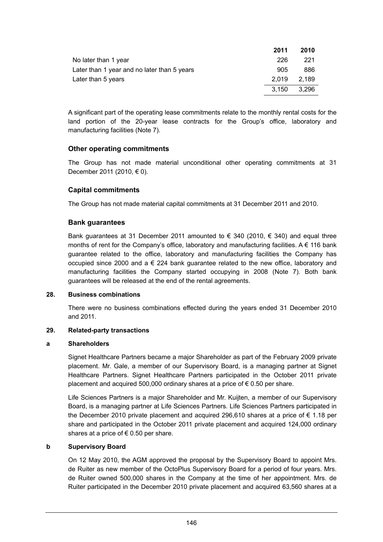|                                             | 2011  | 2010  |
|---------------------------------------------|-------|-------|
| No later than 1 year                        | 226   | 221   |
| Later than 1 year and no later than 5 years | 905   | 886   |
| Later than 5 years                          | 2.019 | 2.189 |
|                                             | 3.150 | 3.296 |

A significant part of the operating lease commitments relate to the monthly rental costs for the land portion of the 20-year lease contracts for the Group's office, laboratory and manufacturing facilities (Note 7).

## **Other operating commitments**

The Group has not made material unconditional other operating commitments at 31 December 2011 (2010, € 0).

## **Capital commitments**

The Group has not made material capital commitments at 31 December 2011 and 2010.

## **Bank guarantees**

Bank guarantees at 31 December 2011 amounted to  $\epsilon$  340 (2010,  $\epsilon$  340) and equal three months of rent for the Company's office, laboratory and manufacturing facilities.  $A \in 116$  bank guarantee related to the office, laboratory and manufacturing facilities the Company has occupied since 2000 and  $a \in 224$  bank guarantee related to the new office, laboratory and manufacturing facilities the Company started occupying in 2008 (Note 7). Both bank guarantees will be released at the end of the rental agreements.

## **28. Business combinations**

There were no business combinations effected during the years ended 31 December 2010 and 2011.

## **29. Related-party transactions**

## **a Shareholders**

Signet Healthcare Partners became a major Shareholder as part of the February 2009 private placement. Mr. Gale, a member of our Supervisory Board, is a managing partner at Signet Healthcare Partners. Signet Healthcare Partners participated in the October 2011 private placement and acquired 500,000 ordinary shares at a price of  $\epsilon$  0.50 per share.

Life Sciences Partners is a major Shareholder and Mr. Kuijten, a member of our Supervisory Board, is a managing partner at Life Sciences Partners. Life Sciences Partners participated in the December 2010 private placement and acquired 296,610 shares at a price of € 1.18 per share and participated in the October 2011 private placement and acquired 124,000 ordinary shares at a price of  $\epsilon$  0.50 per share.

## **b Supervisory Board**

On 12 May 2010, the AGM approved the proposal by the Supervisory Board to appoint Mrs. de Ruiter as new member of the OctoPlus Supervisory Board for a period of four years. Mrs. de Ruiter owned 500,000 shares in the Company at the time of her appointment. Mrs. de Ruiter participated in the December 2010 private placement and acquired 63,560 shares at a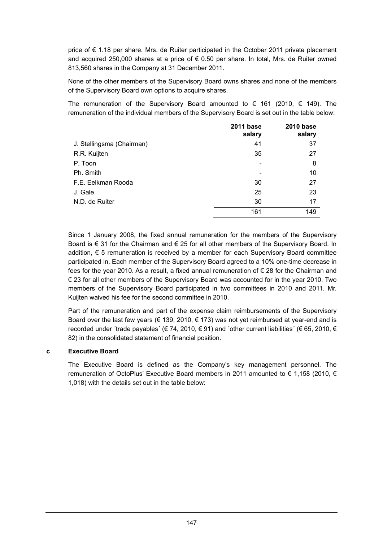price of € 1.18 per share. Mrs. de Ruiter participated in the October 2011 private placement and acquired 250,000 shares at a price of  $\epsilon$  0.50 per share. In total, Mrs. de Ruiter owned 813,560 shares in the Company at 31 December 2011.

None of the other members of the Supervisory Board owns shares and none of the members of the Supervisory Board own options to acquire shares.

The remuneration of the Supervisory Board amounted to  $\epsilon$  161 (2010,  $\epsilon$  149). The remuneration of the individual members of the Supervisory Board is set out in the table below:

|                           | <b>2011 base</b><br>salary | <b>2010 base</b><br>salary |
|---------------------------|----------------------------|----------------------------|
| J. Stellingsma (Chairman) | 41                         | 37                         |
| R.R. Kuijten              | 35                         | 27                         |
| P. Toon                   | $\overline{\phantom{0}}$   | 8                          |
| Ph. Smith                 | -                          | 10                         |
| F.E. Eelkman Rooda        | 30                         | 27                         |
| J. Gale                   | 25                         | 23                         |
| N.D. de Ruiter            | 30                         | 17                         |
|                           | 161                        | 149                        |

Since 1 January 2008, the fixed annual remuneration for the members of the Supervisory Board is € 31 for the Chairman and € 25 for all other members of the Supervisory Board. In addition, € 5 remuneration is received by a member for each Supervisory Board committee participated in. Each member of the Supervisory Board agreed to a 10% one-time decrease in fees for the year 2010. As a result, a fixed annual remuneration of € 28 for the Chairman and € 23 for all other members of the Supervisory Board was accounted for in the year 2010. Two members of the Supervisory Board participated in two committees in 2010 and 2011. Mr. Kuijten waived his fee for the second committee in 2010.

Part of the remuneration and part of the expense claim reimbursements of the Supervisory Board over the last few years ( $\epsilon$  139, 2010,  $\epsilon$  173) was not yet reimbursed at year-end and is recorded under 'trade payables' ( $\in$  74, 2010,  $\in$  91) and 'other current liabilities' ( $\in$  65, 2010,  $\in$ 82) in the consolidated statement of financial position.

## **c Executive Board**

The Executive Board is defined as the Company's key management personnel. The remuneration of OctoPlus' Executive Board members in 2011 amounted to  $\epsilon$  1,158 (2010,  $\epsilon$ 1,018) with the details set out in the table below: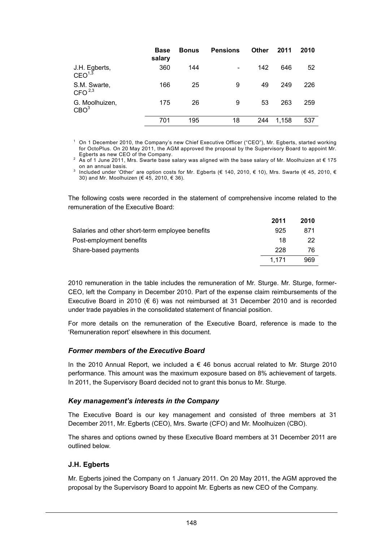|                                     | <b>Base</b><br>salary | <b>Bonus</b> | <b>Pensions</b>          | <b>Other</b> | 2011  | 2010 |
|-------------------------------------|-----------------------|--------------|--------------------------|--------------|-------|------|
| J.H. Egberts,<br>CEO <sup>1,3</sup> | 360                   | 144          | $\overline{\phantom{a}}$ | 142          | 646   | 52   |
| S.M. Swarte,<br>CFO <sup>2,3</sup>  | 166                   | 25           | 9                        | 49           | 249   | 226  |
| G. Moolhuizen,<br>$\text{CBO}^3$    | 175                   | 26           | 9                        | 53           | 263   | 259  |
|                                     | 701                   | 195          | 18                       | 244          | 1,158 | 537  |

<sup>1</sup> On 1 December 2010, the Company's new Chief Executive Officer ("CEO"), Mr. Egberts, started working for OctoPlus. On 20 May 2011, the AGM approved the proposal by the Supervisory Board to appoint Mr. Egberts as new CEO of the Company.

<sup>2</sup> As of 1 June 2011, Mrs. Swarte base salary was aligned with the base salary of Mr. Moolhuizen at € 175 on an annual basis.

<sup>3</sup> Included under 'Other' are option costs for Mr. Egberts (€ 140, 2010, € 10), Mrs. Swarte (€ 45, 2010, € 30) and Mr. Moolhuizen (€ 45, 2010, € 36).

The following costs were recorded in the statement of comprehensive income related to the remuneration of the Executive Board:

|                                                 | 2011  | 2010 |
|-------------------------------------------------|-------|------|
| Salaries and other short-term employee benefits | 925   | 871  |
| Post-employment benefits                        | 18    | 22   |
| Share-based payments                            | 228   | 76   |
|                                                 | 1.171 | 969  |

2010 remuneration in the table includes the remuneration of Mr. Sturge. Mr. Sturge, former-CEO, left the Company in December 2010. Part of the expense claim reimbursements of the Executive Board in 2010 ( $\epsilon$  6) was not reimbursed at 31 December 2010 and is recorded under trade payables in the consolidated statement of financial position.

For more details on the remuneration of the Executive Board, reference is made to the 'Remuneration report' elsewhere in this document.

## *Former members of the Executive Board*

In the 2010 Annual Report, we included a  $\epsilon$  46 bonus accrual related to Mr. Sturge 2010 performance. This amount was the maximum exposure based on 8% achievement of targets. In 2011, the Supervisory Board decided not to grant this bonus to Mr. Sturge.

## *Key management's interests in the Company*

The Executive Board is our key management and consisted of three members at 31 December 2011, Mr. Egberts (CEO), Mrs. Swarte (CFO) and Mr. Moolhuizen (CBO).

The shares and options owned by these Executive Board members at 31 December 2011 are outlined below.

# **J.H. Egberts**

Mr. Egberts joined the Company on 1 January 2011. On 20 May 2011, the AGM approved the proposal by the Supervisory Board to appoint Mr. Egberts as new CEO of the Company.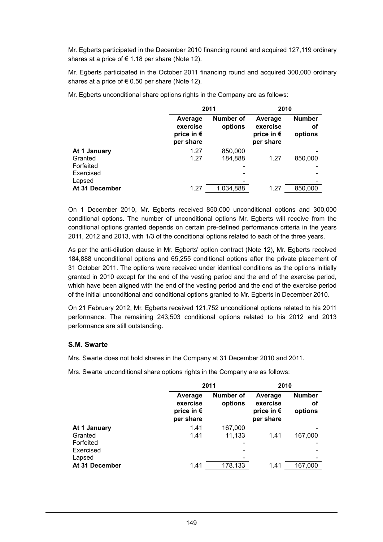Mr. Egberts participated in the December 2010 financing round and acquired 127,119 ordinary shares at a price of  $\epsilon$  1.18 per share (Note 12).

Mr. Egberts participated in the October 2011 financing round and acquired 300,000 ordinary shares at a price of  $\epsilon$  0.50 per share (Note 12).

Mr. Egberts unconditional share options rights in the Company are as follows:

|                | 2011                                                    |                      | 2010                                                    |                                |
|----------------|---------------------------------------------------------|----------------------|---------------------------------------------------------|--------------------------------|
|                | Average<br>exercise<br>price in $\epsilon$<br>per share | Number of<br>options | Average<br>exercise<br>price in $\epsilon$<br>per share | <b>Number</b><br>οf<br>options |
| At 1 January   | 1.27                                                    | 850,000              |                                                         |                                |
| Granted        | 1.27                                                    | 184,888              | 1.27                                                    | 850,000                        |
| Forfeited      |                                                         |                      |                                                         |                                |
| Exercised      |                                                         |                      |                                                         |                                |
| Lapsed         |                                                         |                      |                                                         |                                |
| At 31 December | 1.27                                                    | 1,034,888            | 1.27                                                    | 850,000                        |

On 1 December 2010, Mr. Egberts received 850,000 unconditional options and 300,000 conditional options. The number of unconditional options Mr. Egberts will receive from the conditional options granted depends on certain pre-defined performance criteria in the years 2011, 2012 and 2013, with 1/3 of the conditional options related to each of the three years.

As per the anti-dilution clause in Mr. Egberts' option contract (Note 12), Mr. Egberts received 184,888 unconditional options and 65,255 conditional options after the private placement of 31 October 2011. The options were received under identical conditions as the options initially granted in 2010 except for the end of the vesting period and the end of the exercise period, which have been aligned with the end of the vesting period and the end of the exercise period of the initial unconditional and conditional options granted to Mr. Egberts in December 2010.

On 21 February 2012, Mr. Egberts received 121,752 unconditional options related to his 2011 performance. The remaining 243,503 conditional options related to his 2012 and 2013 performance are still outstanding.

# **S.M. Swarte**

Mrs. Swarte does not hold shares in the Company at 31 December 2010 and 2011.

Mrs. Swarte unconditional share options rights in the Company are as follows:

|                |                                                         | 2011                        |                                                         | 2010                           |
|----------------|---------------------------------------------------------|-----------------------------|---------------------------------------------------------|--------------------------------|
|                | Average<br>exercise<br>price in $\epsilon$<br>per share | <b>Number of</b><br>options | Average<br>exercise<br>price in $\epsilon$<br>per share | <b>Number</b><br>οf<br>options |
| At 1 January   | 1.41                                                    | 167,000                     |                                                         |                                |
| Granted        | 1.41                                                    | 11,133                      | 1.41                                                    | 167,000                        |
| Forfeited      |                                                         |                             |                                                         |                                |
| Exercised      |                                                         |                             |                                                         |                                |
| Lapsed         |                                                         |                             |                                                         |                                |
| At 31 December | 1.41                                                    | 178.133                     | 1.41                                                    | 167,000                        |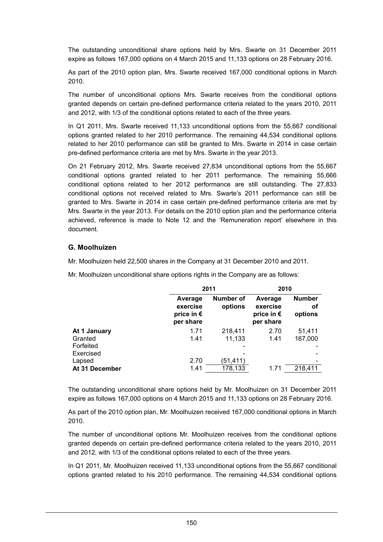The outstanding unconditional share options held by Mrs. Swarte on 31 December 2011 expire as follows 167,000 options on 4 March 2015 and 11,133 options on 28 February 2016.

As part of the 2010 option plan, Mrs. Swarte received 167,000 conditional options in March 2010.

The number of unconditional options Mrs. Swarte receives from the conditional options granted depends on certain pre-defined performance criteria related to the years 2010, 2011 and 2012, with 1/3 of the conditional options related to each of the three years.

In Q1 2011, Mrs. Swarte received 11,133 unconditional options from the 55,667 conditional options granted related to her 2010 performance. The remaining 44,534 conditional options related to her 2010 performance can still be granted to Mrs. Swarte in 2014 in case certain pre-defined performance criteria are met by Mrs. Swarte in the year 2013.

On 21 February 2012, Mrs. Swarte received 27,834 unconditional options from the 55,667 conditional options granted related to her 2011 performance. The remaining 55,666 conditional options related to her 2012 performance are still outstanding. The 27,833 conditional options not received related to Mrs. Swarte's 2011 performance can still be granted to Mrs. Swarte in 2014 in case certain pre-defined performance criteria are met by Mrs. Swarte in the year 2013. For details on the 2010 option plan and the performance criteria achieved, reference is made to Note 12 and the 'Remuneration report' elsewhere in this document.

# **G. Moolhuizen**

Mr. Moolhuizen held 22,500 shares in the Company at 31 December 2010 and 2011.

Mr. Moolhuizen unconditional share options rights in the Company are as follows:

|                |                                                         | 2011                 |                                                         | 2010                           |
|----------------|---------------------------------------------------------|----------------------|---------------------------------------------------------|--------------------------------|
|                | Average<br>exercise<br>price in $\epsilon$<br>per share | Number of<br>options | Average<br>exercise<br>price in $\epsilon$<br>per share | <b>Number</b><br>оf<br>options |
| At 1 January   | 1.71                                                    | 218,411              | 2.70                                                    | 51,411                         |
| Granted        | 1.41                                                    | 11,133               | 1.41                                                    | 167,000                        |
| Forfeited      |                                                         |                      |                                                         |                                |
| Exercised      |                                                         |                      |                                                         |                                |
| Lapsed         | 2.70                                                    | (51,411)             |                                                         |                                |
| At 31 December | 1.41                                                    | 178,133              | 1.71                                                    | 218,411                        |

The outstanding unconditional share options held by Mr. Moolhuizen on 31 December 2011 expire as follows 167,000 options on 4 March 2015 and 11,133 options on 28 February 2016.

As part of the 2010 option plan, Mr. Moolhuizen received 167,000 conditional options in March 2010.

The number of unconditional options Mr. Moolhuizen receives from the conditional options granted depends on certain pre-defined performance criteria related to the years 2010, 2011 and 2012, with 1/3 of the conditional options related to each of the three years.

In Q1 2011, Mr. Moolhuizen received 11,133 unconditional options from the 55,667 conditional options granted related to his 2010 performance. The remaining 44,534 conditional options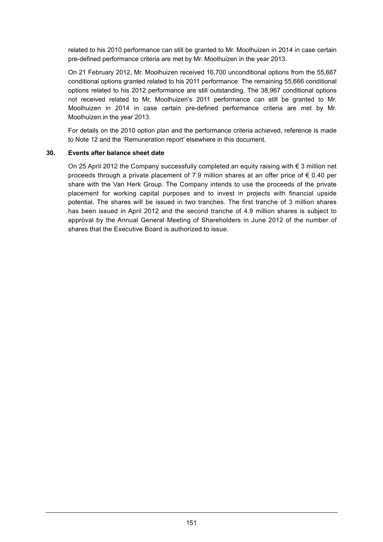related to his 2010 performance can still be granted to Mr. Moolhuizen in 2014 in case certain pre-defined performance criteria are met by Mr. Moolhuizen in the year 2013.

On 21 February 2012, Mr. Moolhuizen received 16,700 unconditional options from the 55,667 conditional options granted related to his 2011 performance. The remaining 55,666 conditional options related to his 2012 performance are still outstanding. The 38,967 conditional options not received related to Mr. Moolhuizen's 2011 performance can still be granted to Mr. Moolhuizen in 2014 in case certain pre-defined performance criteria are met by Mr. Moolhuizen in the year 2013.

For details on the 2010 option plan and the performance criteria achieved, reference is made to Note 12 and the 'Remuneration report' elsewhere in this document.

## **30. Events after balance sheet date**

On 25 April 2012 the Company successfully completed an equity raising with € 3 million net proceeds through a private placement of 7.9 million shares at an offer price of € 0.40 per share with the Van Herk Group. The Company intends to use the proceeds of the private placement for working capital purposes and to invest in projects with financial upside potential. The shares will be issued in two tranches. The first tranche of 3 million shares has been issued in April 2012 and the second tranche of 4.9 million shares is subject to approval by the Annual General Meeting of Shareholders in June 2012 of the number of shares that the Executive Board is authorized to issue.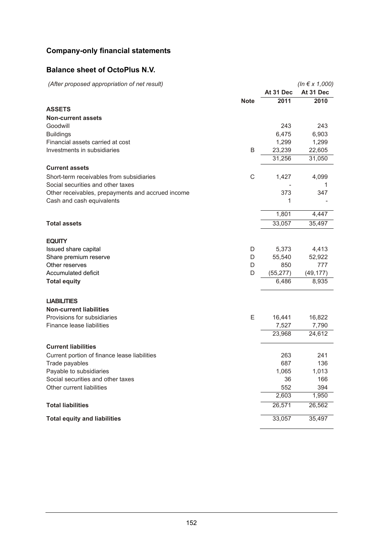# **Company-only financial statements**

# **Balance sheet of OctoPlus N.V.**

*(After proposed appropriation of net result) (In € x 1,000)*

|                                                   |             | At 31 Dec | At 31 Dec |
|---------------------------------------------------|-------------|-----------|-----------|
|                                                   | <b>Note</b> | 2011      | 2010      |
| <b>ASSETS</b>                                     |             |           |           |
| <b>Non-current assets</b>                         |             |           |           |
| Goodwill                                          |             | 243       | 243       |
| <b>Buildings</b>                                  |             | 6,475     | 6,903     |
| Financial assets carried at cost                  |             | 1,299     | 1,299     |
| Investments in subsidiaries                       | B           | 23,239    | 22,605    |
|                                                   |             | 31,256    | 31,050    |
| <b>Current assets</b>                             |             |           |           |
| Short-term receivables from subsidiaries          | C           | 1,427     | 4,099     |
| Social securities and other taxes                 |             |           |           |
| Other receivables, prepayments and accrued income |             | 373       | 347       |
| Cash and cash equivalents                         |             | 1         |           |
|                                                   |             |           |           |
|                                                   |             | 1,801     | 4,447     |
| <b>Total assets</b>                               |             | 33,057    | 35,497    |
| <b>EQUITY</b>                                     |             |           |           |
| Issued share capital                              | D           | 5,373     | 4,413     |
| Share premium reserve                             | D           | 55,540    | 52,922    |
| Other reserves                                    | D           | 850       | 777       |
| Accumulated deficit                               | D           | (55, 277) | (49, 177) |
| <b>Total equity</b>                               |             | 6,486     | 8,935     |
| <b>LIABILITIES</b>                                |             |           |           |
| <b>Non-current liabilities</b>                    |             |           |           |
| Provisions for subsidiaries                       | Е           | 16,441    | 16,822    |
| Finance lease liabilities                         |             | 7,527     | 7,790     |
|                                                   |             | 23,968    | 24,612    |
|                                                   |             |           |           |
| <b>Current liabilities</b>                        |             |           |           |
| Current portion of finance lease liabilities      |             | 263       | 241       |
| Trade payables                                    |             | 687       | 136       |
| Payable to subsidiaries                           |             | 1,065     | 1,013     |
| Social securities and other taxes                 |             | 36        | 166       |
| Other current liabilities                         |             | 552       | 394       |
|                                                   |             | 2,603     | 1,950     |
| <b>Total liabilities</b>                          |             | 26,571    | 26,562    |
| <b>Total equity and liabilities</b>               |             | 33,057    | 35,497    |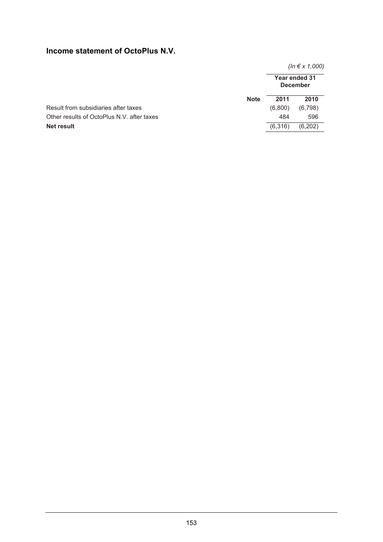# **Income statement of OctoPlus N.V.**

|             |         | Year ended 31<br><b>December</b> |  |
|-------------|---------|----------------------------------|--|
| <b>Note</b> | 2011    | 2010                             |  |
|             | (6,800) | (6,798)                          |  |
|             | 484     | 596                              |  |
|             | (6,316) | (6,202)                          |  |
|             |         |                                  |  |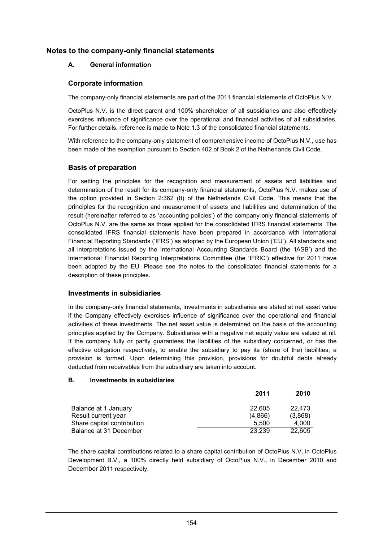# **Notes to the company-only financial statements**

## **A. General information**

# **Corporate information**

The company-only financial statements are part of the 2011 financial statements of OctoPlus N.V.

OctoPlus N.V. is the direct parent and 100% shareholder of all subsidiaries and also effectively exercises influence of significance over the operational and financial activities of all subsidiaries. For further details, reference is made to Note 1.3 of the consolidated financial statements.

With reference to the company-only statement of comprehensive income of OctoPlus N.V., use has been made of the exemption pursuant to Section 402 of Book 2 of the Netherlands Civil Code.

# **Basis of preparation**

For setting the principles for the recognition and measurement of assets and liabilities and determination of the result for its company-only financial statements, OctoPlus N.V. makes use of the option provided in Section 2:362 (8) of the Netherlands Civil Code. This means that the principles for the recognition and measurement of assets and liabilities and determination of the result (hereinafter referred to as 'accounting policies') of the company-only financial statements of OctoPlus N.V. are the same as those applied for the consolidated IFRS financial statements. The consolidated IFRS financial statements have been prepared in accordance with International Financial Reporting Standards ('IFRS') as adopted by the European Union ('EU'). All standards and all interpretations issued by the International Accounting Standards Board (the 'IASB') and the International Financial Reporting Interpretations Committee (the 'IFRIC') effective for 2011 have been adopted by the EU. Please see the notes to the consolidated financial statements for a description of these principles.

# **Investments in subsidiaries**

In the company-only financial statements, investments in subsidiaries are stated at net asset value if the Company effectively exercises influence of significance over the operational and financial activities of these investments. The net asset value is determined on the basis of the accounting principles applied by the Company. Subsidiaries with a negative net equity value are valued at nil. If the company fully or partly guarantees the liabilities of the subsidiary concerned, or has the effective obligation respectively, to enable the subsidiary to pay its (share of the) liabilities, a provision is formed. Upon determining this provision, provisions for doubtful debts already deducted from receivables from the subsidiary are taken into account.

## **B. Investments in subsidiaries**

|                            | 2011    | 2010    |
|----------------------------|---------|---------|
| Balance at 1 January       | 22.605  | 22.473  |
| Result current year        | (4,866) | (3,868) |
| Share capital contribution | 5.500   | 4.000   |
| Balance at 31 December     | 23.239  | 22,605  |

The share capital contributions related to a share capital contribution of OctoPlus N.V. in OctoPlus Development B.V., a 100% directly held subsidiary of OctoPlus N.V., in December 2010 and December 2011 respectively.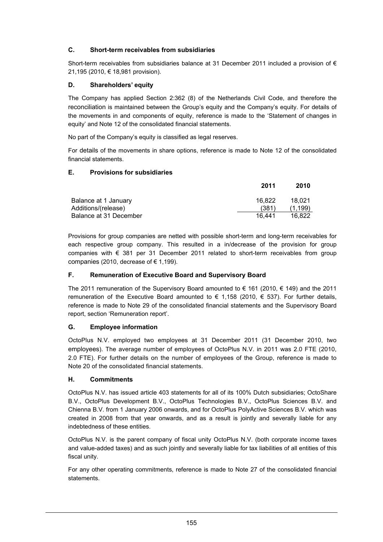# **C. Short-term receivables from subsidiaries**

Short-term receivables from subsidiaries balance at 31 December 2011 included a provision of  $\epsilon$ 21,195 (2010, € 18,981 provision).

# **D. Shareholders' equity**

The Company has applied Section 2:362 (8) of the Netherlands Civil Code, and therefore the reconciliation is maintained between the Group's equity and the Company's equity. For details of the movements in and components of equity, reference is made to the 'Statement of changes in equity' and Note 12 of the consolidated financial statements.

No part of the Company's equity is classified as legal reserves.

For details of the movements in share options, reference is made to Note 12 of the consolidated financial statements.

# **E. Provisions for subsidiaries**

|                                             | 2011            | 2010              |
|---------------------------------------------|-----------------|-------------------|
| Balance at 1 January<br>Additions/(release) | 16.822<br>(381) | 18.021<br>(1.199) |
| Balance at 31 December                      | 16.441          | 16.822            |

Provisions for group companies are netted with possible short-term and long-term receivables for each respective group company. This resulted in a in/decrease of the provision for group companies with  $\epsilon$  381 per 31 December 2011 related to short-term receivables from group companies (2010, decrease of  $\epsilon$  1,199).

# **F. Remuneration of Executive Board and Supervisory Board**

The 2011 remuneration of the Supervisory Board amounted to  $\epsilon$  161 (2010,  $\epsilon$  149) and the 2011 remuneration of the Executive Board amounted to  $\epsilon$  1,158 (2010,  $\epsilon$  537). For further details, reference is made to Note 29 of the consolidated financial statements and the Supervisory Board report, section 'Remuneration report'.

# **G. Employee information**

OctoPlus N.V. employed two employees at 31 December 2011 (31 December 2010, two employees). The average number of employees of OctoPlus N.V. in 2011 was 2.0 FTE (2010, 2.0 FTE). For further details on the number of employees of the Group, reference is made to Note 20 of the consolidated financial statements.

## **H. Commitments**

OctoPlus N.V. has issued article 403 statements for all of its 100% Dutch subsidiaries; OctoShare B.V., OctoPlus Development B.V., OctoPlus Technologies B.V., OctoPlus Sciences B.V. and Chienna B.V. from 1 January 2006 onwards, and for OctoPlus PolyActive Sciences B.V. which was created in 2008 from that year onwards, and as a result is jointly and severally liable for any indebtedness of these entities.

OctoPlus N.V. is the parent company of fiscal unity OctoPlus N.V. (both corporate income taxes and value-added taxes) and as such jointly and severally liable for tax liabilities of all entities of this fiscal unity.

For any other operating commitments, reference is made to Note 27 of the consolidated financial statements.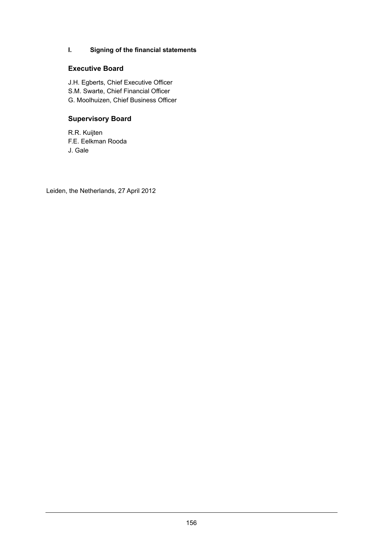# **I. Signing of the financial statements**

# **Executive Board**

J.H. Egberts, Chief Executive Officer S.M. Swarte, Chief Financial Officer G. Moolhuizen, Chief Business Officer

# **Supervisory Board**

R.R. Kuijten F.E. Eelkman Rooda J. Gale

Leiden, the Netherlands, 27 April 2012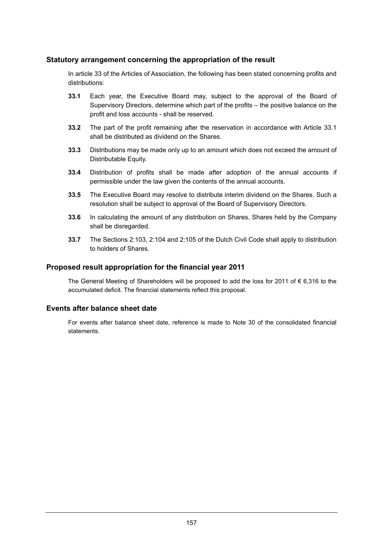# **Statutory arrangement concerning the appropriation of the result**

In article 33 of the Articles of Association, the following has been stated concerning profits and distributions:

- **33.1** Each year, the Executive Board may, subject to the approval of the Board of Supervisory Directors, determine which part of the profits – the positive balance on the profit and loss accounts - shall be reserved.
- **33.2** The part of the profit remaining after the reservation in accordance with Article 33.1 shall be distributed as dividend on the Shares.
- **33.3** Distributions may be made only up to an amount which does not exceed the amount of Distributable Equity.
- **33.4** Distribution of profits shall be made after adoption of the annual accounts if permissible under the law given the contents of the annual accounts.
- **33.5** The Executive Board may resolve to distribute interim dividend on the Shares. Such a resolution shall be subject to approval of the Board of Supervisory Directors.
- **33.6** In calculating the amount of any distribution on Shares, Shares held by the Company shall be disregarded.
- **33.7** The Sections 2:103, 2:104 and 2:105 of the Dutch Civil Code shall apply to distribution to holders of Shares.

## **Proposed result appropriation for the financial year 2011**

The General Meeting of Shareholders will be proposed to add the loss for 2011 of  $\epsilon$  6,316 to the accumulated deficit. The financial statements reflect this proposal.

# **Events after balance sheet date**

For events after balance sheet date, reference is made to Note 30 of the consolidated financial statements.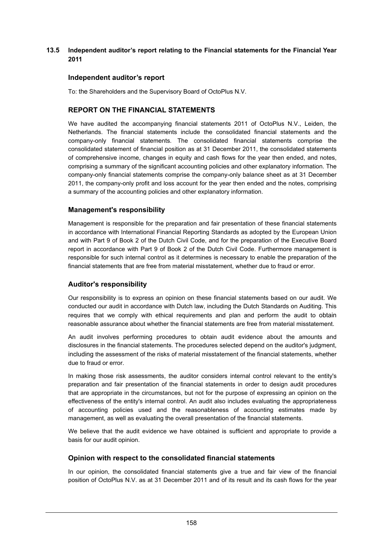# **13.5 Independent auditor's report relating to the Financial statements for the Financial Year 2011**

## **Independent auditor's report**

To: the Shareholders and the Supervisory Board of OctoPlus N.V.

## **REPORT ON THE FINANCIAL STATEMENTS**

We have audited the accompanying financial statements 2011 of OctoPlus N.V., Leiden, the Netherlands. The financial statements include the consolidated financial statements and the company-only financial statements. The consolidated financial statements comprise the consolidated statement of financial position as at 31 December 2011, the consolidated statements of comprehensive income, changes in equity and cash flows for the year then ended, and notes, comprising a summary of the significant accounting policies and other explanatory information. The company-only financial statements comprise the company-only balance sheet as at 31 December 2011, the company-only profit and loss account for the year then ended and the notes, comprising a summary of the accounting policies and other explanatory information.

## **Management's responsibility**

Management is responsible for the preparation and fair presentation of these financial statements in accordance with International Financial Reporting Standards as adopted by the European Union and with Part 9 of Book 2 of the Dutch Civil Code, and for the preparation of the Executive Board report in accordance with Part 9 of Book 2 of the Dutch Civil Code. Furthermore management is responsible for such internal control as it determines is necessary to enable the preparation of the financial statements that are free from material misstatement, whether due to fraud or error.

# **Auditor's responsibility**

Our responsibility is to express an opinion on these financial statements based on our audit. We conducted our audit in accordance with Dutch law, including the Dutch Standards on Auditing. This requires that we comply with ethical requirements and plan and perform the audit to obtain reasonable assurance about whether the financial statements are free from material misstatement.

An audit involves performing procedures to obtain audit evidence about the amounts and disclosures in the financial statements. The procedures selected depend on the auditor's judgment, including the assessment of the risks of material misstatement of the financial statements, whether due to fraud or error.

In making those risk assessments, the auditor considers internal control relevant to the entity's preparation and fair presentation of the financial statements in order to design audit procedures that are appropriate in the circumstances, but not for the purpose of expressing an opinion on the effectiveness of the entity's internal control. An audit also includes evaluating the appropriateness of accounting policies used and the reasonableness of accounting estimates made by management, as well as evaluating the overall presentation of the financial statements.

We believe that the audit evidence we have obtained is sufficient and appropriate to provide a basis for our audit opinion.

## **Opinion with respect to the consolidated financial statements**

In our opinion, the consolidated financial statements give a true and fair view of the financial position of OctoPlus N.V. as at 31 December 2011 and of its result and its cash flows for the year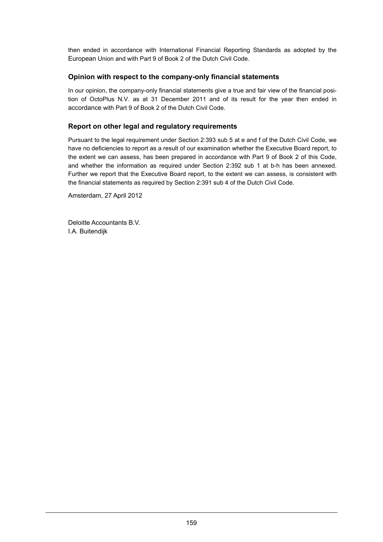then ended in accordance with International Financial Reporting Standards as adopted by the European Union and with Part 9 of Book 2 of the Dutch Civil Code.

# **Opinion with respect to the company-only financial statements**

In our opinion, the company-only financial statements give a true and fair view of the financial position of OctoPlus N.V. as at 31 December 2011 and of its result for the year then ended in accordance with Part 9 of Book 2 of the Dutch Civil Code.

# **Report on other legal and regulatory requirements**

Pursuant to the legal requirement under Section 2:393 sub 5 at e and f of the Dutch Civil Code, we have no deficiencies to report as a result of our examination whether the Executive Board report, to the extent we can assess, has been prepared in accordance with Part 9 of Book 2 of this Code, and whether the information as required under Section 2:392 sub 1 at b-h has been annexed. Further we report that the Executive Board report, to the extent we can assess, is consistent with the financial statements as required by Section 2:391 sub 4 of the Dutch Civil Code.

Amsterdam, 27 April 2012

Deloitte Accountants B.V. I.A. Buitendijk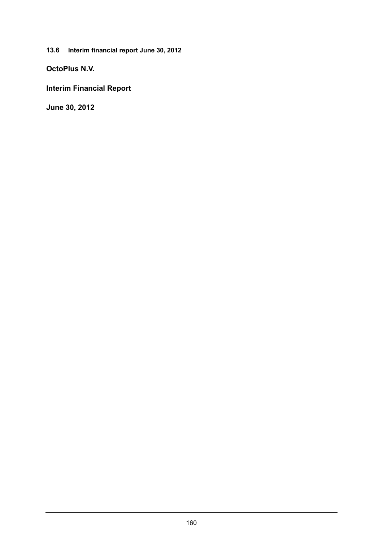**13.6 Interim financial report June 30, 2012**

**OctoPlus N.V.**

**Interim Financial Report**

**June 30, 2012**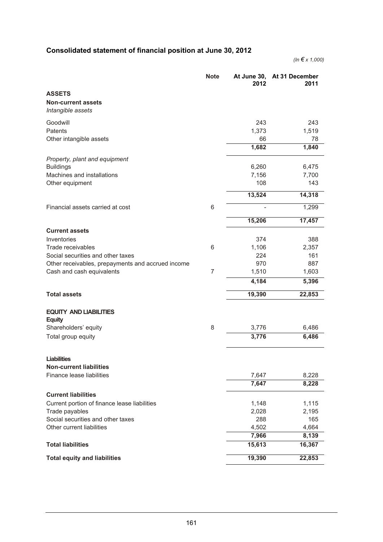# **Consolidated statement of financial position at June 30, 2012**

|                                                   | <b>Note</b>    | 2012   | At June 30, At 31 December<br>2011 |
|---------------------------------------------------|----------------|--------|------------------------------------|
| <b>ASSETS</b>                                     |                |        |                                    |
| <b>Non-current assets</b><br>Intangible assets    |                |        |                                    |
| Goodwill                                          |                | 243    | 243                                |
| Patents                                           |                | 1,373  | 1,519                              |
| Other intangible assets                           |                | 66     | 78                                 |
|                                                   |                | 1,682  | 1,840                              |
| Property, plant and equipment                     |                |        |                                    |
| <b>Buildings</b>                                  |                | 6,260  | 6,475                              |
| Machines and installations                        |                | 7,156  | 7,700                              |
| Other equipment                                   |                | 108    | 143                                |
|                                                   |                | 13,524 | 14,318                             |
| Financial assets carried at cost                  | 6              |        | 1,299                              |
|                                                   |                | 15,206 | 17,457                             |
| <b>Current assets</b>                             |                |        |                                    |
| Inventories                                       |                | 374    | 388                                |
| Trade receivables                                 | 6              | 1,106  | 2,357                              |
| Social securities and other taxes                 |                | 224    | 161                                |
| Other receivables, prepayments and accrued income |                | 970    | 887                                |
| Cash and cash equivalents                         | $\overline{7}$ | 1,510  | 1,603                              |
|                                                   |                | 4,184  | 5,396                              |
| <b>Total assets</b>                               |                | 19,390 | 22,853                             |
| <b>EQUITY AND LIABILITIES</b>                     |                |        |                                    |
| <b>Equity</b>                                     |                |        |                                    |
| Shareholders' equity                              | 8              | 3,776  | 6,486                              |
| Total group equity                                |                | 3,776  | 6,486                              |
| <b>Liabilities</b>                                |                |        |                                    |
| <b>Non-current liabilities</b>                    |                |        |                                    |
| Finance lease liabilities                         |                | 7,647  | 8,228                              |
|                                                   |                | 7,647  | 8,228                              |
| <b>Current liabilities</b>                        |                |        |                                    |
| Current portion of finance lease liabilities      |                | 1,148  | 1,115                              |
| Trade payables                                    |                | 2,028  | 2,195                              |
| Social securities and other taxes                 |                | 288    | 165                                |
| Other current liabilities                         |                | 4,502  | 4,664                              |
|                                                   |                | 7,966  | 8,139                              |
| <b>Total liabilities</b>                          |                | 15,613 | 16,367                             |
| <b>Total equity and liabilities</b>               |                | 19,390 | 22,853                             |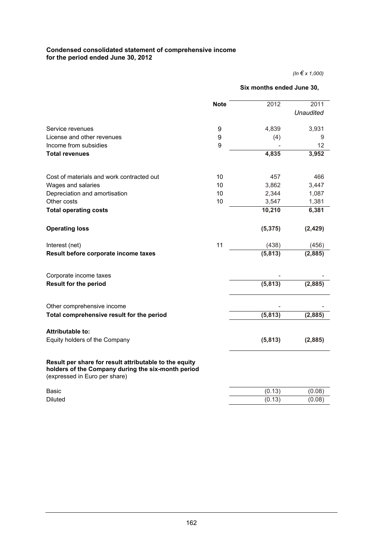#### **Condensed consolidated statement of comprehensive income for the period ended June 30, 2012**

|                                                                                                                                               |             |          | Six months ended June 30, |  |  |
|-----------------------------------------------------------------------------------------------------------------------------------------------|-------------|----------|---------------------------|--|--|
|                                                                                                                                               | <b>Note</b> | 2012     | 2011<br><b>Unaudited</b>  |  |  |
| Service revenues                                                                                                                              | 9           | 4,839    | 3,931                     |  |  |
| License and other revenues                                                                                                                    | 9           | (4)      | 9                         |  |  |
| Income from subsidies                                                                                                                         | 9           |          | $12 \overline{ }$         |  |  |
| <b>Total revenues</b>                                                                                                                         |             | 4,835    | 3,952                     |  |  |
| Cost of materials and work contracted out                                                                                                     | 10          | 457      | 466                       |  |  |
| Wages and salaries                                                                                                                            | 10          | 3,862    | 3,447                     |  |  |
| Depreciation and amortisation                                                                                                                 | 10          | 2,344    | 1,087                     |  |  |
| Other costs                                                                                                                                   | 10          | 3,547    | 1,381                     |  |  |
| <b>Total operating costs</b>                                                                                                                  |             | 10,210   | 6,381                     |  |  |
|                                                                                                                                               |             |          |                           |  |  |
| <b>Operating loss</b>                                                                                                                         |             | (5, 375) | (2, 429)                  |  |  |
| Interest (net)                                                                                                                                | 11          | (438)    | (456)                     |  |  |
| Result before corporate income taxes                                                                                                          |             | (5, 813) | (2,885)                   |  |  |
|                                                                                                                                               |             |          |                           |  |  |
| Corporate income taxes                                                                                                                        |             |          |                           |  |  |
| <b>Result for the period</b>                                                                                                                  |             | (5,813)  | (2,885)                   |  |  |
| Other comprehensive income                                                                                                                    |             |          |                           |  |  |
| Total comprehensive result for the period                                                                                                     |             | (5, 813) | (2,885)                   |  |  |
| <b>Attributable to:</b>                                                                                                                       |             |          |                           |  |  |
| Equity holders of the Company                                                                                                                 |             | (5, 813) | (2,885)                   |  |  |
| Result per share for result attributable to the equity<br>holders of the Company during the six-month period<br>(expressed in Euro per share) |             |          |                           |  |  |
| Basic                                                                                                                                         |             | (0.13)   | (0.08)                    |  |  |
| <b>Diluted</b>                                                                                                                                |             | (0.13)   | (0.08)                    |  |  |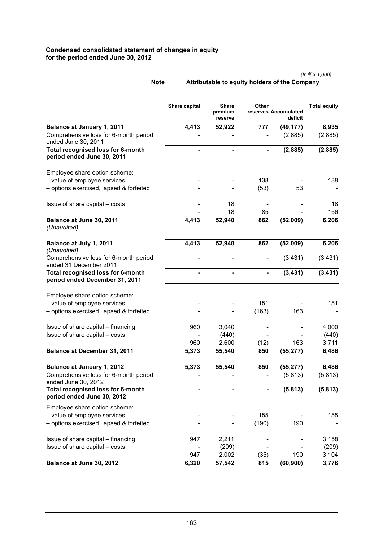#### **Condensed consolidated statement of changes in equity for the period ended June 30, 2012**

| <b>Note</b>                                                         | Attributable to equity holders of the Company |                                    |       |                                 |                     |
|---------------------------------------------------------------------|-----------------------------------------------|------------------------------------|-------|---------------------------------|---------------------|
|                                                                     | Share capital                                 | <b>Share</b><br>premium<br>reserve | Other | reserves Accumulated<br>deficit | <b>Total equity</b> |
| <b>Balance at January 1, 2011</b>                                   | 4,413                                         | 52,922                             | 777   | (49, 177)                       | 8,935               |
| Comprehensive loss for 6-month period<br>ended June 30, 2011        |                                               |                                    |       | (2,885)                         | (2,885)             |
| Total recognised loss for 6-month<br>period ended June 30, 2011     |                                               |                                    |       | (2,885)                         | (2,885)             |
| Employee share option scheme:                                       |                                               |                                    |       |                                 |                     |
| - value of employee services                                        |                                               |                                    | 138   |                                 | 138                 |
| - options exercised, lapsed & forfeited                             |                                               |                                    | (53)  | 53                              |                     |
| Issue of share capital - costs                                      |                                               | 18                                 | -     |                                 | 18                  |
|                                                                     |                                               | 18                                 | 85    |                                 | 156                 |
| Balance at June 30, 2011<br>(Unaudited)                             | 4,413                                         | 52,940                             | 862   | (52,009)                        | 6,206               |
| Balance at July 1, 2011<br>(Unaudited)                              | 4,413                                         | 52,940                             | 862   | (52,009)                        | 6,206               |
| Comprehensive loss for 6-month period<br>ended 31 December 2011     | ÷,                                            |                                    | ٠     | (3, 431)                        | (3, 431)            |
| Total recognised loss for 6-month<br>period ended December 31, 2011 |                                               |                                    |       | (3, 431)                        | (3, 431)            |
| Employee share option scheme:                                       |                                               |                                    |       |                                 |                     |
| - value of employee services                                        |                                               |                                    | 151   |                                 | 151                 |
| - options exercised, lapsed & forfeited                             |                                               |                                    | (163) | 163                             |                     |
| Issue of share capital - financing                                  | 960                                           | 3,040                              |       |                                 | 4,000               |
| Issue of share capital - costs                                      |                                               | (440)                              |       |                                 | (440)               |
|                                                                     | 960                                           | 2,600                              | (12)  | 163                             | 3,711               |
| Balance at December 31, 2011                                        | 5,373                                         | 55,540                             | 850   | (55, 277)                       | 6,486               |
| <b>Balance at January 1, 2012</b>                                   | 5.373                                         | 55.540                             | 850   | (55.277)                        | 6,486               |
| Comprehensive loss for 6-month period<br>ended June 30, 2012        |                                               |                                    |       | (5, 813)                        | (5, 813)            |
| Total recognised loss for 6-month<br>period ended June 30, 2012     |                                               |                                    | ۰     | (5, 813)                        | (5,813)             |
| Employee share option scheme:                                       |                                               |                                    |       |                                 |                     |
| - value of employee services                                        |                                               |                                    | 155   |                                 | 155                 |
| - options exercised, lapsed & forfeited                             |                                               |                                    | (190) | 190                             |                     |
| Issue of share capital - financing                                  | 947                                           | 2,211                              |       |                                 | 3,158               |
| Issue of share capital - costs                                      |                                               | (209)                              |       |                                 | (209)               |
|                                                                     | 947                                           | 2,002                              | (35)  | 190                             | 3,104               |
| Balance at June 30, 2012                                            | 6,320                                         | 57,542                             | 815   | (60, 900)                       | 3,776               |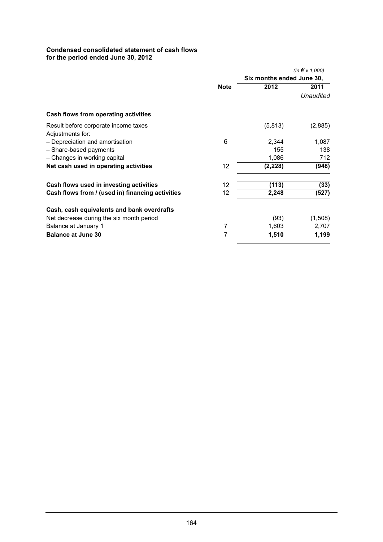## **Condensed consolidated statement of cash flows for the period ended June 30, 2012**

|                                                          |             | (In € x 1,000)            |           |  |
|----------------------------------------------------------|-------------|---------------------------|-----------|--|
|                                                          |             | Six months ended June 30, |           |  |
|                                                          | <b>Note</b> | 2012                      | 2011      |  |
|                                                          |             |                           | Unaudited |  |
| Cash flows from operating activities                     |             |                           |           |  |
| Result before corporate income taxes<br>Adjustments for: |             | (5,813)                   | (2,885)   |  |
| - Depreciation and amortisation                          | 6           | 2,344                     | 1,087     |  |
| - Share-based payments                                   |             | 155                       | 138       |  |
| - Changes in working capital                             |             | 1,086                     | 712       |  |
| Net cash used in operating activities                    | 12          | (2, 228)                  | (948)     |  |
| Cash flows used in investing activities                  | 12          | (113)                     | (33)      |  |
| Cash flows from / (used in) financing activities         | 12          | 2,248                     | (527)     |  |
| Cash, cash equivalents and bank overdrafts               |             |                           |           |  |
| Net decrease during the six month period                 |             | (93)                      | (1,508)   |  |
| Balance at January 1                                     | 7           | 1,603                     | 2,707     |  |
| <b>Balance at June 30</b>                                | 7           | 1,510                     | 1,199     |  |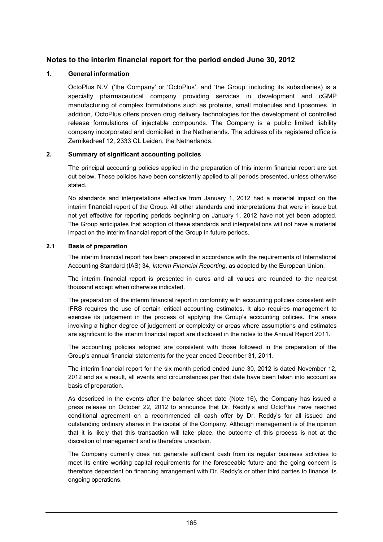# **Notes to the interim financial report for the period ended June 30, 2012**

## **1. General information**

OctoPlus N.V. ('the Company' or 'OctoPlus', and 'the Group' including its subsidiaries) is a specialty pharmaceutical company providing services in development and cGMP manufacturing of complex formulations such as proteins, small molecules and liposomes. In addition, OctoPlus offers proven drug delivery technologies for the development of controlled release formulations of injectable compounds. The Company is a public limited liability company incorporated and domiciled in the Netherlands. The address of its registered office is Zernikedreef 12, 2333 CL Leiden, the Netherlands.

## **2. Summary of significant accounting policies**

The principal accounting policies applied in the preparation of this interim financial report are set out below. These policies have been consistently applied to all periods presented, unless otherwise stated.

No standards and interpretations effective from January 1, 2012 had a material impact on the interim financial report of the Group. All other standards and interpretations that were in issue but not yet effective for reporting periods beginning on January 1, 2012 have not yet been adopted. The Group anticipates that adoption of these standards and interpretations will not have a material impact on the interim financial report of the Group in future periods.

## **2.1 Basis of preparation**

The interim financial report has been prepared in accordance with the requirements of International Accounting Standard (IAS) 34, *Interim Financial Reporting*, as adopted by the European Union.

The interim financial report is presented in euros and all values are rounded to the nearest thousand except when otherwise indicated.

The preparation of the interim financial report in conformity with accounting policies consistent with IFRS requires the use of certain critical accounting estimates. It also requires management to exercise its judgement in the process of applying the Group's accounting policies. The areas involving a higher degree of judgement or complexity or areas where assumptions and estimates are significant to the interim financial report are disclosed in the notes to the Annual Report 2011.

The accounting policies adopted are consistent with those followed in the preparation of the Group's annual financial statements for the year ended December 31, 2011.

The interim financial report for the six month period ended June 30, 2012 is dated November 12, 2012 and as a result, all events and circumstances per that date have been taken into account as basis of preparation.

As described in the events after the balance sheet date (Note 16), the Company has issued a press release on October 22, 2012 to announce that Dr. Reddy's and OctoPlus have reached conditional agreement on a recommended all cash offer by Dr. Reddy's for all issued and outstanding ordinary shares in the capital of the Company. Although management is of the opinion that it is likely that this transaction will take place, the outcome of this process is not at the discretion of management and is therefore uncertain.

The Company currently does not generate sufficient cash from its regular business activities to meet its entire working capital requirements for the foreseeable future and the going concern is therefore dependent on financing arrangement with Dr. Reddy's or other third parties to finance its ongoing operations.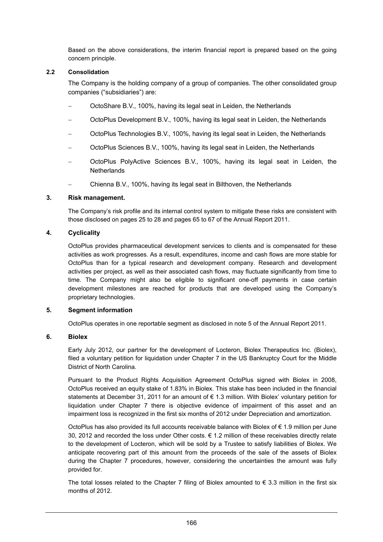Based on the above considerations, the interim financial report is prepared based on the going concern principle.

## **2.2 Consolidation**

The Company is the holding company of a group of companies. The other consolidated group companies ("subsidiaries") are:

- OctoShare B.V., 100%, having its legal seat in Leiden, the Netherlands
- OctoPlus Development B.V., 100%, having its legal seat in Leiden, the Netherlands
- OctoPlus Technologies B.V., 100%, having its legal seat in Leiden, the Netherlands
- OctoPlus Sciences B.V., 100%, having its legal seat in Leiden, the Netherlands
- OctoPlus PolyActive Sciences B.V., 100%, having its legal seat in Leiden, the **Netherlands**
- Chienna B.V., 100%, having its legal seat in Bilthoven, the Netherlands

## **3. Risk management.**

The Company's risk profile and its internal control system to mitigate these risks are consistent with those disclosed on pages 25 to 28 and pages 65 to 67 of the Annual Report 2011.

## **4. Cyclicality**

OctoPlus provides pharmaceutical development services to clients and is compensated for these activities as work progresses. As a result, expenditures, income and cash flows are more stable for OctoPlus than for a typical research and development company. Research and development activities per project, as well as their associated cash flows, may fluctuate significantly from time to time. The Company might also be eligible to significant one-off payments in case certain development milestones are reached for products that are developed using the Company's proprietary technologies.

## **5. Segment information**

OctoPlus operates in one reportable segment as disclosed in note 5 of the Annual Report 2011.

## **6. Biolex**

Early July 2012, our partner for the development of Locteron, Biolex Therapeutics Inc. (Biolex), filed a voluntary petition for liquidation under Chapter 7 in the US Bankruptcy Court for the Middle District of North Carolina.

Pursuant to the Product Rights Acquisition Agreement OctoPlus signed with Biolex in 2008, OctoPlus received an equity stake of 1.83% in Biolex. This stake has been included in the financial statements at December 31, 2011 for an amount of € 1.3 million. With Biolex' voluntary petition for liquidation under Chapter 7 there is objective evidence of impairment of this asset and an impairment loss is recognized in the first six months of 2012 under Depreciation and amortization.

OctoPlus has also provided its full accounts receivable balance with Biolex of € 1.9 million per June 30, 2012 and recorded the loss under Other costs. € 1.2 million of these receivables directly relate to the development of Locteron, which will be sold by a Trustee to satisfy liabilities of Biolex. We anticipate recovering part of this amount from the proceeds of the sale of the assets of Biolex during the Chapter 7 procedures, however, considering the uncertainties the amount was fully provided for.

The total losses related to the Chapter 7 filing of Biolex amounted to  $\epsilon$  3.3 million in the first six months of 2012.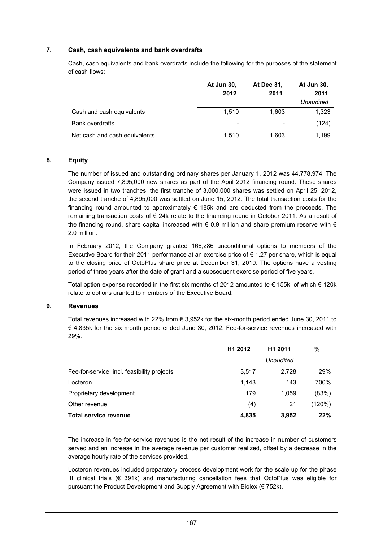## **7. Cash, cash equivalents and bank overdrafts**

Cash, cash equivalents and bank overdrafts include the following for the purposes of the statement of cash flows:

|                               | At Jun 30,<br>2012 | At Dec 31,<br>2011 | At Jun 30,<br>2011 |
|-------------------------------|--------------------|--------------------|--------------------|
|                               |                    |                    | Unaudited          |
| Cash and cash equivalents     | 1.510              | 1,603              | 1,323              |
| <b>Bank overdrafts</b>        | ٠                  | -                  | (124)              |
| Net cash and cash equivalents | 1.510              | 1,603              | 1,199              |

## **8. Equity**

The number of issued and outstanding ordinary shares per January 1, 2012 was 44,778,974. The Company issued 7,895,000 new shares as part of the April 2012 financing round. These shares were issued in two tranches; the first tranche of 3,000,000 shares was settled on April 25, 2012, the second tranche of 4,895,000 was settled on June 15, 2012. The total transaction costs for the financing round amounted to approximately  $\epsilon$  185k and are deducted from the proceeds. The remaining transaction costs of € 24k relate to the financing round in October 2011. As a result of the financing round, share capital increased with  $\epsilon$  0.9 million and share premium reserve with  $\epsilon$ 2.0 million.

In February 2012, the Company granted 166,286 unconditional options to members of the Executive Board for their 2011 performance at an exercise price of  $\epsilon$  1.27 per share, which is equal to the closing price of OctoPlus share price at December 31, 2010. The options have a vesting period of three years after the date of grant and a subsequent exercise period of five years.

Total option expense recorded in the first six months of 2012 amounted to € 155k, of which € 120k relate to options granted to members of the Executive Board.

#### **9. Revenues**

Total revenues increased with 22% from € 3,952k for the six-month period ended June 30, 2011 to € 4,835k for the six month period ended June 30, 2012. Fee-for-service revenues increased with 29%.

|                                             | H1 2012 | H <sub>1</sub> 2011 | $\%$   |
|---------------------------------------------|---------|---------------------|--------|
|                                             |         |                     |        |
| Fee-for-service, incl. feasibility projects | 3,517   | 2,728               | 29%    |
| Locteron                                    | 1.143   | 143                 | 700%   |
| Proprietary development                     | 179     | 1.059               | (83%)  |
| Other revenue                               | (4)     | 21                  | (120%) |
| <b>Total service revenue</b>                | 4,835   | 3,952               | 22%    |

The increase in fee-for-service revenues is the net result of the increase in number of customers served and an increase in the average revenue per customer realized, offset by a decrease in the average hourly rate of the services provided.

Locteron revenues included preparatory process development work for the scale up for the phase III clinical trials (€ 391k) and manufacturing cancellation fees that OctoPlus was eligible for pursuant the Product Development and Supply Agreement with Biolex (€ 752k).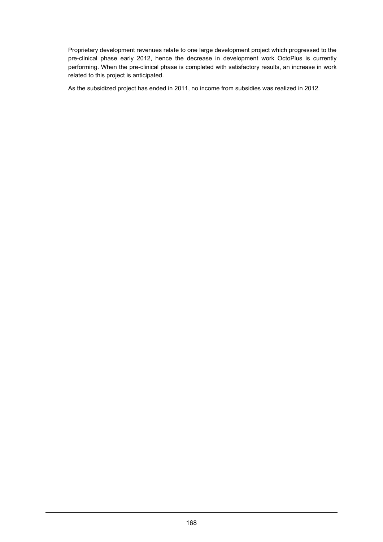Proprietary development revenues relate to one large development project which progressed to the pre-clinical phase early 2012, hence the decrease in development work OctoPlus is currently performing. When the pre-clinical phase is completed with satisfactory results, an increase in work related to this project is anticipated.

As the subsidized project has ended in 2011, no income from subsidies was realized in 2012.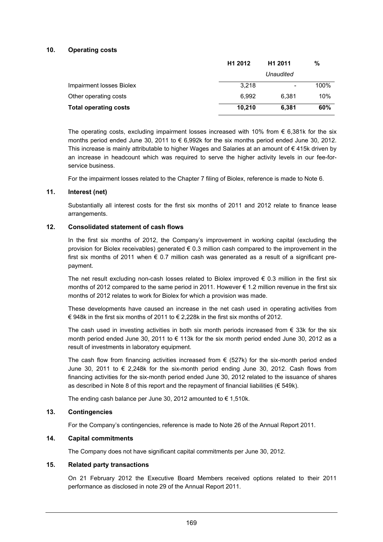# **10. Operating costs**

|                              | H <sub>1</sub> 2012 | H <sub>1</sub> 2011 | %    |
|------------------------------|---------------------|---------------------|------|
|                              |                     | Unaudited           |      |
| Impairment losses Biolex     | 3.218               | -                   | 100% |
| Other operating costs        | 6.992               | 6.381               | 10%  |
| <b>Total operating costs</b> | 10,210              | 6.381               | 60%  |

The operating costs, excluding impairment losses increased with 10% from  $\epsilon$  6,381k for the six months period ended June 30, 2011 to  $\epsilon$  6,992k for the six months period ended June 30, 2012. This increase is mainly attributable to higher Wages and Salaries at an amount of € 415k driven by an increase in headcount which was required to serve the higher activity levels in our fee-forservice business.

For the impairment losses related to the Chapter 7 filing of Biolex, reference is made to Note 6.

## **11. Interest (net)**

Substantially all interest costs for the first six months of 2011 and 2012 relate to finance lease arrangements.

## **12. Consolidated statement of cash flows**

In the first six months of 2012, the Company's improvement in working capital (excluding the provision for Biolex receivables) generated € 0.3 million cash compared to the improvement in the first six months of 2011 when  $\epsilon$  0.7 million cash was generated as a result of a significant prepayment.

The net result excluding non-cash losses related to Biolex improved  $\epsilon$  0.3 million in the first six months of 2012 compared to the same period in 2011. However € 1.2 million revenue in the first six months of 2012 relates to work for Biolex for which a provision was made.

These developments have caused an increase in the net cash used in operating activities from € 948k in the first six months of 2011 to € 2,228k in the first six months of 2012.

The cash used in investing activities in both six month periods increased from  $\epsilon$  33k for the six month period ended June 30, 2011 to  $\epsilon$  113k for the six month period ended June 30, 2012 as a result of investments in laboratory equipment.

The cash flow from financing activities increased from  $\epsilon$  (527k) for the six-month period ended June 30, 2011 to € 2,248k for the six-month period ending June 30, 2012. Cash flows from financing activities for the six-month period ended June 30, 2012 related to the issuance of shares as described in Note 8 of this report and the repayment of financial liabilities ( $\epsilon$  549k).

The ending cash balance per June 30, 2012 amounted to  $\epsilon$  1,510k.

## **13. Contingencies**

For the Company's contingencies, reference is made to Note 26 of the Annual Report 2011.

## **14. Capital commitments**

The Company does not have significant capital commitments per June 30, 2012.

## **15. Related party transactions**

On 21 February 2012 the Executive Board Members received options related to their 2011 performance as disclosed in note 29 of the Annual Report 2011.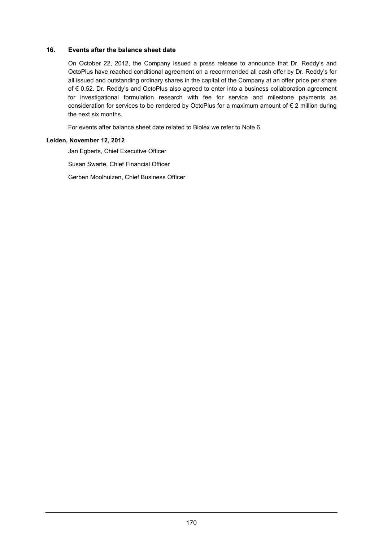## **16. Events after the balance sheet date**

On October 22, 2012, the Company issued a press release to announce that Dr. Reddy's and OctoPlus have reached conditional agreement on a recommended all cash offer by Dr. Reddy's for all issued and outstanding ordinary shares in the capital of the Company at an offer price per share of € 0.52. Dr. Reddy's and OctoPlus also agreed to enter into a business collaboration agreement for investigational formulation research with fee for service and milestone payments as consideration for services to be rendered by OctoPlus for a maximum amount of € 2 million during the next six months.

For events after balance sheet date related to Biolex we refer to Note 6.

# **Leiden, November 12, 2012**

Jan Egberts, Chief Executive Officer

Susan Swarte, Chief Financial Officer

Gerben Moolhuizen, Chief Business Officer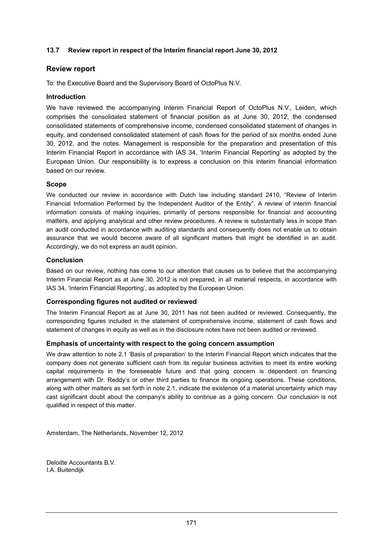# **13.7 Review report in respect of the Interim financial report June 30, 2012**

## **Review report**

To: the Executive Board and the Supervisory Board of OctoPlus N.V.

#### **Introduction**

We have reviewed the accompanying Interim Financial Report of OctoPlus N.V., Leiden, which comprises the consolidated statement of financial position as at June 30, 2012, the condensed consolidated statements of comprehensive income, condensed consolidated statement of changes in equity, and condensed consolidated statement of cash flows for the period of six months ended June 30, 2012, and the notes. Management is responsible for the preparation and presentation of this Interim Financial Report in accordance with IAS 34, 'Interim Financial Reporting' as adopted by the European Union. Our responsibility is to express a conclusion on this interim financial information based on our review.

## **Scope**

We conducted our review in accordance with Dutch law including standard 2410, "Review of Interim Financial Information Performed by the Independent Auditor of the Entity". A review of interim financial information consists of making inquiries, primarily of persons responsible for financial and accounting matters, and applying analytical and other review procedures. A review is substantially less in scope than an audit conducted in accordance with auditing standards and consequently does not enable us to obtain assurance that we would become aware of all significant matters that might be identified in an audit. Accordingly, we do not express an audit opinion.

#### **Conclusion**

Based on our review, nothing has come to our attention that causes us to believe that the accompanying Interim Financial Report as at June 30, 2012 is not prepared, in all material respects, in accordance with IAS 34, 'Interim Financial Reporting', as adopted by the European Union.

## **Corresponding figures not audited or reviewed**

The Interim Financial Report as at June 30, 2011 has not been audited or reviewed. Consequently, the corresponding figures included in the statement of comprehensive income, statement of cash flows and statement of changes in equity as well as in the disclosure notes have not been audited or reviewed.

## **Emphasis of uncertainty with respect to the going concern assumption**

We draw attention to note 2.1 'Basis of preparation' to the Interim Financial Report which indicates that the company does not generate sufficient cash from its regular business activities to meet its entire working capital requirements in the foreseeable future and that going concern is dependent on financing arrangement with Dr. Reddy's or other third parties to finance its ongoing operations. These conditions, along with other matters as set forth in note 2.1, indicate the existence of a material uncertainty which may cast significant doubt about the company's ability to continue as a going concern. Our conclusion is not qualified in respect of this matter.

Amsterdam, The Netherlands, November 12, 2012

Deloitte Accountants B.V. I.A. Buitendijk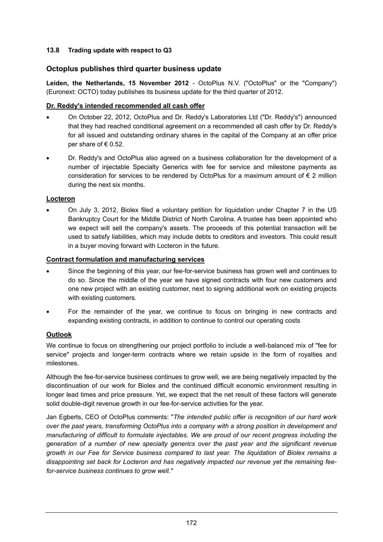# **13.8 Trading update with respect to Q3**

# **Octoplus publishes third quarter business update**

**Leiden, the Netherlands, 15 November 2012** - OctoPlus N.V. ("OctoPlus" or the "Company") (Euronext: OCTO) today publishes its business update for the third quarter of 2012.

# **Dr. Reddy's intended recommended all cash offer**

- On October 22, 2012, OctoPlus and Dr. Reddy's Laboratories Ltd ("Dr. Reddy's") announced that they had reached conditional agreement on a recommended all cash offer by Dr. Reddy's for all issued and outstanding ordinary shares in the capital of the Company at an offer price per share of  $\in$  0.52.
- Dr. Reddy's and OctoPlus also agreed on a business collaboration for the development of a number of injectable Specialty Generics with fee for service and milestone payments as consideration for services to be rendered by OctoPlus for a maximum amount of  $\epsilon$  2 million during the next six months.

# **Locteron**

 On July 3, 2012, Biolex filed a voluntary petition for liquidation under Chapter 7 in the US Bankruptcy Court for the Middle District of North Carolina. A trustee has been appointed who we expect will sell the company's assets. The proceeds of this potential transaction will be used to satisfy liabilities, which may include debts to creditors and investors. This could result in a buyer moving forward with Locteron in the future.

# **Contract formulation and manufacturing services**

- Since the beginning of this year, our fee-for-service business has grown well and continues to do so. Since the middle of the year we have signed contracts with four new customers and one new project with an existing customer, next to signing additional work on existing projects with existing customers.
- For the remainder of the year, we continue to focus on bringing in new contracts and expanding existing contracts, in addition to continue to control our operating costs

# **Outlook**

We continue to focus on strengthening our project portfolio to include a well-balanced mix of "fee for service" projects and longer-term contracts where we retain upside in the form of royalties and milestones.

Although the fee-for-service business continues to grow well, we are being negatively impacted by the discontinuation of our work for Biolex and the continued difficult economic environment resulting in longer lead times and price pressure. Yet, we expect that the net result of these factors will generate solid double-digit revenue growth in our fee-for-service activities for the year.

Jan Egberts, CEO of OctoPlus comments: "*The intended public offer is recognition of our hard work over the past years, transforming OctoPlus into a company with a strong position in development and manufacturing of difficult to formulate injectables. We are proud of our recent progress including the generation of a number of new specialty generics over the past year and the significant revenue growth in our Fee for Service business compared to last year. The liquidation of Biolex remains a disappointing set back for Locteron and has negatively impacted our revenue yet the remaining feefor-service business continues to grow well."*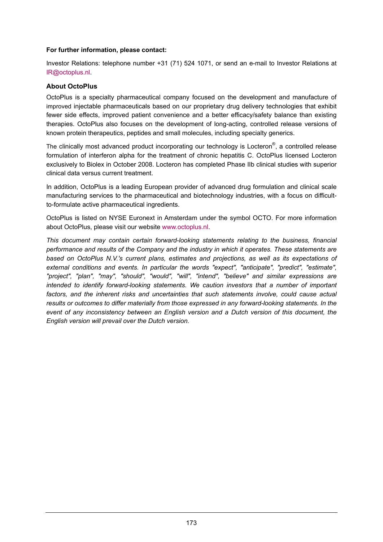## **For further information, please contact:**

Investor Relations: telephone number +31 (71) 524 1071, or send an e-mail to Investor Relations at IR@octoplus.nl.

## **About OctoPlus**

OctoPlus is a specialty pharmaceutical company focused on the development and manufacture of improved injectable pharmaceuticals based on our proprietary drug delivery technologies that exhibit fewer side effects, improved patient convenience and a better efficacy/safety balance than existing therapies. OctoPlus also focuses on the development of long-acting, controlled release versions of known protein therapeutics, peptides and small molecules, including specialty generics.

The clinically most advanced product incorporating our technology is Locteron<sup>®</sup>, a controlled release formulation of interferon alpha for the treatment of chronic hepatitis C. OctoPlus licensed Locteron exclusively to Biolex in October 2008. Locteron has completed Phase IIb clinical studies with superior clinical data versus current treatment.

In addition, OctoPlus is a leading European provider of advanced drug formulation and clinical scale manufacturing services to the pharmaceutical and biotechnology industries, with a focus on difficultto-formulate active pharmaceutical ingredients.

OctoPlus is listed on NYSE Euronext in Amsterdam under the symbol OCTO. For more information about OctoPlus, please visit our website www.octoplus.nl.

*This document may contain certain forward-looking statements relating to the business, financial performance and results of the Company and the industry in which it operates. These statements are based on OctoPlus N.V.'s current plans, estimates and projections, as well as its expectations of external conditions and events. In particular the words "expect", "anticipate", "predict", "estimate", "project", "plan", "may", "should", "would", "will", "intend", "believe" and similar expressions are intended to identify forward-looking statements. We caution investors that a number of important factors, and the inherent risks and uncertainties that such statements involve, could cause actual results or outcomes to differ materially from those expressed in any forward-looking statements. In the event of any inconsistency between an English version and a Dutch version of this document, the English version will prevail over the Dutch version.*